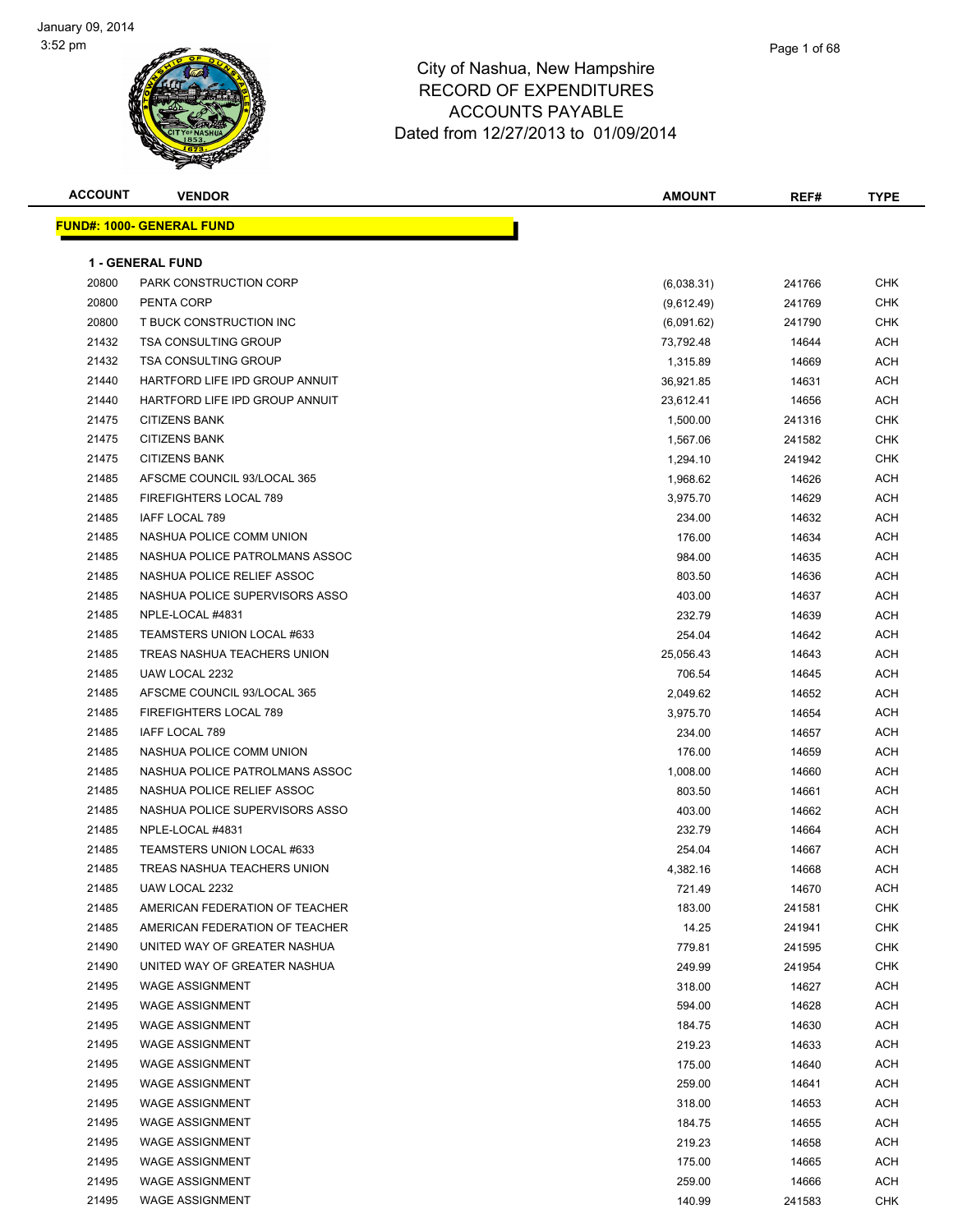

| <b>ACCOUNT</b> | <b>VENDOR</b>                    | <b>AMOUNT</b> | REF#   | <b>TYPE</b> |
|----------------|----------------------------------|---------------|--------|-------------|
|                | <b>FUND#: 1000- GENERAL FUND</b> |               |        |             |
|                | <b>1 - GENERAL FUND</b>          |               |        |             |
| 20800          | PARK CONSTRUCTION CORP           | (6,038.31)    | 241766 | <b>CHK</b>  |
| 20800          | PENTA CORP                       | (9,612.49)    | 241769 | <b>CHK</b>  |
| 20800          | T BUCK CONSTRUCTION INC          | (6,091.62)    | 241790 | <b>CHK</b>  |
| 21432          | <b>TSA CONSULTING GROUP</b>      | 73,792.48     | 14644  | <b>ACH</b>  |
| 21432          | <b>TSA CONSULTING GROUP</b>      | 1,315.89      | 14669  | <b>ACH</b>  |
| 21440          | HARTFORD LIFE IPD GROUP ANNUIT   | 36,921.85     | 14631  | <b>ACH</b>  |
| 21440          | HARTFORD LIFE IPD GROUP ANNUIT   | 23,612.41     | 14656  | ACH         |
| 21475          | <b>CITIZENS BANK</b>             | 1,500.00      | 241316 | <b>CHK</b>  |
| 21475          | <b>CITIZENS BANK</b>             | 1,567.06      | 241582 | <b>CHK</b>  |
| 21475          | <b>CITIZENS BANK</b>             | 1,294.10      | 241942 | <b>CHK</b>  |
| 21485          | AFSCME COUNCIL 93/LOCAL 365      | 1,968.62      | 14626  | <b>ACH</b>  |
| 21485          | FIREFIGHTERS LOCAL 789           | 3,975.70      | 14629  | <b>ACH</b>  |
| 21485          | <b>IAFF LOCAL 789</b>            | 234.00        | 14632  | <b>ACH</b>  |
| 21485          | NASHUA POLICE COMM UNION         | 176.00        | 14634  | <b>ACH</b>  |
| 21485          | NASHUA POLICE PATROLMANS ASSOC   | 984.00        | 14635  | <b>ACH</b>  |
| 21485          | NASHUA POLICE RELIEF ASSOC       | 803.50        | 14636  | <b>ACH</b>  |
| 21485          | NASHUA POLICE SUPERVISORS ASSO   | 403.00        | 14637  | <b>ACH</b>  |
| 21485          | NPLE-LOCAL #4831                 | 232.79        | 14639  | ACH         |
| 21485          | TEAMSTERS UNION LOCAL #633       | 254.04        | 14642  | ACH         |
| 21485          | TREAS NASHUA TEACHERS UNION      | 25,056.43     | 14643  | <b>ACH</b>  |
| 21485          | UAW LOCAL 2232                   | 706.54        | 14645  | ACH         |
| 21485          | AFSCME COUNCIL 93/LOCAL 365      | 2,049.62      | 14652  | <b>ACH</b>  |
| 21485          | FIREFIGHTERS LOCAL 789           | 3,975.70      | 14654  | <b>ACH</b>  |
| 21485          | IAFF LOCAL 789                   | 234.00        | 14657  | ACH         |
| 21485          | NASHUA POLICE COMM UNION         | 176.00        | 14659  | <b>ACH</b>  |
| 21485          | NASHUA POLICE PATROLMANS ASSOC   | 1,008.00      | 14660  | <b>ACH</b>  |
| 21485          | NASHUA POLICE RELIEF ASSOC       | 803.50        | 14661  | ACH         |
| 21485          | NASHUA POLICE SUPERVISORS ASSO   | 403.00        | 14662  | <b>ACH</b>  |
| 21485          | NPLE-LOCAL #4831                 | 232.79        | 14664  | ACH         |
| 21485          | TEAMSTERS UNION LOCAL #633       | 254.04        | 14667  | ACH         |
| 21485          | TREAS NASHUA TEACHERS UNION      | 4,382.16      | 14668  | <b>ACH</b>  |
| 21485          | UAW LOCAL 2232                   | 721.49        | 14670  | <b>ACH</b>  |
| 21485          | AMERICAN FEDERATION OF TEACHER   | 183.00        | 241581 | CHK         |
| 21485          | AMERICAN FEDERATION OF TEACHER   | 14.25         | 241941 | <b>CHK</b>  |
| 21490          | UNITED WAY OF GREATER NASHUA     | 779.81        | 241595 | <b>CHK</b>  |
| 21490          | UNITED WAY OF GREATER NASHUA     | 249.99        | 241954 | <b>CHK</b>  |
| 21495          | <b>WAGE ASSIGNMENT</b>           | 318.00        | 14627  | ACH         |
| 21495          | <b>WAGE ASSIGNMENT</b>           | 594.00        | 14628  | <b>ACH</b>  |
| 21495          | <b>WAGE ASSIGNMENT</b>           | 184.75        | 14630  | <b>ACH</b>  |
| 21495          | <b>WAGE ASSIGNMENT</b>           | 219.23        | 14633  | ACH         |
| 21495          | <b>WAGE ASSIGNMENT</b>           | 175.00        | 14640  | ACH         |
| 21495          | <b>WAGE ASSIGNMENT</b>           | 259.00        | 14641  | ACH         |
| 21495          | <b>WAGE ASSIGNMENT</b>           | 318.00        | 14653  | <b>ACH</b>  |
| 21495          | <b>WAGE ASSIGNMENT</b>           | 184.75        | 14655  | <b>ACH</b>  |
| 21495          | <b>WAGE ASSIGNMENT</b>           | 219.23        | 14658  | <b>ACH</b>  |
| 21495          | <b>WAGE ASSIGNMENT</b>           | 175.00        | 14665  | ACH         |
| 21495          | <b>WAGE ASSIGNMENT</b>           | 259.00        | 14666  | <b>ACH</b>  |
| 21495          | <b>WAGE ASSIGNMENT</b>           | 140.99        | 241583 | <b>CHK</b>  |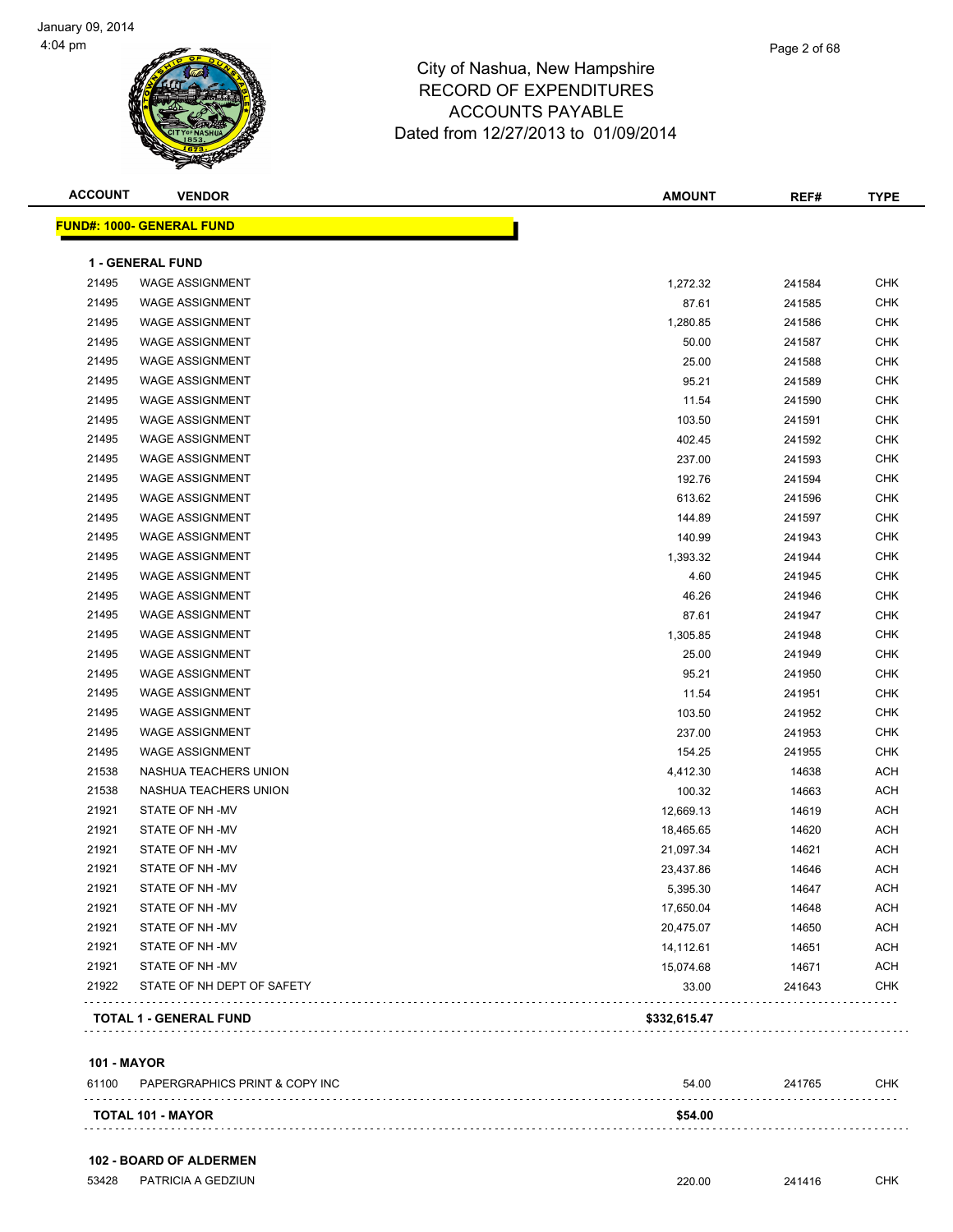| <b>ACCOUNT</b> | <b>VENDOR</b>                    | <b>AMOUNT</b> | REF#   | <b>TYPE</b> |
|----------------|----------------------------------|---------------|--------|-------------|
|                | <b>FUND#: 1000- GENERAL FUND</b> |               |        |             |
|                | <b>1 - GENERAL FUND</b>          |               |        |             |
| 21495          | <b>WAGE ASSIGNMENT</b>           | 1,272.32      | 241584 | <b>CHK</b>  |
| 21495          | <b>WAGE ASSIGNMENT</b>           | 87.61         | 241585 | CHK         |
| 21495          | <b>WAGE ASSIGNMENT</b>           | 1,280.85      | 241586 | <b>CHK</b>  |
| 21495          | <b>WAGE ASSIGNMENT</b>           | 50.00         | 241587 | <b>CHK</b>  |
| 21495          | <b>WAGE ASSIGNMENT</b>           | 25.00         | 241588 | <b>CHK</b>  |
| 21495          | <b>WAGE ASSIGNMENT</b>           | 95.21         | 241589 | <b>CHK</b>  |
| 21495          | <b>WAGE ASSIGNMENT</b>           | 11.54         | 241590 | <b>CHK</b>  |
| 21495          | <b>WAGE ASSIGNMENT</b>           | 103.50        | 241591 | CHK         |
| 21495          | <b>WAGE ASSIGNMENT</b>           | 402.45        | 241592 | <b>CHK</b>  |
| 21495          | <b>WAGE ASSIGNMENT</b>           | 237.00        | 241593 | <b>CHK</b>  |
| 21495          | <b>WAGE ASSIGNMENT</b>           | 192.76        | 241594 | <b>CHK</b>  |
| 21495          | <b>WAGE ASSIGNMENT</b>           | 613.62        | 241596 | <b>CHK</b>  |
| 21495          | <b>WAGE ASSIGNMENT</b>           | 144.89        | 241597 | <b>CHK</b>  |
| 21495          | <b>WAGE ASSIGNMENT</b>           | 140.99        | 241943 | <b>CHK</b>  |
| 21495          | <b>WAGE ASSIGNMENT</b>           | 1,393.32      | 241944 | <b>CHK</b>  |
| 21495          | <b>WAGE ASSIGNMENT</b>           | 4.60          | 241945 | <b>CHK</b>  |
| 21495          | <b>WAGE ASSIGNMENT</b>           | 46.26         | 241946 | <b>CHK</b>  |
| 21495          | <b>WAGE ASSIGNMENT</b>           | 87.61         | 241947 | <b>CHK</b>  |
| 21495          | <b>WAGE ASSIGNMENT</b>           | 1,305.85      | 241948 | CHK         |
| 21495          | <b>WAGE ASSIGNMENT</b>           | 25.00         | 241949 | <b>CHK</b>  |
| 21495          | <b>WAGE ASSIGNMENT</b>           | 95.21         | 241950 | <b>CHK</b>  |
| 21495          | <b>WAGE ASSIGNMENT</b>           | 11.54         | 241951 | <b>CHK</b>  |
| 21495          | <b>WAGE ASSIGNMENT</b>           | 103.50        | 241952 | <b>CHK</b>  |
| 21495          | <b>WAGE ASSIGNMENT</b>           | 237.00        | 241953 | <b>CHK</b>  |
| 21495          | <b>WAGE ASSIGNMENT</b>           | 154.25        | 241955 | <b>CHK</b>  |
| 21538          | NASHUA TEACHERS UNION            | 4,412.30      | 14638  | <b>ACH</b>  |
| 21538          | NASHUA TEACHERS UNION            | 100.32        | 14663  | <b>ACH</b>  |
| 21921          | STATE OF NH-MV                   | 12,669.13     | 14619  | <b>ACH</b>  |
| 21921          | STATE OF NH-MV                   | 18,465.65     | 14620  | <b>ACH</b>  |
| 21921          | STATE OF NH -MV                  | 21,097.34     | 14621  | <b>ACH</b>  |
| 21921          | STATE OF NH-MV                   | 23,437.86     | 14646  | <b>ACH</b>  |
| 21921          | STATE OF NH-MV                   | 5,395.30      | 14647  | <b>ACH</b>  |
| 21921          | STATE OF NH-MV                   | 17,650.04     | 14648  | <b>ACH</b>  |
| 21921          | STATE OF NH -MV                  | 20,475.07     | 14650  | <b>ACH</b>  |
| 21921          | STATE OF NH -MV                  | 14,112.61     | 14651  | <b>ACH</b>  |
| 21921          | STATE OF NH -MV                  | 15,074.68     | 14671  | ACH         |
| 21922          | STATE OF NH DEPT OF SAFETY       | 33.00         | 241643 | <b>CHK</b>  |
|                | <b>TOTAL 1 - GENERAL FUND</b>    | \$332,615.47  |        |             |
|                |                                  |               |        |             |

### **101 - MAYOR**

| 61100 | PAPERGRAPHICS PRINT & COPY INC | 54.00   | 241765 | <b>CHK</b> |
|-------|--------------------------------|---------|--------|------------|
|       | <b>TOTAL 101 - MAYOR</b>       | \$54.00 |        |            |

### **102 - BOARD OF ALDERMEN**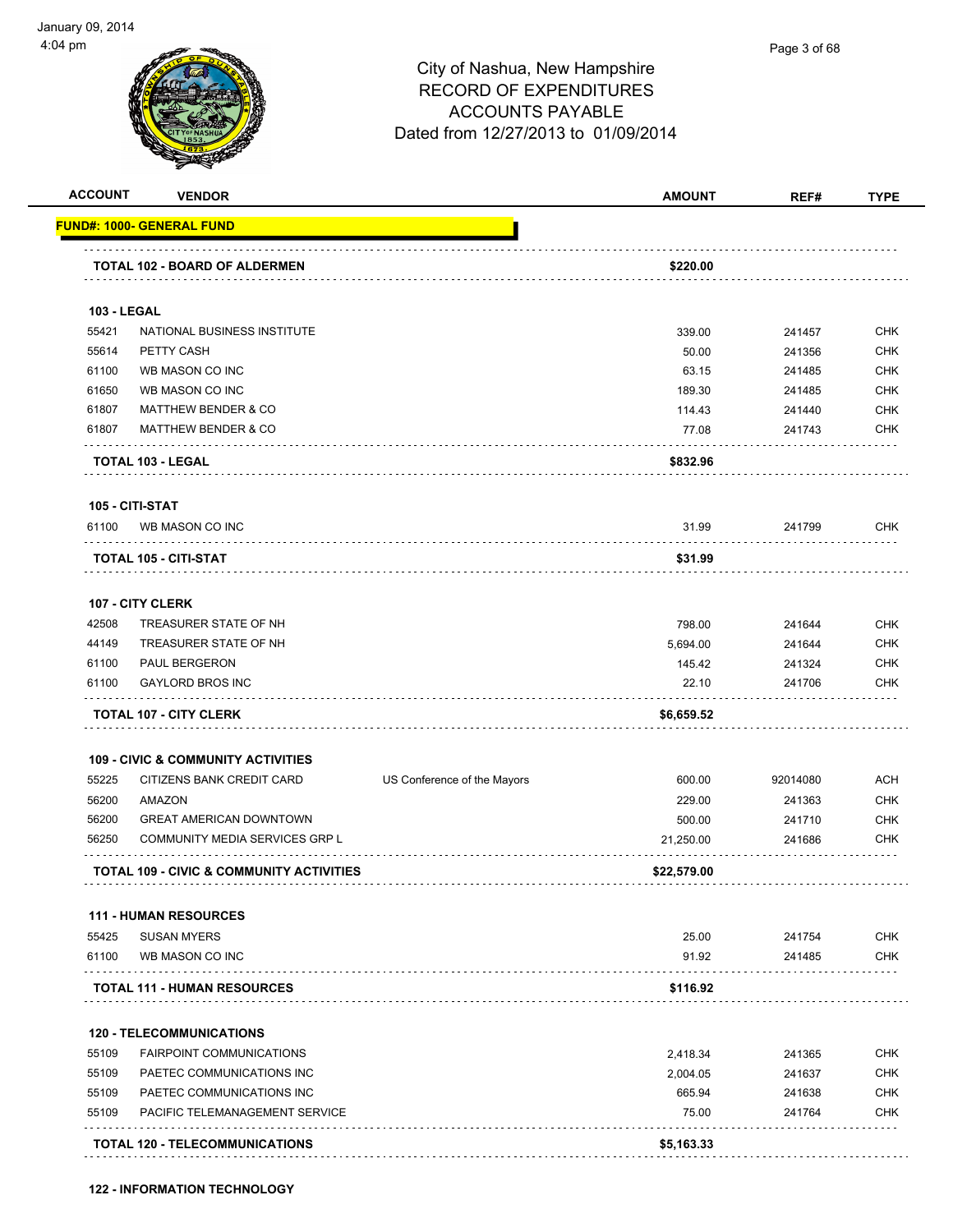

| <b>ACCOUNT</b>     | <b>VENDOR</b>                                       |                             | <b>AMOUNT</b> | REF#     | <b>TYPE</b> |
|--------------------|-----------------------------------------------------|-----------------------------|---------------|----------|-------------|
|                    | <u>FUND#: 1000- GENERAL FUND</u>                    |                             |               |          |             |
|                    | TOTAL 102 - BOARD OF ALDERMEN                       |                             | \$220.00      |          |             |
| <b>103 - LEGAL</b> |                                                     |                             |               |          |             |
| 55421              | NATIONAL BUSINESS INSTITUTE                         |                             | 339.00        | 241457   | <b>CHK</b>  |
| 55614              | PETTY CASH                                          |                             | 50.00         | 241356   | <b>CHK</b>  |
| 61100              | WB MASON CO INC                                     |                             | 63.15         | 241485   | <b>CHK</b>  |
| 61650              | WB MASON CO INC                                     |                             | 189.30        | 241485   | <b>CHK</b>  |
| 61807              | <b>MATTHEW BENDER &amp; CO</b>                      |                             | 114.43        | 241440   | <b>CHK</b>  |
| 61807              | <b>MATTHEW BENDER &amp; CO</b>                      |                             | 77.08         | 241743   | <b>CHK</b>  |
|                    | TOTAL 103 - LEGAL                                   |                             | \$832.96      |          |             |
|                    | 105 - CITI-STAT                                     |                             |               |          |             |
| 61100              | WB MASON CO INC                                     |                             | 31.99         | 241799   | <b>CHK</b>  |
|                    | TOTAL 105 - CITI-STAT                               |                             | \$31.99       |          |             |
|                    | 107 - CITY CLERK                                    |                             |               |          |             |
| 42508              | TREASURER STATE OF NH                               |                             | 798.00        | 241644   | <b>CHK</b>  |
| 44149              | TREASURER STATE OF NH                               |                             | 5,694.00      | 241644   | <b>CHK</b>  |
| 61100              | PAUL BERGERON                                       |                             | 145.42        | 241324   | <b>CHK</b>  |
| 61100              | <b>GAYLORD BROS INC</b>                             |                             | 22.10         | 241706   | <b>CHK</b>  |
|                    | <b>TOTAL 107 - CITY CLERK</b>                       |                             | \$6,659.52    |          |             |
|                    | <b>109 - CIVIC &amp; COMMUNITY ACTIVITIES</b>       |                             |               |          |             |
| 55225              | CITIZENS BANK CREDIT CARD                           | US Conference of the Mayors | 600.00        | 92014080 | ACH         |
| 56200              | AMAZON                                              |                             | 229.00        | 241363   | <b>CHK</b>  |
| 56200              | <b>GREAT AMERICAN DOWNTOWN</b>                      |                             | 500.00        | 241710   | <b>CHK</b>  |
| 56250              | COMMUNITY MEDIA SERVICES GRP L                      |                             | 21,250.00     | 241686   | <b>CHK</b>  |
|                    | <b>TOTAL 109 - CIVIC &amp; COMMUNITY ACTIVITIES</b> |                             | \$22,579.00   |          |             |
|                    | <b>111 - HUMAN RESOURCES</b>                        |                             |               |          |             |
| 55425              | <b>SUSAN MYERS</b>                                  |                             | 25.00         | 241754   | <b>CHK</b>  |
| 61100              | WB MASON CO INC                                     |                             | 91.92         | 241485   | <b>CHK</b>  |
|                    | <b>TOTAL 111 - HUMAN RESOURCES</b>                  |                             | \$116.92      |          |             |
|                    | <b>120 - TELECOMMUNICATIONS</b>                     |                             |               |          |             |
| 55109              | <b>FAIRPOINT COMMUNICATIONS</b>                     |                             | 2,418.34      | 241365   | <b>CHK</b>  |
| 55109              | PAETEC COMMUNICATIONS INC                           |                             | 2,004.05      | 241637   | <b>CHK</b>  |
| 55109              | PAETEC COMMUNICATIONS INC                           |                             | 665.94        | 241638   | <b>CHK</b>  |
| 55109              | PACIFIC TELEMANAGEMENT SERVICE                      |                             | 75.00         | 241764   | <b>CHK</b>  |
|                    | .                                                   |                             |               |          |             |
|                    | <b>TOTAL 120 - TELECOMMUNICATIONS</b>               |                             | \$5,163.33    |          |             |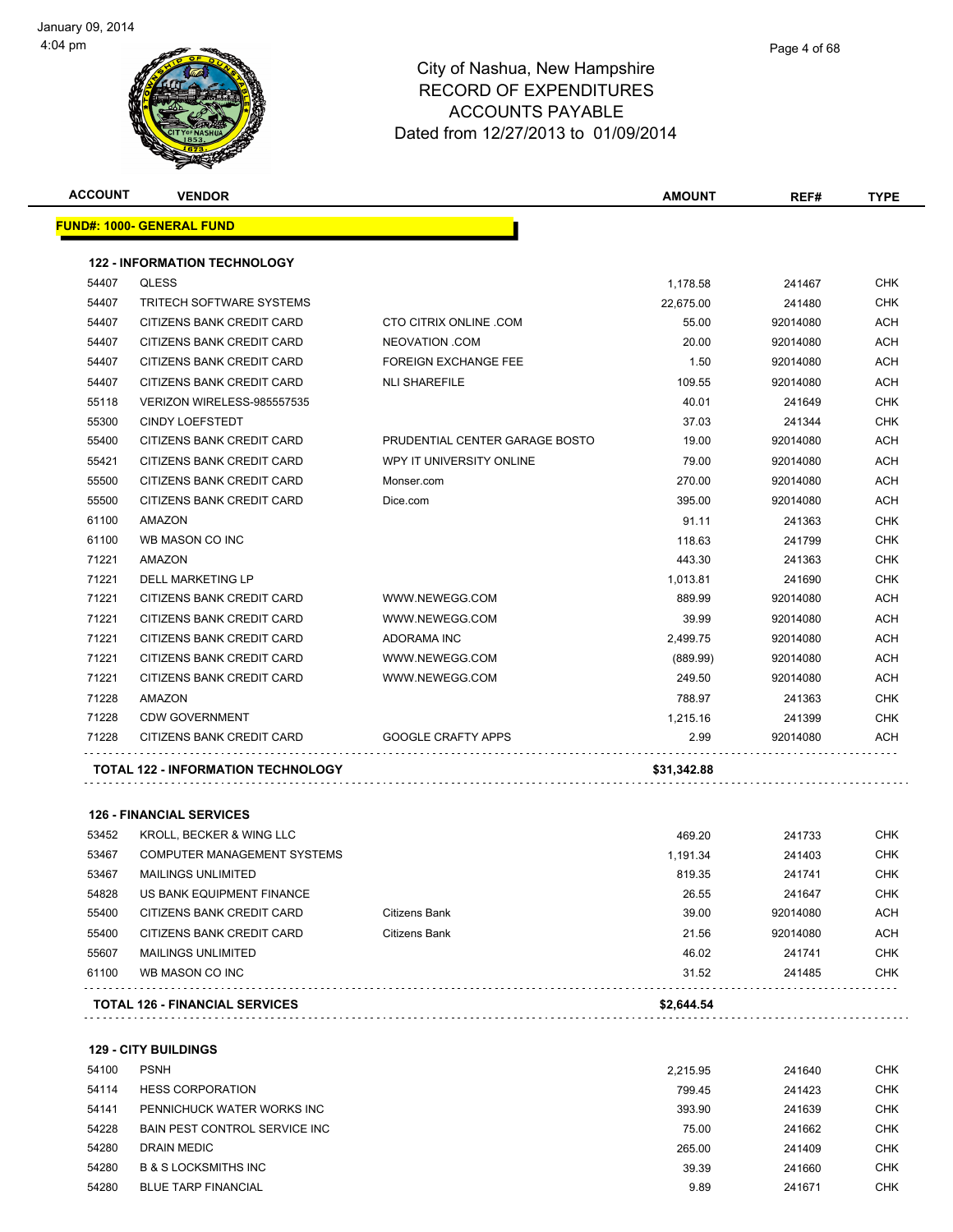| <b>ACCOUNT</b> | <b>VENDOR</b>                       |                                | <b>AMOUNT</b> | REF#     | TYPE       |
|----------------|-------------------------------------|--------------------------------|---------------|----------|------------|
|                | <u> FUND#: 1000- GENERAL FUND</u>   |                                |               |          |            |
|                | <b>122 - INFORMATION TECHNOLOGY</b> |                                |               |          |            |
| 54407          | <b>QLESS</b>                        |                                | 1,178.58      | 241467   | CHK        |
| 54407          | TRITECH SOFTWARE SYSTEMS            |                                | 22,675.00     | 241480   | <b>CHK</b> |
| 54407          | CITIZENS BANK CREDIT CARD           | <b>CTO CITRIX ONLINE .COM</b>  | 55.00         | 92014080 | ACH        |
| 54407          | CITIZENS BANK CREDIT CARD           | NEOVATION .COM                 | 20.00         | 92014080 | <b>ACH</b> |
| 54407          | CITIZENS BANK CREDIT CARD           | <b>FOREIGN EXCHANGE FEE</b>    | 1.50          | 92014080 | <b>ACH</b> |
| 54407          | CITIZENS BANK CREDIT CARD           | <b>NLI SHAREFILE</b>           | 109.55        | 92014080 | <b>ACH</b> |
| 55118          | VERIZON WIRELESS-985557535          |                                | 40.01         | 241649   | <b>CHK</b> |
| 55300          | <b>CINDY LOEFSTEDT</b>              |                                | 37.03         | 241344   | <b>CHK</b> |
| 55400          | CITIZENS BANK CREDIT CARD           | PRUDENTIAL CENTER GARAGE BOSTO | 19.00         | 92014080 | ACH        |
| 55421          | CITIZENS BANK CREDIT CARD           | WPY IT UNIVERSITY ONLINE       | 79.00         | 92014080 | ACH        |
| 55500          | CITIZENS BANK CREDIT CARD           | Monser.com                     | 270.00        | 92014080 | <b>ACH</b> |
| 55500          | CITIZENS BANK CREDIT CARD           | Dice.com                       | 395.00        | 92014080 | ACH        |
| 61100          | AMAZON                              |                                | 91.11         | 241363   | <b>CHK</b> |
| 61100          | WB MASON CO INC                     |                                | 118.63        | 241799   | <b>CHK</b> |
| 71221          | AMAZON                              |                                | 443.30        | 241363   | <b>CHK</b> |
| 71221          | DELL MARKETING LP                   |                                | 1,013.81      | 241690   | <b>CHK</b> |
| 71221          | CITIZENS BANK CREDIT CARD           | WWW.NEWEGG.COM                 | 889.99        | 92014080 | ACH        |
| 71221          | CITIZENS BANK CREDIT CARD           | WWW.NEWEGG.COM                 | 39.99         | 92014080 | ACH        |
| 71221          | CITIZENS BANK CREDIT CARD           | ADORAMA INC                    | 2,499.75      | 92014080 | ACH        |
| 71221          | CITIZENS BANK CREDIT CARD           | WWW.NEWEGG.COM                 | (889.99)      | 92014080 | ACH        |
| 71221          | CITIZENS BANK CREDIT CARD           | WWW.NEWEGG.COM                 | 249.50        | 92014080 | <b>ACH</b> |
| 71228          | AMAZON                              |                                | 788.97        | 241363   | <b>CHK</b> |
| 71228          | <b>CDW GOVERNMENT</b>               |                                | 1,215.16      | 241399   | <b>CHK</b> |
| 71228          | CITIZENS BANK CREDIT CARD           | <b>GOOGLE CRAFTY APPS</b>      | 2.99          | 92014080 | ACH        |
|                | TOTAL 122 - INFORMATION TECHNOLOGY  |                                | \$31,342.88   |          |            |
|                | <b>126 - FINANCIAL SERVICES</b>     |                                |               |          |            |
| 53452          | KROLL, BECKER & WING LLC            |                                | 469.20        | 241733   | CHK        |
| 53467          | COMPUTER MANAGEMENT SYSTEMS         |                                | 1,191.34      | 241403   | <b>CHK</b> |
| 53467          | <b>MAILINGS UNLIMITED</b>           |                                | 819.35        | 241741   | <b>CHK</b> |
| 54828          | US BANK EQUIPMENT FINANCE           |                                | 26.55         | 241647   | CHK        |
| 55400          | CITIZENS BANK CREDIT CARD           | Citizens Bank                  | 39.00         | 92014080 | <b>ACH</b> |
| 55400          | CITIZENS BANK CREDIT CARD           | Citizens Bank                  | 21.56         | 92014080 | <b>ACH</b> |
| 55607          | <b>MAILINGS UNLIMITED</b>           |                                | 46.02         | 241741   | CHK        |
| 61100          | WB MASON CO INC                     |                                | 31.52         | 241485   | CHK        |
|                |                                     |                                |               |          |            |

**129 - CITY BUILDINGS**

| 54100 | <b>PSNH</b>                     | 2.215.95 | 241640 | <b>CHK</b> |
|-------|---------------------------------|----------|--------|------------|
| 54114 | <b>HESS CORPORATION</b>         | 799.45   | 241423 | <b>CHK</b> |
| 54141 | PENNICHUCK WATER WORKS INC      | 393.90   | 241639 | <b>CHK</b> |
| 54228 | BAIN PEST CONTROL SERVICE INC.  | 75.00    | 241662 | <b>CHK</b> |
| 54280 | DRAIN MEDIC                     | 265.00   | 241409 | <b>CHK</b> |
| 54280 | <b>B &amp; S LOCKSMITHS INC</b> | 39.39    | 241660 | <b>CHK</b> |
| 54280 | <b>BLUE TARP FINANCIAL</b>      | 9.89     | 241671 | <b>CHK</b> |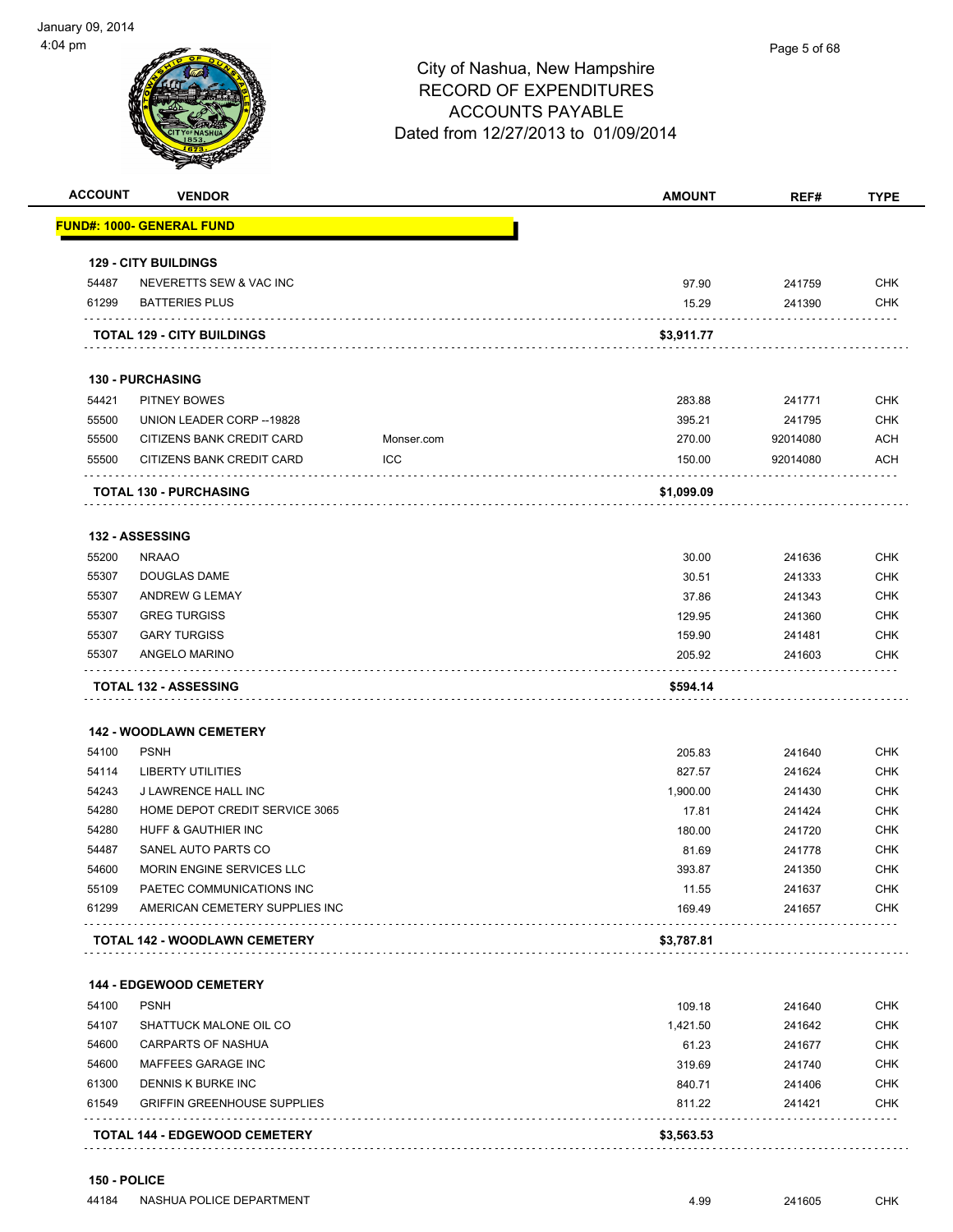| <b>ACCOUNT</b> | <b>VENDOR</b>                        |            | <b>AMOUNT</b> | REF#     | <b>TYPE</b> |
|----------------|--------------------------------------|------------|---------------|----------|-------------|
|                | <u> FUND#: 1000- GENERAL FUND</u>    |            |               |          |             |
|                | <b>129 - CITY BUILDINGS</b>          |            |               |          |             |
| 54487          | NEVERETTS SEW & VAC INC              |            | 97.90         | 241759   | <b>CHK</b>  |
| 61299          | <b>BATTERIES PLUS</b>                |            | 15.29         | 241390   | <b>CHK</b>  |
|                | <b>TOTAL 129 - CITY BUILDINGS</b>    |            | \$3,911.77    |          |             |
|                | <b>130 - PURCHASING</b>              |            |               |          |             |
| 54421          | <b>PITNEY BOWES</b>                  |            | 283.88        | 241771   | <b>CHK</b>  |
| 55500          | UNION LEADER CORP -- 19828           |            | 395.21        | 241795   | <b>CHK</b>  |
| 55500          | CITIZENS BANK CREDIT CARD            | Monser.com | 270.00        | 92014080 | ACH         |
| 55500          | CITIZENS BANK CREDIT CARD            | ICC        | 150.00        | 92014080 | <b>ACH</b>  |
|                | <b>TOTAL 130 - PURCHASING</b>        |            | \$1,099.09    |          |             |
|                | 132 - ASSESSING                      |            |               |          |             |
| 55200          | <b>NRAAO</b>                         |            | 30.00         | 241636   | <b>CHK</b>  |
| 55307          | <b>DOUGLAS DAME</b>                  |            | 30.51         | 241333   | <b>CHK</b>  |
| 55307          | ANDREW G LEMAY                       |            | 37.86         | 241343   | <b>CHK</b>  |
| 55307          | <b>GREG TURGISS</b>                  |            | 129.95        | 241360   | <b>CHK</b>  |
| 55307          | <b>GARY TURGISS</b>                  |            | 159.90        | 241481   | <b>CHK</b>  |
| 55307          | ANGELO MARINO                        |            | 205.92        | 241603   | <b>CHK</b>  |
|                | <b>TOTAL 132 - ASSESSING</b>         |            | \$594.14      |          |             |
|                | <b>142 - WOODLAWN CEMETERY</b>       |            |               |          |             |
| 54100          | <b>PSNH</b>                          |            | 205.83        | 241640   | <b>CHK</b>  |
| 54114          | <b>LIBERTY UTILITIES</b>             |            | 827.57        | 241624   | <b>CHK</b>  |
| 54243          | J LAWRENCE HALL INC                  |            | 1,900.00      | 241430   | <b>CHK</b>  |
| 54280          | HOME DEPOT CREDIT SERVICE 3065       |            | 17.81         | 241424   | <b>CHK</b>  |
| 54280          | HUFF & GAUTHIER INC                  |            | 180.00        | 241720   | <b>CHK</b>  |
| 54487          | SANEL AUTO PARTS CO                  |            | 81.69         | 241778   | <b>CHK</b>  |
| 54600          | <b>MORIN ENGINE SERVICES LLC</b>     |            | 393.87        | 241350   | <b>CHK</b>  |
| 55109          | PAETEC COMMUNICATIONS INC            |            | 11.55         | 241637   | CHK         |
| 61299          | AMERICAN CEMETERY SUPPLIES INC       |            | 169.49        | 241657   | <b>CHK</b>  |
|                | TOTAL 142 - WOODLAWN CEMETERY        |            | \$3,787.81    |          |             |
|                | <b>144 - EDGEWOOD CEMETERY</b>       |            |               |          |             |
| 54100          | <b>PSNH</b>                          |            | 109.18        | 241640   | CHK         |
| 54107          | SHATTUCK MALONE OIL CO               |            | 1,421.50      | 241642   | <b>CHK</b>  |
| 54600          | <b>CARPARTS OF NASHUA</b>            |            | 61.23         | 241677   | <b>CHK</b>  |
| 54600          | MAFFEES GARAGE INC                   |            | 319.69        | 241740   | <b>CHK</b>  |
|                | <b>DENNIS K BURKE INC</b>            |            | 840.71        | 241406   | <b>CHK</b>  |
|                |                                      |            |               |          |             |
|                | <b>GRIFFIN GREENHOUSE SUPPLIES</b>   |            | 811.22        | 241421   | <b>CHK</b>  |
| 61300<br>61549 | <b>TOTAL 144 - EDGEWOOD CEMETERY</b> |            | \$3,563.53    |          |             |

**150 - POLICE**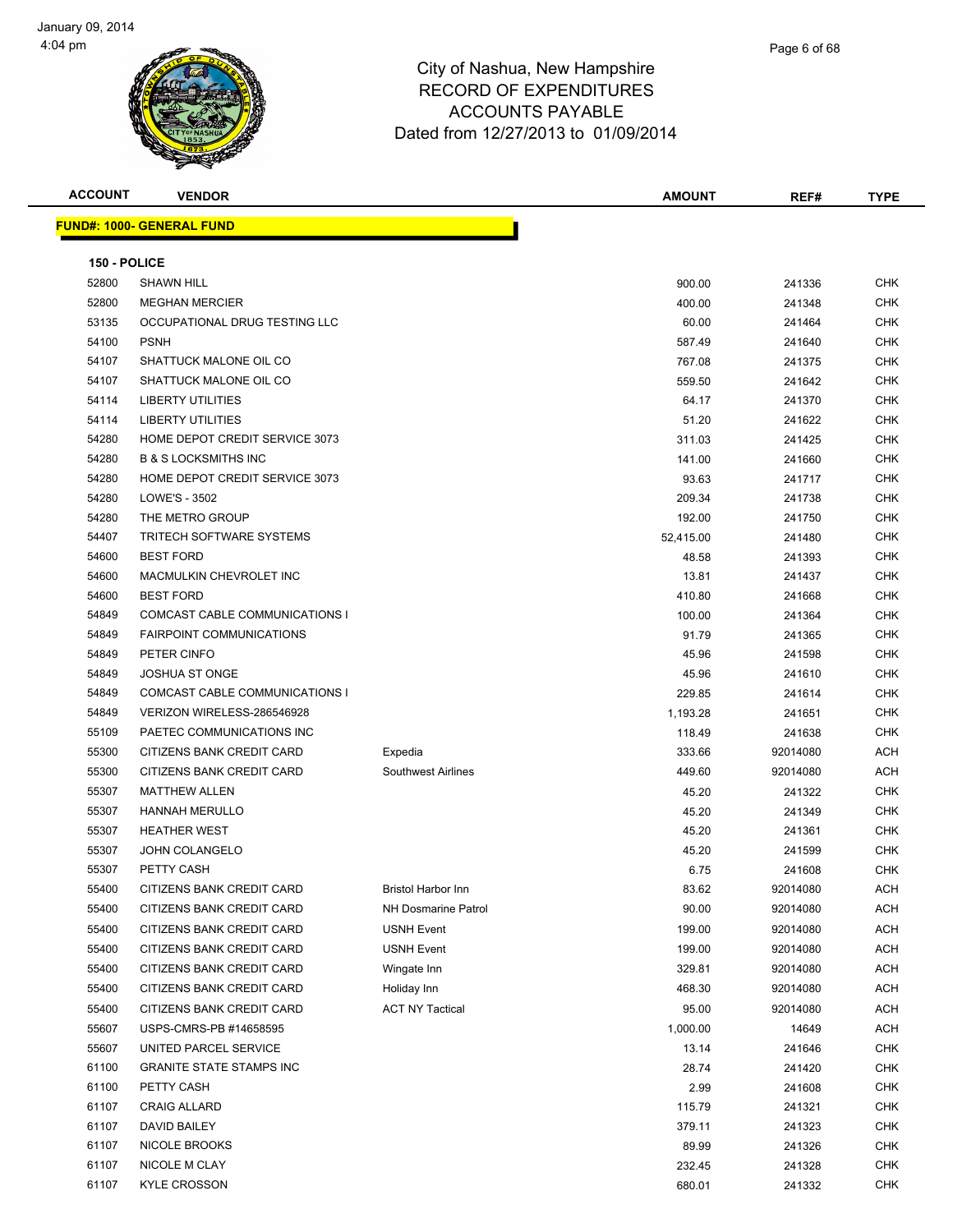



**ACCOUNT VENDOR AMOUNT REF# TYPE FUND#: 1000- GENERAL FUND 150 - POLICE** SHAWN HILL 900.00 241336 CHK MEGHAN MERCIER 400.00 241348 CHK OCCUPATIONAL DRUG TESTING LLC 60.00 241464 CHK PSNH 587.49 241640 CHK 54107 SHATTUCK MALONE OIL CO **12.000 SHATTUCK MALONE OIL CO** 6 AM SERVER THE STATE OF THE STATE OF THE STATE OF THE SHATTUCK MALONE OIL CO 559.50 241642 CHK LIBERTY UTILITIES 64.17 241370 CHK LIBERTY UTILITIES 51.20 241622 CHK 54280 HOME DEPOT CREDIT SERVICE 3073 CHK 311.03 241425 CHK B & S LOCKSMITHS INC 141.00 241660 CHK HOME DEPOT CREDIT SERVICE 3073 93.63 241717 CHK LOWE'S - 3502 209.34 241738 CHK 54280 THE METRO GROUP 192.00 241750 CHK TRITECH SOFTWARE SYSTEMS 52,415.00 241480 CHK BEST FORD 48.58 241393 CHK MACMULKIN CHEVROLET INC 13.81 241437 CHK BEST FORD 410.80 241668 CHK 54849 COMCAST CABLE COMMUNICATIONS I 100.00 241364 CHK FAIRPOINT COMMUNICATIONS 91.79 241365 CHK PETER CINFO 45.96 241598 CHK JOSHUA ST ONGE 45.96 241610 CHK COMCAST CABLE COMMUNICATIONS I 229.85 241614 CHK VERIZON WIRELESS-286546928 1,193.28 241651 CHK 55109 PAETEC COMMUNICATIONS INC 15 AM CHANGE 118.49 241638 CHK 55300 CITIZENS BANK CREDIT CARD Expedia 333.66 92014080 ACH 55300 CITIZENS BANK CREDIT CARD Southwest Airlines 449.60 92014080 ACH MATTHEW ALLEN 45.20 241322 CHK HANNAH MERULLO 45.20 241349 CHK HEATHER WEST 45.20 241361 CHK JOHN COLANGELO 45.20 241599 CHK PETTY CASH 6.75 241608 CHK 55400 CITIZENS BANK CREDIT CARD Bristol Harbor Inn 83.62 92014080 ACH 55400 CITIZENS BANK CREDIT CARD NH Dosmarine Patrol 90.00 92014080 ACH 55400 CITIZENS BANK CREDIT CARD USNH Event 199.00 92014080 ACH 55400 CITIZENS BANK CREDIT CARD USNH Event 199.00 92014080 ACH 55400 CITIZENS BANK CREDIT CARD Wingate Inn 329.81 92014080 ACH 55400 CITIZENS BANK CREDIT CARD Holiday Inn 468.30 92014080 ACH 55400 CITIZENS BANK CREDIT CARD ACT NY Tactical 95.00 92014080 ACH USPS-CMRS-PB #14658595 1,000.00 14649 ACH UNITED PARCEL SERVICE 13.14 241646 CHK GRANITE STATE STAMPS INC 28.74 241420 CHK PETTY CASH 2.99 241608 CHK CRAIG ALLARD 115.79 241321 CHK DAVID BAILEY 379.11 241323 CHK NICOLE BROOKS 89.99 241326 CHK NICOLE M CLAY 232.45 241328 CHK KYLE CROSSON 680.01 241332 CHK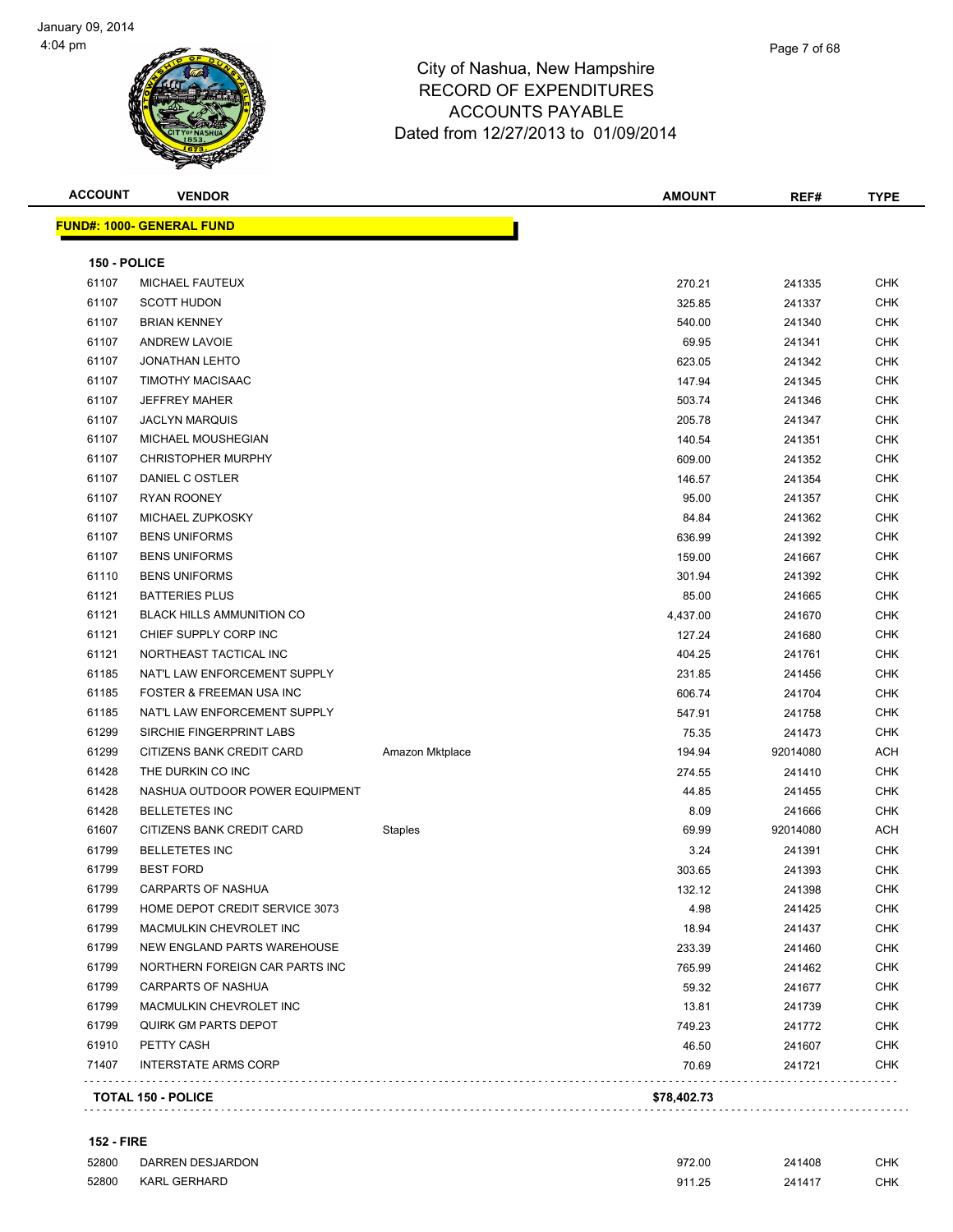

| <b>ACCOUNT</b> | <b>VENDOR</b>                     |                 | <b>AMOUNT</b> | REF#     | <b>TYPE</b> |
|----------------|-----------------------------------|-----------------|---------------|----------|-------------|
|                | <u> FUND#: 1000- GENERAL FUND</u> |                 |               |          |             |
| 150 - POLICE   |                                   |                 |               |          |             |
| 61107          | MICHAEL FAUTEUX                   |                 | 270.21        | 241335   | <b>CHK</b>  |
| 61107          | <b>SCOTT HUDON</b>                |                 | 325.85        | 241337   | <b>CHK</b>  |
| 61107          | <b>BRIAN KENNEY</b>               |                 | 540.00        | 241340   | <b>CHK</b>  |
| 61107          | <b>ANDREW LAVOIE</b>              |                 | 69.95         | 241341   | <b>CHK</b>  |
| 61107          | <b>JONATHAN LEHTO</b>             |                 | 623.05        | 241342   | <b>CHK</b>  |
| 61107          | TIMOTHY MACISAAC                  |                 | 147.94        | 241345   | <b>CHK</b>  |
| 61107          | <b>JEFFREY MAHER</b>              |                 | 503.74        | 241346   | <b>CHK</b>  |
| 61107          | <b>JACLYN MARQUIS</b>             |                 | 205.78        | 241347   | <b>CHK</b>  |
| 61107          | MICHAEL MOUSHEGIAN                |                 | 140.54        | 241351   | <b>CHK</b>  |
| 61107          | <b>CHRISTOPHER MURPHY</b>         |                 | 609.00        | 241352   | CHK         |
| 61107          | DANIEL C OSTLER                   |                 | 146.57        | 241354   | <b>CHK</b>  |
| 61107          | <b>RYAN ROONEY</b>                |                 | 95.00         | 241357   | CHK         |
| 61107          | MICHAEL ZUPKOSKY                  |                 | 84.84         | 241362   | CHK         |
| 61107          | <b>BENS UNIFORMS</b>              |                 | 636.99        | 241392   | CHK         |
| 61107          | <b>BENS UNIFORMS</b>              |                 | 159.00        | 241667   | <b>CHK</b>  |
| 61110          | <b>BENS UNIFORMS</b>              |                 | 301.94        | 241392   | <b>CHK</b>  |
| 61121          | <b>BATTERIES PLUS</b>             |                 | 85.00         | 241665   | <b>CHK</b>  |
| 61121          | <b>BLACK HILLS AMMUNITION CO</b>  |                 | 4,437.00      | 241670   | <b>CHK</b>  |
| 61121          | CHIEF SUPPLY CORP INC             |                 | 127.24        | 241680   | <b>CHK</b>  |
| 61121          | NORTHEAST TACTICAL INC            |                 | 404.25        | 241761   | CHK         |
| 61185          | NAT'L LAW ENFORCEMENT SUPPLY      |                 | 231.85        | 241456   | CHK         |
| 61185          | FOSTER & FREEMAN USA INC          |                 | 606.74        | 241704   | CHK         |
| 61185          | NAT'L LAW ENFORCEMENT SUPPLY      |                 | 547.91        | 241758   | <b>CHK</b>  |
| 61299          | SIRCHIE FINGERPRINT LABS          |                 | 75.35         | 241473   | <b>CHK</b>  |
| 61299          | CITIZENS BANK CREDIT CARD         | Amazon Mktplace | 194.94        | 92014080 | ACH         |
| 61428          | THE DURKIN CO INC                 |                 | 274.55        | 241410   | <b>CHK</b>  |
| 61428          | NASHUA OUTDOOR POWER EQUIPMENT    |                 | 44.85         | 241455   | CHK         |
| 61428          | <b>BELLETETES INC</b>             |                 | 8.09          | 241666   | <b>CHK</b>  |
| 61607          | CITIZENS BANK CREDIT CARD         | Staples         | 69.99         | 92014080 | ACH         |
| 61799          | <b>BELLETETES INC</b>             |                 | 3.24          | 241391   | <b>CHK</b>  |
| 61799          | <b>BEST FORD</b>                  |                 | 303.65        | 241393   | CHK         |
| 61799          | CARPARTS OF NASHUA                |                 | 132.12        | 241398   | <b>CHK</b>  |
| 61799          | HOME DEPOT CREDIT SERVICE 3073    |                 | 4.98          | 241425   | <b>CHK</b>  |
| 61799          | MACMULKIN CHEVROLET INC           |                 | 18.94         | 241437   | <b>CHK</b>  |
| 61799          | NEW ENGLAND PARTS WAREHOUSE       |                 | 233.39        | 241460   | <b>CHK</b>  |
| 61799          | NORTHERN FOREIGN CAR PARTS INC    |                 | 765.99        | 241462   | <b>CHK</b>  |
| 61799          | CARPARTS OF NASHUA                |                 | 59.32         | 241677   | CHK         |
| 61799          | MACMULKIN CHEVROLET INC           |                 | 13.81         | 241739   | CHK         |
| 61799          | <b>QUIRK GM PARTS DEPOT</b>       |                 | 749.23        | 241772   | <b>CHK</b>  |
| 61910          | PETTY CASH                        |                 | 46.50         | 241607   | <b>CHK</b>  |
| 71407          | <b>INTERSTATE ARMS CORP</b>       |                 | 70.69         | 241721   | CHK         |
|                | <b>TOTAL 150 - POLICE</b>         |                 | \$78,402.73   |          |             |
|                |                                   |                 |               |          |             |

### **152 - FIRE**

| 52800 | DARREN DESJARDON    | 972.00      | 241408<br>. . | <b>CHK</b> |
|-------|---------------------|-------------|---------------|------------|
| 52800 | <b>KARL GERHARD</b> | 911<br>1.25 | 24141         | CHK        |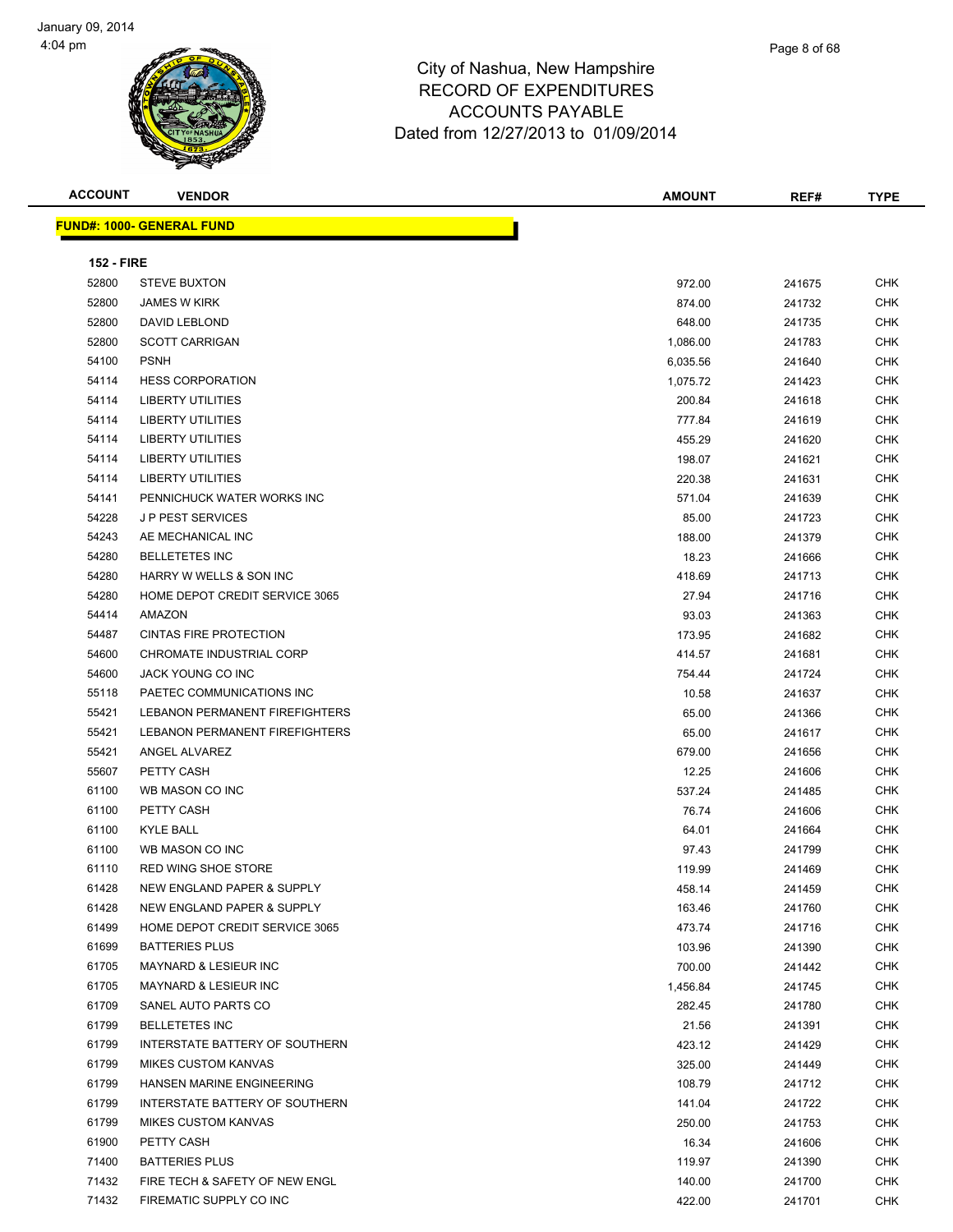**FUND#: 1000- GENERAL FUND**

|  |  |  | ι |
|--|--|--|---|
|  |  |  |   |
|  |  |  |   |

| <b>ACCOUNT</b>    | <b>VENDOR</b>                     | <b>AMOUNT</b> | REF#   | <b>TYPE</b> |
|-------------------|-----------------------------------|---------------|--------|-------------|
|                   | <u>  IND#: 1000- GENERAL FUND</u> |               |        |             |
| <b>152 - FIRE</b> |                                   |               |        |             |
| 52800             | <b>STEVE BUXTON</b>               | 972.00        | 241675 | <b>CHK</b>  |
| 52800             | <b>JAMES W KIRK</b>               | 874.00        | 241732 | <b>CHK</b>  |
| 52800             | <b>DAVID LEBLOND</b>              | 648.00        | 241735 | <b>CHK</b>  |
| 52800             | SCOTT CARRICAN                    | 1.086.00      | 211782 | <b>CHK</b>  |

| 52800 | DAVID LEBLOND                         | 648.00   | 241735 | CHK        |
|-------|---------------------------------------|----------|--------|------------|
| 52800 | <b>SCOTT CARRIGAN</b>                 | 1,086.00 | 241783 | <b>CHK</b> |
| 54100 | <b>PSNH</b>                           | 6,035.56 | 241640 | <b>CHK</b> |
| 54114 | <b>HESS CORPORATION</b>               | 1,075.72 | 241423 | <b>CHK</b> |
| 54114 | <b>LIBERTY UTILITIES</b>              | 200.84   | 241618 | <b>CHK</b> |
| 54114 | <b>LIBERTY UTILITIES</b>              | 777.84   | 241619 | CHK        |
| 54114 | <b>LIBERTY UTILITIES</b>              | 455.29   | 241620 | CHK        |
| 54114 | LIBERTY UTILITIES                     | 198.07   | 241621 | <b>CHK</b> |
| 54114 | <b>LIBERTY UTILITIES</b>              | 220.38   | 241631 | <b>CHK</b> |
| 54141 | PENNICHUCK WATER WORKS INC            | 571.04   | 241639 | CHK        |
| 54228 | J P PEST SERVICES                     | 85.00    | 241723 | CHK        |
| 54243 | AE MECHANICAL INC                     | 188.00   | 241379 | <b>CHK</b> |
| 54280 | <b>BELLETETES INC</b>                 | 18.23    | 241666 | CHK        |
| 54280 | HARRY W WELLS & SON INC               | 418.69   | 241713 | <b>CHK</b> |
| 54280 | HOME DEPOT CREDIT SERVICE 3065        | 27.94    | 241716 | CHK        |
| 54414 | AMAZON                                | 93.03    | 241363 | CHK        |
| 54487 | <b>CINTAS FIRE PROTECTION</b>         | 173.95   | 241682 | <b>CHK</b> |
| 54600 | <b>CHROMATE INDUSTRIAL CORP</b>       | 414.57   | 241681 | CHK        |
| 54600 | JACK YOUNG CO INC                     | 754.44   | 241724 | <b>CHK</b> |
| 55118 | PAETEC COMMUNICATIONS INC             | 10.58    | 241637 | <b>CHK</b> |
| 55421 | <b>LEBANON PERMANENT FIREFIGHTERS</b> | 65.00    | 241366 | CHK        |
| 55421 | LEBANON PERMANENT FIREFIGHTERS        | 65.00    | 241617 | CHK        |
| 55421 | ANGEL ALVAREZ                         | 679.00   | 241656 | CHK        |
| 55607 | PETTY CASH                            | 12.25    | 241606 | CHK        |
| 61100 | WB MASON CO INC                       | 537.24   | 241485 | <b>CHK</b> |
| 61100 | PETTY CASH                            | 76.74    | 241606 | <b>CHK</b> |
| 61100 | <b>KYLE BALL</b>                      | 64.01    | 241664 | <b>CHK</b> |
| 61100 | WB MASON CO INC                       | 97.43    | 241799 | <b>CHK</b> |
| 61110 | <b>RED WING SHOE STORE</b>            | 119.99   | 241469 | CHK        |
| 61428 | NEW ENGLAND PAPER & SUPPLY            | 458.14   | 241459 | <b>CHK</b> |
| 61428 | NEW ENGLAND PAPER & SUPPLY            | 163.46   | 241760 | <b>CHK</b> |
| 61499 | HOME DEPOT CREDIT SERVICE 3065        | 473.74   | 241716 | CHK        |
| 61699 | <b>BATTERIES PLUS</b>                 | 103.96   | 241390 | CHK        |
| 61705 | <b>MAYNARD &amp; LESIEUR INC</b>      | 700.00   | 241442 | CHK        |
| 61705 | <b>MAYNARD &amp; LESIEUR INC</b>      | 1,456.84 | 241745 | <b>CHK</b> |
| 61709 | SANEL AUTO PARTS CO                   | 282.45   | 241780 | CHK        |
| 61799 | <b>BELLETETES INC</b>                 | 21.56    | 241391 | CHK        |
| 61799 | INTERSTATE BATTERY OF SOUTHERN        | 423.12   | 241429 | CHK        |
| 61799 | <b>MIKES CUSTOM KANVAS</b>            | 325.00   | 241449 | CHK        |
| 61799 | HANSEN MARINE ENGINEERING             | 108.79   | 241712 | CHK        |
| 61799 | INTERSTATE BATTERY OF SOUTHERN        | 141.04   | 241722 | CHK        |
| 61799 | <b>MIKES CUSTOM KANVAS</b>            | 250.00   | 241753 | CHK        |
| 61900 | PETTY CASH                            | 16.34    | 241606 | CHK        |
| 71400 | <b>BATTERIES PLUS</b>                 | 119.97   | 241390 | <b>CHK</b> |

The SAFETY OF NEW ENGLASHED AS A RESOLUTION OF THE SAFETY OF NEW ENGLAND CHANGED AS A RESOLUTION OF THE SAFETY OF NEW ENGLAND ASSAULT AND THE SAFETY OF NEW ENGLAND ASSAULT ASSAULT AND THE SAFETY OF NEW ENGLAND ASSAULT ASSA The Supervisor of the Supervisor of the Supervisor of the Supervisor of the Supervisor of the Supervisor of the Supervisor of the Supervisor of the Supervisor of the Supervisor of the Supervisor of the Supervisor of the Su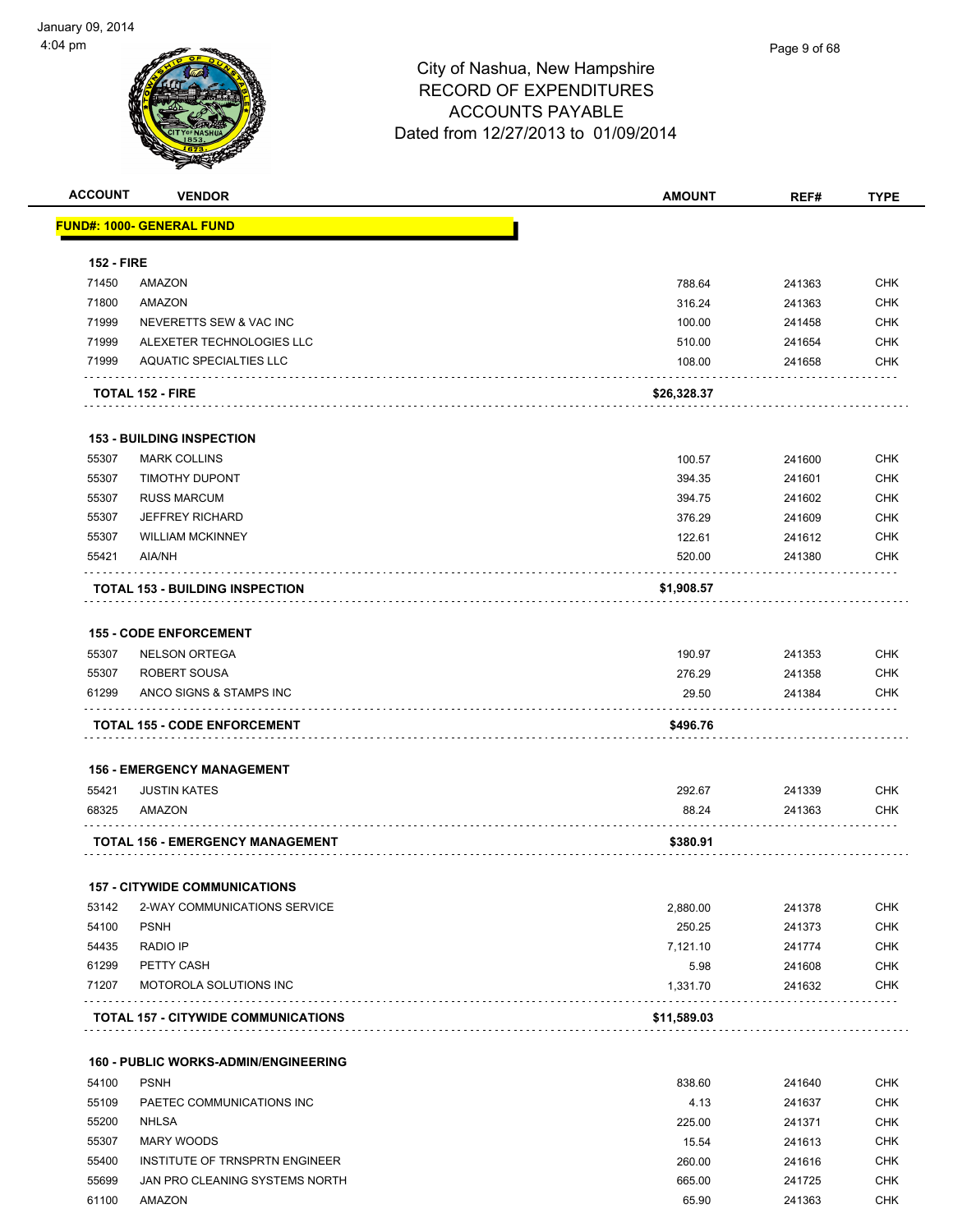| <b>ACCOUNT</b>    | <b>VENDOR</b>                               | <b>AMOUNT</b> | REF#   | <b>TYPE</b> |
|-------------------|---------------------------------------------|---------------|--------|-------------|
|                   | <u> FUND#: 1000- GENERAL FUND</u>           |               |        |             |
| <b>152 - FIRE</b> |                                             |               |        |             |
| 71450             | AMAZON                                      | 788.64        | 241363 | <b>CHK</b>  |
| 71800             | <b>AMAZON</b>                               | 316.24        | 241363 | <b>CHK</b>  |
| 71999             | NEVERETTS SEW & VAC INC                     | 100.00        | 241458 | <b>CHK</b>  |
| 71999             | ALEXETER TECHNOLOGIES LLC                   | 510.00        | 241654 | <b>CHK</b>  |
| 71999             | <b>AQUATIC SPECIALTIES LLC</b>              | 108.00        | 241658 | <b>CHK</b>  |
|                   | <b>TOTAL 152 - FIRE</b>                     | \$26,328.37   |        |             |
|                   | <b>153 - BUILDING INSPECTION</b>            |               |        |             |
| 55307             | <b>MARK COLLINS</b>                         | 100.57        | 241600 | <b>CHK</b>  |
| 55307             | <b>TIMOTHY DUPONT</b>                       | 394.35        | 241601 | <b>CHK</b>  |
| 55307             | <b>RUSS MARCUM</b>                          | 394.75        | 241602 | <b>CHK</b>  |
| 55307             | <b>JEFFREY RICHARD</b>                      | 376.29        | 241609 | <b>CHK</b>  |
| 55307             | <b>WILLIAM MCKINNEY</b>                     | 122.61        | 241612 | <b>CHK</b>  |
| 55421             | AIA/NH                                      | 520.00        | 241380 | <b>CHK</b>  |
|                   | <b>TOTAL 153 - BUILDING INSPECTION</b>      | \$1,908.57    |        |             |
|                   | <b>155 - CODE ENFORCEMENT</b>               |               |        |             |
| 55307             | <b>NELSON ORTEGA</b>                        | 190.97        | 241353 | <b>CHK</b>  |
| 55307             | ROBERT SOUSA                                | 276.29        | 241358 | <b>CHK</b>  |
| 61299             | ANCO SIGNS & STAMPS INC                     | 29.50         | 241384 | <b>CHK</b>  |
|                   | .<br><b>TOTAL 155 - CODE ENFORCEMENT</b>    | \$496.76      |        |             |
|                   | <b>156 - EMERGENCY MANAGEMENT</b>           |               |        |             |
| 55421             | <b>JUSTIN KATES</b>                         | 292.67        | 241339 | <b>CHK</b>  |
| 68325             | AMAZON                                      | 88.24         | 241363 | CHK         |
|                   | <b>TOTAL 156 - EMERGENCY MANAGEMENT</b>     | \$380.91      |        |             |
|                   | <b>157 - CITYWIDE COMMUNICATIONS</b>        |               |        |             |
| 53142             | 2-WAY COMMUNICATIONS SERVICE                | 2,880.00      | 241378 | <b>CHK</b>  |
| 54100             | <b>PSNH</b>                                 | 250.25        | 241373 | <b>CHK</b>  |
| 54435             | <b>RADIO IP</b>                             | 7,121.10      | 241774 | <b>CHK</b>  |
| 61299             | PETTY CASH                                  | 5.98          | 241608 | <b>CHK</b>  |
| 71207             | MOTOROLA SOLUTIONS INC                      | 1,331.70      | 241632 | <b>CHK</b>  |
|                   | <b>TOTAL 157 - CITYWIDE COMMUNICATIONS</b>  | \$11,589.03   |        |             |
|                   | <b>160 - PUBLIC WORKS-ADMIN/ENGINEERING</b> |               |        |             |
| 54100             | <b>PSNH</b>                                 | 838.60        | 241640 | <b>CHK</b>  |
| 55109             | PAETEC COMMUNICATIONS INC                   | 4.13          | 241637 | <b>CHK</b>  |
| 55200             | <b>NHLSA</b>                                | 225.00        | 241371 | <b>CHK</b>  |
| 55307             | MARY WOODS                                  | 15.54         | 241613 | <b>CHK</b>  |
| 55400             | INSTITUTE OF TRNSPRTN ENGINEER              | 260.00        | 241616 | <b>CHK</b>  |
| 55699             | JAN PRO CLEANING SYSTEMS NORTH              | 665.00        | 241725 | <b>CHK</b>  |
| 61100             | AMAZON                                      | 65.90         | 241363 | <b>CHK</b>  |
|                   |                                             |               |        |             |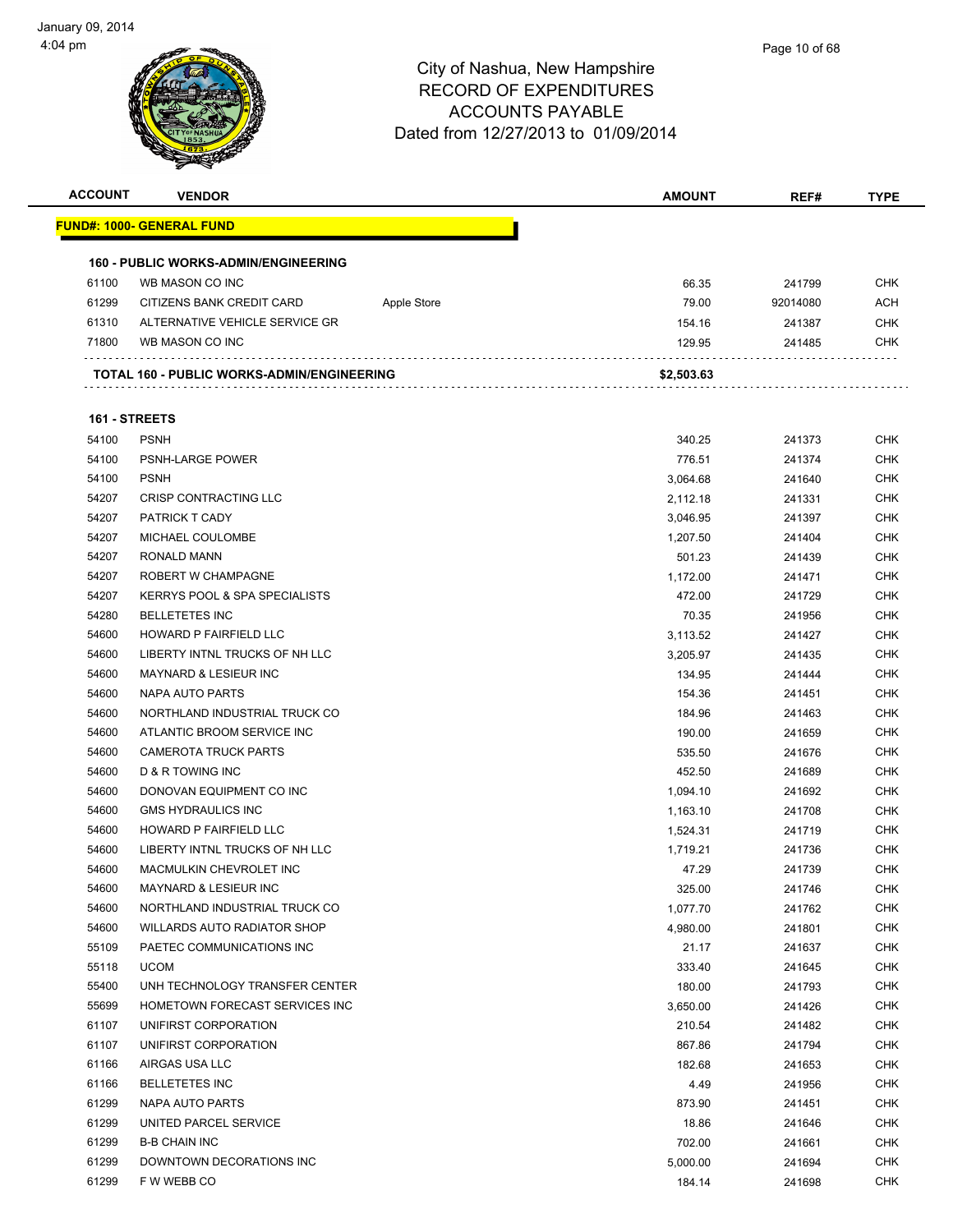

| <b>ACCOUNT</b> | <b>VENDOR</b>                               |             | <b>AMOUNT</b> | REF#     | <b>TYPE</b> |
|----------------|---------------------------------------------|-------------|---------------|----------|-------------|
|                | <u> FUND#: 1000- GENERAL FUND</u>           |             |               |          |             |
|                |                                             |             |               |          |             |
|                | <b>160 - PUBLIC WORKS-ADMIN/ENGINEERING</b> |             |               |          |             |
| 61100          | WB MASON CO INC                             |             | 66.35         | 241799   | <b>CHK</b>  |
| 61299          | CITIZENS BANK CREDIT CARD                   | Apple Store | 79.00         | 92014080 | <b>ACH</b>  |
| 61310          | ALTERNATIVE VEHICLE SERVICE GR              |             | 154.16        | 241387   | CHK         |
| 71800          | WB MASON CO INC                             |             | 129.95        | 241485   | <b>CHK</b>  |
|                | TOTAL 160 - PUBLIC WORKS-ADMIN/ENGINEERING  |             | \$2,503.63    |          |             |
|                |                                             |             |               |          |             |
| 161 - STREETS  |                                             |             |               |          |             |
| 54100          | <b>PSNH</b>                                 |             | 340.25        | 241373   | <b>CHK</b>  |
| 54100          | PSNH-LARGE POWER                            |             | 776.51        | 241374   | <b>CHK</b>  |
| 54100          | <b>PSNH</b>                                 |             | 3,064.68      | 241640   | CHK         |
| 54207          | CRISP CONTRACTING LLC                       |             | 2,112.18      | 241331   | CHK         |
| 54207          | <b>PATRICK T CADY</b>                       |             | 3,046.95      | 241397   | CHK         |
| 54207          | MICHAEL COULOMBE                            |             | 1,207.50      | 241404   | CHK         |
| 54207          | RONALD MANN                                 |             | 501.23        | 241439   | <b>CHK</b>  |
| 54207          | ROBERT W CHAMPAGNE                          |             | 1,172.00      | 241471   | <b>CHK</b>  |
| 54207          | KERRYS POOL & SPA SPECIALISTS               |             | 472.00        | 241729   | CHK         |
| 54280          | <b>BELLETETES INC</b>                       |             | 70.35         | 241956   | <b>CHK</b>  |
| 54600          | HOWARD P FAIRFIELD LLC                      |             | 3,113.52      | 241427   | CHK         |
| 54600          | LIBERTY INTNL TRUCKS OF NH LLC              |             | 3,205.97      | 241435   | CHK         |
| 54600          | <b>MAYNARD &amp; LESIEUR INC</b>            |             | 134.95        | 241444   | CHK         |
| 54600          | NAPA AUTO PARTS                             |             | 154.36        | 241451   | CHK         |
| 54600          | NORTHLAND INDUSTRIAL TRUCK CO               |             | 184.96        | 241463   | CHK         |
| 54600          | ATLANTIC BROOM SERVICE INC                  |             | 190.00        | 241659   | CHK         |
| 54600          | <b>CAMEROTA TRUCK PARTS</b>                 |             | 535.50        | 241676   | CHK         |
| 54600          | D & R TOWING INC                            |             | 452.50        | 241689   | <b>CHK</b>  |
| 54600          | DONOVAN EQUIPMENT CO INC                    |             | 1,094.10      | 241692   | <b>CHK</b>  |
| 54600          | <b>GMS HYDRAULICS INC</b>                   |             | 1,163.10      | 241708   | <b>CHK</b>  |
| 54600          | HOWARD P FAIRFIELD LLC                      |             | 1,524.31      | 241719   | <b>CHK</b>  |
| 54600          | LIBERTY INTNL TRUCKS OF NH LLC              |             | 1,719.21      | 241736   | CHK         |
| 54600          | <b>MACMULKIN CHEVROLET INC</b>              |             | 47.29         | 241739   | <b>CHK</b>  |
| 54600          | MAYNARD & LESIEUR INC                       |             | 325.00        | 241746   | <b>CHK</b>  |
| 54600          | NORTHLAND INDUSTRIAL TRUCK CO               |             | 1,077.70      | 241762   | CHK         |
| 54600          | <b>WILLARDS AUTO RADIATOR SHOP</b>          |             | 4,980.00      | 241801   | <b>CHK</b>  |
| 55109          | PAETEC COMMUNICATIONS INC                   |             | 21.17         | 241637   | <b>CHK</b>  |
| 55118          | <b>UCOM</b>                                 |             | 333.40        | 241645   | <b>CHK</b>  |
| 55400          | UNH TECHNOLOGY TRANSFER CENTER              |             | 180.00        | 241793   | <b>CHK</b>  |
| 55699          | HOMETOWN FORECAST SERVICES INC              |             | 3,650.00      | 241426   | <b>CHK</b>  |
| 61107          | UNIFIRST CORPORATION                        |             | 210.54        | 241482   | <b>CHK</b>  |
| 61107          | UNIFIRST CORPORATION                        |             | 867.86        | 241794   | <b>CHK</b>  |
| 61166          | AIRGAS USA LLC                              |             | 182.68        | 241653   | <b>CHK</b>  |
| 61166          | <b>BELLETETES INC</b>                       |             | 4.49          | 241956   | <b>CHK</b>  |
| 61299          | NAPA AUTO PARTS                             |             | 873.90        | 241451   | <b>CHK</b>  |
| 61299          | UNITED PARCEL SERVICE                       |             | 18.86         | 241646   | CHK         |
| 61299          | <b>B-B CHAIN INC</b>                        |             | 702.00        | 241661   | <b>CHK</b>  |
| 61299          | DOWNTOWN DECORATIONS INC                    |             | 5,000.00      | 241694   | <b>CHK</b>  |
| 61299          | F W WEBB CO                                 |             | 184.14        | 241698   | <b>CHK</b>  |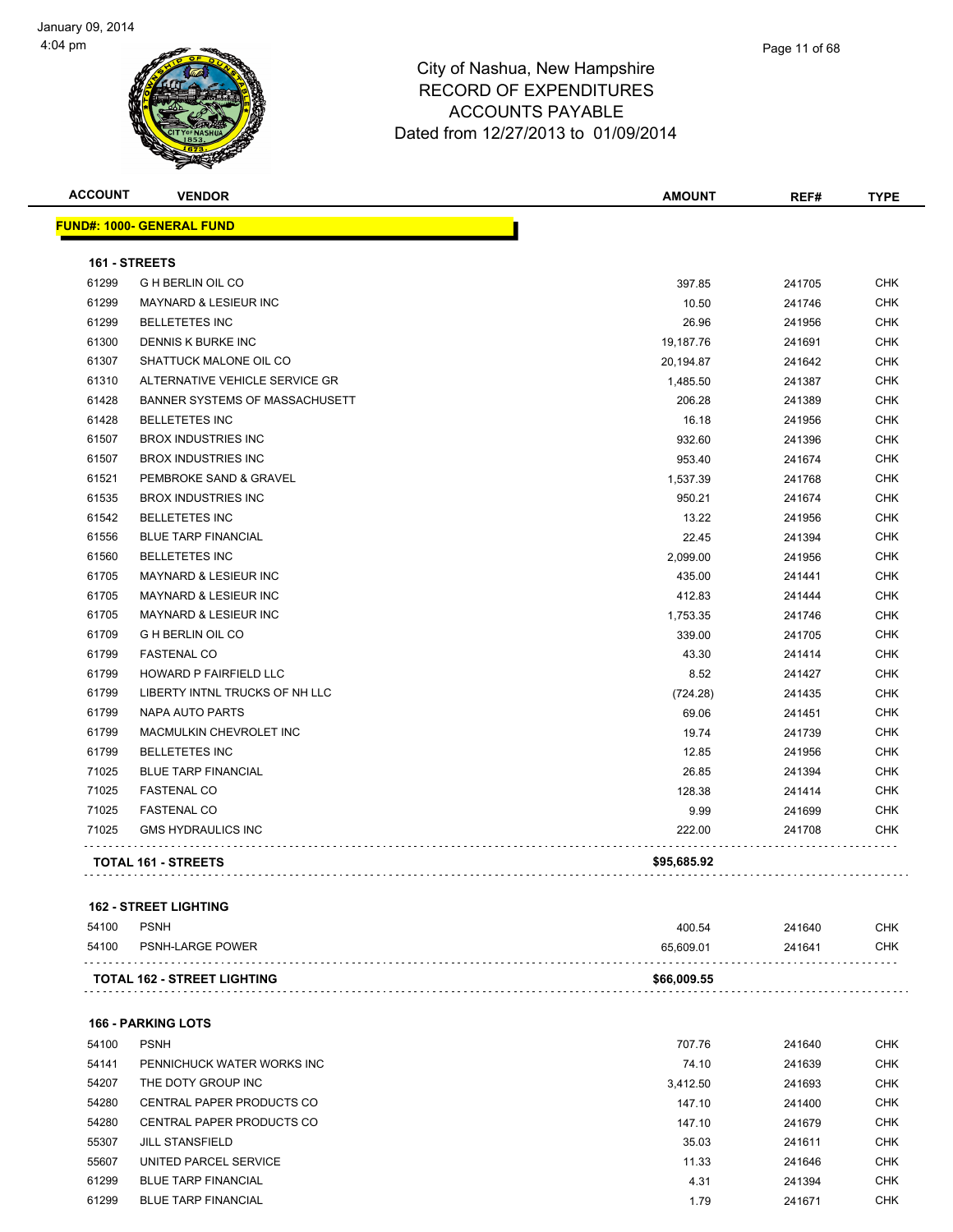



**FUND#: 1000- GENERAL FUND**

## City of Nashua, New Hampshire RECORD OF EXPENDITURES ACCOUNTS PAYABLE Dated from 12/27/2013 to 01/09/2014

|                | mm.<br>缨<br>CITYOF NASHUA        |  | Dated from 12/27/2013 to 01/09/2014 |        |             |  |  |  |
|----------------|----------------------------------|--|-------------------------------------|--------|-------------|--|--|--|
| <b>ACCOUNT</b> | <b>VENDOR</b>                    |  | <b>AMOUNT</b>                       | REF#   | <b>TYPE</b> |  |  |  |
|                | <u> IND#: 1000- GENERAL FUND</u> |  |                                     |        |             |  |  |  |
|                | <b>161 - STREETS</b>             |  |                                     |        |             |  |  |  |
| 61299          | <b>GH BERLIN OIL CO</b>          |  | 397.85                              | 241705 | <b>CHK</b>  |  |  |  |
| 61299          | <b>MAYNARD &amp; LESIEUR INC</b> |  | 10.50                               | 241746 | <b>CHK</b>  |  |  |  |
| 61299          | <b>BELLETETES INC</b>            |  | 26.96                               | 241956 | <b>CHK</b>  |  |  |  |

| 61299<br><b>BELLETETES INC</b>            | 26.96       | 241956 | <b>CHK</b> |
|-------------------------------------------|-------------|--------|------------|
| 61300<br>DENNIS K BURKE INC               | 19,187.76   | 241691 | <b>CHK</b> |
| SHATTUCK MALONE OIL CO<br>61307           | 20,194.87   | 241642 | <b>CHK</b> |
| 61310<br>ALTERNATIVE VEHICLE SERVICE GR   | 1,485.50    | 241387 | <b>CHK</b> |
| 61428<br>BANNER SYSTEMS OF MASSACHUSETT   | 206.28      | 241389 | <b>CHK</b> |
| 61428<br><b>BELLETETES INC</b>            | 16.18       | 241956 | <b>CHK</b> |
| 61507<br><b>BROX INDUSTRIES INC</b>       | 932.60      | 241396 | <b>CHK</b> |
| 61507<br><b>BROX INDUSTRIES INC</b>       | 953.40      | 241674 | <b>CHK</b> |
| 61521<br>PEMBROKE SAND & GRAVEL           | 1,537.39    | 241768 | <b>CHK</b> |
| <b>BROX INDUSTRIES INC</b><br>61535       | 950.21      | 241674 | <b>CHK</b> |
| 61542<br><b>BELLETETES INC</b>            | 13.22       | 241956 | <b>CHK</b> |
| 61556<br><b>BLUE TARP FINANCIAL</b>       | 22.45       | 241394 | <b>CHK</b> |
| 61560<br><b>BELLETETES INC</b>            | 2,099.00    | 241956 | <b>CHK</b> |
| 61705<br>MAYNARD & LESIEUR INC            | 435.00      | 241441 | <b>CHK</b> |
| 61705<br>MAYNARD & LESIEUR INC            | 412.83      | 241444 | <b>CHK</b> |
| 61705<br><b>MAYNARD &amp; LESIEUR INC</b> | 1,753.35    | 241746 | <b>CHK</b> |
| 61709<br><b>G H BERLIN OIL CO</b>         | 339.00      | 241705 | <b>CHK</b> |
| 61799<br><b>FASTENAL CO</b>               | 43.30       | 241414 | <b>CHK</b> |
| 61799<br><b>HOWARD P FAIRFIELD LLC</b>    | 8.52        | 241427 | <b>CHK</b> |
| 61799<br>LIBERTY INTNL TRUCKS OF NH LLC   | (724.28)    | 241435 | <b>CHK</b> |
| 61799<br><b>NAPA AUTO PARTS</b>           | 69.06       | 241451 | <b>CHK</b> |
| 61799<br>MACMULKIN CHEVROLET INC          | 19.74       | 241739 | <b>CHK</b> |
| 61799<br><b>BELLETETES INC</b>            | 12.85       | 241956 | <b>CHK</b> |
| 71025<br><b>BLUE TARP FINANCIAL</b>       | 26.85       | 241394 | <b>CHK</b> |
| 71025<br><b>FASTENAL CO</b>               | 128.38      | 241414 | <b>CHK</b> |
| 71025<br><b>FASTENAL CO</b>               | 9.99        | 241699 | <b>CHK</b> |
| 71025<br><b>GMS HYDRAULICS INC</b>        | 222.00      | 241708 | <b>CHK</b> |
| <b>TOTAL 161 - STREETS</b>                | \$95,685.92 |        |            |

### **162 - STREET LIGHTING**

| 54100 | PSNH-LARGE POWER                   | 65.609.01   | 241641 | CHK |
|-------|------------------------------------|-------------|--------|-----|
|       | <b>TOTAL 162 - STREET LIGHTING</b> | \$66,009.55 |        |     |

### **166 - PARKING LOTS**

| 54100 | <b>PSNH</b>                | 707.76   | 241640 | <b>CHK</b> |
|-------|----------------------------|----------|--------|------------|
| 54141 | PENNICHUCK WATER WORKS INC | 74.10    | 241639 | <b>CHK</b> |
| 54207 | THE DOTY GROUP INC         | 3.412.50 | 241693 | <b>CHK</b> |
| 54280 | CENTRAL PAPER PRODUCTS CO  | 147.10   | 241400 | <b>CHK</b> |
| 54280 | CENTRAL PAPER PRODUCTS CO  | 147.10   | 241679 | <b>CHK</b> |
| 55307 | <b>JILL STANSFIELD</b>     | 35.03    | 241611 | <b>CHK</b> |
| 55607 | UNITED PARCEL SERVICE      | 11.33    | 241646 | <b>CHK</b> |
| 61299 | <b>BLUE TARP FINANCIAL</b> | 4.31     | 241394 | <b>CHK</b> |
| 61299 | <b>BLUE TARP FINANCIAL</b> | 1.79     | 241671 | <b>CHK</b> |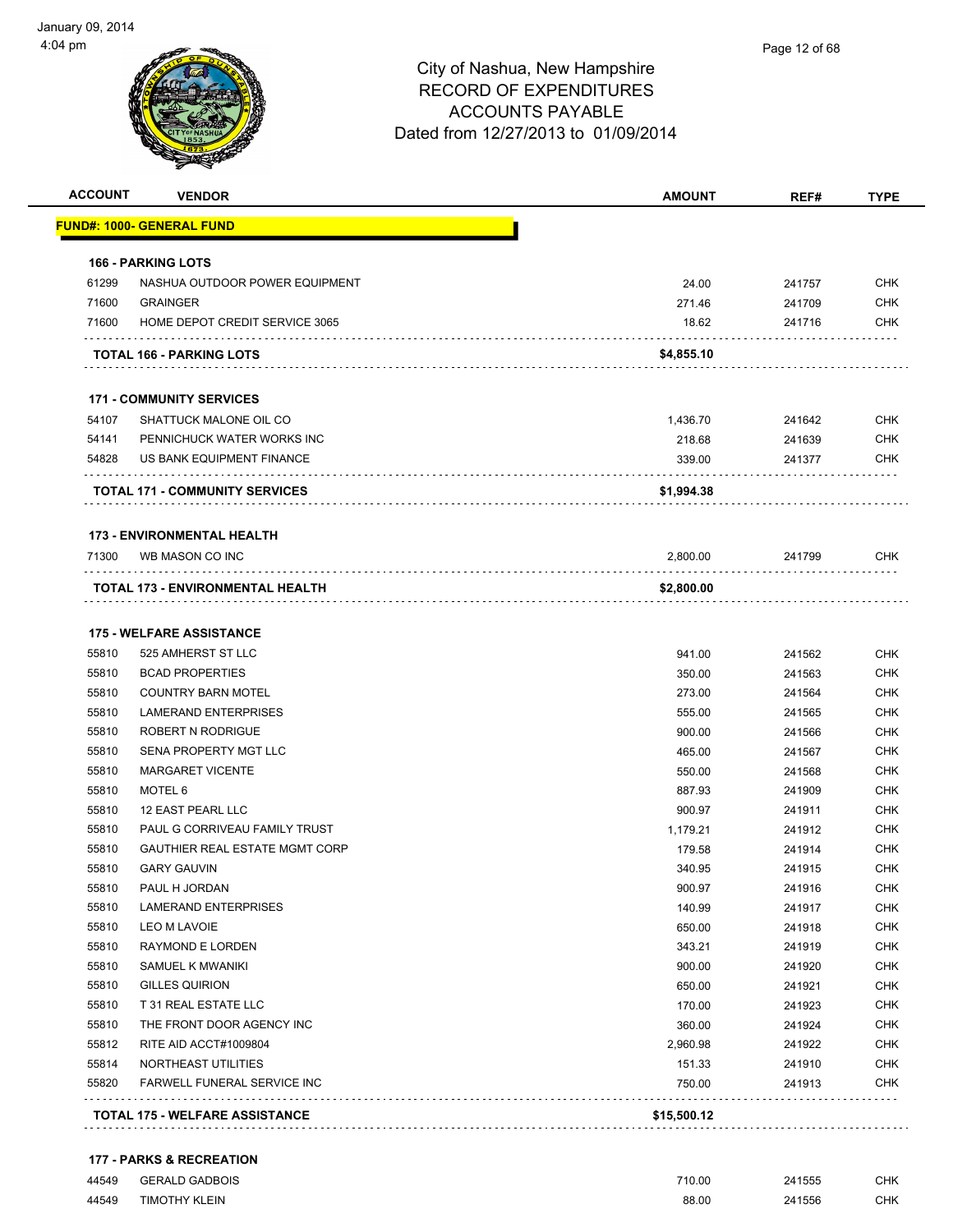| <b>ACCOUNT</b> | <b>VENDOR</b>                                       | <b>AMOUNT</b>    | REF#             | <b>TYPE</b>       |
|----------------|-----------------------------------------------------|------------------|------------------|-------------------|
|                | <u> FUND#: 1000- GENERAL FUND</u>                   |                  |                  |                   |
|                | <b>166 - PARKING LOTS</b>                           |                  |                  |                   |
| 61299          | NASHUA OUTDOOR POWER EQUIPMENT                      | 24.00            | 241757           | <b>CHK</b>        |
| 71600          | <b>GRAINGER</b>                                     | 271.46           | 241709           | <b>CHK</b>        |
| 71600          | HOME DEPOT CREDIT SERVICE 3065                      | 18.62            | 241716           | <b>CHK</b>        |
|                | <b>TOTAL 166 - PARKING LOTS</b>                     | \$4,855.10       |                  |                   |
|                | <b>171 - COMMUNITY SERVICES</b>                     |                  |                  |                   |
| 54107          | SHATTUCK MALONE OIL CO                              | 1,436.70         | 241642           | <b>CHK</b>        |
| 54141          | PENNICHUCK WATER WORKS INC                          | 218.68           | 241639           | <b>CHK</b>        |
| 54828          | US BANK EQUIPMENT FINANCE                           | 339.00           | 241377           | CHK               |
|                | <b>TOTAL 171 - COMMUNITY SERVICES</b>               | \$1,994.38       |                  |                   |
|                | <b>173 - ENVIRONMENTAL HEALTH</b>                   |                  |                  |                   |
| 71300          | WB MASON CO INC                                     | 2,800.00         | 241799           | <b>CHK</b>        |
|                | .<br>TOTAL 173 - ENVIRONMENTAL HEALTH               | \$2,800.00       |                  |                   |
|                |                                                     |                  |                  |                   |
|                | <b>175 - WELFARE ASSISTANCE</b>                     |                  |                  |                   |
| 55810          | 525 AMHERST ST LLC                                  | 941.00           | 241562           | <b>CHK</b>        |
| 55810<br>55810 | <b>BCAD PROPERTIES</b><br><b>COUNTRY BARN MOTEL</b> | 350.00<br>273.00 | 241563<br>241564 | <b>CHK</b>        |
| 55810          | <b>LAMERAND ENTERPRISES</b>                         | 555.00           | 241565           | CHK<br><b>CHK</b> |
| 55810          | ROBERT N RODRIGUE                                   | 900.00           | 241566           | <b>CHK</b>        |
| 55810          | SENA PROPERTY MGT LLC                               | 465.00           | 241567           | <b>CHK</b>        |
| 55810          | <b>MARGARET VICENTE</b>                             | 550.00           | 241568           | <b>CHK</b>        |
| 55810          | MOTEL 6                                             | 887.93           | 241909           | <b>CHK</b>        |
| 55810          | 12 EAST PEARL LLC                                   | 900.97           | 241911           | <b>CHK</b>        |
| 55810          | PAUL G CORRIVEAU FAMILY TRUST                       | 1,179.21         | 241912           | <b>CHK</b>        |
| 55810          | <b>GAUTHIER REAL ESTATE MGMT CORP</b>               | 179.58           | 241914           | <b>CHK</b>        |
| 55810          | <b>GARY GAUVIN</b>                                  | 340.95           | 241915           | <b>CHK</b>        |
| 55810          | PAUL H JORDAN                                       | 900.97           | 241916           | <b>CHK</b>        |
| 55810          | <b>LAMERAND ENTERPRISES</b>                         | 140.99           | 241917           | CHK               |
| 55810          | <b>LEO M LAVOIE</b>                                 | 650.00           | 241918           | <b>CHK</b>        |
| 55810          | RAYMOND E LORDEN                                    | 343.21           | 241919           | <b>CHK</b>        |
| 55810          | SAMUEL K MWANIKI                                    | 900.00           | 241920           | <b>CHK</b>        |
| 55810          | <b>GILLES QUIRION</b>                               | 650.00           | 241921           | <b>CHK</b>        |
| 55810          | T 31 REAL ESTATE LLC                                | 170.00           | 241923           | <b>CHK</b>        |
| 55810          | THE FRONT DOOR AGENCY INC                           | 360.00           | 241924           | <b>CHK</b>        |
| 55812          | RITE AID ACCT#1009804                               | 2,960.98         | 241922           | <b>CHK</b>        |
| 55814          | NORTHEAST UTILITIES                                 | 151.33           | 241910           | <b>CHK</b>        |
| 55820          | FARWELL FUNERAL SERVICE INC                         | 750.00           | 241913           | <b>CHK</b>        |
|                | <b>TOTAL 175 - WELFARE ASSISTANCE</b>               | \$15,500.12      |                  |                   |

### **177 - PARKS & RECREATION**

| 44549 | <b>GERALD GADBOIS</b> | 710.00     | 241555 | CHK. |
|-------|-----------------------|------------|--------|------|
| 44549 | <b>TIMOTHY KLEIN</b>  | 88.00<br>. | 241556 | CHK. |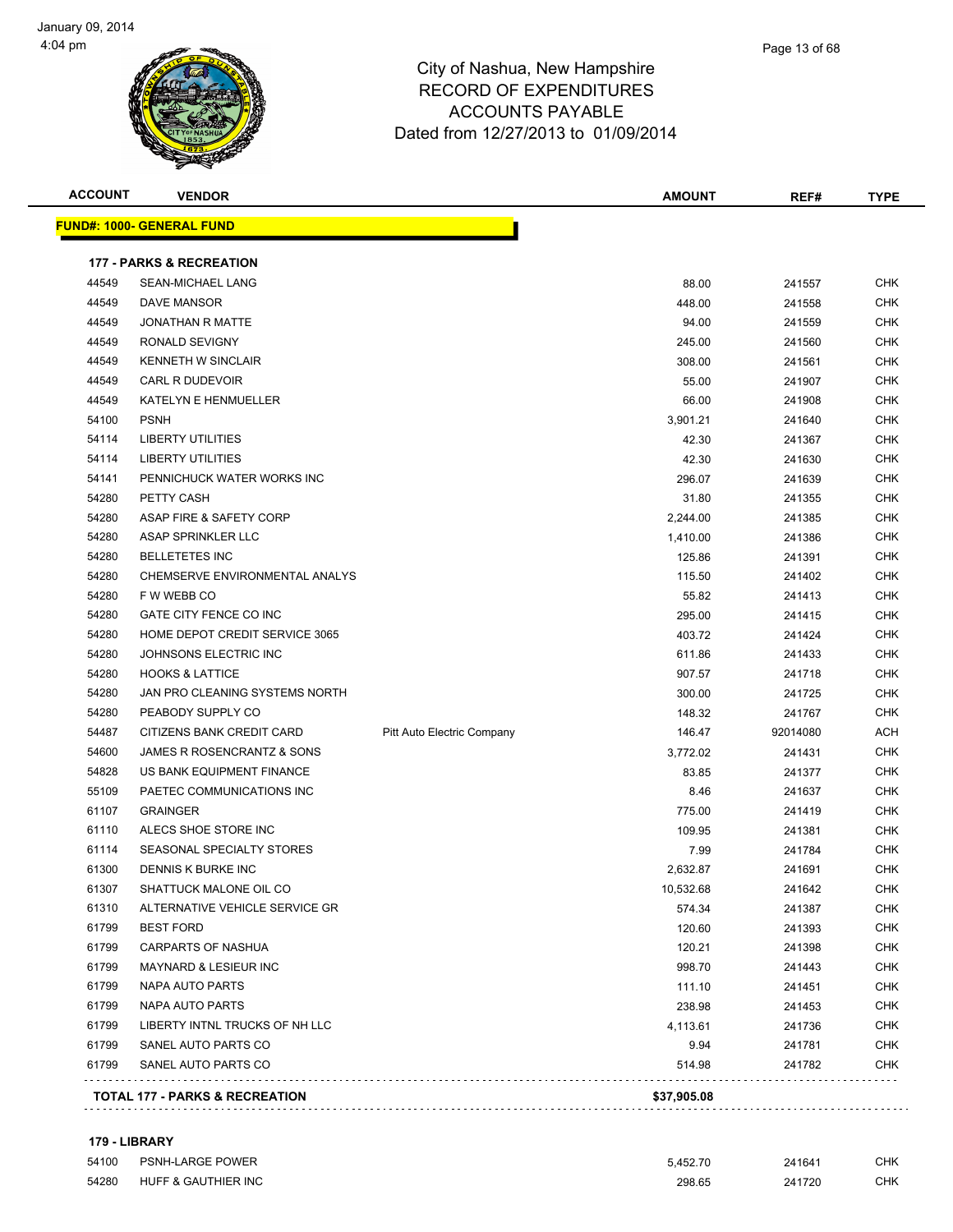



| <b>ACCOUNT</b> | <b>VENDOR</b>                       |                            | <b>AMOUNT</b> | REF#     | <b>TYPE</b> |
|----------------|-------------------------------------|----------------------------|---------------|----------|-------------|
|                | <u> FUND#: 1000- GENERAL FUND</u>   |                            |               |          |             |
|                | <b>177 - PARKS &amp; RECREATION</b> |                            |               |          |             |
| 44549          | <b>SEAN-MICHAEL LANG</b>            |                            | 88.00         | 241557   | CHK         |
| 44549          | <b>DAVE MANSOR</b>                  |                            | 448.00        | 241558   | CHK         |
| 44549          | <b>JONATHAN R MATTE</b>             |                            | 94.00         | 241559   | <b>CHK</b>  |
| 44549          | RONALD SEVIGNY                      |                            | 245.00        | 241560   | CHK         |
| 44549          | <b>KENNETH W SINCLAIR</b>           |                            | 308.00        | 241561   | <b>CHK</b>  |
| 44549          | CARL R DUDEVOIR                     |                            | 55.00         | 241907   | CHK         |
| 44549          | KATELYN E HENMUELLER                |                            | 66.00         | 241908   | <b>CHK</b>  |
| 54100          | <b>PSNH</b>                         |                            | 3,901.21      | 241640   | <b>CHK</b>  |
| 54114          | LIBERTY UTILITIES                   |                            | 42.30         | 241367   | <b>CHK</b>  |
| 54114          | <b>LIBERTY UTILITIES</b>            |                            | 42.30         | 241630   | CHK         |
| 54141          | PENNICHUCK WATER WORKS INC          |                            | 296.07        | 241639   | CHK         |
| 54280          | PETTY CASH                          |                            | 31.80         | 241355   | <b>CHK</b>  |
| 54280          | ASAP FIRE & SAFETY CORP             |                            | 2,244.00      | 241385   | <b>CHK</b>  |
| 54280          | ASAP SPRINKLER LLC                  |                            | 1,410.00      | 241386   | <b>CHK</b>  |
| 54280          | <b>BELLETETES INC</b>               |                            | 125.86        | 241391   | <b>CHK</b>  |
| 54280          | CHEMSERVE ENVIRONMENTAL ANALYS      |                            | 115.50        | 241402   | CHK         |
| 54280          | F W WEBB CO                         |                            | 55.82         | 241413   | <b>CHK</b>  |
| 54280          | GATE CITY FENCE CO INC              |                            | 295.00        | 241415   | <b>CHK</b>  |
| 54280          | HOME DEPOT CREDIT SERVICE 3065      |                            | 403.72        | 241424   | <b>CHK</b>  |
| 54280          | JOHNSONS ELECTRIC INC               |                            | 611.86        | 241433   | <b>CHK</b>  |
| 54280          | <b>HOOKS &amp; LATTICE</b>          |                            | 907.57        | 241718   | CHK         |
| 54280          | JAN PRO CLEANING SYSTEMS NORTH      |                            | 300.00        | 241725   | <b>CHK</b>  |
| 54280          | PEABODY SUPPLY CO                   |                            | 148.32        | 241767   | <b>CHK</b>  |
| 54487          | CITIZENS BANK CREDIT CARD           | Pitt Auto Electric Company | 146.47        | 92014080 | ACH         |
| 54600          | JAMES R ROSENCRANTZ & SONS          |                            | 3,772.02      | 241431   | <b>CHK</b>  |
| 54828          | US BANK EQUIPMENT FINANCE           |                            | 83.85         | 241377   | <b>CHK</b>  |
| 55109          | PAETEC COMMUNICATIONS INC           |                            | 8.46          | 241637   | <b>CHK</b>  |
| 61107          | <b>GRAINGER</b>                     |                            | 775.00        | 241419   | <b>CHK</b>  |
| 61110          | ALECS SHOE STORE INC                |                            | 109.95        | 241381   | <b>CHK</b>  |
| 61114          | SEASONAL SPECIALTY STORES           |                            | 7.99          | 241784   | <b>CHK</b>  |
| 61300          | <b>DENNIS K BURKE INC</b>           |                            | 2,632.87      | 241691   | CHK         |
| 61307          | SHATTUCK MALONE OIL CO              |                            | 10,532.68     | 241642   | <b>CHK</b>  |
| 61310          | ALTERNATIVE VEHICLE SERVICE GR      |                            | 574.34        | 241387   | <b>CHK</b>  |
| 61799          | <b>BEST FORD</b>                    |                            | 120.60        | 241393   | <b>CHK</b>  |
| 61799          | CARPARTS OF NASHUA                  |                            | 120.21        | 241398   | <b>CHK</b>  |
| 61799          | MAYNARD & LESIEUR INC               |                            | 998.70        | 241443   | <b>CHK</b>  |
| 61799          | NAPA AUTO PARTS                     |                            | 111.10        | 241451   | <b>CHK</b>  |
| 61799          | NAPA AUTO PARTS                     |                            | 238.98        | 241453   | <b>CHK</b>  |
| 61799          | LIBERTY INTNL TRUCKS OF NH LLC      |                            | 4,113.61      | 241736   | <b>CHK</b>  |
| 61799          | SANEL AUTO PARTS CO                 |                            | 9.94          | 241781   | <b>CHK</b>  |
| 61799          | SANEL AUTO PARTS CO                 |                            | 514.98        | 241782   | <b>CHK</b>  |
|                |                                     |                            |               |          |             |

### **179 - LIBRARY**

| 54100 | <b>PSNH-LARGE POWER</b> | 5.452.70 | 241641 | <b>CHK</b> |
|-------|-------------------------|----------|--------|------------|
| 54280 | HUFF & GAUTHIER INC     | 298.65   | 241720 | <b>CHK</b> |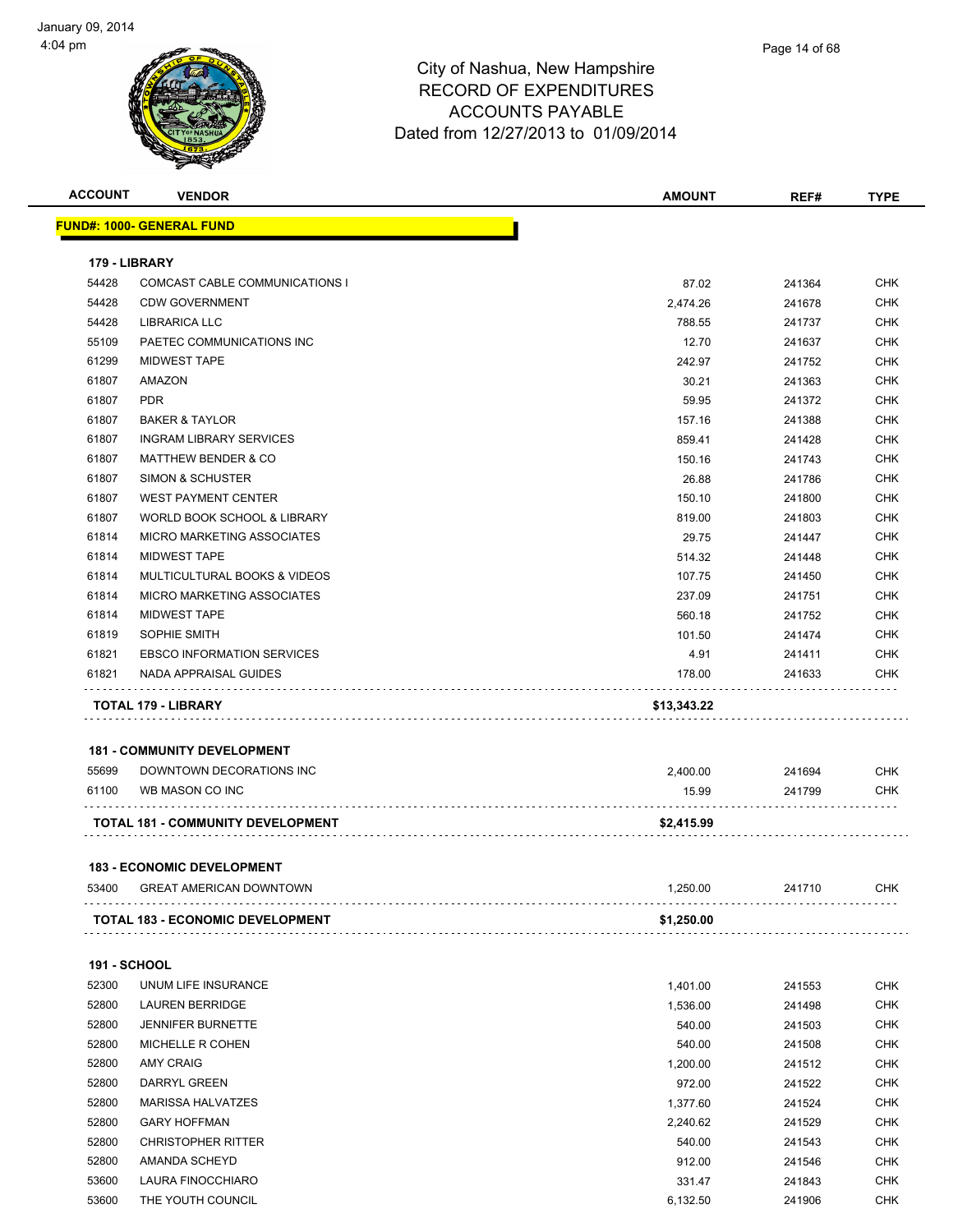

| <b>ACCOUNT</b>      | <b>VENDOR</b>                            | <b>AMOUNT</b> | REF#   | <b>TYPE</b> |
|---------------------|------------------------------------------|---------------|--------|-------------|
|                     | <u> FUND#: 1000- GENERAL FUND</u>        |               |        |             |
| 179 - LIBRARY       |                                          |               |        |             |
| 54428               | COMCAST CABLE COMMUNICATIONS I           | 87.02         | 241364 | CHK         |
| 54428               | <b>CDW GOVERNMENT</b>                    | 2,474.26      | 241678 | CHK         |
| 54428               | LIBRARICA LLC                            | 788.55        | 241737 | CHK         |
| 55109               | PAETEC COMMUNICATIONS INC                | 12.70         | 241637 | CHK         |
| 61299               | <b>MIDWEST TAPE</b>                      | 242.97        | 241752 | <b>CHK</b>  |
| 61807               | AMAZON                                   | 30.21         | 241363 | <b>CHK</b>  |
| 61807               | <b>PDR</b>                               | 59.95         | 241372 | <b>CHK</b>  |
| 61807               | <b>BAKER &amp; TAYLOR</b>                | 157.16        | 241388 | <b>CHK</b>  |
| 61807               | <b>INGRAM LIBRARY SERVICES</b>           | 859.41        | 241428 | <b>CHK</b>  |
| 61807               | <b>MATTHEW BENDER &amp; CO</b>           | 150.16        | 241743 | <b>CHK</b>  |
| 61807               | <b>SIMON &amp; SCHUSTER</b>              | 26.88         | 241786 | <b>CHK</b>  |
| 61807               | <b>WEST PAYMENT CENTER</b>               | 150.10        | 241800 | <b>CHK</b>  |
| 61807               | WORLD BOOK SCHOOL & LIBRARY              | 819.00        | 241803 | <b>CHK</b>  |
| 61814               | MICRO MARKETING ASSOCIATES               | 29.75         | 241447 | <b>CHK</b>  |
| 61814               | <b>MIDWEST TAPE</b>                      | 514.32        | 241448 | <b>CHK</b>  |
| 61814               | MULTICULTURAL BOOKS & VIDEOS             | 107.75        | 241450 | <b>CHK</b>  |
| 61814               | MICRO MARKETING ASSOCIATES               | 237.09        | 241751 | <b>CHK</b>  |
| 61814               | <b>MIDWEST TAPE</b>                      | 560.18        | 241752 | <b>CHK</b>  |
| 61819               | SOPHIE SMITH                             | 101.50        | 241474 | <b>CHK</b>  |
| 61821               | <b>EBSCO INFORMATION SERVICES</b>        | 4.91          | 241411 | <b>CHK</b>  |
| 61821               | NADA APPRAISAL GUIDES                    | 178.00        | 241633 | CHK         |
|                     | <b>TOTAL 179 - LIBRARY</b>               | \$13,343.22   |        |             |
|                     |                                          |               |        |             |
|                     | <b>181 - COMMUNITY DEVELOPMENT</b>       |               |        |             |
| 55699               | DOWNTOWN DECORATIONS INC                 | 2,400.00      | 241694 | CHK         |
| 61100               | WB MASON CO INC                          | 15.99         | 241799 | CHK         |
|                     | <b>TOTAL 181 - COMMUNITY DEVELOPMENT</b> | \$2,415.99    |        |             |
|                     | <b>183 - ECONOMIC DEVELOPMENT</b>        |               |        |             |
| 53400               | <b>GREAT AMERICAN DOWNTOWN</b>           | 1,250.00      | 241710 | CHK         |
|                     | <b>TOTAL 183 - ECONOMIC DEVELOPMENT</b>  | \$1,250.00    |        |             |
|                     |                                          |               |        |             |
| <b>191 - SCHOOL</b> |                                          |               |        |             |
| 52300               | UNUM LIFE INSURANCE                      | 1,401.00      | 241553 | <b>CHK</b>  |
| 52800               | LAUREN BERRIDGE                          | 1,536.00      | 241498 | <b>CHK</b>  |
| 52800               | <b>JENNIFER BURNETTE</b>                 | 540.00        | 241503 | <b>CHK</b>  |
| 52800               | MICHELLE R COHEN                         | 540.00        | 241508 | <b>CHK</b>  |
| 52800               | <b>AMY CRAIG</b>                         | 1,200.00      | 241512 | <b>CHK</b>  |
| 52800               | DARRYL GREEN                             | 972.00        | 241522 | <b>CHK</b>  |
| 52800               | <b>MARISSA HALVATZES</b>                 | 1,377.60      | 241524 | <b>CHK</b>  |
| 52800               | <b>GARY HOFFMAN</b>                      | 2,240.62      | 241529 | <b>CHK</b>  |
| 52800               | <b>CHRISTOPHER RITTER</b>                | 540.00        | 241543 | <b>CHK</b>  |
| 52800               | AMANDA SCHEYD                            | 912.00        | 241546 | <b>CHK</b>  |
| 53600               | LAURA FINOCCHIARO                        | 331.47        | 241843 | CHK         |
| 53600               | THE YOUTH COUNCIL                        | 6,132.50      | 241906 | CHK         |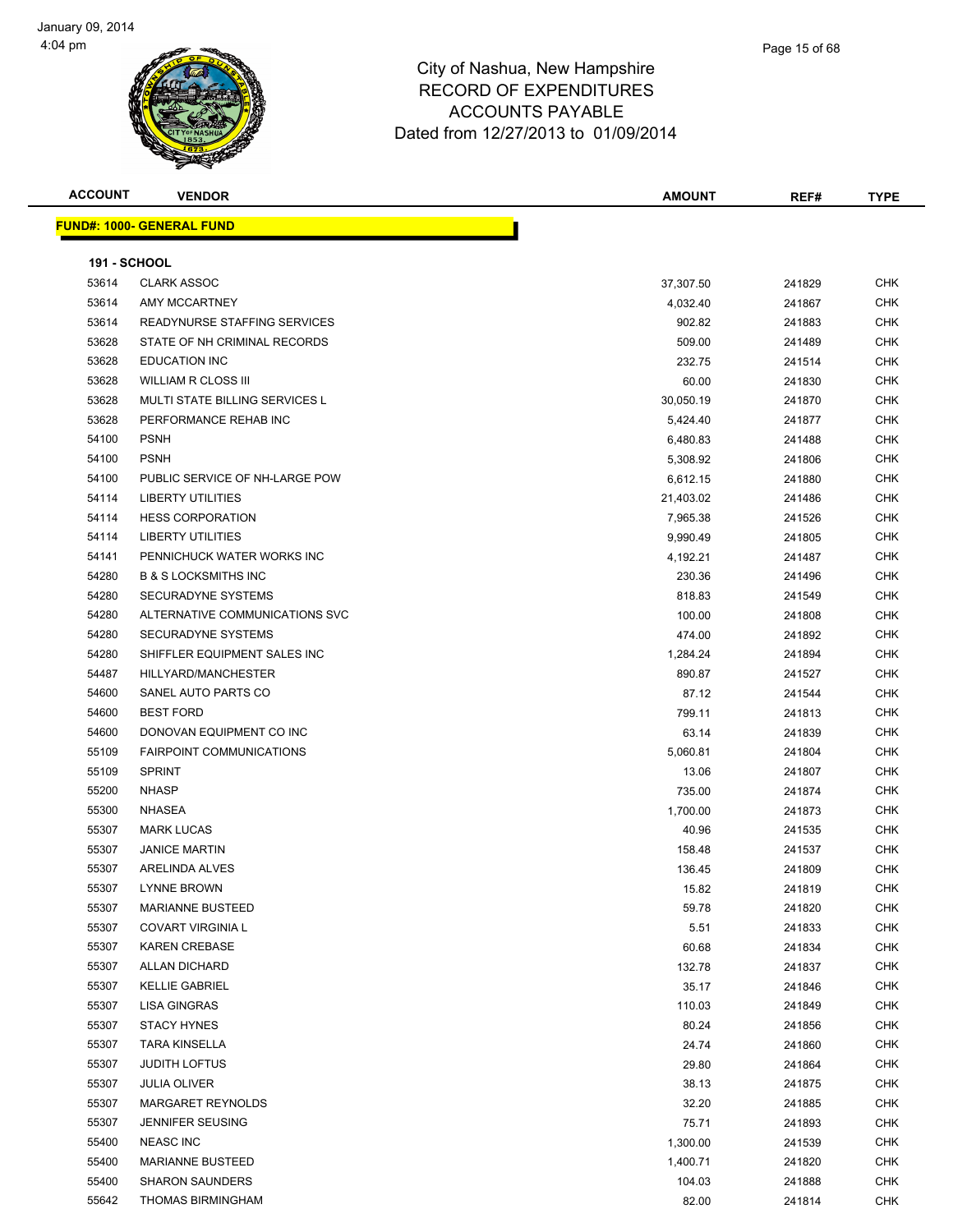



| <b>ACCOUNT</b>      | <b>VENDOR</b>                    | <b>AMOUNT</b> | REF#   | <b>TYPE</b> |
|---------------------|----------------------------------|---------------|--------|-------------|
|                     | <b>FUND#: 1000- GENERAL FUND</b> |               |        |             |
|                     |                                  |               |        |             |
| <b>191 - SCHOOL</b> |                                  |               |        |             |
| 53614               | <b>CLARK ASSOC</b>               | 37,307.50     | 241829 | <b>CHK</b>  |
| 53614               | AMY MCCARTNEY                    | 4,032.40      | 241867 | <b>CHK</b>  |
| 53614               | READYNURSE STAFFING SERVICES     | 902.82        | 241883 | <b>CHK</b>  |
| 53628               | STATE OF NH CRIMINAL RECORDS     | 509.00        | 241489 | <b>CHK</b>  |
| 53628               | <b>EDUCATION INC</b>             | 232.75        | 241514 | <b>CHK</b>  |
| 53628               | <b>WILLIAM R CLOSS III</b>       | 60.00         | 241830 | <b>CHK</b>  |
| 53628               | MULTI STATE BILLING SERVICES L   | 30,050.19     | 241870 | <b>CHK</b>  |
| 53628               | PERFORMANCE REHAB INC            | 5,424.40      | 241877 | <b>CHK</b>  |
| 54100               | <b>PSNH</b>                      | 6,480.83      | 241488 | <b>CHK</b>  |
| 54100               | <b>PSNH</b>                      | 5,308.92      | 241806 | <b>CHK</b>  |
| 54100               | PUBLIC SERVICE OF NH-LARGE POW   | 6,612.15      | 241880 | <b>CHK</b>  |
| 54114               | <b>LIBERTY UTILITIES</b>         | 21,403.02     | 241486 | <b>CHK</b>  |
| 54114               | <b>HESS CORPORATION</b>          | 7,965.38      | 241526 | <b>CHK</b>  |
| 54114               | <b>LIBERTY UTILITIES</b>         | 9,990.49      | 241805 | <b>CHK</b>  |
| 54141               | PENNICHUCK WATER WORKS INC       | 4,192.21      | 241487 | <b>CHK</b>  |
| 54280               | <b>B &amp; S LOCKSMITHS INC</b>  | 230.36        | 241496 | <b>CHK</b>  |
| 54280               | <b>SECURADYNE SYSTEMS</b>        | 818.83        | 241549 | <b>CHK</b>  |
| 54280               | ALTERNATIVE COMMUNICATIONS SVC   | 100.00        | 241808 | <b>CHK</b>  |
| 54280               | <b>SECURADYNE SYSTEMS</b>        | 474.00        | 241892 | <b>CHK</b>  |
| 54280               | SHIFFLER EQUIPMENT SALES INC     | 1,284.24      | 241894 | <b>CHK</b>  |
| 54487               | HILLYARD/MANCHESTER              | 890.87        | 241527 | <b>CHK</b>  |
| 54600               | SANEL AUTO PARTS CO              | 87.12         | 241544 | <b>CHK</b>  |
| 54600               | <b>BEST FORD</b>                 | 799.11        | 241813 | <b>CHK</b>  |
| 54600               | DONOVAN EQUIPMENT CO INC         | 63.14         | 241839 | <b>CHK</b>  |
| 55109               | <b>FAIRPOINT COMMUNICATIONS</b>  | 5,060.81      | 241804 | <b>CHK</b>  |
| 55109               | <b>SPRINT</b>                    | 13.06         | 241807 | <b>CHK</b>  |
| 55200               | <b>NHASP</b>                     | 735.00        | 241874 | <b>CHK</b>  |
| 55300               | NHASEA                           | 1,700.00      | 241873 | <b>CHK</b>  |
| 55307               | <b>MARK LUCAS</b>                | 40.96         | 241535 | <b>CHK</b>  |
| 55307               | <b>JANICE MARTIN</b>             | 158.48        | 241537 | <b>CHK</b>  |
| 55307               | ARELINDA ALVES                   | 136.45        | 241809 | <b>CHK</b>  |
| 55307               | <b>LYNNE BROWN</b>               | 15.82         | 241819 | <b>CHK</b>  |
| 55307               | <b>MARIANNE BUSTEED</b>          | 59.78         | 241820 | <b>CHK</b>  |
| 55307               | <b>COVART VIRGINIA L</b>         | 5.51          | 241833 | <b>CHK</b>  |
| 55307               | <b>KAREN CREBASE</b>             | 60.68         | 241834 | <b>CHK</b>  |
| 55307               | <b>ALLAN DICHARD</b>             | 132.78        | 241837 | <b>CHK</b>  |
| 55307               | <b>KELLIE GABRIEL</b>            | 35.17         | 241846 | <b>CHK</b>  |
| 55307               | <b>LISA GINGRAS</b>              | 110.03        | 241849 | <b>CHK</b>  |
| 55307               | <b>STACY HYNES</b>               | 80.24         | 241856 | <b>CHK</b>  |
| 55307               | <b>TARA KINSELLA</b>             | 24.74         | 241860 | <b>CHK</b>  |
| 55307               | <b>JUDITH LOFTUS</b>             | 29.80         | 241864 | <b>CHK</b>  |
| 55307               | <b>JULIA OLIVER</b>              | 38.13         | 241875 | CHK         |
| 55307               | MARGARET REYNOLDS                | 32.20         | 241885 | <b>CHK</b>  |
| 55307               | <b>JENNIFER SEUSING</b>          | 75.71         | 241893 | <b>CHK</b>  |
| 55400               | <b>NEASC INC</b>                 | 1,300.00      | 241539 | CHK         |
| 55400               | <b>MARIANNE BUSTEED</b>          | 1,400.71      | 241820 | <b>CHK</b>  |
| 55400               | <b>SHARON SAUNDERS</b>           | 104.03        | 241888 | <b>CHK</b>  |
| 55642               | THOMAS BIRMINGHAM                | 82.00         | 241814 | <b>CHK</b>  |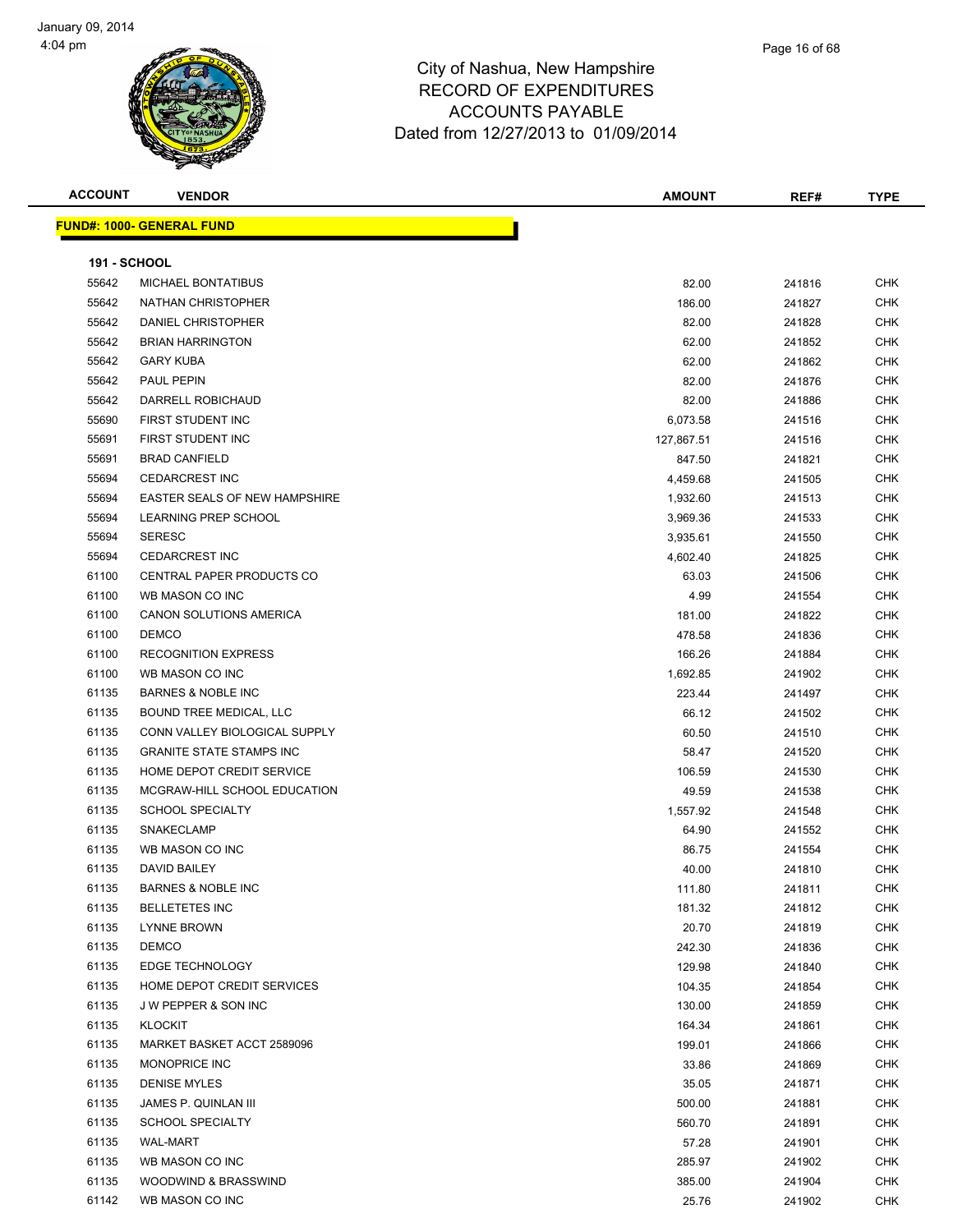| <b>ACCOUNT</b>      | <b>VENDOR</b>                        | <b>AMOUNT</b> | REF#   | <b>TYPE</b> |
|---------------------|--------------------------------------|---------------|--------|-------------|
|                     | <b>FUND#: 1000- GENERAL FUND</b>     |               |        |             |
|                     |                                      |               |        |             |
| <b>191 - SCHOOL</b> |                                      |               |        |             |
| 55642               | MICHAEL BONTATIBUS                   | 82.00         | 241816 | <b>CHK</b>  |
| 55642               | NATHAN CHRISTOPHER                   | 186.00        | 241827 | <b>CHK</b>  |
| 55642               | DANIEL CHRISTOPHER                   | 82.00         | 241828 | CHK         |
| 55642               | <b>BRIAN HARRINGTON</b>              | 62.00         | 241852 | CHK         |
| 55642               | <b>GARY KUBA</b>                     | 62.00         | 241862 | CHK         |
| 55642               | PAUL PEPIN                           | 82.00         | 241876 | CHK         |
| 55642               | DARRELL ROBICHAUD                    | 82.00         | 241886 | <b>CHK</b>  |
| 55690               | FIRST STUDENT INC                    | 6,073.58      | 241516 | CHK         |
| 55691               | FIRST STUDENT INC                    | 127,867.51    | 241516 | CHK         |
| 55691               | <b>BRAD CANFIELD</b>                 | 847.50        | 241821 | <b>CHK</b>  |
| 55694               | <b>CEDARCREST INC</b>                | 4,459.68      | 241505 | CHK         |
| 55694               | <b>EASTER SEALS OF NEW HAMPSHIRE</b> | 1,932.60      | 241513 | CHK         |
| 55694               | LEARNING PREP SCHOOL                 | 3,969.36      | 241533 | CHK         |
| 55694               | <b>SERESC</b>                        | 3,935.61      | 241550 | CHK         |
| 55694               | <b>CEDARCREST INC</b>                | 4,602.40      | 241825 | CHK         |
| 61100               | CENTRAL PAPER PRODUCTS CO            | 63.03         | 241506 | CHK         |
| 61100               | WB MASON CO INC                      | 4.99          | 241554 | CHK         |
| 61100               | <b>CANON SOLUTIONS AMERICA</b>       | 181.00        | 241822 | <b>CHK</b>  |
| 61100               | <b>DEMCO</b>                         | 478.58        | 241836 | CHK         |
| 61100               | <b>RECOGNITION EXPRESS</b>           | 166.26        | 241884 | <b>CHK</b>  |
| 61100               | WB MASON CO INC                      | 1,692.85      | 241902 | <b>CHK</b>  |
| 61135               | <b>BARNES &amp; NOBLE INC</b>        | 223.44        | 241497 | CHK         |
| 61135               | BOUND TREE MEDICAL, LLC              | 66.12         | 241502 | CHK         |
| 61135               | CONN VALLEY BIOLOGICAL SUPPLY        | 60.50         | 241510 | CHK         |
| 61135               | <b>GRANITE STATE STAMPS INC</b>      | 58.47         | 241520 | CHK         |
| 61135               | HOME DEPOT CREDIT SERVICE            | 106.59        | 241530 | CHK         |
| 61135               | MCGRAW-HILL SCHOOL EDUCATION         | 49.59         | 241538 | CHK         |
| 61135               | <b>SCHOOL SPECIALTY</b>              | 1,557.92      | 241548 | CHK         |
| 61135               | <b>SNAKECLAMP</b>                    | 64.90         | 241552 | <b>CHK</b>  |
| 61135               | WB MASON CO INC                      | 86.75         | 241554 | CHK         |
| 61135               | <b>DAVID BAILEY</b>                  | 40.00         | 241810 | <b>CHK</b>  |
| 61135               | <b>BARNES &amp; NOBLE INC</b>        | 111.80        | 241811 | <b>CHK</b>  |
| 61135               | <b>BELLETETES INC</b>                | 181.32        | 241812 | <b>CHK</b>  |
| 61135               | LYNNE BROWN                          | 20.70         | 241819 | CHK         |
| 61135               | <b>DEMCO</b>                         | 242.30        | 241836 | CHK         |
| 61135               | EDGE TECHNOLOGY                      | 129.98        | 241840 | CHK         |
| 61135               | HOME DEPOT CREDIT SERVICES           | 104.35        | 241854 | <b>CHK</b>  |
| 61135               | <b>JW PEPPER &amp; SON INC</b>       | 130.00        | 241859 | CHK         |
| 61135               | <b>KLOCKIT</b>                       | 164.34        | 241861 | <b>CHK</b>  |
| 61135               | MARKET BASKET ACCT 2589096           | 199.01        | 241866 | <b>CHK</b>  |
| 61135               | MONOPRICE INC                        | 33.86         | 241869 | CHK         |
| 61135               | <b>DENISE MYLES</b>                  | 35.05         | 241871 | <b>CHK</b>  |
| 61135               | JAMES P. QUINLAN III                 | 500.00        | 241881 | <b>CHK</b>  |
| 61135               | <b>SCHOOL SPECIALTY</b>              | 560.70        | 241891 | CHK         |
| 61135               | WAL-MART                             | 57.28         | 241901 | CHK         |
| 61135               | WB MASON CO INC                      | 285.97        | 241902 | CHK         |
| 61135               | WOODWIND & BRASSWIND                 | 385.00        | 241904 | CHK         |
| 61142               | WB MASON CO INC                      | 25.76         | 241902 | <b>CHK</b>  |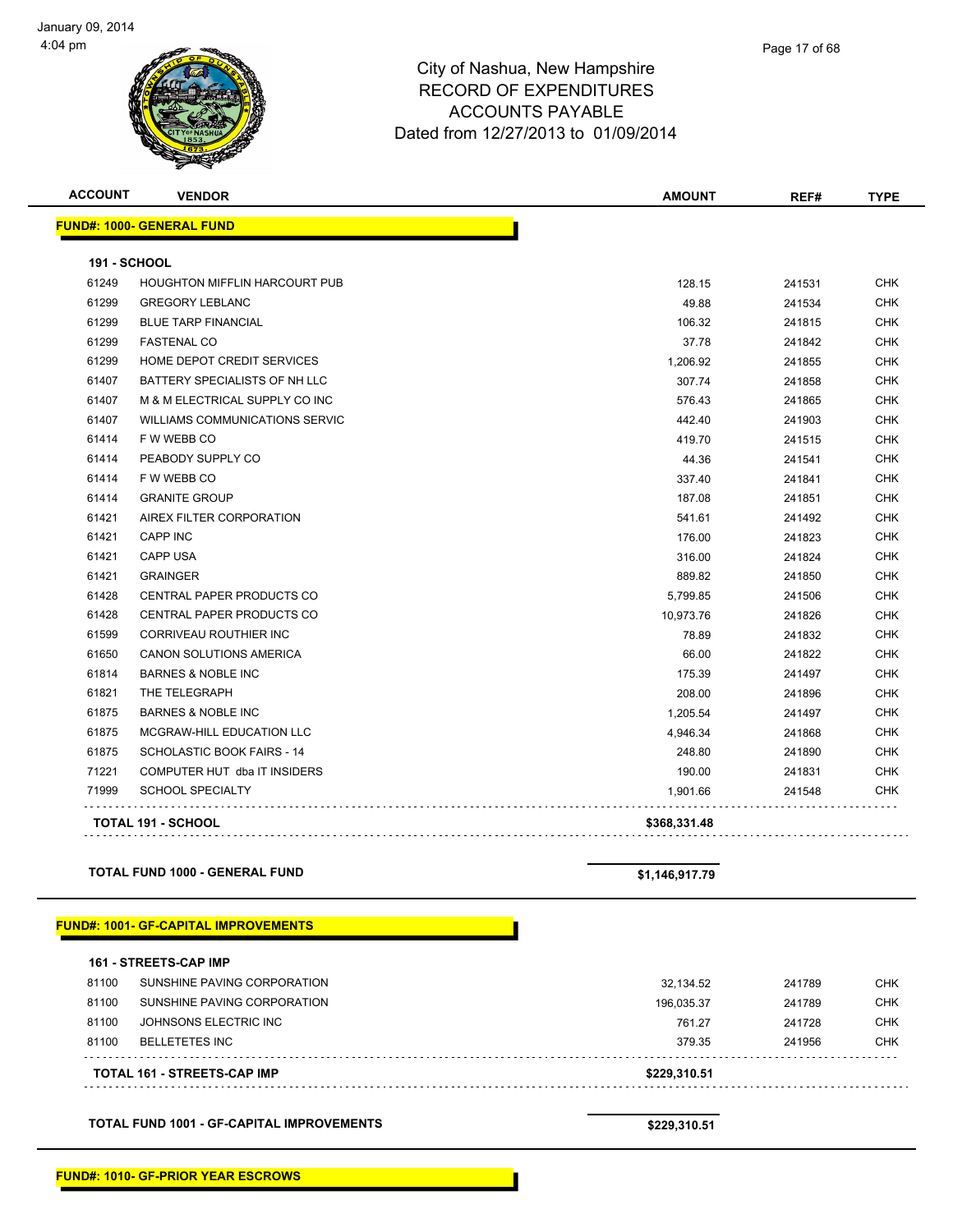

| Page 17 of 68 |
|---------------|
|---------------|

| <b>ACCOUNT</b>      | <b>VENDOR</b>                         | <b>AMOUNT</b> | REF#   | <b>TYPE</b> |
|---------------------|---------------------------------------|---------------|--------|-------------|
|                     | <b>FUND#: 1000- GENERAL FUND</b>      |               |        |             |
| <b>191 - SCHOOL</b> |                                       |               |        |             |
| 61249               | <b>HOUGHTON MIFFLIN HARCOURT PUB</b>  | 128.15        | 241531 | <b>CHK</b>  |
| 61299               | <b>GREGORY LEBLANC</b>                | 49.88         | 241534 | <b>CHK</b>  |
| 61299               | <b>BLUE TARP FINANCIAL</b>            | 106.32        | 241815 | <b>CHK</b>  |
| 61299               | <b>FASTENAL CO</b>                    | 37.78         | 241842 | <b>CHK</b>  |
| 61299               | HOME DEPOT CREDIT SERVICES            | 1,206.92      | 241855 | <b>CHK</b>  |
| 61407               | BATTERY SPECIALISTS OF NH LLC         | 307.74        | 241858 | <b>CHK</b>  |
| 61407               | M & M ELECTRICAL SUPPLY CO INC        | 576.43        | 241865 | <b>CHK</b>  |
| 61407               | <b>WILLIAMS COMMUNICATIONS SERVIC</b> | 442.40        | 241903 | <b>CHK</b>  |
| 61414               | F W WEBB CO                           | 419.70        | 241515 | <b>CHK</b>  |
| 61414               | PEABODY SUPPLY CO                     | 44.36         | 241541 | <b>CHK</b>  |
| 61414               | F W WEBB CO                           | 337.40        | 241841 | <b>CHK</b>  |
| 61414               | <b>GRANITE GROUP</b>                  | 187.08        | 241851 | <b>CHK</b>  |
| 61421               | AIREX FILTER CORPORATION              | 541.61        | 241492 | <b>CHK</b>  |
| 61421               | <b>CAPP INC</b>                       | 176.00        | 241823 | <b>CHK</b>  |
| 61421               | <b>CAPP USA</b>                       | 316.00        | 241824 | <b>CHK</b>  |
| 61421               | <b>GRAINGER</b>                       | 889.82        | 241850 | <b>CHK</b>  |
| 61428               | <b>CENTRAL PAPER PRODUCTS CO</b>      | 5,799.85      | 241506 | <b>CHK</b>  |
| 61428               | CENTRAL PAPER PRODUCTS CO             | 10,973.76     | 241826 | <b>CHK</b>  |
| 61599               | CORRIVEAU ROUTHIER INC                | 78.89         | 241832 | <b>CHK</b>  |
| 61650               | CANON SOLUTIONS AMERICA               | 66.00         | 241822 | <b>CHK</b>  |
| 61814               | <b>BARNES &amp; NOBLE INC</b>         | 175.39        | 241497 | <b>CHK</b>  |
| 61821               | THE TELEGRAPH                         | 208.00        | 241896 | <b>CHK</b>  |
| 61875               | <b>BARNES &amp; NOBLE INC</b>         | 1,205.54      | 241497 | <b>CHK</b>  |
| 61875               | MCGRAW-HILL EDUCATION LLC             | 4,946.34      | 241868 | <b>CHK</b>  |
| 61875               | SCHOLASTIC BOOK FAIRS - 14            | 248.80        | 241890 | <b>CHK</b>  |
| 71221               | COMPUTER HUT dba IT INSIDERS          | 190.00        | 241831 | <b>CHK</b>  |
| 71999               | <b>SCHOOL SPECIALTY</b>               | 1,901.66      | 241548 | <b>CHK</b>  |
|                     | <b>TOTAL 191 - SCHOOL</b>             | \$368,331.48  |        |             |

### **TOTAL FUND 1000 - GENERAL FUND \$1,146,917.79**

### **FUND#: 1001- GF-CAPITAL IMPROVEMENTS**

|       | <b>161 - STREETS-CAP IMP</b> |              |        |            |
|-------|------------------------------|--------------|--------|------------|
| 81100 | SUNSHINE PAVING CORPORATION  | 32.134.52    | 241789 | <b>CHK</b> |
| 81100 | SUNSHINE PAVING CORPORATION  | 196.035.37   | 241789 | <b>CHK</b> |
| 81100 | JOHNSONS ELECTRIC INC        | 761.27       | 241728 | <b>CHK</b> |
| 81100 | BELLETETES INC               | 379.35       | 241956 | <b>CHK</b> |
|       | TOTAL 161 - STREETS-CAP IMP  | \$229.310.51 |        |            |

**TOTAL FUND 1001 - GF-CAPITAL IMPROVEMENTS \$229,310.51**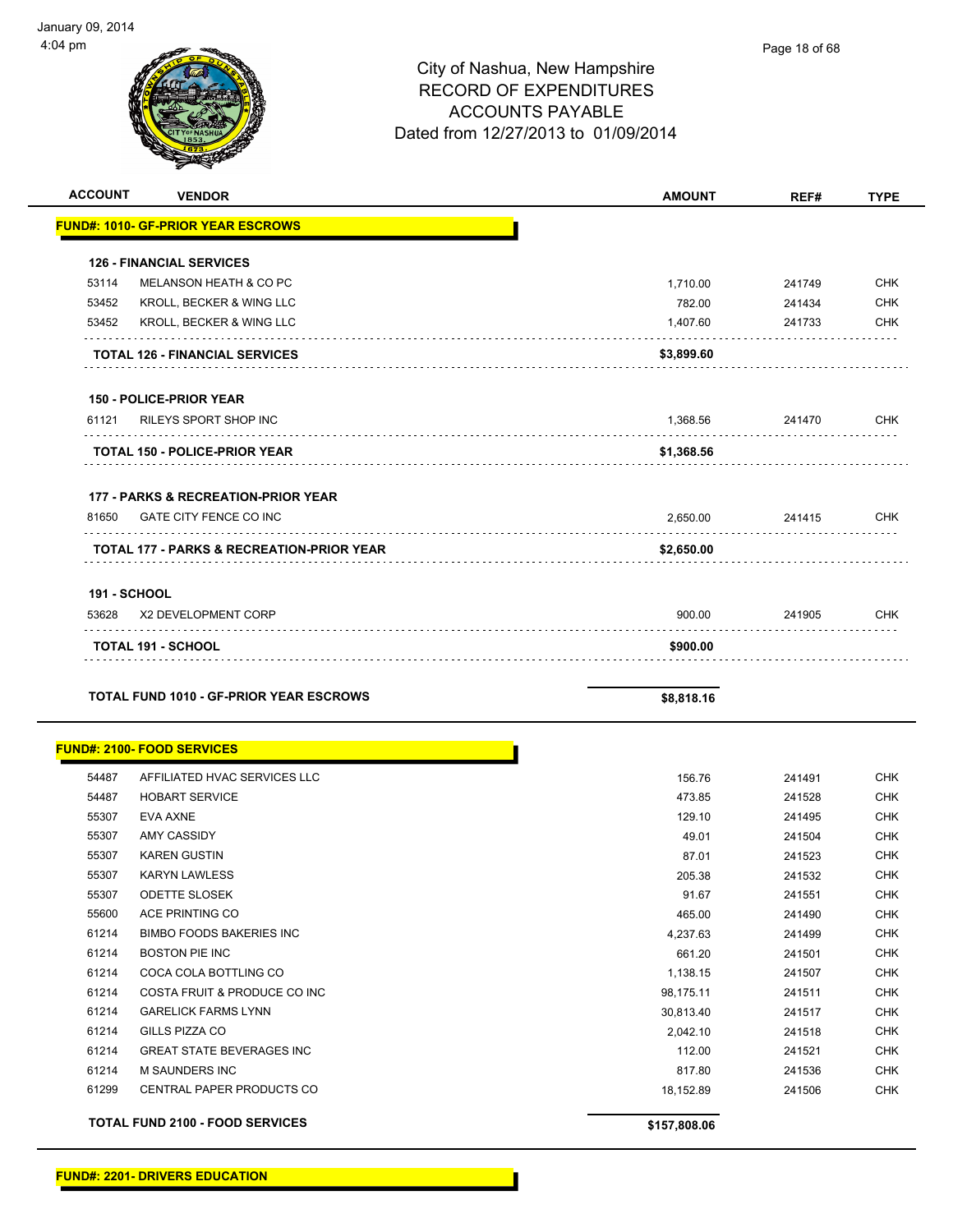| <b>ACCOUNT</b>      | <b>VENDOR</b>                                        | <b>AMOUNT</b> | REF#   | <b>TYPE</b> |
|---------------------|------------------------------------------------------|---------------|--------|-------------|
|                     | <b>FUND#: 1010- GF-PRIOR YEAR ESCROWS</b>            |               |        |             |
|                     | <b>126 - FINANCIAL SERVICES</b>                      |               |        |             |
| 53114               | MELANSON HEATH & CO PC                               | 1,710.00      | 241749 | <b>CHK</b>  |
| 53452               | KROLL, BECKER & WING LLC                             | 782.00        | 241434 | <b>CHK</b>  |
| 53452               | <b>KROLL, BECKER &amp; WING LLC</b>                  | 1,407.60      | 241733 | <b>CHK</b>  |
|                     | <b>TOTAL 126 - FINANCIAL SERVICES</b>                | \$3,899.60    |        |             |
|                     | <b>150 - POLICE-PRIOR YEAR</b>                       |               |        |             |
|                     | 61121 RILEYS SPORT SHOP INC                          | 1,368.56      | 241470 | <b>CHK</b>  |
|                     | <b>TOTAL 150 - POLICE-PRIOR YEAR</b>                 | \$1,368.56    |        |             |
|                     | <b>177 - PARKS &amp; RECREATION-PRIOR YEAR</b>       |               |        |             |
| 81650               | <b>GATE CITY FENCE CO INC</b>                        | 2,650.00      | 241415 | <b>CHK</b>  |
|                     | <b>TOTAL 177 - PARKS &amp; RECREATION-PRIOR YEAR</b> | \$2,650.00    |        |             |
| <b>191 - SCHOOL</b> |                                                      |               |        |             |
| 53628               | X2 DEVELOPMENT CORP                                  | 900.00        | 241905 | <b>CHK</b>  |
|                     | <b>TOTAL 191 - SCHOOL</b>                            | \$900.00      |        |             |
|                     | TOTAL FUND 1010 - GF-PRIOR YEAR ESCROWS              | \$8,818.16    |        |             |

|       | <b>FUND#: 2100- FOOD SERVICES</b>      |              |        |            |
|-------|----------------------------------------|--------------|--------|------------|
| 54487 | AFFILIATED HVAC SERVICES LLC           | 156.76       | 241491 | <b>CHK</b> |
| 54487 | <b>HOBART SERVICE</b>                  | 473.85       | 241528 | <b>CHK</b> |
| 55307 | <b>EVA AXNE</b>                        | 129.10       | 241495 | <b>CHK</b> |
| 55307 | <b>AMY CASSIDY</b>                     | 49.01        | 241504 | <b>CHK</b> |
| 55307 | <b>KAREN GUSTIN</b>                    | 87.01        | 241523 | <b>CHK</b> |
| 55307 | <b>KARYN LAWLESS</b>                   | 205.38       | 241532 | <b>CHK</b> |
| 55307 | <b>ODETTE SLOSEK</b>                   | 91.67        | 241551 | <b>CHK</b> |
| 55600 | ACE PRINTING CO                        | 465.00       | 241490 | <b>CHK</b> |
| 61214 | <b>BIMBO FOODS BAKERIES INC.</b>       | 4,237.63     | 241499 | <b>CHK</b> |
| 61214 | <b>BOSTON PIE INC</b>                  | 661.20       | 241501 | <b>CHK</b> |
| 61214 | COCA COLA BOTTLING CO                  | 1,138.15     | 241507 | <b>CHK</b> |
| 61214 | COSTA FRUIT & PRODUCE CO INC           | 98,175.11    | 241511 | <b>CHK</b> |
| 61214 | <b>GARELICK FARMS LYNN</b>             | 30,813.40    | 241517 | <b>CHK</b> |
| 61214 | <b>GILLS PIZZA CO</b>                  | 2,042.10     | 241518 | <b>CHK</b> |
| 61214 | <b>GREAT STATE BEVERAGES INC</b>       | 112.00       | 241521 | <b>CHK</b> |
| 61214 | <b>M SAUNDERS INC</b>                  | 817.80       | 241536 | <b>CHK</b> |
| 61299 | <b>CENTRAL PAPER PRODUCTS CO</b>       | 18,152.89    | 241506 | <b>CHK</b> |
|       | <b>TOTAL FUND 2100 - FOOD SERVICES</b> | \$157,808.06 |        |            |

**FUND#: 2201- DRIVERS EDUCATION**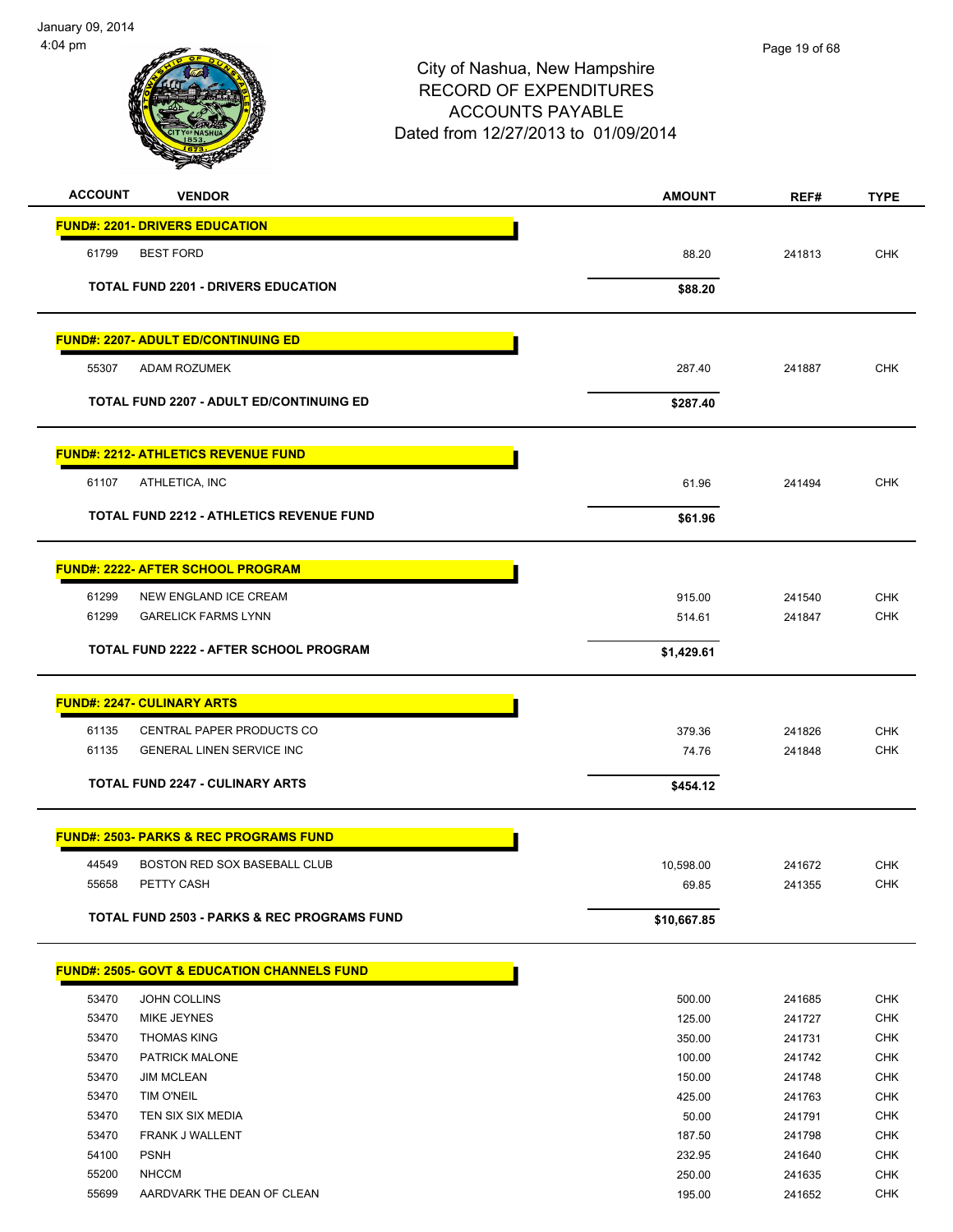

| <b>ACCOUNT</b> | <b>VENDOR</b>                                           | <b>AMOUNT</b> | REF#   | <b>TYPE</b> |
|----------------|---------------------------------------------------------|---------------|--------|-------------|
|                | <b>FUND#: 2201- DRIVERS EDUCATION</b>                   |               |        |             |
| 61799          | <b>BEST FORD</b>                                        | 88.20         | 241813 | <b>CHK</b>  |
|                | <b>TOTAL FUND 2201 - DRIVERS EDUCATION</b>              |               |        |             |
|                |                                                         | \$88.20       |        |             |
|                | <u> FUND#: 2207- ADULT ED/CONTINUING ED</u>             |               |        |             |
| 55307          | ADAM ROZUMEK                                            | 287.40        | 241887 | <b>CHK</b>  |
|                | <b>TOTAL FUND 2207 - ADULT ED/CONTINUING ED</b>         | \$287.40      |        |             |
|                | <b>FUND#: 2212- ATHLETICS REVENUE FUND</b>              |               |        |             |
| 61107          | ATHLETICA, INC                                          | 61.96         | 241494 | <b>CHK</b>  |
|                |                                                         |               |        |             |
|                | <b>TOTAL FUND 2212 - ATHLETICS REVENUE FUND</b>         | \$61.96       |        |             |
|                | <u> FUND#: 2222- AFTER SCHOOL PROGRAM</u>               |               |        |             |
| 61299          | NEW ENGLAND ICE CREAM                                   | 915.00        | 241540 | <b>CHK</b>  |
| 61299          | <b>GARELICK FARMS LYNN</b>                              | 514.61        | 241847 | <b>CHK</b>  |
|                | TOTAL FUND 2222 - AFTER SCHOOL PROGRAM                  | \$1,429.61    |        |             |
|                | <u> FUND#: 2247- CULINARY ARTS</u>                      |               |        |             |
| 61135          | CENTRAL PAPER PRODUCTS CO                               | 379.36        | 241826 | <b>CHK</b>  |
| 61135          | <b>GENERAL LINEN SERVICE INC</b>                        | 74.76         | 241848 | <b>CHK</b>  |
|                | <b>TOTAL FUND 2247 - CULINARY ARTS</b>                  | \$454.12      |        |             |
|                | <u> FUND#: 2503- PARKS &amp; REC PROGRAMS FUND</u>      |               |        |             |
| 44549          | BOSTON RED SOX BASEBALL CLUB                            | 10,598.00     | 241672 | <b>CHK</b>  |
| 55658          | PETTY CASH                                              | 69.85         | 241355 | <b>CHK</b>  |
|                |                                                         |               |        |             |
|                | <b>TOTAL FUND 2503 - PARKS &amp; REC PROGRAMS FUND</b>  | \$10,667.85   |        |             |
|                | <u> FUND#: 2505- GOVT &amp; EDUCATION CHANNELS FUND</u> |               |        |             |
| 53470          | <b>JOHN COLLINS</b>                                     | 500.00        | 241685 | <b>CHK</b>  |
| 53470          | <b>MIKE JEYNES</b>                                      | 125.00        | 241727 | CHK         |
| 53470          | <b>THOMAS KING</b>                                      | 350.00        | 241731 | <b>CHK</b>  |
| 53470          | PATRICK MALONE                                          | 100.00        | 241742 | <b>CHK</b>  |
| 53470          | <b>JIM MCLEAN</b>                                       | 150.00        | 241748 | <b>CHK</b>  |
| 53470          | TIM O'NEIL                                              | 425.00        | 241763 | <b>CHK</b>  |
| 53470          | TEN SIX SIX MEDIA                                       | 50.00         | 241791 | <b>CHK</b>  |
| 53470          | FRANK J WALLENT                                         | 187.50        | 241798 | <b>CHK</b>  |
| 54100          | <b>PSNH</b>                                             | 232.95        | 241640 | <b>CHK</b>  |
| 55200          | <b>NHCCM</b>                                            | 250.00        | 241635 | <b>CHK</b>  |
| 55699          | AARDVARK THE DEAN OF CLEAN                              | 195.00        | 241652 | <b>CHK</b>  |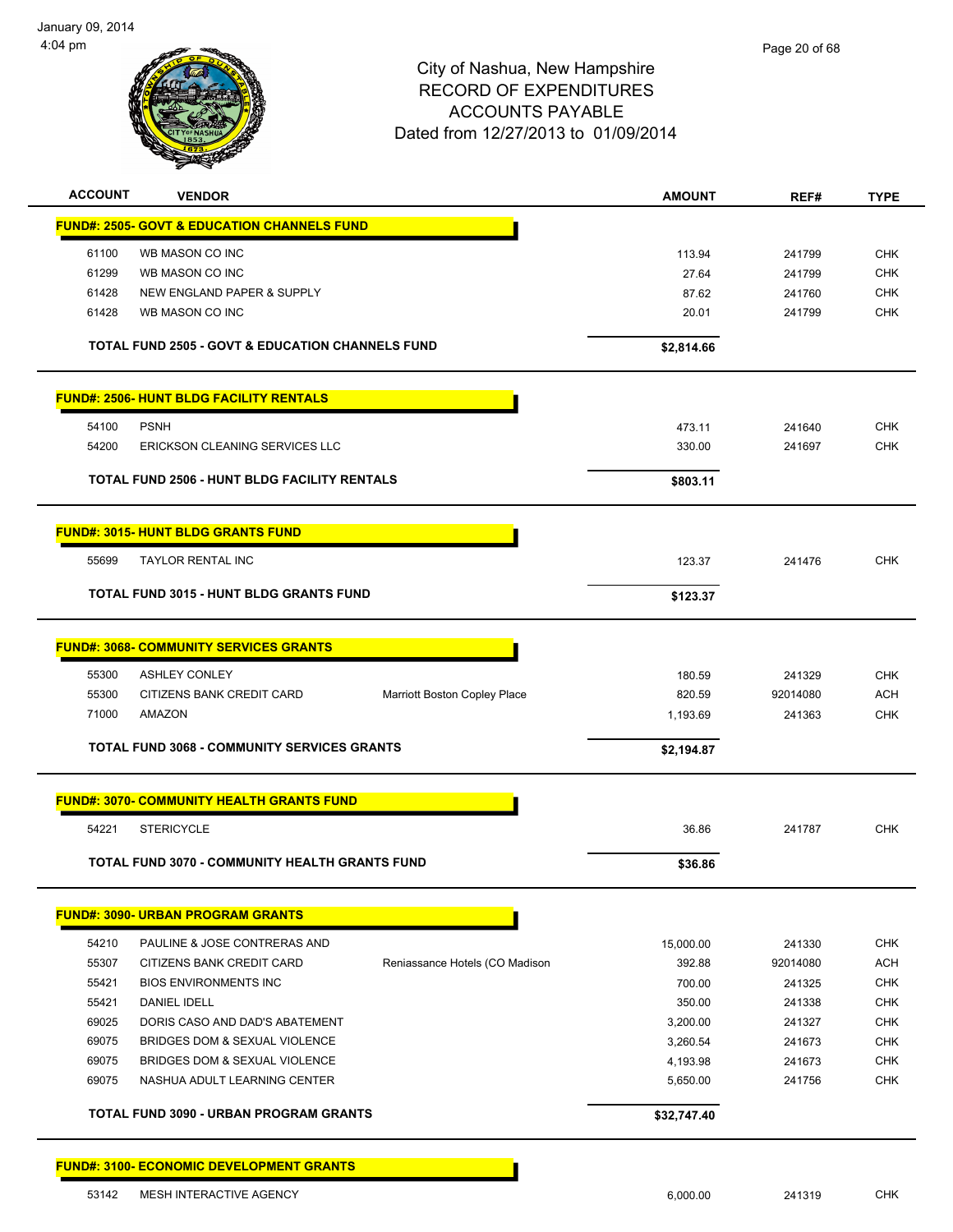

| <b>ACCOUNT</b> | <b>VENDOR</b>                                               |                                | <b>AMOUNT</b> | REF#     | <b>TYPE</b> |
|----------------|-------------------------------------------------------------|--------------------------------|---------------|----------|-------------|
|                | <b>FUND#: 2505- GOVT &amp; EDUCATION CHANNELS FUND</b>      |                                |               |          |             |
| 61100          | WB MASON CO INC                                             |                                | 113.94        | 241799   | <b>CHK</b>  |
| 61299          | WB MASON CO INC                                             |                                | 27.64         | 241799   | <b>CHK</b>  |
| 61428          | NEW ENGLAND PAPER & SUPPLY                                  |                                | 87.62         | 241760   | <b>CHK</b>  |
| 61428          | WB MASON CO INC                                             |                                | 20.01         | 241799   | <b>CHK</b>  |
|                |                                                             |                                |               |          |             |
|                | <b>TOTAL FUND 2505 - GOVT &amp; EDUCATION CHANNELS FUND</b> |                                | \$2,814.66    |          |             |
|                | <b>FUND#: 2506- HUNT BLDG FACILITY RENTALS</b>              |                                |               |          |             |
| 54100          | <b>PSNH</b>                                                 |                                | 473.11        | 241640   | <b>CHK</b>  |
| 54200          | ERICKSON CLEANING SERVICES LLC                              |                                | 330.00        | 241697   | <b>CHK</b>  |
|                |                                                             |                                |               |          |             |
|                | <b>TOTAL FUND 2506 - HUNT BLDG FACILITY RENTALS</b>         |                                | \$803.11      |          |             |
|                | <b>FUND#: 3015- HUNT BLDG GRANTS FUND</b>                   |                                |               |          |             |
| 55699          | TAYLOR RENTAL INC                                           |                                | 123.37        | 241476   | <b>CHK</b>  |
|                | <b>TOTAL FUND 3015 - HUNT BLDG GRANTS FUND</b>              |                                | \$123.37      |          |             |
|                | <b>FUND#: 3068- COMMUNITY SERVICES GRANTS</b>               |                                |               |          |             |
|                |                                                             |                                |               |          |             |
| 55300          | <b>ASHLEY CONLEY</b>                                        |                                | 180.59        | 241329   | <b>CHK</b>  |
| 55300          | CITIZENS BANK CREDIT CARD                                   | Marriott Boston Copley Place   | 820.59        | 92014080 | <b>ACH</b>  |
| 71000          | AMAZON                                                      |                                | 1,193.69      | 241363   | <b>CHK</b>  |
|                | <b>TOTAL FUND 3068 - COMMUNITY SERVICES GRANTS</b>          |                                | \$2,194.87    |          |             |
|                | <b>FUND#: 3070- COMMUNITY HEALTH GRANTS FUND</b>            |                                |               |          |             |
| 54221          | <b>STERICYCLE</b>                                           |                                | 36.86         | 241787   | <b>CHK</b>  |
|                | <b>TOTAL FUND 3070 - COMMUNITY HEALTH GRANTS FUND</b>       |                                | \$36.86       |          |             |
|                |                                                             |                                |               |          |             |
|                | <b>FUND#: 3090- URBAN PROGRAM GRANTS</b>                    |                                |               |          |             |
| 54210          | PAULINE & JOSE CONTRERAS AND                                |                                | 15,000.00     | 241330   | <b>CHK</b>  |
| 55307          | CITIZENS BANK CREDIT CARD                                   | Reniassance Hotels (CO Madison | 392.88        | 92014080 | <b>ACH</b>  |
| 55421          | <b>BIOS ENVIRONMENTS INC</b>                                |                                | 700.00        | 241325   | <b>CHK</b>  |
| 55421          | <b>DANIEL IDELL</b>                                         |                                | 350.00        | 241338   | <b>CHK</b>  |
| 69025          | DORIS CASO AND DAD'S ABATEMENT                              |                                | 3,200.00      | 241327   | <b>CHK</b>  |
| 69075          | BRIDGES DOM & SEXUAL VIOLENCE                               |                                | 3,260.54      | 241673   | <b>CHK</b>  |
| 69075          | BRIDGES DOM & SEXUAL VIOLENCE                               |                                | 4,193.98      | 241673   | <b>CHK</b>  |
| 69075          | NASHUA ADULT LEARNING CENTER                                |                                | 5,650.00      | 241756   | <b>CHK</b>  |
|                | <b>TOTAL FUND 3090 - URBAN PROGRAM GRANTS</b>               |                                | \$32,747.40   |          |             |
|                | <b>FUND#: 3100- ECONOMIC DEVELOPMENT GRANTS</b>             |                                |               |          |             |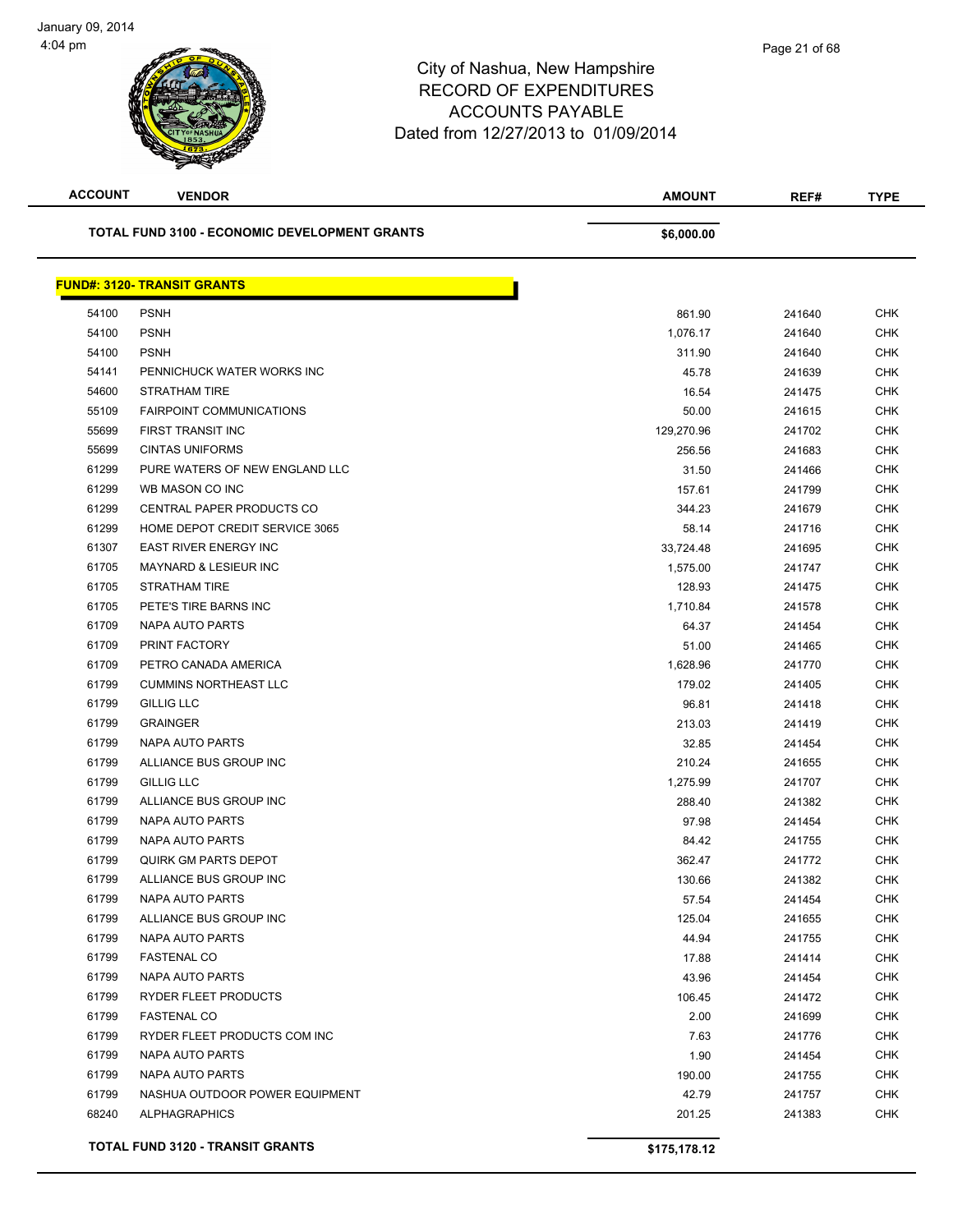

| <b>ACCOUNT</b> | <b>VENDOR</b>                                 | <b>AMOUNT</b> | REF#   | <b>TYPE</b> |
|----------------|-----------------------------------------------|---------------|--------|-------------|
|                | TOTAL FUND 3100 - ECONOMIC DEVELOPMENT GRANTS | \$6,000.00    |        |             |
|                | <b>FUND#: 3120- TRANSIT GRANTS</b>            |               |        |             |
| 54100          | <b>PSNH</b>                                   | 861.90        | 241640 | <b>CHK</b>  |
| 54100          | <b>PSNH</b>                                   | 1,076.17      | 241640 | <b>CHK</b>  |
| 54100          | <b>PSNH</b>                                   | 311.90        | 241640 | <b>CHK</b>  |
| 54141          | PENNICHUCK WATER WORKS INC                    | 45.78         | 241639 | <b>CHK</b>  |
| 54600          | STRATHAM TIRE                                 | 16.54         | 241475 | <b>CHK</b>  |
| 55109          | <b>FAIRPOINT COMMUNICATIONS</b>               | 50.00         | 241615 | <b>CHK</b>  |
| 55699          | FIRST TRANSIT INC                             | 129,270.96    | 241702 | <b>CHK</b>  |
| 55699          | <b>CINTAS UNIFORMS</b>                        | 256.56        | 241683 | <b>CHK</b>  |
| 61299          | PURE WATERS OF NEW ENGLAND LLC                | 31.50         | 241466 | <b>CHK</b>  |
| 61299          | WB MASON CO INC                               | 157.61        | 241799 | <b>CHK</b>  |
| 61299          | <b>CENTRAL PAPER PRODUCTS CO</b>              | 344.23        | 241679 | <b>CHK</b>  |
| 61299          | HOME DEPOT CREDIT SERVICE 3065                | 58.14         | 241716 | <b>CHK</b>  |
| 61307          | <b>EAST RIVER ENERGY INC</b>                  | 33,724.48     | 241695 | <b>CHK</b>  |
| 61705          | <b>MAYNARD &amp; LESIEUR INC</b>              | 1,575.00      | 241747 | <b>CHK</b>  |
| 61705          | STRATHAM TIRE                                 | 128.93        | 241475 | <b>CHK</b>  |
| 61705          | PETE'S TIRE BARNS INC                         | 1,710.84      | 241578 | <b>CHK</b>  |
| 61709          | NAPA AUTO PARTS                               | 64.37         | 241454 | <b>CHK</b>  |
| 61709          | PRINT FACTORY                                 | 51.00         | 241465 | <b>CHK</b>  |
| 61709          | PETRO CANADA AMERICA                          | 1,628.96      | 241770 | <b>CHK</b>  |
| 61799          | <b>CUMMINS NORTHEAST LLC</b>                  | 179.02        | 241405 | <b>CHK</b>  |
| 61799          | <b>GILLIG LLC</b>                             | 96.81         | 241418 | <b>CHK</b>  |
| 61799          | <b>GRAINGER</b>                               | 213.03        | 241419 | <b>CHK</b>  |
| 61799          | <b>NAPA AUTO PARTS</b>                        | 32.85         | 241454 | <b>CHK</b>  |
| 61799          | ALLIANCE BUS GROUP INC                        | 210.24        | 241655 | <b>CHK</b>  |
| 61799          | <b>GILLIG LLC</b>                             | 1,275.99      | 241707 | <b>CHK</b>  |
| 61799          | ALLIANCE BUS GROUP INC                        | 288.40        | 241382 | <b>CHK</b>  |
| 61799          | NAPA AUTO PARTS                               | 97.98         | 241454 | <b>CHK</b>  |
| 61799          | NAPA AUTO PARTS                               | 84.42         | 241755 | CHK         |
| 61799          | <b>QUIRK GM PARTS DEPOT</b>                   | 362.47        | 241772 | <b>CHK</b>  |
| 61799          | ALLIANCE BUS GROUP INC                        | 130.66        | 241382 | <b>CHK</b>  |
| 61799          | NAPA AUTO PARTS                               | 57.54         | 241454 | <b>CHK</b>  |
| 61799          | ALLIANCE BUS GROUP INC                        | 125.04        | 241655 | CHK         |
| 61799          | NAPA AUTO PARTS                               | 44.94         | 241755 | <b>CHK</b>  |
| 61799          | <b>FASTENAL CO</b>                            | 17.88         | 241414 | <b>CHK</b>  |
| 61799          | <b>NAPA AUTO PARTS</b>                        | 43.96         | 241454 | <b>CHK</b>  |
| 61799          | RYDER FLEET PRODUCTS                          | 106.45        | 241472 | <b>CHK</b>  |
| 61799          | <b>FASTENAL CO</b>                            | 2.00          | 241699 | <b>CHK</b>  |
| 61799          | RYDER FLEET PRODUCTS COM INC                  | 7.63          | 241776 | CHK         |
| 61799          | NAPA AUTO PARTS                               | 1.90          | 241454 | <b>CHK</b>  |
| 61799          | NAPA AUTO PARTS                               | 190.00        | 241755 | <b>CHK</b>  |
| 61799          | NASHUA OUTDOOR POWER EQUIPMENT                | 42.79         | 241757 | <b>CHK</b>  |
| 68240          | <b>ALPHAGRAPHICS</b>                          | 201.25        | 241383 | <b>CHK</b>  |
|                | <b>TOTAL FUND 3120 - TRANSIT GRANTS</b>       | \$175,178.12  |        |             |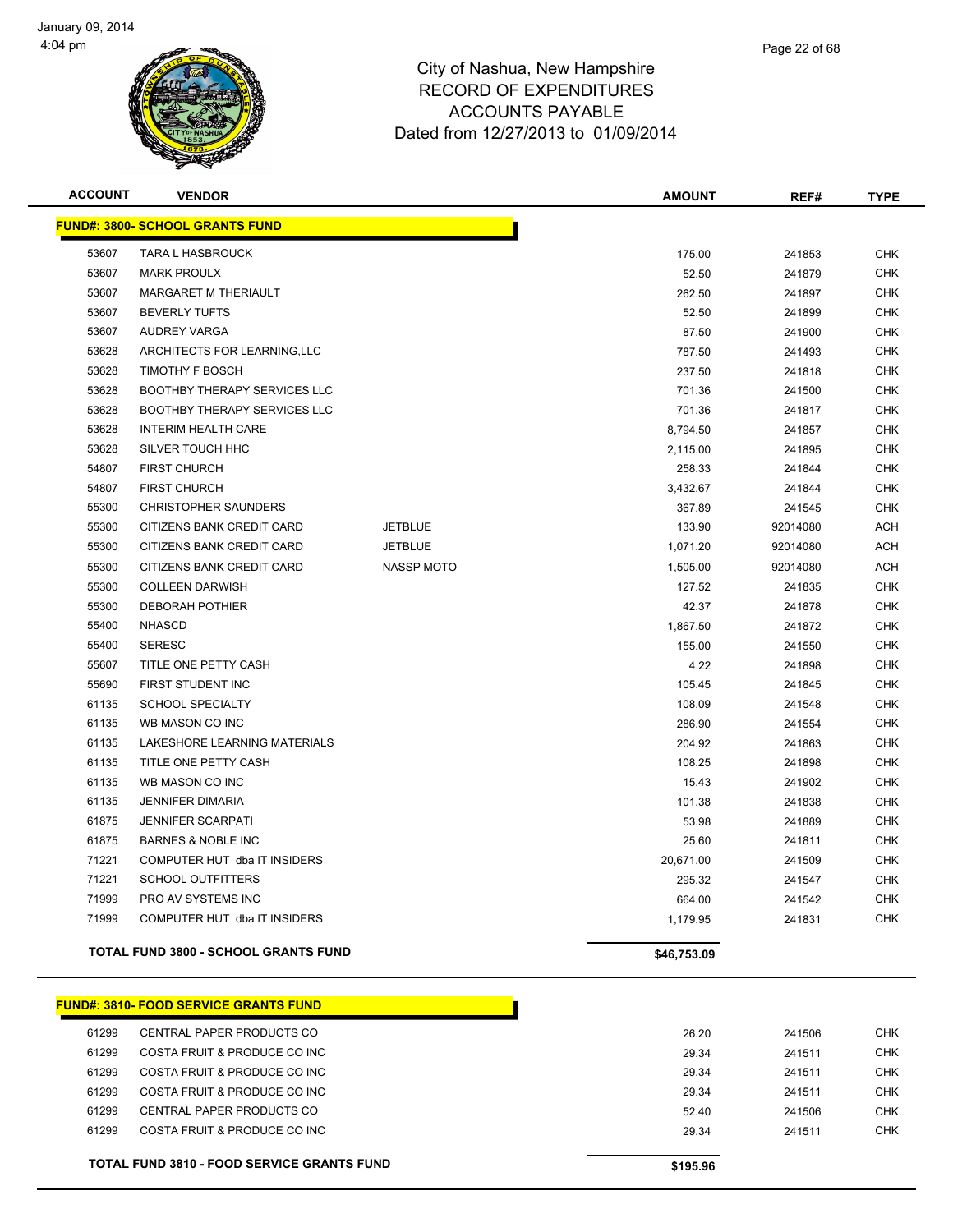

| <b>ACCOUNT</b> | <b>VENDOR</b>                               |                   | <b>AMOUNT</b> | REF#     | <b>TYPE</b> |
|----------------|---------------------------------------------|-------------------|---------------|----------|-------------|
|                | <u> FUND#: 3800- SCHOOL GRANTS FUND</u>     |                   |               |          |             |
| 53607          | TARA L HASBROUCK                            |                   | 175.00        | 241853   | <b>CHK</b>  |
| 53607          | <b>MARK PROULX</b>                          |                   | 52.50         | 241879   | CHK         |
| 53607          | <b>MARGARET M THERIAULT</b>                 |                   | 262.50        | 241897   | <b>CHK</b>  |
| 53607          | <b>BEVERLY TUFTS</b>                        |                   | 52.50         | 241899   | <b>CHK</b>  |
| 53607          | <b>AUDREY VARGA</b>                         |                   | 87.50         | 241900   | <b>CHK</b>  |
| 53628          | ARCHITECTS FOR LEARNING, LLC                |                   | 787.50        | 241493   | <b>CHK</b>  |
| 53628          | <b>TIMOTHY F BOSCH</b>                      |                   | 237.50        | 241818   | <b>CHK</b>  |
| 53628          | <b>BOOTHBY THERAPY SERVICES LLC</b>         |                   | 701.36        | 241500   | <b>CHK</b>  |
| 53628          | <b>BOOTHBY THERAPY SERVICES LLC</b>         |                   | 701.36        | 241817   | <b>CHK</b>  |
| 53628          | <b>INTERIM HEALTH CARE</b>                  |                   | 8,794.50      | 241857   | <b>CHK</b>  |
| 53628          | SILVER TOUCH HHC                            |                   | 2,115.00      | 241895   | <b>CHK</b>  |
| 54807          | <b>FIRST CHURCH</b>                         |                   | 258.33        | 241844   | <b>CHK</b>  |
| 54807          | <b>FIRST CHURCH</b>                         |                   | 3,432.67      | 241844   | CHK         |
| 55300          | <b>CHRISTOPHER SAUNDERS</b>                 |                   | 367.89        | 241545   | <b>CHK</b>  |
| 55300          | CITIZENS BANK CREDIT CARD                   | <b>JETBLUE</b>    | 133.90        | 92014080 | <b>ACH</b>  |
| 55300          | CITIZENS BANK CREDIT CARD                   | <b>JETBLUE</b>    | 1,071.20      | 92014080 | <b>ACH</b>  |
| 55300          | CITIZENS BANK CREDIT CARD                   | <b>NASSP MOTO</b> | 1,505.00      | 92014080 | <b>ACH</b>  |
| 55300          | <b>COLLEEN DARWISH</b>                      |                   | 127.52        | 241835   | <b>CHK</b>  |
| 55300          | <b>DEBORAH POTHIER</b>                      |                   | 42.37         | 241878   | <b>CHK</b>  |
| 55400          | <b>NHASCD</b>                               |                   | 1,867.50      | 241872   | <b>CHK</b>  |
| 55400          | <b>SERESC</b>                               |                   | 155.00        | 241550   | <b>CHK</b>  |
| 55607          | TITLE ONE PETTY CASH                        |                   | 4.22          | 241898   | <b>CHK</b>  |
| 55690          | FIRST STUDENT INC                           |                   | 105.45        | 241845   | CHK         |
| 61135          | <b>SCHOOL SPECIALTY</b>                     |                   | 108.09        | 241548   | <b>CHK</b>  |
| 61135          | WB MASON CO INC                             |                   | 286.90        | 241554   | <b>CHK</b>  |
| 61135          | LAKESHORE LEARNING MATERIALS                |                   | 204.92        | 241863   | <b>CHK</b>  |
| 61135          | TITLE ONE PETTY CASH                        |                   | 108.25        | 241898   | <b>CHK</b>  |
| 61135          | WB MASON CO INC                             |                   | 15.43         | 241902   | <b>CHK</b>  |
| 61135          | <b>JENNIFER DIMARIA</b>                     |                   | 101.38        | 241838   | <b>CHK</b>  |
| 61875          | <b>JENNIFER SCARPATI</b>                    |                   | 53.98         | 241889   | <b>CHK</b>  |
| 61875          | <b>BARNES &amp; NOBLE INC</b>               |                   | 25.60         | 241811   | <b>CHK</b>  |
| 71221          | COMPUTER HUT dba IT INSIDERS                |                   | 20,671.00     | 241509   | <b>CHK</b>  |
| 71221          | <b>SCHOOL OUTFITTERS</b>                    |                   | 295.32        | 241547   | <b>CHK</b>  |
| 71999          | PRO AV SYSTEMS INC                          |                   | 664.00        | 241542   | <b>CHK</b>  |
| 71999          | COMPUTER HUT dba IT INSIDERS                |                   | 1,179.95      | 241831   | <b>CHK</b>  |
|                | <b>TOTAL FUND 3800 - SCHOOL GRANTS FUND</b> |                   | \$46,753.09   |          |             |

|       | <u> FUND#: 3810- FOOD SERVICE GRANTS FUND</u>     |
|-------|---------------------------------------------------|
| 61299 | CENTRAL PAPER PRODUCTS CO                         |
| 61299 | COSTA FRUIT & PRODUCE CO INC                      |
| 61299 | COSTA FRUIT & PRODUCE CO INC                      |
| 61299 | COSTA FRUIT & PRODUCE CO INC                      |
| 61299 | CENTRAL PAPER PRODUCTS CO                         |
| 61299 | COSTA FRUIT & PRODUCE CO INC                      |
|       |                                                   |
|       | <b>TOTAL FUND 3810 - FOOD SERVICE GRANTS FUND</b> |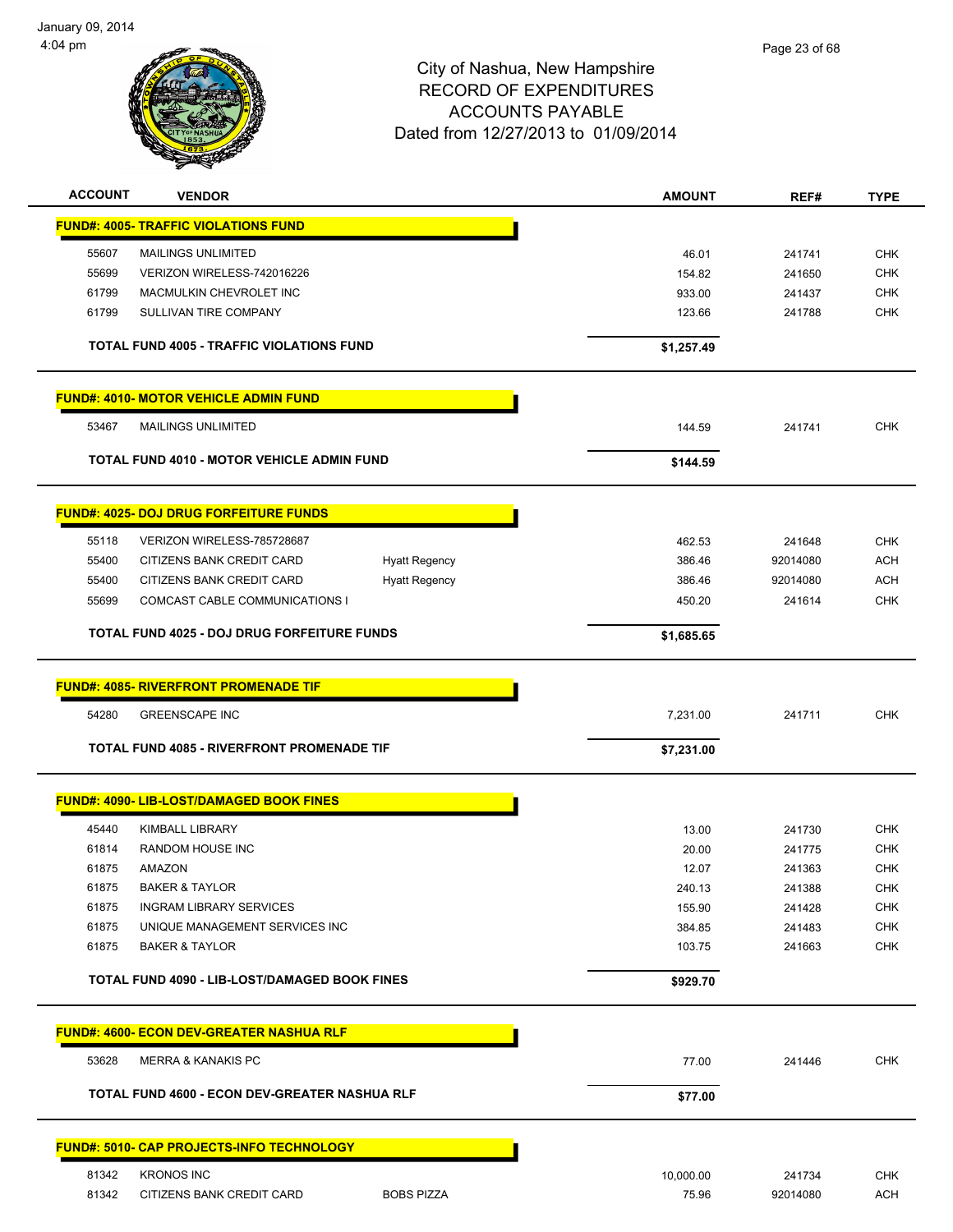

| <b>ACCOUNT</b><br><b>VENDOR</b>                            | <b>AMOUNT</b> | REF#     | <b>TYPE</b> |
|------------------------------------------------------------|---------------|----------|-------------|
| <b>FUND#: 4005- TRAFFIC VIOLATIONS FUND</b>                |               |          |             |
| <b>MAILINGS UNLIMITED</b><br>55607                         | 46.01         | 241741   | <b>CHK</b>  |
| 55699<br>VERIZON WIRELESS-742016226                        | 154.82        | 241650   | <b>CHK</b>  |
| 61799<br>MACMULKIN CHEVROLET INC                           | 933.00        | 241437   | <b>CHK</b>  |
| 61799<br>SULLIVAN TIRE COMPANY                             | 123.66        | 241788   | <b>CHK</b>  |
| <b>TOTAL FUND 4005 - TRAFFIC VIOLATIONS FUND</b>           | \$1,257.49    |          |             |
| <u> FUND#: 4010- MOTOR VEHICLE ADMIN FUND</u>              |               |          |             |
| 53467<br><b>MAILINGS UNLIMITED</b>                         | 144.59        | 241741   | <b>CHK</b>  |
| <b>TOTAL FUND 4010 - MOTOR VEHICLE ADMIN FUND</b>          | \$144.59      |          |             |
| <b>FUND#: 4025- DOJ DRUG FORFEITURE FUNDS</b>              |               |          |             |
| 55118<br>VERIZON WIRELESS-785728687                        | 462.53        | 241648   | <b>CHK</b>  |
| 55400<br>CITIZENS BANK CREDIT CARD<br><b>Hyatt Regency</b> | 386.46        | 92014080 | <b>ACH</b>  |
| 55400<br>CITIZENS BANK CREDIT CARD<br><b>Hyatt Regency</b> | 386.46        | 92014080 | <b>ACH</b>  |
| 55699<br>COMCAST CABLE COMMUNICATIONS I                    | 450.20        | 241614   | <b>CHK</b>  |
| <b>TOTAL FUND 4025 - DOJ DRUG FORFEITURE FUNDS</b>         | \$1,685.65    |          |             |
| <b>FUND#: 4085- RIVERFRONT PROMENADE TIF</b>               |               |          |             |
| 54280<br><b>GREENSCAPE INC</b>                             | 7,231.00      | 241711   | <b>CHK</b>  |
| TOTAL FUND 4085 - RIVERFRONT PROMENADE TIF                 | \$7,231.00    |          |             |
| <b>FUND#: 4090- LIB-LOST/DAMAGED BOOK FINES</b>            |               |          |             |
| 45440<br><b>KIMBALL LIBRARY</b>                            | 13.00         | 241730   | CHK         |
| 61814<br>RANDOM HOUSE INC                                  | 20.00         | 241775   | <b>CHK</b>  |
| 61875<br><b>AMAZON</b>                                     | 12.07         | 241363   | <b>CHK</b>  |
| 61875<br><b>BAKER &amp; TAYLOR</b>                         | 240.13        | 241388   | <b>CHK</b>  |
| 61875<br><b>INGRAM LIBRARY SERVICES</b>                    | 155.90        | 241428   | <b>CHK</b>  |
| 61875<br>UNIQUE MANAGEMENT SERVICES INC                    | 384.85        | 241483   | <b>CHK</b>  |
| 61875<br><b>BAKER &amp; TAYLOR</b>                         | 103.75        | 241663   | <b>CHK</b>  |
| <b>TOTAL FUND 4090 - LIB-LOST/DAMAGED BOOK FINES</b>       | \$929.70      |          |             |
| <u> FUND#: 4600- ECON DEV-GREATER NASHUA RLF</u>           |               |          |             |
| 53628<br><b>MERRA &amp; KANAKIS PC</b>                     | 77.00         | 241446   | <b>CHK</b>  |
| TOTAL FUND 4600 - ECON DEV-GREATER NASHUA RLF              | \$77.00       |          |             |
| <u> FUND#: 5010- CAP PROJECTS-INFO TECHNOLOGY_</u>         |               |          |             |
| 81342<br><b>KRONOS INC</b>                                 | 10,000.00     | 241734   | <b>CHK</b>  |
| 81342<br>CITIZENS BANK CREDIT CARD<br><b>BOBS PIZZA</b>    | 75.96         | 92014080 | <b>ACH</b>  |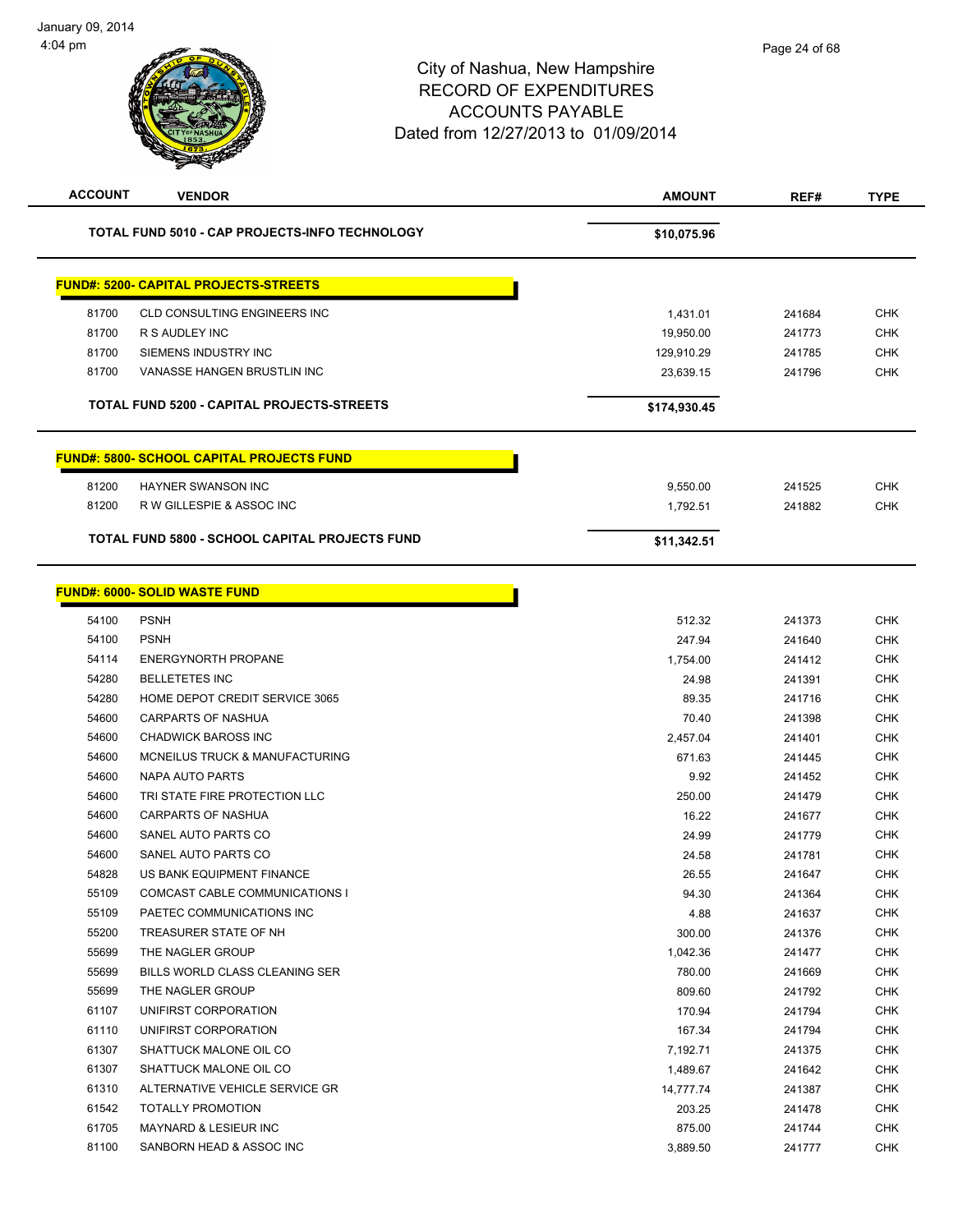# City of Nashua, New Hampshire RECORD OF EXPENDITURES ACCOUNTS PAYABLE Dated from 12/27/2013 to 01/09/2014 **ACCOUNT VENDOR AMOUNT REF# TYPE**

|       | TOTAL FUND 5010 - CAP PROJECTS-INFO TECHNOLOGY    | \$10,075.96  |        |            |
|-------|---------------------------------------------------|--------------|--------|------------|
|       | <b>FUND#: 5200- CAPITAL PROJECTS-STREETS</b>      |              |        |            |
| 81700 | CLD CONSULTING ENGINEERS INC                      | 1,431.01     | 241684 | <b>CHK</b> |
| 81700 | R S AUDLEY INC                                    | 19,950.00    | 241773 | <b>CHK</b> |
| 81700 | SIEMENS INDUSTRY INC                              | 129,910.29   | 241785 | <b>CHK</b> |
| 81700 | VANASSE HANGEN BRUSTLIN INC                       | 23,639.15    | 241796 | <b>CHK</b> |
|       | <b>TOTAL FUND 5200 - CAPITAL PROJECTS-STREETS</b> | \$174,930.45 |        |            |
|       | <b>FUND#: 5800- SCHOOL CAPITAL PROJECTS FUND</b>  |              |        |            |
|       |                                                   |              |        |            |
| 81200 | <b>HAYNER SWANSON INC</b>                         | 9,550.00     | 241525 | <b>CHK</b> |
| 81200 | R W GILLESPIE & ASSOC INC                         | 1,792.51     | 241882 | <b>CHK</b> |

### **FUND#: 6000- SOLID WASTE FUND**

|       | <u>UND#. 6000- SULID WASTE FUND</u>   |           |
|-------|---------------------------------------|-----------|
| 54100 | <b>PSNH</b>                           | 512.32    |
| 54100 | <b>PSNH</b>                           | 247.94    |
| 54114 | <b>ENERGYNORTH PROPANE</b>            | 1,754.00  |
| 54280 | <b>BELLETETES INC</b>                 | 24.98     |
| 54280 | HOME DEPOT CREDIT SERVICE 3065        | 89.35     |
| 54600 | <b>CARPARTS OF NASHUA</b>             | 70.40     |
| 54600 | <b>CHADWICK BAROSS INC</b>            | 2,457.04  |
| 54600 | MCNEILUS TRUCK & MANUFACTURING        | 671.63    |
| 54600 | NAPA AUTO PARTS                       | 9.92      |
| 54600 | TRI STATE FIRE PROTECTION LLC         | 250.00    |
| 54600 | <b>CARPARTS OF NASHUA</b>             | 16.22     |
| 54600 | SANEL AUTO PARTS CO                   | 24.99     |
| 54600 | SANEL AUTO PARTS CO                   | 24.58     |
| 54828 | US BANK EQUIPMENT FINANCE             | 26.55     |
| 55109 | <b>COMCAST CABLE COMMUNICATIONS I</b> | 94.30     |
| 55109 | PAETEC COMMUNICATIONS INC             | 4.88      |
| 55200 | TREASURER STATE OF NH                 | 300.00    |
| 55699 | THE NAGLER GROUP                      | 1,042.36  |
| 55699 | BILLS WORLD CLASS CLEANING SER        | 780.00    |
| 55699 | THE NAGLER GROUP                      | 809.60    |
| 61107 | UNIFIRST CORPORATION                  | 170.94    |
| 61110 | UNIFIRST CORPORATION                  | 167.34    |
| 61307 | SHATTUCK MALONE OIL CO                | 7,192.71  |
| 61307 | SHATTUCK MALONE OIL CO                | 1,489.67  |
| 61310 | ALTERNATIVE VEHICLE SERVICE GR        | 14,777.74 |
| 61542 | <b>TOTALLY PROMOTION</b>              | 203.25    |
| 61705 | <b>MAYNARD &amp; LESIEUR INC</b>      | 875.00    |
| 81100 | SANBORN HEAD & ASSOC INC              | 3,889.50  |
|       |                                       |           |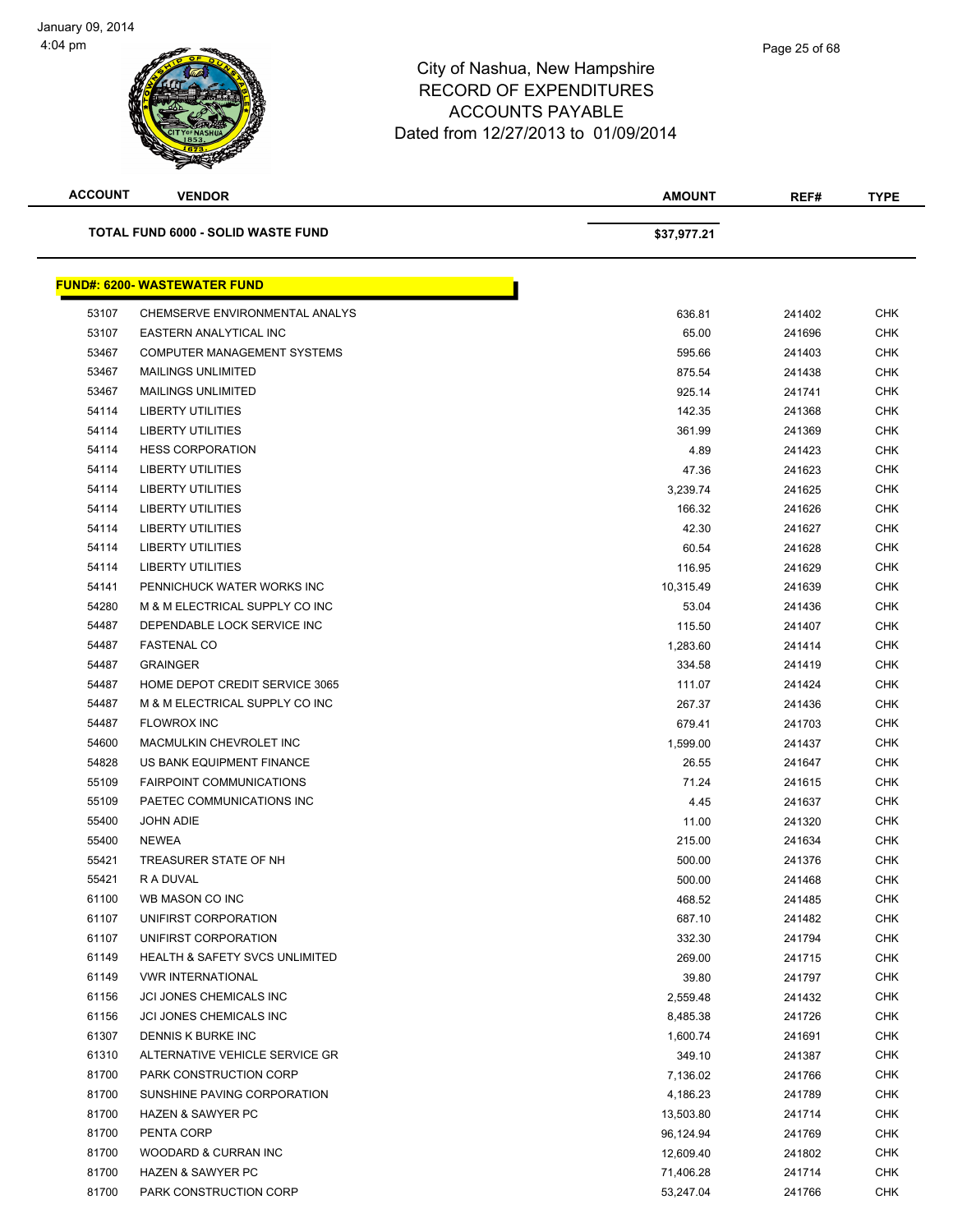| <b>ACCOUNT</b> | <b>VENDOR</b>                             | <b>AMOUNT</b> | REF#   | <b>TYPE</b> |
|----------------|-------------------------------------------|---------------|--------|-------------|
|                | TOTAL FUND 6000 - SOLID WASTE FUND        | \$37,977.21   |        |             |
|                | <b>FUND#: 6200- WASTEWATER FUND</b>       |               |        |             |
| 53107          | CHEMSERVE ENVIRONMENTAL ANALYS            | 636.81        | 241402 | <b>CHK</b>  |
| 53107          | EASTERN ANALYTICAL INC                    | 65.00         | 241696 | <b>CHK</b>  |
| 53467          | COMPUTER MANAGEMENT SYSTEMS               | 595.66        | 241403 | <b>CHK</b>  |
| 53467          | <b>MAILINGS UNLIMITED</b>                 | 875.54        | 241438 | <b>CHK</b>  |
| 53467          | <b>MAILINGS UNLIMITED</b>                 | 925.14        | 241741 | <b>CHK</b>  |
| 54114          | <b>LIBERTY UTILITIES</b>                  | 142.35        | 241368 | <b>CHK</b>  |
| 54114          | <b>LIBERTY UTILITIES</b>                  | 361.99        | 241369 | <b>CHK</b>  |
| 54114          | <b>HESS CORPORATION</b>                   | 4.89          | 241423 | <b>CHK</b>  |
| 54114          | <b>LIBERTY UTILITIES</b>                  | 47.36         | 241623 | <b>CHK</b>  |
| 54114          | <b>LIBERTY UTILITIES</b>                  | 3,239.74      | 241625 | <b>CHK</b>  |
| 54114          | <b>LIBERTY UTILITIES</b>                  | 166.32        | 241626 | CHK         |
| 54114          | <b>LIBERTY UTILITIES</b>                  | 42.30         | 241627 | <b>CHK</b>  |
| 54114          | <b>LIBERTY UTILITIES</b>                  | 60.54         | 241628 | <b>CHK</b>  |
| 54114          | <b>LIBERTY UTILITIES</b>                  | 116.95        | 241629 | <b>CHK</b>  |
| 54141          | PENNICHUCK WATER WORKS INC                | 10,315.49     | 241639 | <b>CHK</b>  |
| 54280          | M & M ELECTRICAL SUPPLY CO INC            | 53.04         | 241436 | <b>CHK</b>  |
| 54487          | DEPENDABLE LOCK SERVICE INC               | 115.50        | 241407 | <b>CHK</b>  |
| 54487          | <b>FASTENAL CO</b>                        | 1,283.60      | 241414 | <b>CHK</b>  |
| 54487          | <b>GRAINGER</b>                           | 334.58        | 241419 | CHK         |
| 54487          | <b>HOME DEPOT CREDIT SERVICE 3065</b>     | 111.07        | 241424 | <b>CHK</b>  |
| 54487          | M & M ELECTRICAL SUPPLY CO INC            | 267.37        | 241436 | <b>CHK</b>  |
| 54487          | <b>FLOWROX INC</b>                        | 679.41        | 241703 | CHK         |
| 54600          | MACMULKIN CHEVROLET INC                   | 1,599.00      | 241437 | <b>CHK</b>  |
| 54828          | US BANK EQUIPMENT FINANCE                 | 26.55         | 241647 | <b>CHK</b>  |
| 55109          | <b>FAIRPOINT COMMUNICATIONS</b>           | 71.24         | 241615 | <b>CHK</b>  |
| 55109          | PAETEC COMMUNICATIONS INC                 | 4.45          | 241637 | <b>CHK</b>  |
| 55400          | <b>JOHN ADIE</b>                          | 11.00         | 241320 | <b>CHK</b>  |
| 55400          | <b>NEWEA</b>                              | 215.00        | 241634 | <b>CHK</b>  |
| 55421          | TREASURER STATE OF NH                     | 500.00        | 241376 | CHK         |
| 55421          | R A DUVAL                                 | 500.00        | 241468 | CHK         |
| 61100          | WB MASON CO INC                           | 468.52        | 241485 | CHK         |
| 61107          | UNIFIRST CORPORATION                      | 687.10        | 241482 | <b>CHK</b>  |
| 61107          | UNIFIRST CORPORATION                      | 332.30        | 241794 | <b>CHK</b>  |
| 61149          | <b>HEALTH &amp; SAFETY SVCS UNLIMITED</b> | 269.00        | 241715 | CHK         |
| 61149          | <b>VWR INTERNATIONAL</b>                  | 39.80         | 241797 | <b>CHK</b>  |
| 61156          | JCI JONES CHEMICALS INC                   | 2,559.48      | 241432 | <b>CHK</b>  |
| 61156          | JCI JONES CHEMICALS INC                   | 8,485.38      | 241726 | <b>CHK</b>  |
| 61307          | DENNIS K BURKE INC                        | 1,600.74      | 241691 | <b>CHK</b>  |
| 61310          | ALTERNATIVE VEHICLE SERVICE GR            | 349.10        | 241387 | <b>CHK</b>  |
| 81700          | PARK CONSTRUCTION CORP                    | 7,136.02      | 241766 | <b>CHK</b>  |
| 81700          | SUNSHINE PAVING CORPORATION               | 4,186.23      | 241789 | <b>CHK</b>  |
| 81700          | <b>HAZEN &amp; SAWYER PC</b>              | 13,503.80     | 241714 | <b>CHK</b>  |
| 81700          | PENTA CORP                                | 96,124.94     | 241769 | <b>CHK</b>  |
| 81700          | WOODARD & CURRAN INC                      | 12,609.40     | 241802 | <b>CHK</b>  |
| 81700          | <b>HAZEN &amp; SAWYER PC</b>              | 71,406.28     | 241714 | <b>CHK</b>  |
| 81700          | PARK CONSTRUCTION CORP                    | 53,247.04     | 241766 | <b>CHK</b>  |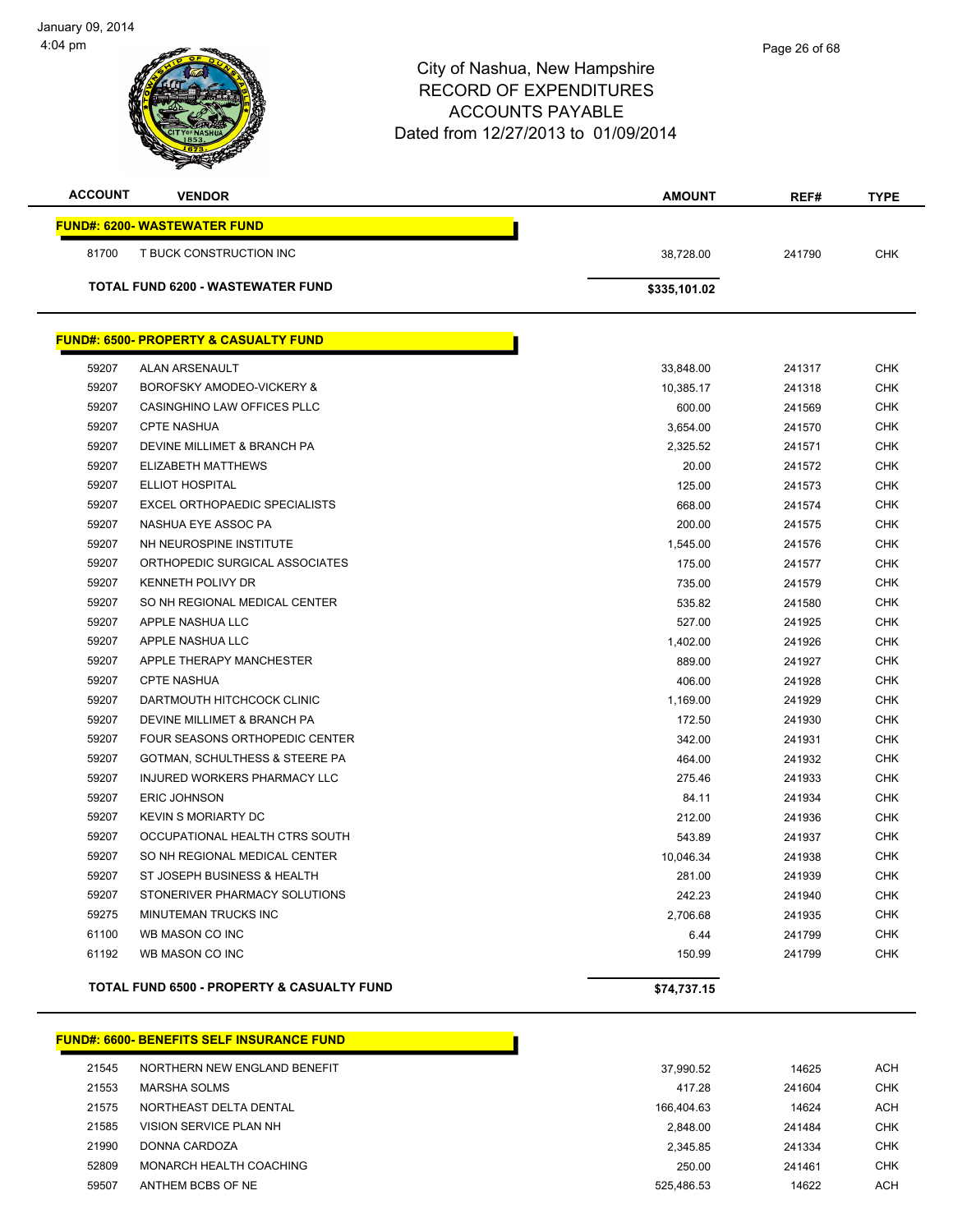| <b>ACCOUNT</b> | <b>VENDOR</b>                                    | <b>AMOUNT</b> | REF#   | <b>TYPE</b> |
|----------------|--------------------------------------------------|---------------|--------|-------------|
|                | <b>FUND#: 6200- WASTEWATER FUND</b>              |               |        |             |
| 81700          | T BUCK CONSTRUCTION INC                          | 38,728.00     | 241790 | <b>CHK</b>  |
|                | <b>TOTAL FUND 6200 - WASTEWATER FUND</b>         | \$335,101.02  |        |             |
|                | <b>FUND#: 6500- PROPERTY &amp; CASUALTY FUND</b> |               |        |             |
| 59207          | ALAN ARSENAULT                                   | 33,848.00     | 241317 | <b>CHK</b>  |
| 59207          | BOROFSKY AMODEO-VICKERY &                        | 10,385.17     | 241318 | <b>CHK</b>  |
| 59207          | CASINGHINO LAW OFFICES PLLC                      | 600.00        | 241569 | <b>CHK</b>  |
| 59207          | <b>CPTE NASHUA</b>                               | 3,654.00      | 241570 | <b>CHK</b>  |
| 59207          | DEVINE MILLIMET & BRANCH PA                      | 2,325.52      | 241571 | <b>CHK</b>  |
| 59207          | ELIZABETH MATTHEWS                               | 20.00         | 241572 | <b>CHK</b>  |
| 59207          | <b>ELLIOT HOSPITAL</b>                           | 125.00        | 241573 | <b>CHK</b>  |
| 59207          | <b>EXCEL ORTHOPAEDIC SPECIALISTS</b>             | 668.00        | 241574 | <b>CHK</b>  |
| 59207          | NASHUA EYE ASSOC PA                              | 200.00        | 241575 | <b>CHK</b>  |
| 59207          | NH NEUROSPINE INSTITUTE                          | 1,545.00      | 241576 | <b>CHK</b>  |
| 59207          | ORTHOPEDIC SURGICAL ASSOCIATES                   | 175.00        | 241577 | <b>CHK</b>  |
| 59207          | <b>KENNETH POLIVY DR</b>                         | 735.00        | 241579 | <b>CHK</b>  |
| 59207          | SO NH REGIONAL MEDICAL CENTER                    | 535.82        | 241580 | <b>CHK</b>  |
| 59207          | APPLE NASHUA LLC                                 | 527.00        | 241925 | <b>CHK</b>  |
| 59207          | APPLE NASHUA LLC                                 | 1,402.00      | 241926 | <b>CHK</b>  |
| 59207          | APPLE THERAPY MANCHESTER                         | 889.00        | 241927 | CHK         |
| 59207          | <b>CPTE NASHUA</b>                               | 406.00        | 241928 | CHK         |
| 59207          | DARTMOUTH HITCHCOCK CLINIC                       | 1,169.00      | 241929 | <b>CHK</b>  |
| 59207          | DEVINE MILLIMET & BRANCH PA                      | 172.50        | 241930 | <b>CHK</b>  |
| 59207          | FOUR SEASONS ORTHOPEDIC CENTER                   | 342.00        | 241931 | <b>CHK</b>  |
| 59207          | GOTMAN, SCHULTHESS & STEERE PA                   | 464.00        | 241932 | <b>CHK</b>  |
| 59207          | INJURED WORKERS PHARMACY LLC                     | 275.46        | 241933 | <b>CHK</b>  |
| 59207          | <b>ERIC JOHNSON</b>                              | 84.11         | 241934 | <b>CHK</b>  |
| 59207          | <b>KEVIN S MORIARTY DC</b>                       | 212.00        | 241936 | <b>CHK</b>  |
| 59207          | OCCUPATIONAL HEALTH CTRS SOUTH                   | 543.89        | 241937 | <b>CHK</b>  |
| 59207          | SO NH REGIONAL MEDICAL CENTER                    | 10,046.34     | 241938 | <b>CHK</b>  |
| 59207          | ST JOSEPH BUSINESS & HEALTH                      | 281.00        | 241939 | <b>CHK</b>  |
| 59207          | STONERIVER PHARMACY SOLUTIONS                    | 242.23        | 241940 | <b>CHK</b>  |
| 59275          | MINUTEMAN TRUCKS INC                             | 2,706.68      | 241935 | <b>CHK</b>  |
| 61100          | WB MASON CO INC                                  | 6.44          | 241799 | <b>CHK</b>  |
| 61192          | WB MASON CO INC                                  | 150.99        | 241799 | <b>CHK</b>  |
|                | TOTAL FUND 6500 - PROPERTY & CASUALTY FUND       | \$74,737.15   |        |             |

|       | <b>FUND#: 6600- BENEFITS SELF INSURANCE FUND</b> |            |        |            |
|-------|--------------------------------------------------|------------|--------|------------|
| 21545 | NORTHERN NEW ENGLAND BENEFIT                     | 37.990.52  | 14625  | <b>ACH</b> |
| 21553 | <b>MARSHA SOLMS</b>                              | 417.28     | 241604 | CHK        |
| 21575 | NORTHEAST DELTA DENTAL                           | 166.404.63 | 14624  | <b>ACH</b> |
| 21585 | VISION SERVICE PLAN NH                           | 2.848.00   | 241484 | CHK        |
| 21990 | DONNA CARDOZA                                    | 2.345.85   | 241334 | CHK        |
| 52809 | MONARCH HEALTH COACHING                          | 250.00     | 241461 | <b>CHK</b> |
| 59507 | ANTHEM BCBS OF NE                                | 525.486.53 | 14622  | ACH        |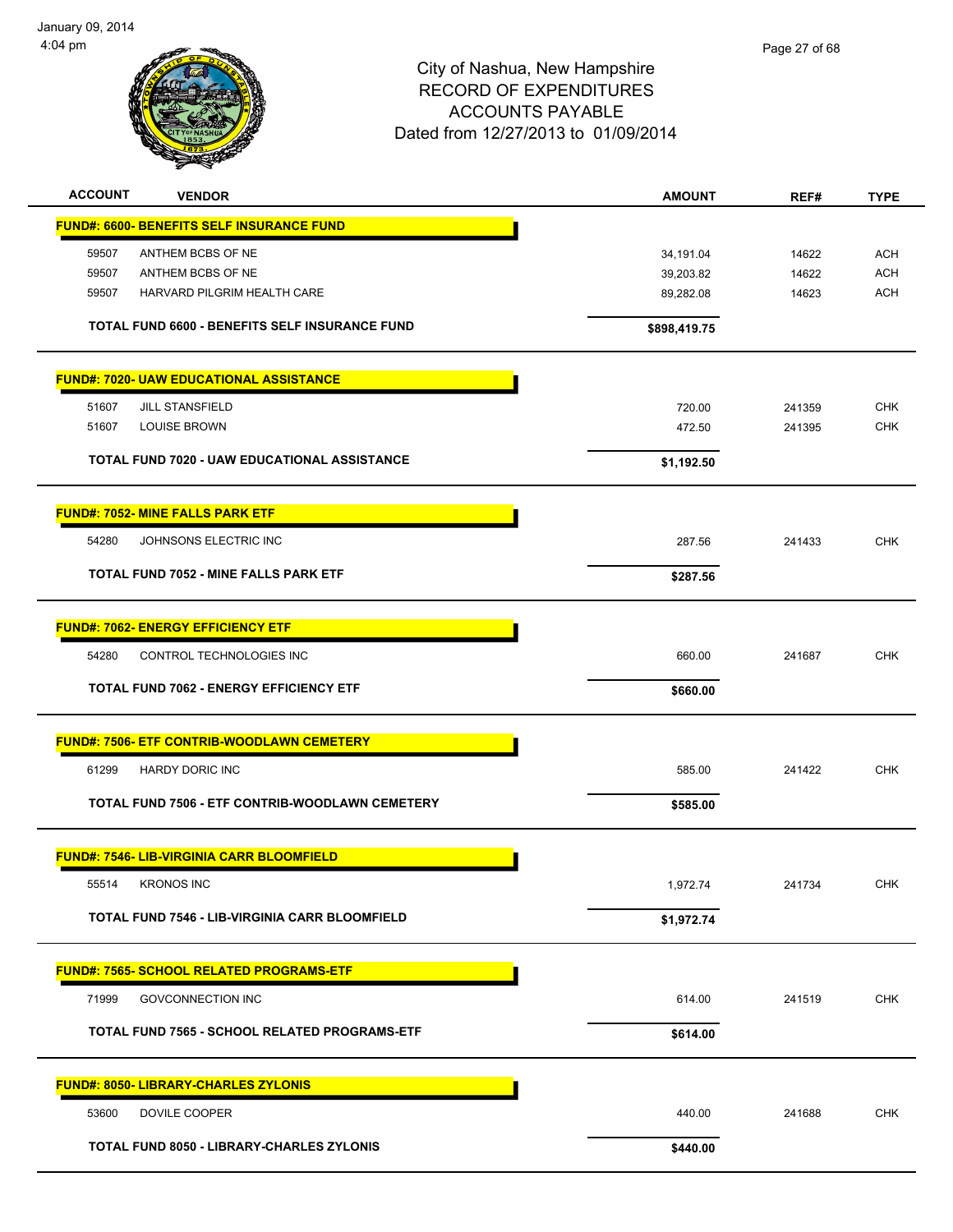

| <b>ACCOUNT</b> | <b>VENDOR</b>                                         | <b>AMOUNT</b> | REF#   | <b>TYPE</b> |
|----------------|-------------------------------------------------------|---------------|--------|-------------|
|                | <b>FUND#: 6600- BENEFITS SELF INSURANCE FUND</b>      |               |        |             |
| 59507          | ANTHEM BCBS OF NE                                     | 34,191.04     | 14622  | <b>ACH</b>  |
| 59507          | ANTHEM BCBS OF NE                                     | 39,203.82     | 14622  | <b>ACH</b>  |
| 59507          | HARVARD PILGRIM HEALTH CARE                           | 89,282.08     | 14623  | <b>ACH</b>  |
|                | TOTAL FUND 6600 - BENEFITS SELF INSURANCE FUND        | \$898,419.75  |        |             |
|                | <b>FUND#: 7020- UAW EDUCATIONAL ASSISTANCE</b>        |               |        |             |
| 51607          | <b>JILL STANSFIELD</b>                                | 720.00        | 241359 | <b>CHK</b>  |
| 51607          | <b>LOUISE BROWN</b>                                   | 472.50        | 241395 | <b>CHK</b>  |
|                | TOTAL FUND 7020 - UAW EDUCATIONAL ASSISTANCE          | \$1,192.50    |        |             |
|                | <b>FUND#: 7052- MINE FALLS PARK ETF</b>               |               |        |             |
| 54280          | JOHNSONS ELECTRIC INC                                 | 287.56        | 241433 | <b>CHK</b>  |
|                | TOTAL FUND 7052 - MINE FALLS PARK ETF                 | \$287.56      |        |             |
|                | <b>FUND#: 7062- ENERGY EFFICIENCY ETF</b>             |               |        |             |
| 54280          | CONTROL TECHNOLOGIES INC                              | 660.00        | 241687 | <b>CHK</b>  |
|                | <b>TOTAL FUND 7062 - ENERGY EFFICIENCY ETF</b>        | \$660.00      |        |             |
|                | <b>FUND#: 7506- ETF CONTRIB-WOODLAWN CEMETERY</b>     |               |        |             |
| 61299          | <b>HARDY DORIC INC</b>                                | 585.00        | 241422 | <b>CHK</b>  |
|                | TOTAL FUND 7506 - ETF CONTRIB-WOODLAWN CEMETERY       | \$585.00      |        |             |
|                | <b>FUND#: 7546- LIB-VIRGINIA CARR BLOOMFIELD</b>      |               |        |             |
|                | 55514 KRONOS INC                                      | 1,972.74      | 241734 | <b>CHK</b>  |
|                | <b>TOTAL FUND 7546 - LIB-VIRGINIA CARR BLOOMFIELD</b> | \$1,972.74    |        |             |
|                | FUND#: 7565- SCHOOL RELATED PROGRAMS-ETF              |               |        |             |
| 71999          | <b>GOVCONNECTION INC</b>                              | 614.00        | 241519 | <b>CHK</b>  |
|                | TOTAL FUND 7565 - SCHOOL RELATED PROGRAMS-ETF         | \$614.00      |        |             |
|                | <b>FUND#: 8050- LIBRARY-CHARLES ZYLONIS</b>           |               |        |             |
| 53600          | DOVILE COOPER                                         | 440.00        | 241688 | <b>CHK</b>  |
|                | <b>TOTAL FUND 8050 - LIBRARY-CHARLES ZYLONIS</b>      | \$440.00      |        |             |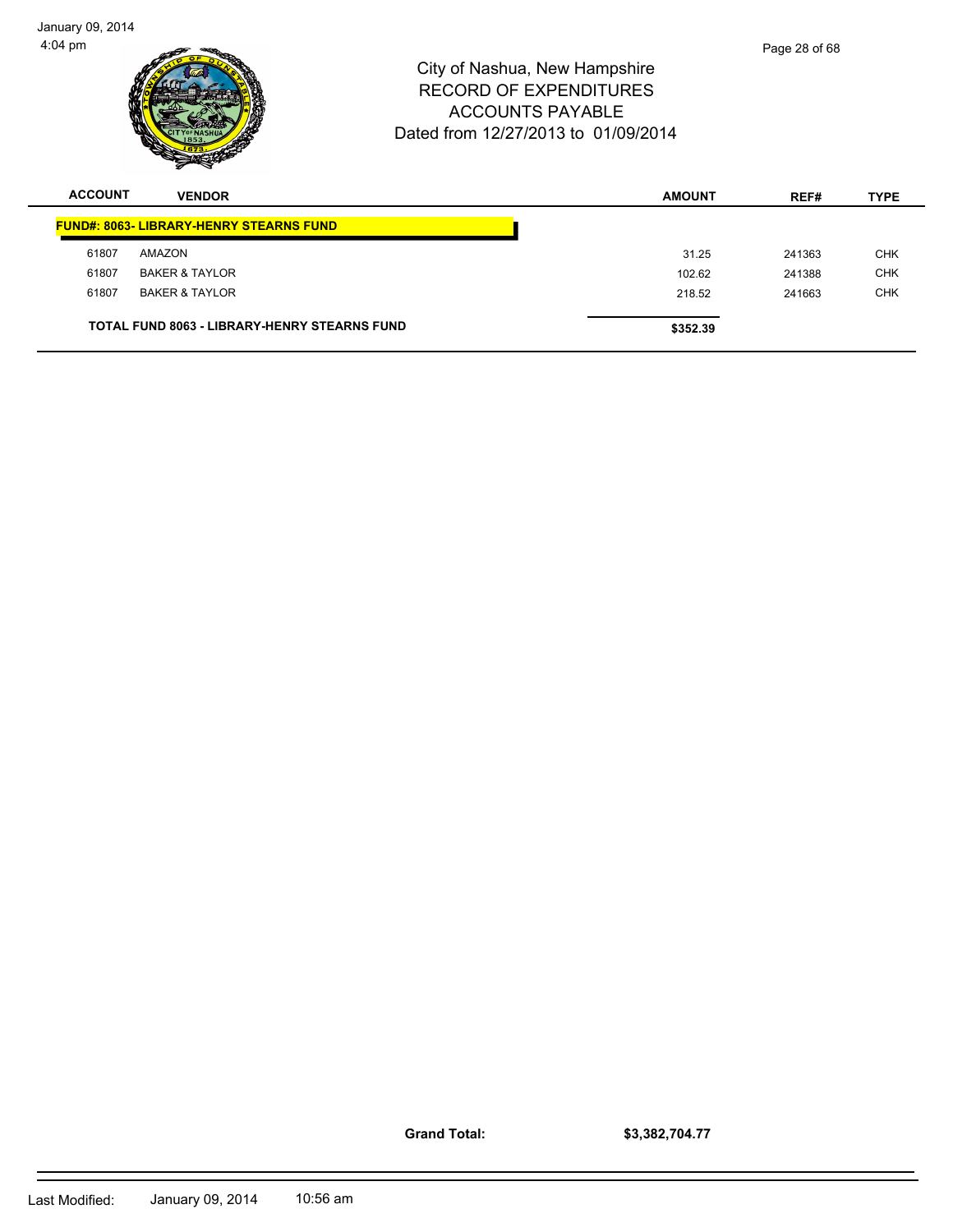| <b>ACCOUNT</b> | <b>VENDOR</b> | <b>AMOUNT</b>                                                                                                                    | REF#          | <b>TYPE</b> |
|----------------|---------------|----------------------------------------------------------------------------------------------------------------------------------|---------------|-------------|
| 1:04 pm        |               | City of Nashua, New Hampshire<br><b>RECORD OF EXPENDITURES</b><br><b>ACCOUNTS PAYABLE</b><br>Dated from 12/27/2013 to 01/09/2014 | Page 28 of 68 |             |

| 73333 | VENDUR                                              | <b>AMUURI</b> | REF#   | ᅚᄃ         |
|-------|-----------------------------------------------------|---------------|--------|------------|
|       | <b>FUND#: 8063- LIBRARY-HENRY STEARNS FUND</b>      |               |        |            |
| 61807 | AMAZON                                              | 31.25         | 241363 | <b>CHK</b> |
| 61807 | <b>BAKER &amp; TAYLOR</b>                           | 102.62        | 241388 | <b>CHK</b> |
| 61807 | BAKER & TAYLOR                                      | 218.52        | 241663 | <b>CHK</b> |
|       | <b>TOTAL FUND 8063 - LIBRARY-HENRY STEARNS FUND</b> | \$352.39      |        |            |

**Grand Total:**

**\$3,382,704.77**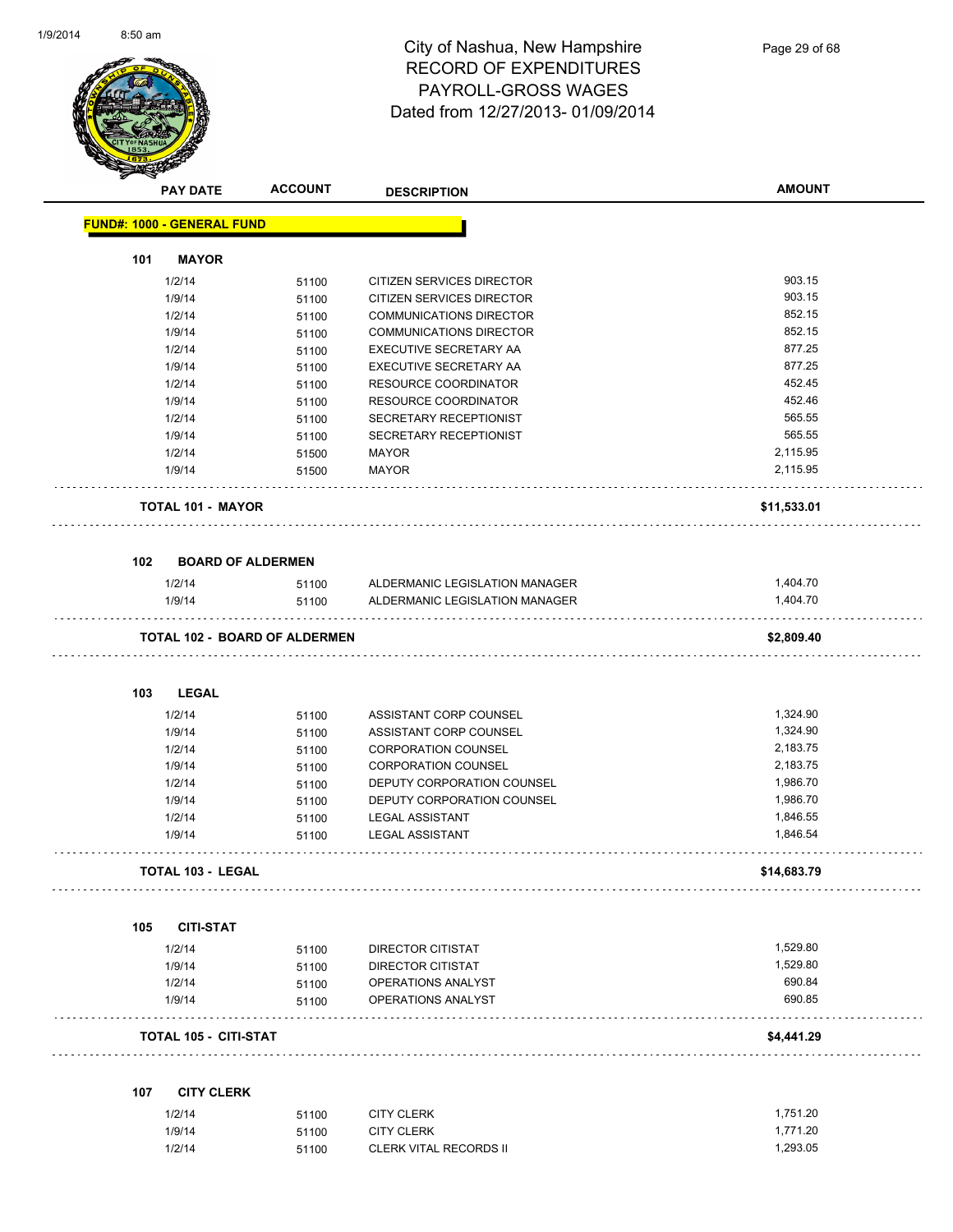

|     | <b>PAY DATE</b>                   | <b>ACCOUNT</b>                       | <b>DESCRIPTION</b>             | <b>AMOUNT</b> |
|-----|-----------------------------------|--------------------------------------|--------------------------------|---------------|
|     | <b>FUND#: 1000 - GENERAL FUND</b> |                                      |                                |               |
| 101 | <b>MAYOR</b>                      |                                      |                                |               |
|     | 1/2/14                            | 51100                                | CITIZEN SERVICES DIRECTOR      | 903.15        |
|     | 1/9/14                            | 51100                                | CITIZEN SERVICES DIRECTOR      | 903.15        |
|     | 1/2/14                            | 51100                                | <b>COMMUNICATIONS DIRECTOR</b> | 852.15        |
|     | 1/9/14                            | 51100                                | <b>COMMUNICATIONS DIRECTOR</b> | 852.15        |
|     | 1/2/14                            | 51100                                | EXECUTIVE SECRETARY AA         | 877.25        |
|     | 1/9/14                            | 51100                                | EXECUTIVE SECRETARY AA         | 877.25        |
|     | 1/2/14                            | 51100                                | RESOURCE COORDINATOR           | 452.45        |
|     | 1/9/14                            | 51100                                | <b>RESOURCE COORDINATOR</b>    | 452.46        |
|     | 1/2/14                            | 51100                                | SECRETARY RECEPTIONIST         | 565.55        |
|     | 1/9/14                            | 51100                                | SECRETARY RECEPTIONIST         | 565.55        |
|     | 1/2/14                            | 51500                                | <b>MAYOR</b>                   | 2,115.95      |
|     | 1/9/14                            | 51500                                | <b>MAYOR</b>                   | 2,115.95      |
|     | <b>TOTAL 101 - MAYOR</b>          |                                      |                                | \$11,533.01   |
| 102 |                                   | <b>BOARD OF ALDERMEN</b>             |                                |               |
|     | 1/2/14                            | 51100                                | ALDERMANIC LEGISLATION MANAGER | 1,404.70      |
|     | 1/9/14                            | 51100                                | ALDERMANIC LEGISLATION MANAGER | 1,404.70      |
|     |                                   | <b>TOTAL 102 - BOARD OF ALDERMEN</b> |                                | \$2,809.40    |
| 103 | <b>LEGAL</b>                      |                                      |                                |               |
|     | 1/2/14                            | 51100                                | ASSISTANT CORP COUNSEL         | 1,324.90      |
|     | 1/9/14                            | 51100                                | ASSISTANT CORP COUNSEL         | 1,324.90      |
|     | 1/2/14                            | 51100                                | <b>CORPORATION COUNSEL</b>     | 2,183.75      |
|     | 1/9/14                            | 51100                                | <b>CORPORATION COUNSEL</b>     | 2,183.75      |
|     | 1/2/14                            | 51100                                | DEPUTY CORPORATION COUNSEL     | 1,986.70      |
|     | 1/9/14                            | 51100                                | DEPUTY CORPORATION COUNSEL     | 1,986.70      |
|     | 1/2/14                            | 51100                                | <b>LEGAL ASSISTANT</b>         | 1,846.55      |
|     | 1/9/14                            | 51100                                | <b>LEGAL ASSISTANT</b>         | 1,846.54      |
|     |                                   |                                      |                                |               |
|     | TOTAL 103 - LEGAL                 |                                      |                                | \$14,683.79   |
| 105 | <b>CITI-STAT</b>                  |                                      |                                |               |
|     | 1/2/14                            | 51100                                | DIRECTOR CITISTAT              | 1,529.80      |
|     | 1/9/14                            | 51100                                | <b>DIRECTOR CITISTAT</b>       | 1,529.80      |
|     | 1/2/14                            | 51100                                | OPERATIONS ANALYST             | 690.84        |
|     | 1/9/14                            | 51100                                | OPERATIONS ANALYST             | 690.85        |
|     | <b>TOTAL 105 - CITI-STAT</b>      |                                      |                                | \$4,441.29    |
|     |                                   |                                      |                                |               |
| 107 | <b>CITY CLERK</b>                 |                                      |                                |               |
|     | 1/2/14                            | 51100                                | <b>CITY CLERK</b>              | 1,751.20      |
|     | 1/9/14                            | 51100                                | <b>CITY CLERK</b>              | 1,771.20      |
|     | 1/2/14                            | 51100                                | CLERK VITAL RECORDS II         | 1,293.05      |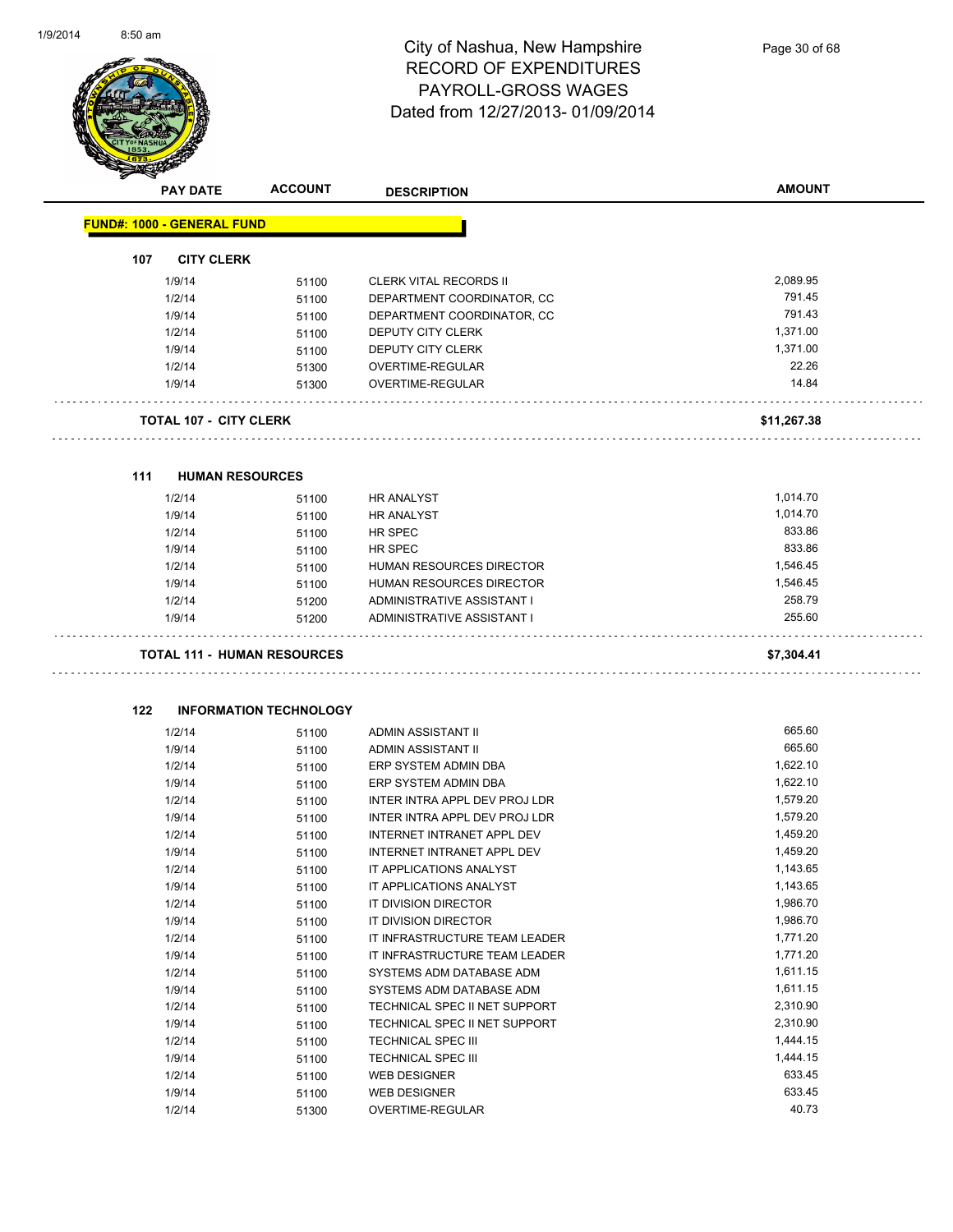

|     | <b>PAY DATE</b>                    | <b>ACCOUNT</b>                | <b>DESCRIPTION</b>              | <b>AMOUNT</b> |
|-----|------------------------------------|-------------------------------|---------------------------------|---------------|
|     | <b>FUND#: 1000 - GENERAL FUND</b>  |                               |                                 |               |
| 107 | <b>CITY CLERK</b>                  |                               |                                 |               |
|     | 1/9/14                             | 51100                         | <b>CLERK VITAL RECORDS II</b>   | 2,089.95      |
|     | 1/2/14                             | 51100                         | DEPARTMENT COORDINATOR, CC      | 791.45        |
|     | 1/9/14                             | 51100                         | DEPARTMENT COORDINATOR, CC      | 791.43        |
|     | 1/2/14                             | 51100                         | <b>DEPUTY CITY CLERK</b>        | 1,371.00      |
|     | 1/9/14                             | 51100                         | DEPUTY CITY CLERK               | 1,371.00      |
|     | 1/2/14                             | 51300                         | OVERTIME-REGULAR                | 22.26         |
|     | 1/9/14                             | 51300                         | OVERTIME-REGULAR                | 14.84         |
|     | <b>TOTAL 107 - CITY CLERK</b>      |                               |                                 | \$11,267.38   |
| 111 | <b>HUMAN RESOURCES</b>             |                               |                                 |               |
|     | 1/2/14                             | 51100                         | <b>HR ANALYST</b>               | 1,014.70      |
|     | 1/9/14                             | 51100                         | <b>HR ANALYST</b>               | 1,014.70      |
|     | 1/2/14                             | 51100                         | HR SPEC                         | 833.86        |
|     | 1/9/14                             | 51100                         | <b>HR SPEC</b>                  | 833.86        |
|     | 1/2/14                             | 51100                         | HUMAN RESOURCES DIRECTOR        | 1,546.45      |
|     | 1/9/14                             | 51100                         | <b>HUMAN RESOURCES DIRECTOR</b> | 1,546.45      |
|     | 1/2/14                             | 51200                         | ADMINISTRATIVE ASSISTANT I      | 258.79        |
|     | 1/9/14                             | 51200                         | ADMINISTRATIVE ASSISTANT I      | 255.60        |
|     | <b>TOTAL 111 - HUMAN RESOURCES</b> |                               |                                 | \$7,304.41    |
|     |                                    |                               |                                 |               |
| 122 |                                    | <b>INFORMATION TECHNOLOGY</b> |                                 |               |
|     | 1/2/14                             | 51100                         | ADMIN ASSISTANT II              | 665.60        |
|     | 1/9/14                             | 51100                         | ADMIN ASSISTANT II              | 665.60        |
|     | 1/2/14                             | 51100                         | ERP SYSTEM ADMIN DBA            | 1,622.10      |
|     | 1/9/14                             | 51100                         | ERP SYSTEM ADMIN DBA            | 1,622.10      |
|     | 1/2/14                             | 51100                         | INTER INTRA APPL DEV PROJ LDR   | 1,579.20      |
|     | 1/9/14                             | 51100                         | INTER INTRA APPL DEV PROJ LDR   | 1,579.20      |
|     | 1/2/14                             | 51100                         | INTERNET INTRANET APPL DEV      | 1,459.20      |
|     | 1/9/14                             | 51100                         | INTERNET INTRANET APPL DEV      | 1,459.20      |
|     | 1/2/14                             | 51100                         | IT APPLICATIONS ANALYST         | 1,143.65      |
|     | 1/9/14                             | 51100                         | IT APPLICATIONS ANALYST         | 1,143.65      |
|     | 1/2/14                             | 51100                         | IT DIVISION DIRECTOR            | 1,986.70      |
|     | 1/9/14                             | 51100                         | IT DIVISION DIRECTOR            | 1,986.70      |
|     | 1/2/14                             | 51100                         | IT INFRASTRUCTURE TEAM LEADER   | 1,771.20      |
|     | 1/9/14                             | 51100                         | IT INFRASTRUCTURE TEAM LEADER   | 1,771.20      |
|     | 1/2/14                             | 51100                         | SYSTEMS ADM DATABASE ADM        | 1,611.15      |
|     | 1/9/14                             | 51100                         | SYSTEMS ADM DATABASE ADM        | 1,611.15      |
|     | 1/2/14                             | 51100                         | TECHNICAL SPEC II NET SUPPORT   | 2,310.90      |
|     | 1/9/14                             | 51100                         | TECHNICAL SPEC II NET SUPPORT   | 2,310.90      |
|     | 1/2/14                             | 51100                         | TECHNICAL SPEC III              | 1,444.15      |
|     | 1/9/14                             | 51100                         | TECHNICAL SPEC III              | 1,444.15      |
|     | 1/2/14                             | 51100                         | <b>WEB DESIGNER</b>             | 633.45        |
|     | 1/9/14                             | 51100                         | <b>WEB DESIGNER</b>             | 633.45        |

1/2/14 51300 OVERTIME-REGULAR 40.73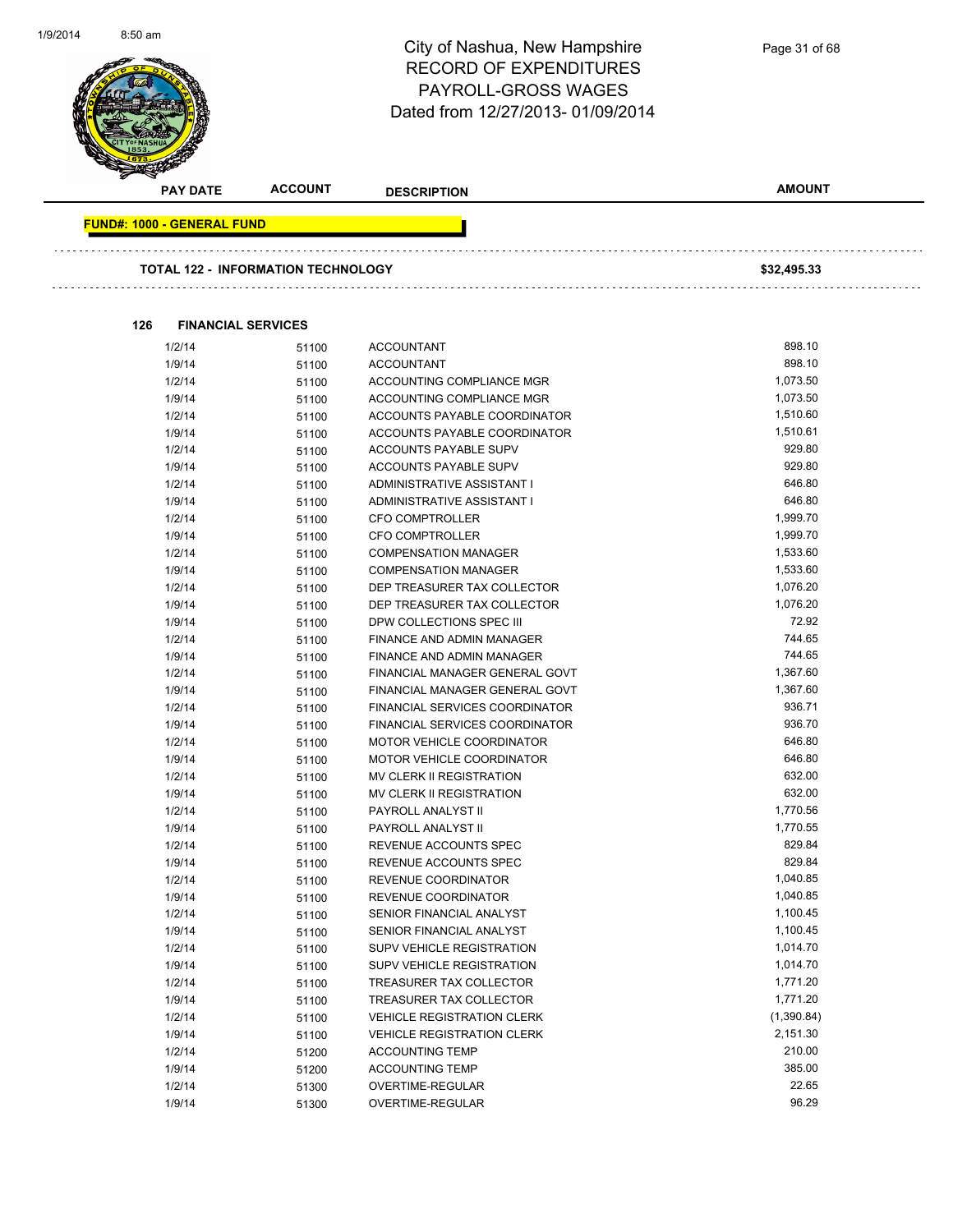

| <b>PAY DATE</b>                   | <b>ACCOUNT</b>                            | <b>DESCRIPTION</b>                | <b>AMOUNT</b> |  |
|-----------------------------------|-------------------------------------------|-----------------------------------|---------------|--|
| <b>FUND#: 1000 - GENERAL FUND</b> |                                           |                                   |               |  |
|                                   | <b>TOTAL 122 - INFORMATION TECHNOLOGY</b> |                                   | \$32,495.33   |  |
|                                   |                                           |                                   |               |  |
| 126                               | <b>FINANCIAL SERVICES</b>                 |                                   |               |  |
| 1/2/14                            | 51100                                     | <b>ACCOUNTANT</b>                 | 898.10        |  |
| 1/9/14                            | 51100                                     | <b>ACCOUNTANT</b>                 | 898.10        |  |
| 1/2/14                            | 51100                                     | ACCOUNTING COMPLIANCE MGR         | 1,073.50      |  |
| 1/9/14                            | 51100                                     | ACCOUNTING COMPLIANCE MGR         | 1,073.50      |  |
| 1/2/14                            | 51100                                     | ACCOUNTS PAYABLE COORDINATOR      | 1,510.60      |  |
| 1/9/14                            | 51100                                     | ACCOUNTS PAYABLE COORDINATOR      | 1,510.61      |  |
| 1/2/14                            | 51100                                     | ACCOUNTS PAYABLE SUPV             | 929.80        |  |
| 1/9/14                            | 51100                                     | ACCOUNTS PAYABLE SUPV             | 929.80        |  |
| 1/2/14                            | 51100                                     | ADMINISTRATIVE ASSISTANT I        | 646.80        |  |
| 1/9/14                            | 51100                                     | ADMINISTRATIVE ASSISTANT I        | 646.80        |  |
| 1/2/14                            | 51100                                     | <b>CFO COMPTROLLER</b>            | 1,999.70      |  |
| 1/9/14                            | 51100                                     | <b>CFO COMPTROLLER</b>            | 1,999.70      |  |
| 1/2/14                            | 51100                                     | <b>COMPENSATION MANAGER</b>       | 1,533.60      |  |
| 1/9/14                            | 51100                                     | <b>COMPENSATION MANAGER</b>       | 1,533.60      |  |
| 1/2/14                            | 51100                                     | DEP TREASURER TAX COLLECTOR       | 1,076.20      |  |
| 1/9/14                            | 51100                                     | DEP TREASURER TAX COLLECTOR       | 1,076.20      |  |
| 1/9/14                            | 51100                                     | DPW COLLECTIONS SPEC III          | 72.92         |  |
| 1/2/14                            | 51100                                     | FINANCE AND ADMIN MANAGER         | 744.65        |  |
| 1/9/14                            | 51100                                     | FINANCE AND ADMIN MANAGER         | 744.65        |  |
| 1/2/14                            | 51100                                     | FINANCIAL MANAGER GENERAL GOVT    | 1,367.60      |  |
| 1/9/14                            | 51100                                     | FINANCIAL MANAGER GENERAL GOVT    | 1,367.60      |  |
| 1/2/14                            | 51100                                     | FINANCIAL SERVICES COORDINATOR    | 936.71        |  |
| 1/9/14                            | 51100                                     | FINANCIAL SERVICES COORDINATOR    | 936.70        |  |
| 1/2/14                            | 51100                                     | <b>MOTOR VEHICLE COORDINATOR</b>  | 646.80        |  |
| 1/9/14                            | 51100                                     | <b>MOTOR VEHICLE COORDINATOR</b>  | 646.80        |  |
| 1/2/14                            | 51100                                     | MV CLERK II REGISTRATION          | 632.00        |  |
| 1/9/14                            | 51100                                     | MV CLERK II REGISTRATION          | 632.00        |  |
| 1/2/14                            | 51100                                     | PAYROLL ANALYST II                | 1,770.56      |  |
| 1/9/14                            | 51100                                     | PAYROLL ANALYST II                | 1,770.55      |  |
| 1/2/14                            | 51100                                     | REVENUE ACCOUNTS SPEC             | 829.84        |  |
| 1/9/14                            | 51100                                     | REVENUE ACCOUNTS SPEC             | 829.84        |  |
| 1/2/14                            | 51100                                     | REVENUE COORDINATOR               | 1,040.85      |  |
| 1/9/14                            | 51100                                     | REVENUE COORDINATOR               | 1,040.85      |  |
| 1/2/14                            | 51100                                     | SENIOR FINANCIAL ANALYST          | 1,100.45      |  |
| 1/9/14                            | 51100                                     | SENIOR FINANCIAL ANALYST          | 1,100.45      |  |
| 1/2/14                            | 51100                                     | <b>SUPV VEHICLE REGISTRATION</b>  | 1,014.70      |  |
| 1/9/14                            | 51100                                     | SUPV VEHICLE REGISTRATION         | 1,014.70      |  |
| 1/2/14                            | 51100                                     | TREASURER TAX COLLECTOR           | 1,771.20      |  |
| 1/9/14                            | 51100                                     | TREASURER TAX COLLECTOR           | 1,771.20      |  |
| 1/2/14                            | 51100                                     | <b>VEHICLE REGISTRATION CLERK</b> | (1,390.84)    |  |
| 1/9/14                            | 51100                                     | <b>VEHICLE REGISTRATION CLERK</b> | 2,151.30      |  |
| 1/2/14                            | 51200                                     | <b>ACCOUNTING TEMP</b>            | 210.00        |  |
| 1/9/14                            | 51200                                     | <b>ACCOUNTING TEMP</b>            | 385.00        |  |
| 1/2/14                            | 51300                                     | OVERTIME-REGULAR                  | 22.65         |  |
| 1/9/14                            | 51300                                     | OVERTIME-REGULAR                  | 96.29         |  |

Page 31 of 68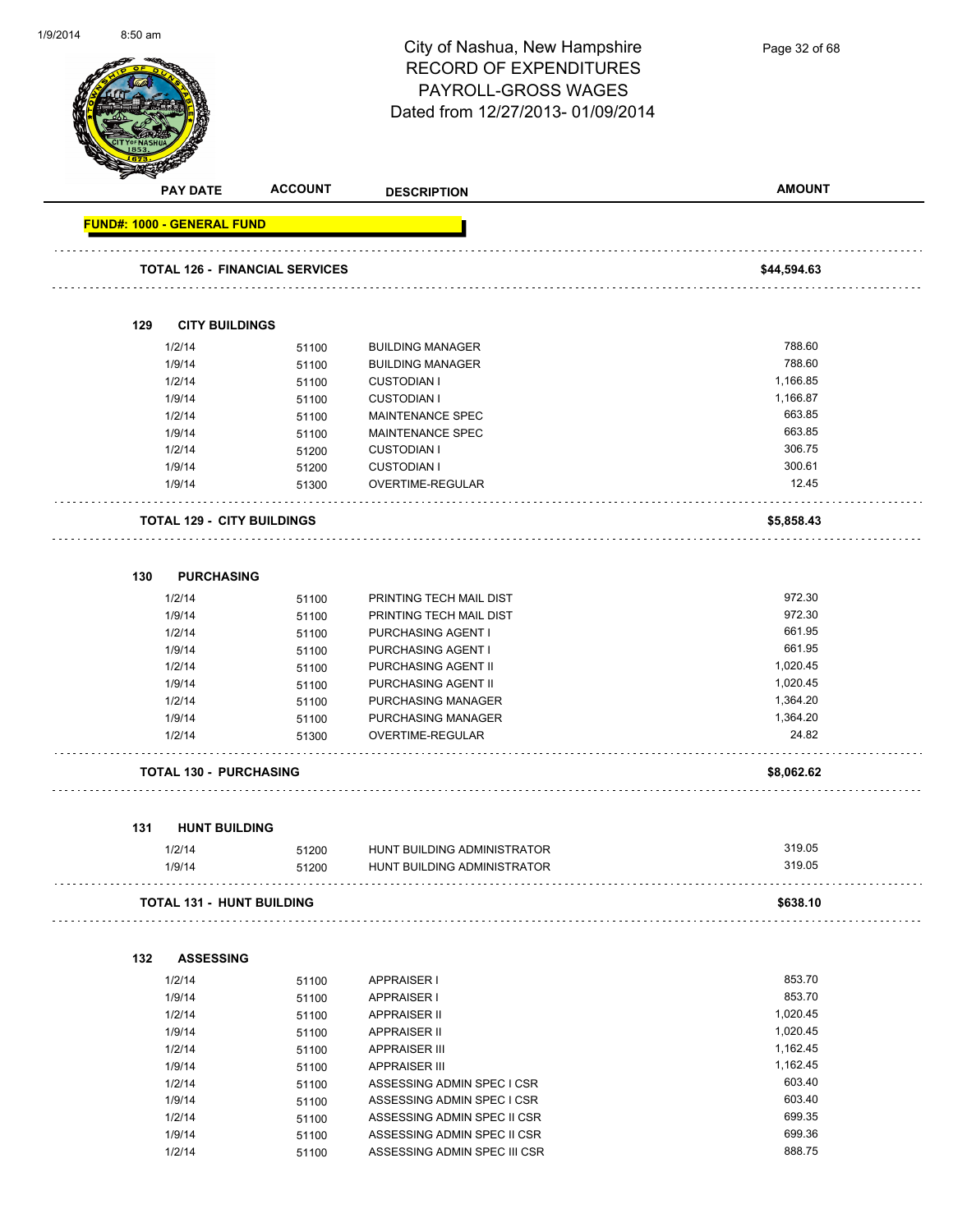

**PAY DATE ACCOUNT DESCRIPTION AMOUNT FUND#: 1000 - GENERAL FUND TOTAL 126 - FINANCIAL SERVICES \$44,594.63 129 CITY BUILDINGS** 1/2/14 51100 BUILDING MANAGER 788.60 1/9/14 51100 BUILDING MANAGER 788.60 1/2/14 51100 CUSTODIAN I 1,166.85 1/9/14 51100 CUSTODIAN I 1,166.87 1/2/14 51100 MAINTENANCE SPEC 663.85 1/9/14 51100 MAINTENANCE SPEC 663.85 1/2/14 51200 CUSTODIAN I 306.75 1/9/14 51200 CUSTODIAN I 300.61 1/9/14 51300 OVERTIME-REGULAR 12.45 . . . . . . . . . . . . . . **TOTAL 129 - CITY BUILDINGS \$5,858.43 130 PURCHASING** 1/2/14 51100 PRINTING TECH MAIL DIST 972.30 1/9/14 51100 PRINTING TECH MAIL DIST 972.30 1/2/14 51100 PURCHASING AGENT I 661.95 1/9/14 51100 PURCHASING AGENT I 661.95 1/2/14 51100 PURCHASING AGENT II 1/9/14 51100 PURCHASING AGENT II 1,020.45 1/2/14 51100 PURCHASING MANAGER 1,364.20 1/9/14 51100 PURCHASING MANAGER 1,364.20 1/2/14 51300 OVERTIME-REGULAR 24.82 **TOTAL 130 - PURCHASING \$8,062.62 131 HUNT BUILDING** 1/2/14 51200 HUNT BUILDING ADMINISTRATOR 319.05 1/9/14 51200 HUNT BUILDING ADMINISTRATOR 319.05 **TOTAL 131 - HUNT BUILDING \$638.10 132 ASSESSING** 1/2/14 51100 APPRAISER I 853.70 1/9/14 51100 APPRAISER I 853.70 1/2/14 51100 APPRAISER II 1,020.45 1/9/14 51100 APPRAISER II 1,020.45 1/2/14 51100 APPRAISER III 1,162.45 1/9/14 51100 APPRAISER III 1,162.45 1/2/14 51100 ASSESSING ADMIN SPEC I CSR 603.40 1/9/14 51100 ASSESSING ADMIN SPEC I CSR 603.40 1/2/14 51100 ASSESSING ADMIN SPEC II CSR 699.35

> 1/9/14 51100 ASSESSING ADMIN SPEC II CSR 699.36 1/2/14 51100 ASSESSING ADMIN SPEC III CSR 688.75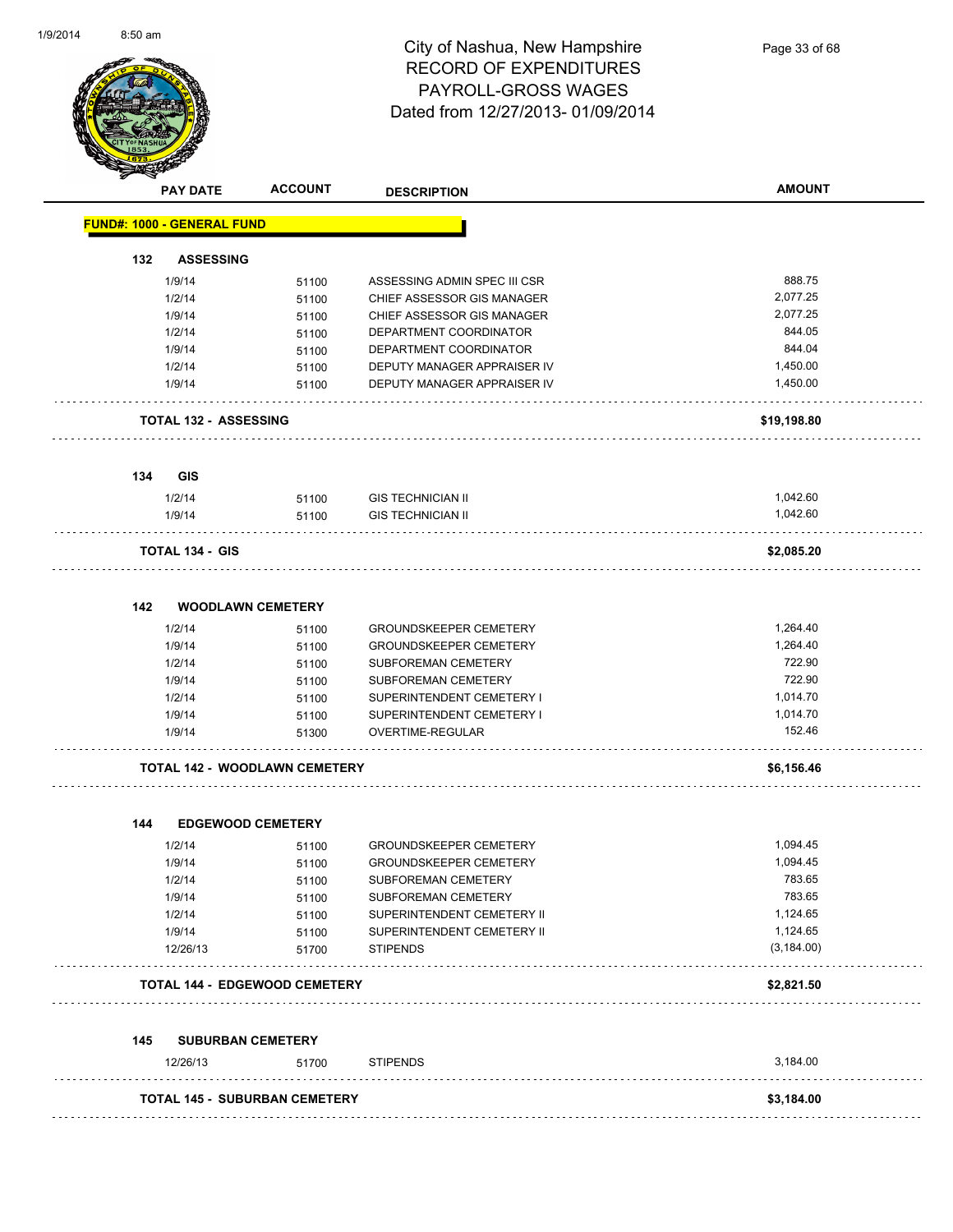

Page 33 of 68

|     | <b>PAY DATE</b>                   | <b>ACCOUNT</b>                       | <b>DESCRIPTION</b>            | <b>AMOUNT</b> |
|-----|-----------------------------------|--------------------------------------|-------------------------------|---------------|
|     | <b>FUND#: 1000 - GENERAL FUND</b> |                                      |                               |               |
| 132 | <b>ASSESSING</b>                  |                                      |                               |               |
|     | 1/9/14                            | 51100                                | ASSESSING ADMIN SPEC III CSR  | 888.75        |
|     | 1/2/14                            | 51100                                | CHIEF ASSESSOR GIS MANAGER    | 2,077.25      |
|     | 1/9/14                            | 51100                                | CHIEF ASSESSOR GIS MANAGER    | 2,077.25      |
|     | 1/2/14                            | 51100                                | DEPARTMENT COORDINATOR        | 844.05        |
|     | 1/9/14                            | 51100                                | DEPARTMENT COORDINATOR        | 844.04        |
|     | 1/2/14                            | 51100                                | DEPUTY MANAGER APPRAISER IV   | 1,450.00      |
|     | 1/9/14                            | 51100                                | DEPUTY MANAGER APPRAISER IV   | 1,450.00      |
|     | <b>TOTAL 132 - ASSESSING</b>      |                                      |                               | \$19,198.80   |
| 134 | GIS                               |                                      |                               |               |
|     | 1/2/14                            | 51100                                | <b>GIS TECHNICIAN II</b>      | 1,042.60      |
|     | 1/9/14                            | 51100                                | <b>GIS TECHNICIAN II</b>      | 1,042.60      |
|     | <b>TOTAL 134 - GIS</b>            |                                      |                               | \$2,085.20    |
| 142 | <b>WOODLAWN CEMETERY</b>          |                                      |                               |               |
|     | 1/2/14                            | 51100                                | <b>GROUNDSKEEPER CEMETERY</b> | 1,264.40      |
|     | 1/9/14                            | 51100                                | <b>GROUNDSKEEPER CEMETERY</b> | 1,264.40      |
|     | 1/2/14                            | 51100                                | SUBFOREMAN CEMETERY           | 722.90        |
|     | 1/9/14                            | 51100                                | SUBFOREMAN CEMETERY           | 722.90        |
|     | 1/2/14                            | 51100                                | SUPERINTENDENT CEMETERY I     | 1,014.70      |
|     | 1/9/14                            | 51100                                | SUPERINTENDENT CEMETERY I     | 1,014.70      |
|     | 1/9/14                            | 51300                                | OVERTIME-REGULAR              | 152.46        |
|     |                                   | <b>TOTAL 142 - WOODLAWN CEMETERY</b> |                               | \$6,156.46    |
| 144 | <b>EDGEWOOD CEMETERY</b>          |                                      |                               |               |
|     | 1/2/14                            | 51100                                | <b>GROUNDSKEEPER CEMETERY</b> | 1,094.45      |
|     | 1/9/14                            | 51100                                | <b>GROUNDSKEEPER CEMETERY</b> | 1,094.45      |
|     | 1/2/14                            | 51100                                | SUBFOREMAN CEMETERY           | 783.65        |
|     | 1/9/14                            | 51100                                | SUBFOREMAN CEMETERY           | 783.65        |
|     | 1/2/14                            | 51100                                | SUPERINTENDENT CEMETERY II    | 1,124.65      |
|     | 1/9/14                            | 51100                                | SUPERINTENDENT CEMETERY II    | 1,124.65      |
|     | 12/26/13                          | 51700                                | <b>STIPENDS</b>               | (3, 184.00)   |
|     |                                   | <b>TOTAL 144 - EDGEWOOD CEMETERY</b> |                               | \$2,821.50    |
| 145 | <b>SUBURBAN CEMETERY</b>          |                                      |                               |               |
|     | 12/26/13                          | 51700                                | <b>STIPENDS</b>               | 3,184.00      |
|     |                                   | <b>TOTAL 145 - SUBURBAN CEMETERY</b> |                               | \$3,184.00    |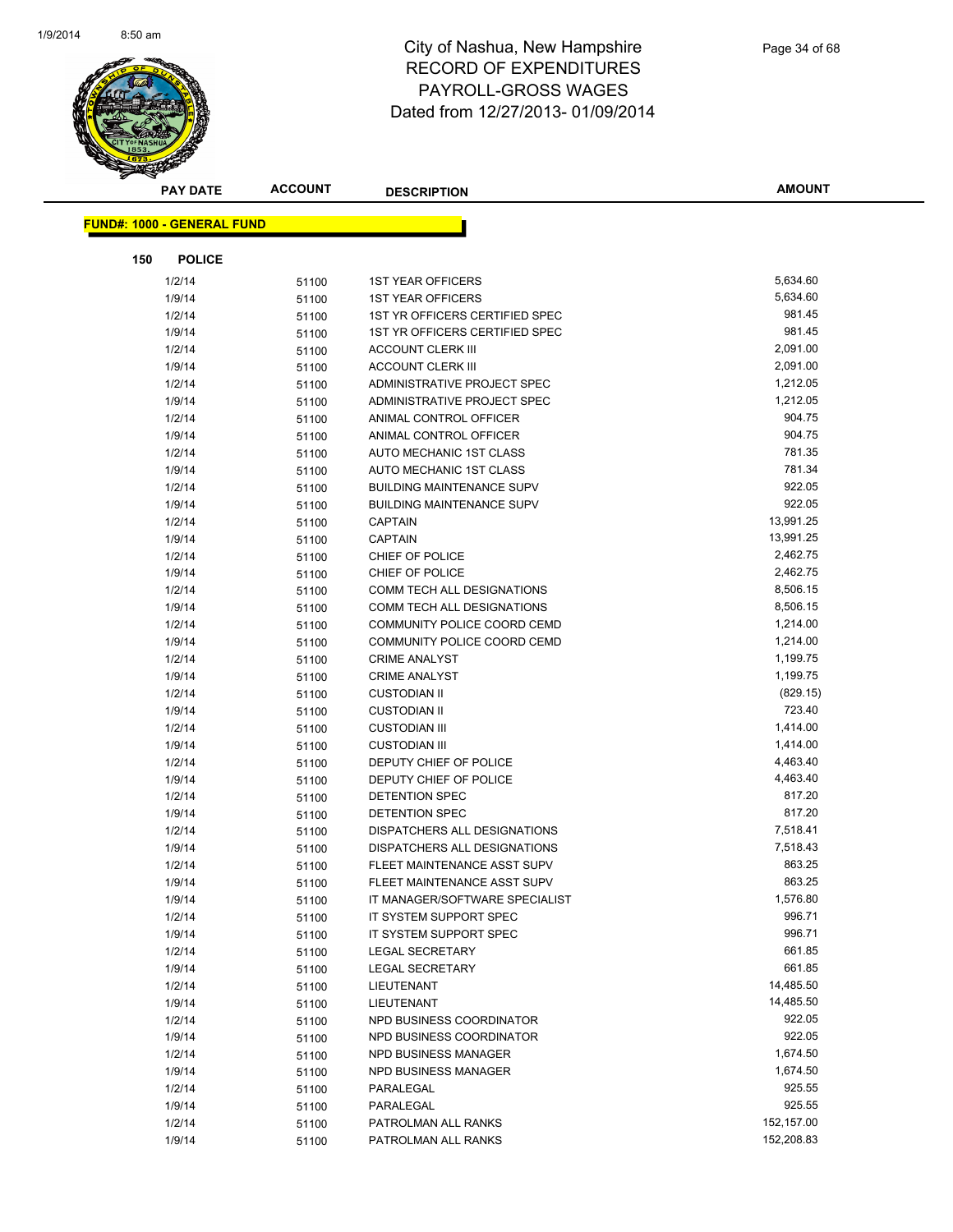

| <b>PAY DATE</b>                   | <b>ACCOUNT</b> | <b>DESCRIPTION</b>                           | <b>AMOUNT</b>      |
|-----------------------------------|----------------|----------------------------------------------|--------------------|
| <b>FUND#: 1000 - GENERAL FUND</b> |                |                                              |                    |
|                                   |                |                                              |                    |
| 150<br><b>POLICE</b>              |                |                                              |                    |
| 1/2/14                            | 51100          | <b>1ST YEAR OFFICERS</b>                     | 5,634.60           |
| 1/9/14                            | 51100          | <b>1ST YEAR OFFICERS</b>                     | 5,634.60           |
| 1/2/14                            | 51100          | 1ST YR OFFICERS CERTIFIED SPEC               | 981.45             |
| 1/9/14                            | 51100          | 1ST YR OFFICERS CERTIFIED SPEC               | 981.45             |
| 1/2/14                            | 51100          | <b>ACCOUNT CLERK III</b>                     | 2,091.00           |
| 1/9/14                            | 51100          | <b>ACCOUNT CLERK III</b>                     | 2,091.00           |
| 1/2/14                            | 51100          | ADMINISTRATIVE PROJECT SPEC                  | 1,212.05           |
| 1/9/14                            | 51100          | ADMINISTRATIVE PROJECT SPEC                  | 1,212.05           |
| 1/2/14                            | 51100          | ANIMAL CONTROL OFFICER                       | 904.75             |
| 1/9/14                            | 51100          | ANIMAL CONTROL OFFICER                       | 904.75             |
| 1/2/14                            | 51100          | AUTO MECHANIC 1ST CLASS                      | 781.35             |
| 1/9/14                            | 51100          | AUTO MECHANIC 1ST CLASS                      | 781.34             |
| 1/2/14                            | 51100          | <b>BUILDING MAINTENANCE SUPV</b>             | 922.05             |
| 1/9/14                            | 51100          | <b>BUILDING MAINTENANCE SUPV</b>             | 922.05             |
| 1/2/14                            | 51100          | <b>CAPTAIN</b>                               | 13,991.25          |
| 1/9/14                            | 51100          | <b>CAPTAIN</b>                               | 13,991.25          |
| 1/2/14                            | 51100          | CHIEF OF POLICE                              | 2,462.75           |
| 1/9/14                            | 51100          | CHIEF OF POLICE                              | 2,462.75           |
| 1/2/14                            | 51100          | COMM TECH ALL DESIGNATIONS                   | 8,506.15           |
| 1/9/14                            | 51100          | COMM TECH ALL DESIGNATIONS                   | 8,506.15           |
| 1/2/14                            | 51100          | COMMUNITY POLICE COORD CEMD                  | 1,214.00           |
| 1/9/14                            | 51100          | COMMUNITY POLICE COORD CEMD                  | 1,214.00           |
| 1/2/14                            | 51100          | <b>CRIME ANALYST</b>                         | 1,199.75           |
| 1/9/14                            | 51100          | <b>CRIME ANALYST</b>                         | 1,199.75           |
| 1/2/14                            | 51100          | <b>CUSTODIAN II</b>                          | (829.15)<br>723.40 |
| 1/9/14                            | 51100          | <b>CUSTODIAN II</b>                          | 1,414.00           |
| 1/2/14<br>1/9/14                  | 51100          | <b>CUSTODIAN III</b><br><b>CUSTODIAN III</b> | 1,414.00           |
| 1/2/14                            | 51100          | DEPUTY CHIEF OF POLICE                       | 4,463.40           |
| 1/9/14                            | 51100          | DEPUTY CHIEF OF POLICE                       | 4,463.40           |
| 1/2/14                            | 51100<br>51100 | DETENTION SPEC                               | 817.20             |
| 1/9/14                            | 51100          | DETENTION SPEC                               | 817.20             |
| 1/2/14                            | 51100          | DISPATCHERS ALL DESIGNATIONS                 | 7,518.41           |
| 1/9/14                            | 51100          | DISPATCHERS ALL DESIGNATIONS                 | 7,518.43           |
| 1/2/14                            | 51100          | FLEET MAINTENANCE ASST SUPV                  | 863.25             |
| 1/9/14                            | 51100          | FLEET MAINTENANCE ASST SUPV                  | 863.25             |
| 1/9/14                            | 51100          | IT MANAGER/SOFTWARE SPECIALIST               | 1,576.80           |
| 1/2/14                            | 51100          | IT SYSTEM SUPPORT SPEC                       | 996.71             |
| 1/9/14                            | 51100          | IT SYSTEM SUPPORT SPEC                       | 996.71             |
| 1/2/14                            | 51100          | LEGAL SECRETARY                              | 661.85             |
| 1/9/14                            | 51100          | <b>LEGAL SECRETARY</b>                       | 661.85             |
| 1/2/14                            | 51100          | LIEUTENANT                                   | 14,485.50          |
| 1/9/14                            | 51100          | LIEUTENANT                                   | 14,485.50          |
| 1/2/14                            | 51100          | NPD BUSINESS COORDINATOR                     | 922.05             |
| 1/9/14                            | 51100          | NPD BUSINESS COORDINATOR                     | 922.05             |
| 1/2/14                            | 51100          | NPD BUSINESS MANAGER                         | 1,674.50           |
| 1/9/14                            | 51100          | NPD BUSINESS MANAGER                         | 1,674.50           |
| 1/2/14                            | 51100          | PARALEGAL                                    | 925.55             |
| 1/9/14                            | 51100          | PARALEGAL                                    | 925.55             |
| 1/2/14                            | 51100          | PATROLMAN ALL RANKS                          | 152,157.00         |
| 1/9/14                            | 51100          | PATROLMAN ALL RANKS                          | 152,208.83         |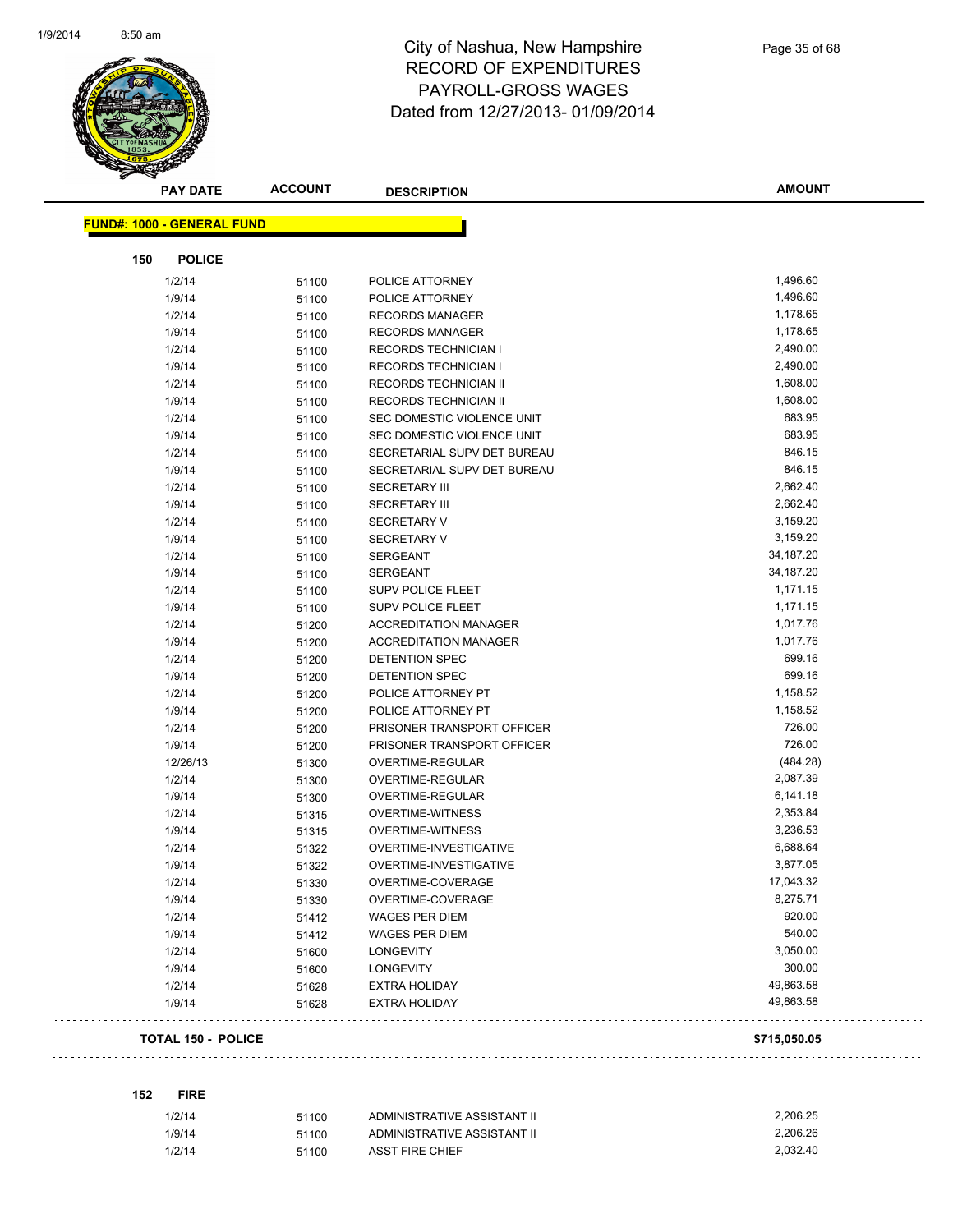

|     | <b>PAY DATE</b>            | <b>ACCOUNT</b> | <b>DESCRIPTION</b>           | <b>AMOUNT</b> |
|-----|----------------------------|----------------|------------------------------|---------------|
|     | FUND#: 1000 - GENERAL FUND |                |                              |               |
|     |                            |                |                              |               |
| 150 | <b>POLICE</b>              |                |                              |               |
|     | 1/2/14                     | 51100          | POLICE ATTORNEY              | 1,496.60      |
|     | 1/9/14                     | 51100          | POLICE ATTORNEY              | 1,496.60      |
|     | 1/2/14                     | 51100          | <b>RECORDS MANAGER</b>       | 1,178.65      |
|     | 1/9/14                     | 51100          | <b>RECORDS MANAGER</b>       | 1,178.65      |
|     | 1/2/14                     | 51100          | <b>RECORDS TECHNICIAN I</b>  | 2,490.00      |
|     | 1/9/14                     | 51100          | RECORDS TECHNICIAN I         | 2,490.00      |
|     | 1/2/14                     | 51100          | <b>RECORDS TECHNICIAN II</b> | 1,608.00      |
|     | 1/9/14                     | 51100          | RECORDS TECHNICIAN II        | 1,608.00      |
|     | 1/2/14                     | 51100          | SEC DOMESTIC VIOLENCE UNIT   | 683.95        |
|     | 1/9/14                     | 51100          | SEC DOMESTIC VIOLENCE UNIT   | 683.95        |
|     | 1/2/14                     | 51100          | SECRETARIAL SUPV DET BUREAU  | 846.15        |
|     | 1/9/14                     | 51100          | SECRETARIAL SUPV DET BUREAU  | 846.15        |
|     | 1/2/14                     | 51100          | <b>SECRETARY III</b>         | 2,662.40      |
|     | 1/9/14                     | 51100          | <b>SECRETARY III</b>         | 2,662.40      |
|     | 1/2/14                     | 51100          | <b>SECRETARY V</b>           | 3,159.20      |
|     | 1/9/14                     | 51100          | <b>SECRETARY V</b>           | 3,159.20      |
|     | 1/2/14                     | 51100          | <b>SERGEANT</b>              | 34,187.20     |
|     | 1/9/14                     | 51100          | <b>SERGEANT</b>              | 34,187.20     |
|     | 1/2/14                     | 51100          | SUPV POLICE FLEET            | 1,171.15      |
|     | 1/9/14                     | 51100          | <b>SUPV POLICE FLEET</b>     | 1,171.15      |
|     | 1/2/14                     | 51200          | <b>ACCREDITATION MANAGER</b> | 1,017.76      |
|     | 1/9/14                     | 51200          | <b>ACCREDITATION MANAGER</b> | 1,017.76      |
|     | 1/2/14                     | 51200          | DETENTION SPEC               | 699.16        |
|     | 1/9/14                     | 51200          | DETENTION SPEC               | 699.16        |
|     | 1/2/14                     | 51200          | POLICE ATTORNEY PT           | 1,158.52      |
|     | 1/9/14                     | 51200          | POLICE ATTORNEY PT           | 1,158.52      |
|     | 1/2/14                     | 51200          | PRISONER TRANSPORT OFFICER   | 726.00        |
|     | 1/9/14                     | 51200          | PRISONER TRANSPORT OFFICER   | 726.00        |
|     | 12/26/13                   | 51300          | OVERTIME-REGULAR             | (484.28)      |
|     | 1/2/14                     | 51300          | OVERTIME-REGULAR             | 2,087.39      |
|     | 1/9/14                     | 51300          | OVERTIME-REGULAR             | 6,141.18      |
|     | 1/2/14                     | 51315          | <b>OVERTIME-WITNESS</b>      | 2,353.84      |
|     | 1/9/14                     | 51315          | <b>OVERTIME-WITNESS</b>      | 3,236.53      |
|     | 1/2/14                     | 51322          | OVERTIME-INVESTIGATIVE       | 6,688.64      |
|     | 1/9/14                     | 51322          | OVERTIME-INVESTIGATIVE       | 3,877.05      |
|     | 1/2/14                     | 51330          | OVERTIME-COVERAGE            | 17,043.32     |
|     | 1/9/14                     | 51330          | OVERTIME-COVERAGE            | 8,275.71      |
|     | 1/2/14                     | 51412          | WAGES PER DIEM               | 920.00        |
|     | 1/9/14                     | 51412          | <b>WAGES PER DIEM</b>        | 540.00        |
|     | 1/2/14                     | 51600          | <b>LONGEVITY</b>             | 3,050.00      |
|     | 1/9/14                     | 51600          | <b>LONGEVITY</b>             | 300.00        |
|     | 1/2/14                     | 51628          | <b>EXTRA HOLIDAY</b>         | 49,863.58     |
|     | 1/9/14                     | 51628          | <b>EXTRA HOLIDAY</b>         | 49,863.58     |

### **TOTAL 150 - POLICE \$715,050.05**

**152 FIRE**

. . . . . . . . . .

| 1/2/14 | 51100 | ADMINISTRATIVE ASSISTANT II | 2.206.25 |
|--------|-------|-----------------------------|----------|
| 1/9/14 | 51100 | ADMINISTRATIVE ASSISTANT II | 2.206.26 |
| 1/2/14 | 51100 | ASST FIRE CHIEF             | 2.032.40 |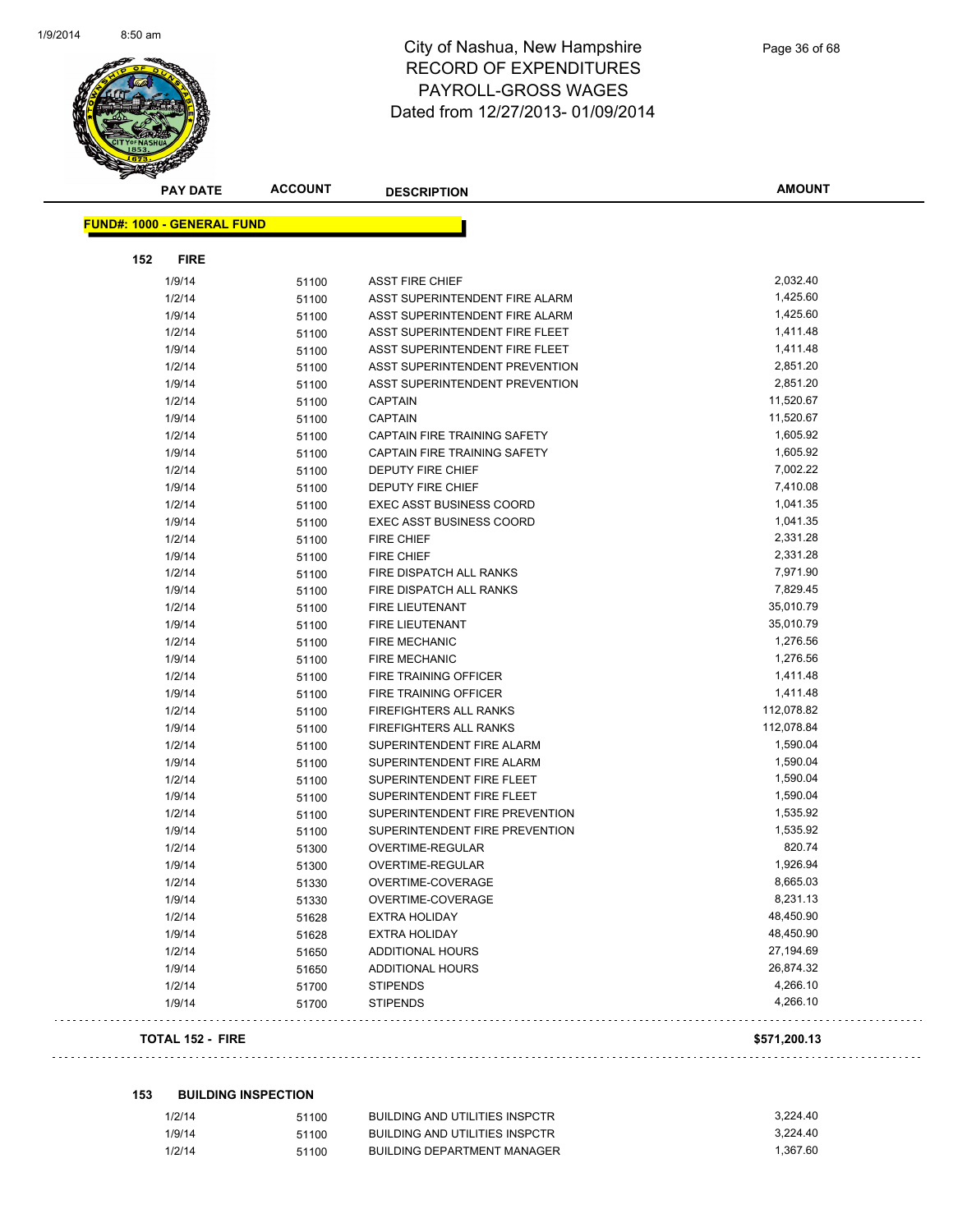

|     | <b>PAY DATE</b>                   | <b>ACCOUNT</b> | <b>DESCRIPTION</b>              | <b>AMOUNT</b> |
|-----|-----------------------------------|----------------|---------------------------------|---------------|
|     |                                   |                |                                 |               |
|     | <b>FUND#: 1000 - GENERAL FUND</b> |                |                                 |               |
| 152 | <b>FIRE</b>                       |                |                                 |               |
|     | 1/9/14                            | 51100          | <b>ASST FIRE CHIEF</b>          | 2,032.40      |
|     | 1/2/14                            | 51100          | ASST SUPERINTENDENT FIRE ALARM  | 1,425.60      |
|     | 1/9/14                            | 51100          | ASST SUPERINTENDENT FIRE ALARM  | 1,425.60      |
|     | 1/2/14                            | 51100          | ASST SUPERINTENDENT FIRE FLEET  | 1,411.48      |
|     | 1/9/14                            | 51100          | ASST SUPERINTENDENT FIRE FLEET  | 1,411.48      |
|     | 1/2/14                            | 51100          | ASST SUPERINTENDENT PREVENTION  | 2,851.20      |
|     | 1/9/14                            | 51100          | ASST SUPERINTENDENT PREVENTION  | 2,851.20      |
|     | 1/2/14                            | 51100          | CAPTAIN                         | 11,520.67     |
|     | 1/9/14                            | 51100          | <b>CAPTAIN</b>                  | 11,520.67     |
|     | 1/2/14                            | 51100          | CAPTAIN FIRE TRAINING SAFETY    | 1,605.92      |
|     | 1/9/14                            | 51100          | CAPTAIN FIRE TRAINING SAFETY    | 1,605.92      |
|     | 1/2/14                            | 51100          | <b>DEPUTY FIRE CHIEF</b>        | 7,002.22      |
|     | 1/9/14                            | 51100          | <b>DEPUTY FIRE CHIEF</b>        | 7,410.08      |
|     | 1/2/14                            | 51100          | <b>EXEC ASST BUSINESS COORD</b> | 1,041.35      |
|     | 1/9/14                            | 51100          | EXEC ASST BUSINESS COORD        | 1,041.35      |
|     | 1/2/14                            | 51100          | <b>FIRE CHIEF</b>               | 2,331.28      |
|     | 1/9/14                            | 51100          | <b>FIRE CHIEF</b>               | 2,331.28      |
|     | 1/2/14                            | 51100          | FIRE DISPATCH ALL RANKS         | 7,971.90      |
|     | 1/9/14                            | 51100          | FIRE DISPATCH ALL RANKS         | 7,829.45      |
|     | 1/2/14                            | 51100          | <b>FIRE LIEUTENANT</b>          | 35,010.79     |
|     | 1/9/14                            | 51100          | FIRE LIEUTENANT                 | 35,010.79     |
|     | 1/2/14                            | 51100          | <b>FIRE MECHANIC</b>            | 1,276.56      |
|     | 1/9/14                            | 51100          | <b>FIRE MECHANIC</b>            | 1,276.56      |
|     | 1/2/14                            | 51100          | FIRE TRAINING OFFICER           | 1,411.48      |
|     | 1/9/14                            | 51100          | FIRE TRAINING OFFICER           | 1,411.48      |
|     | 1/2/14                            | 51100          | FIREFIGHTERS ALL RANKS          | 112,078.82    |
|     | 1/9/14                            | 51100          | <b>FIREFIGHTERS ALL RANKS</b>   | 112,078.84    |
|     | 1/2/14                            | 51100          | SUPERINTENDENT FIRE ALARM       | 1,590.04      |
|     | 1/9/14                            | 51100          | SUPERINTENDENT FIRE ALARM       | 1,590.04      |
|     | 1/2/14                            | 51100          | SUPERINTENDENT FIRE FLEET       | 1,590.04      |
|     | 1/9/14                            | 51100          | SUPERINTENDENT FIRE FLEET       | 1,590.04      |
|     | 1/2/14                            | 51100          | SUPERINTENDENT FIRE PREVENTION  | 1,535.92      |
|     | 1/9/14                            | 51100          | SUPERINTENDENT FIRE PREVENTION  | 1,535.92      |
|     | 1/2/14                            | 51300          | OVERTIME-REGULAR                | 820.74        |
|     | 1/9/14                            | 51300          | OVERTIME-REGULAR                | 1,926.94      |
|     | 1/2/14                            | 51330          | OVERTIME-COVERAGE               | 8,665.03      |
|     | 1/9/14                            | 51330          | OVERTIME-COVERAGE               | 8,231.13      |
|     | 1/2/14                            | 51628          | EXTRA HOLIDAY                   | 48,450.90     |
|     | 1/9/14                            | 51628          | <b>EXTRA HOLIDAY</b>            | 48,450.90     |
|     | 1/2/14                            | 51650          | <b>ADDITIONAL HOURS</b>         | 27,194.69     |
|     | 1/9/14                            | 51650          | <b>ADDITIONAL HOURS</b>         | 26,874.32     |
|     | 1/2/14                            | 51700          | <b>STIPENDS</b>                 | 4,266.10      |
|     | 1/9/14                            | 51700          | <b>STIPENDS</b>                 | 4,266.10      |
|     |                                   |                |                                 |               |

### **TOTAL 152 - FIRE \$571,200.13**

### **153 BUILDING INSPECTION**

| 1/2/14 | 51100 | BUILDING AND UTILITIES INSPCTR | 3.224.40 |
|--------|-------|--------------------------------|----------|
| 1/9/14 | 51100 | BUILDING AND UTILITIES INSPCTR | 3.224.40 |
| 1/2/14 | 51100 | BUILDING DEPARTMENT MANAGER    | 1.367.60 |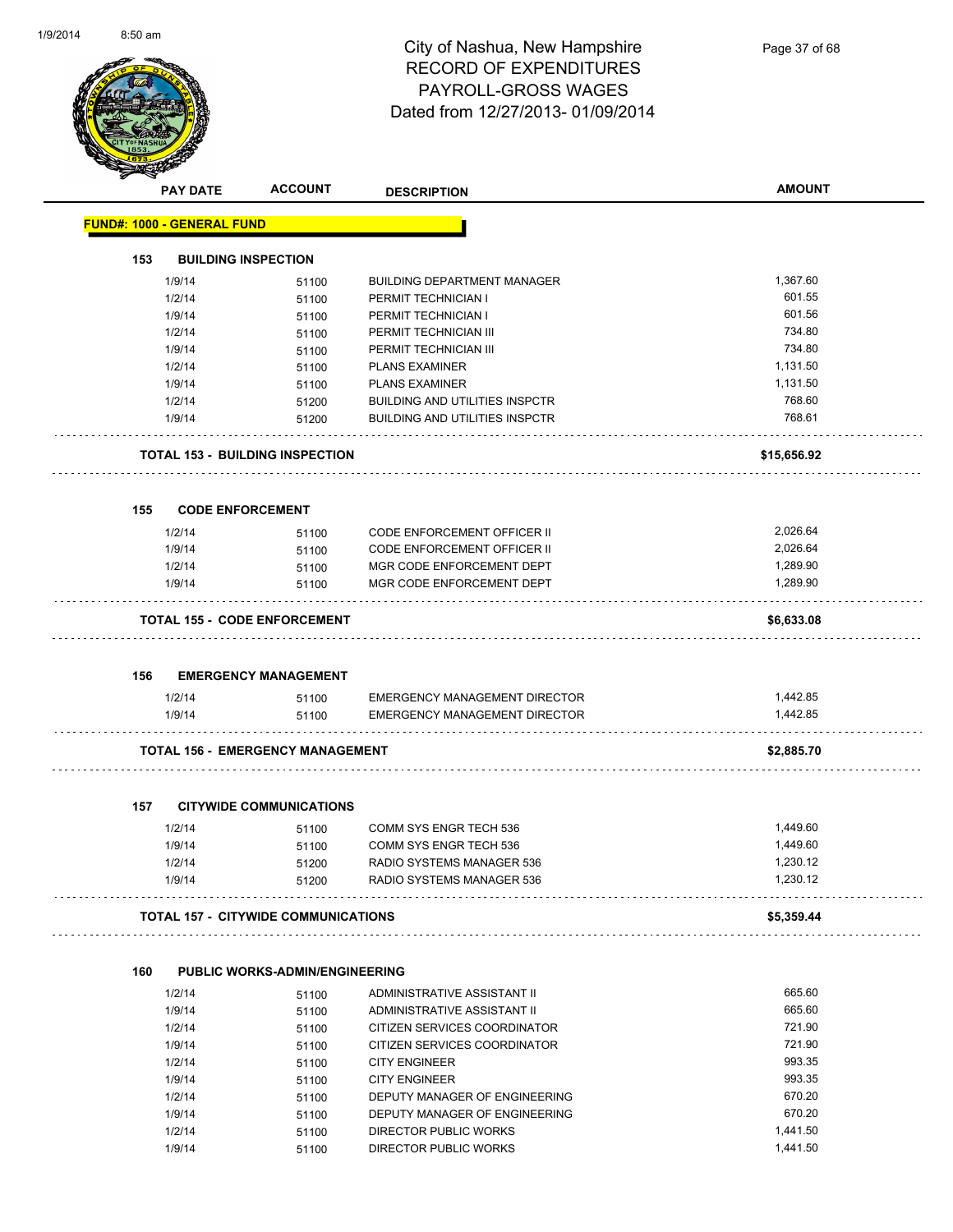

|     | <b>PAY DATE</b>                   | <b>ACCOUNT</b>                             | <b>DESCRIPTION</b>                                                           | <b>AMOUNT</b>        |
|-----|-----------------------------------|--------------------------------------------|------------------------------------------------------------------------------|----------------------|
|     | <b>FUND#: 1000 - GENERAL FUND</b> |                                            |                                                                              |                      |
| 153 |                                   | <b>BUILDING INSPECTION</b>                 |                                                                              |                      |
|     | 1/9/14                            | 51100                                      | <b>BUILDING DEPARTMENT MANAGER</b>                                           | 1,367.60             |
|     | 1/2/14                            | 51100                                      | PERMIT TECHNICIAN I                                                          | 601.55               |
|     | 1/9/14                            | 51100                                      | PERMIT TECHNICIAN I                                                          | 601.56               |
|     | 1/2/14                            | 51100                                      | PERMIT TECHNICIAN III                                                        | 734.80               |
|     | 1/9/14                            | 51100                                      | PERMIT TECHNICIAN III                                                        | 734.80               |
|     | 1/2/14                            | 51100                                      | <b>PLANS EXAMINER</b>                                                        | 1,131.50             |
|     | 1/9/14                            | 51100                                      | <b>PLANS EXAMINER</b>                                                        | 1,131.50             |
|     | 1/2/14                            | 51200                                      | <b>BUILDING AND UTILITIES INSPCTR</b>                                        | 768.60               |
|     | 1/9/14                            | 51200                                      | <b>BUILDING AND UTILITIES INSPCTR</b>                                        | 768.61               |
|     |                                   | TOTAL 153 - BUILDING INSPECTION            |                                                                              | \$15,656.92          |
| 155 | <b>CODE ENFORCEMENT</b>           |                                            |                                                                              |                      |
|     | 1/2/14                            | 51100                                      | <b>CODE ENFORCEMENT OFFICER II</b>                                           | 2,026.64             |
|     | 1/9/14                            | 51100                                      | <b>CODE ENFORCEMENT OFFICER II</b>                                           | 2,026.64             |
|     | 1/2/14                            | 51100                                      | MGR CODE ENFORCEMENT DEPT                                                    | 1,289.90             |
|     | 1/9/14                            | 51100                                      | MGR CODE ENFORCEMENT DEPT                                                    | 1,289.90             |
|     |                                   | TOTAL 155 - CODE ENFORCEMENT               |                                                                              | \$6,633.08           |
|     |                                   |                                            |                                                                              |                      |
| 156 |                                   | <b>EMERGENCY MANAGEMENT</b>                |                                                                              |                      |
|     | 1/2/14<br>1/9/14                  | 51100<br>51100                             | <b>EMERGENCY MANAGEMENT DIRECTOR</b><br><b>EMERGENCY MANAGEMENT DIRECTOR</b> | 1,442.85<br>1,442.85 |
|     |                                   | TOTAL 156 - EMERGENCY MANAGEMENT           |                                                                              | \$2,885.70           |
| 157 |                                   | <b>CITYWIDE COMMUNICATIONS</b>             |                                                                              |                      |
|     |                                   |                                            |                                                                              |                      |
|     | 1/2/14                            | 51100                                      | COMM SYS ENGR TECH 536                                                       | 1,449.60             |
|     | 1/9/14                            | 51100                                      | COMM SYS ENGR TECH 536<br>RADIO SYSTEMS MANAGER 536                          | 1,449.60             |
|     | 1/2/14<br>1/9/14                  | 51200<br>51200                             | RADIO SYSTEMS MANAGER 536                                                    | 1,230.12<br>1,230.12 |
|     |                                   |                                            |                                                                              |                      |
|     |                                   | <b>TOTAL 157 - CITYWIDE COMMUNICATIONS</b> |                                                                              | \$5,359.44           |
| 160 |                                   | <b>PUBLIC WORKS-ADMIN/ENGINEERING</b>      |                                                                              |                      |
|     | 1/2/14                            | 51100                                      | ADMINISTRATIVE ASSISTANT II                                                  | 665.60               |
|     | 1/9/14                            | 51100                                      | ADMINISTRATIVE ASSISTANT II                                                  | 665.60               |
|     | 1/2/14                            | 51100                                      | CITIZEN SERVICES COORDINATOR                                                 | 721.90               |
|     | 1/9/14                            | 51100                                      | CITIZEN SERVICES COORDINATOR                                                 | 721.90               |
|     | 1/2/14                            | 51100                                      | <b>CITY ENGINEER</b>                                                         | 993.35               |
|     | 1/9/14                            | 51100                                      | <b>CITY ENGINEER</b>                                                         | 993.35               |
|     | 1/2/14                            | 51100                                      | DEPUTY MANAGER OF ENGINEERING                                                | 670.20               |
|     | 1/9/14                            | 51100                                      | DEPUTY MANAGER OF ENGINEERING                                                | 670.20               |
|     | 1/2/14                            | 51100                                      | DIRECTOR PUBLIC WORKS                                                        | 1,441.50             |
|     | 1/9/14                            | 51100                                      | DIRECTOR PUBLIC WORKS                                                        | 1,441.50             |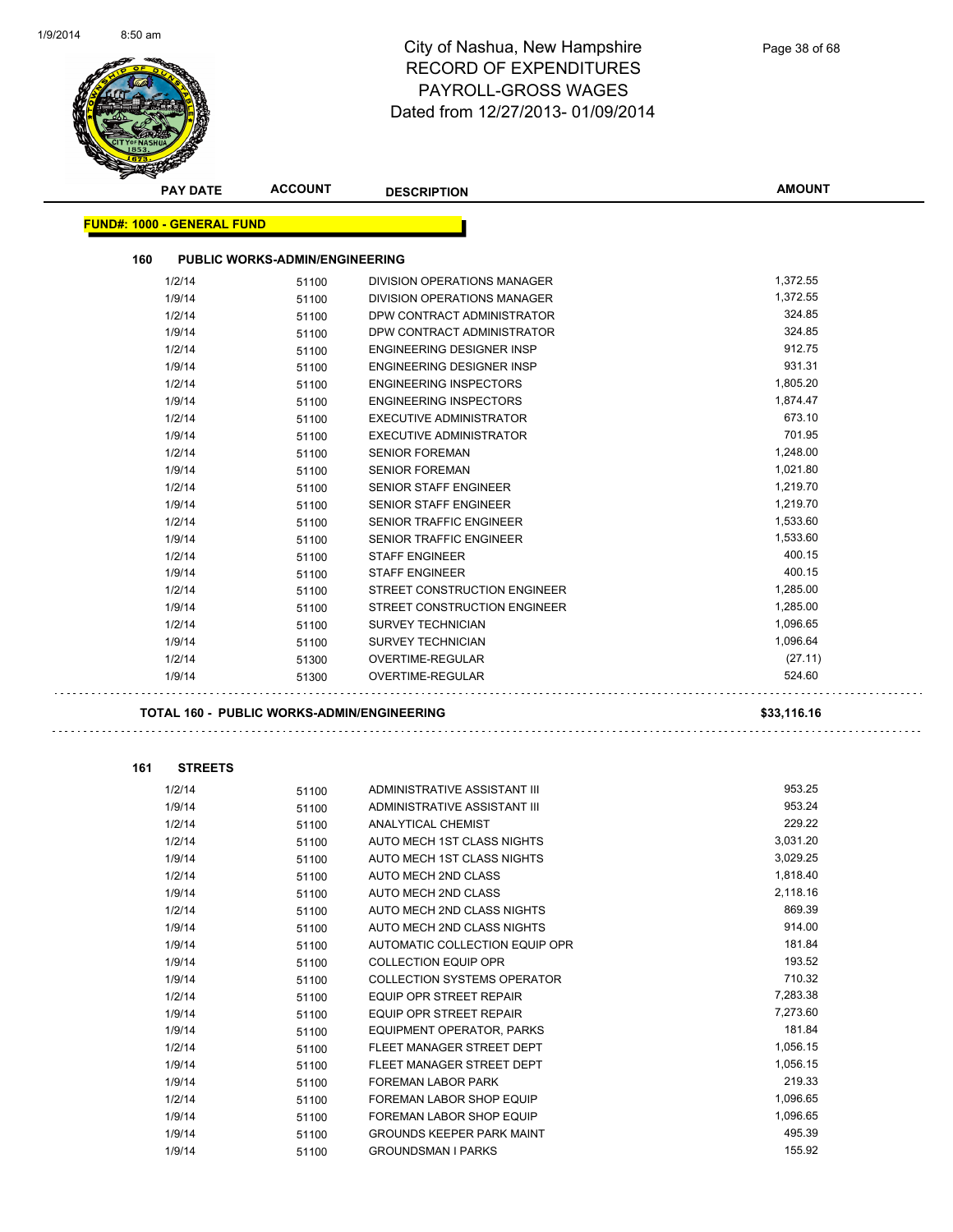

| <b>PAY DATE</b>                   | <b>ACCOUNT</b>                                    | <b>DESCRIPTION</b>                 | AMOUNT      |
|-----------------------------------|---------------------------------------------------|------------------------------------|-------------|
|                                   |                                                   |                                    |             |
| <b>FUND#: 1000 - GENERAL FUND</b> |                                                   |                                    |             |
| 160                               | <b>PUBLIC WORKS-ADMIN/ENGINEERING</b>             |                                    |             |
| 1/2/14                            | 51100                                             | <b>DIVISION OPERATIONS MANAGER</b> | 1,372.55    |
| 1/9/14                            | 51100                                             | DIVISION OPERATIONS MANAGER        | 1,372.55    |
| 1/2/14                            | 51100                                             | DPW CONTRACT ADMINISTRATOR         | 324.85      |
| 1/9/14                            | 51100                                             | DPW CONTRACT ADMINISTRATOR         | 324.85      |
| 1/2/14                            | 51100                                             | ENGINEERING DESIGNER INSP          | 912.75      |
| 1/9/14                            | 51100                                             | ENGINEERING DESIGNER INSP          | 931.31      |
| 1/2/14                            | 51100                                             | <b>ENGINEERING INSPECTORS</b>      | 1,805.20    |
| 1/9/14                            | 51100                                             | <b>ENGINEERING INSPECTORS</b>      | 1,874.47    |
| 1/2/14                            | 51100                                             | EXECUTIVE ADMINISTRATOR            | 673.10      |
| 1/9/14                            | 51100                                             | EXECUTIVE ADMINISTRATOR            | 701.95      |
| 1/2/14                            | 51100                                             | <b>SENIOR FOREMAN</b>              | 1,248.00    |
| 1/9/14                            | 51100                                             | <b>SENIOR FOREMAN</b>              | 1,021.80    |
| 1/2/14                            | 51100                                             | <b>SENIOR STAFF ENGINEER</b>       | 1,219.70    |
| 1/9/14                            | 51100                                             | SENIOR STAFF ENGINEER              | 1,219.70    |
| 1/2/14                            | 51100                                             | <b>SENIOR TRAFFIC ENGINEER</b>     | 1,533.60    |
| 1/9/14                            | 51100                                             | <b>SENIOR TRAFFIC ENGINEER</b>     | 1,533.60    |
| 1/2/14                            | 51100                                             | <b>STAFF ENGINEER</b>              | 400.15      |
| 1/9/14                            | 51100                                             | <b>STAFF ENGINEER</b>              | 400.15      |
| 1/2/14                            | 51100                                             | STREET CONSTRUCTION ENGINEER       | 1,285.00    |
| 1/9/14                            | 51100                                             | STREET CONSTRUCTION ENGINEER       | 1,285.00    |
| 1/2/14                            | 51100                                             | <b>SURVEY TECHNICIAN</b>           | 1,096.65    |
| 1/9/14                            | 51100                                             | <b>SURVEY TECHNICIAN</b>           | 1,096.64    |
| 1/2/14                            | 51300                                             | OVERTIME-REGULAR                   | (27.11)     |
| 1/9/14                            | 51300                                             | OVERTIME-REGULAR                   | 524.60      |
|                                   |                                                   |                                    |             |
|                                   | <b>TOTAL 160 - PUBLIC WORKS-ADMIN/ENGINEERING</b> |                                    | \$33,116.16 |
|                                   |                                                   |                                    |             |
| 161                               | <b>STREETS</b>                                    |                                    |             |
| 1/2/14                            | 51100                                             | ADMINISTRATIVE ASSISTANT III       | 953.25      |
| 1/9/14                            | 51100                                             | ADMINISTRATIVE ASSISTANT III       | 953.24      |
| 1/2/14                            | 51100                                             | <b>ANALYTICAL CHEMIST</b>          | 229.22      |
| 1/2/14                            | 51100                                             | AUTO MECH 1ST CLASS NIGHTS         | 3,031.20    |
| 1/9/14                            | 51100                                             | AUTO MECH 1ST CLASS NIGHTS         | 3,029.25    |
| 1/2/14                            | 51100                                             | AUTO MECH 2ND CLASS                | 1,818.40    |
| 1/9/14                            | 51100                                             | AUTO MECH 2ND CLASS                | 2,118.16    |
| 1/2/14                            | 51100                                             | AUTO MECH 2ND CLASS NIGHTS         | 869.39      |
| 1/9/14                            | 51100                                             | AUTO MECH 2ND CLASS NIGHTS         | 914.00      |
| 1/9/14                            | 51100                                             | AUTOMATIC COLLECTION EQUIP OPR     | 181.84      |
| 1/9/14                            | 51100                                             | <b>COLLECTION EQUIP OPR</b>        | 193.52      |
| 1/9/14                            | 51100                                             | <b>COLLECTION SYSTEMS OPERATOR</b> | 710.32      |
| 1/2/14                            | 51100                                             | EQUIP OPR STREET REPAIR            | 7,283.38    |
| 1/9/14                            | 51100                                             | EQUIP OPR STREET REPAIR            | 7,273.60    |
| 1/9/14                            | 51100                                             | <b>EQUIPMENT OPERATOR, PARKS</b>   | 181.84      |
| 1/2/14                            | 51100                                             | FLEET MANAGER STREET DEPT          | 1,056.15    |
| 1/9/14                            | 51100                                             | FLEET MANAGER STREET DEPT          | 1,056.15    |
| 1/9/14                            | 51100                                             | FOREMAN LABOR PARK                 | 219.33      |
| 1/2/14                            | 51100                                             | FOREMAN LABOR SHOP EQUIP           | 1,096.65    |
| 1/9/14                            | 51100                                             | FOREMAN LABOR SHOP EQUIP           | 1,096.65    |
| 1/9/14                            | 51100                                             | <b>GROUNDS KEEPER PARK MAINT</b>   | 495.39      |
| 1/9/14                            | 51100                                             | <b>GROUNDSMAN I PARKS</b>          | 155.92      |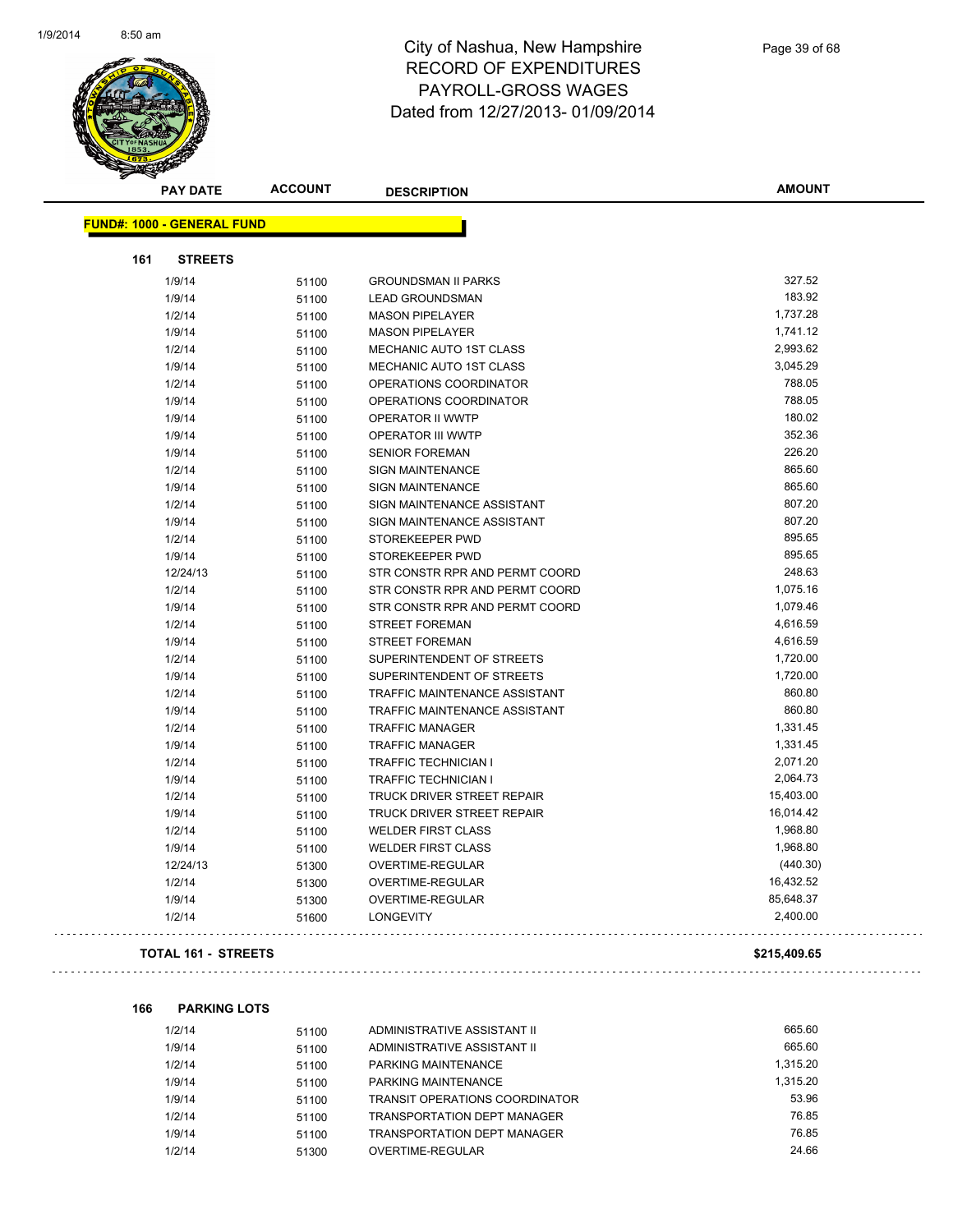

|     | <b>PAY DATE</b>                   | <b>ACCOUNT</b> | <b>DESCRIPTION</b>             | <b>AMOUNT</b> |
|-----|-----------------------------------|----------------|--------------------------------|---------------|
|     | <b>FUND#: 1000 - GENERAL FUND</b> |                |                                |               |
|     |                                   |                |                                |               |
| 161 | <b>STREETS</b>                    |                |                                |               |
|     | 1/9/14                            | 51100          | <b>GROUNDSMAN II PARKS</b>     | 327.52        |
|     | 1/9/14                            | 51100          | <b>LEAD GROUNDSMAN</b>         | 183.92        |
|     | 1/2/14                            | 51100          | <b>MASON PIPELAYER</b>         | 1,737.28      |
|     | 1/9/14                            | 51100          | <b>MASON PIPELAYER</b>         | 1,741.12      |
|     | 1/2/14                            | 51100          | MECHANIC AUTO 1ST CLASS        | 2,993.62      |
|     | 1/9/14                            | 51100          | MECHANIC AUTO 1ST CLASS        | 3,045.29      |
|     | 1/2/14                            | 51100          | OPERATIONS COORDINATOR         | 788.05        |
|     | 1/9/14                            | 51100          | OPERATIONS COORDINATOR         | 788.05        |
|     | 1/9/14                            | 51100          | OPERATOR II WWTP               | 180.02        |
|     | 1/9/14                            | 51100          | <b>OPERATOR III WWTP</b>       | 352.36        |
|     | 1/9/14                            | 51100          | <b>SENIOR FOREMAN</b>          | 226.20        |
|     | 1/2/14                            | 51100          | <b>SIGN MAINTENANCE</b>        | 865.60        |
|     | 1/9/14                            | 51100          | <b>SIGN MAINTENANCE</b>        | 865.60        |
|     | 1/2/14                            | 51100          | SIGN MAINTENANCE ASSISTANT     | 807.20        |
|     | 1/9/14                            | 51100          | SIGN MAINTENANCE ASSISTANT     | 807.20        |
|     | 1/2/14                            | 51100          | STOREKEEPER PWD                | 895.65        |
|     | 1/9/14                            | 51100          | STOREKEEPER PWD                | 895.65        |
|     | 12/24/13                          | 51100          | STR CONSTR RPR AND PERMT COORD | 248.63        |
|     | 1/2/14                            | 51100          | STR CONSTR RPR AND PERMT COORD | 1,075.16      |
|     | 1/9/14                            | 51100          | STR CONSTR RPR AND PERMT COORD | 1,079.46      |
|     | 1/2/14                            | 51100          | <b>STREET FOREMAN</b>          | 4,616.59      |
|     | 1/9/14                            | 51100          | <b>STREET FOREMAN</b>          | 4,616.59      |
|     | 1/2/14                            | 51100          | SUPERINTENDENT OF STREETS      | 1,720.00      |
|     | 1/9/14                            | 51100          | SUPERINTENDENT OF STREETS      | 1,720.00      |
|     | 1/2/14                            | 51100          | TRAFFIC MAINTENANCE ASSISTANT  | 860.80        |
|     | 1/9/14                            | 51100          | TRAFFIC MAINTENANCE ASSISTANT  | 860.80        |
|     | 1/2/14                            | 51100          | <b>TRAFFIC MANAGER</b>         | 1,331.45      |
|     | 1/9/14                            | 51100          | <b>TRAFFIC MANAGER</b>         | 1,331.45      |
|     | 1/2/14                            | 51100          | TRAFFIC TECHNICIAN I           | 2,071.20      |
|     | 1/9/14                            | 51100          | <b>TRAFFIC TECHNICIAN I</b>    | 2,064.73      |
|     | 1/2/14                            | 51100          | TRUCK DRIVER STREET REPAIR     | 15,403.00     |
|     | 1/9/14                            | 51100          | TRUCK DRIVER STREET REPAIR     | 16,014.42     |
|     | 1/2/14                            | 51100          | <b>WELDER FIRST CLASS</b>      | 1,968.80      |
|     | 1/9/14                            | 51100          | <b>WELDER FIRST CLASS</b>      | 1,968.80      |
|     | 12/24/13                          | 51300          | OVERTIME-REGULAR               | (440.30)      |
|     | 1/2/14                            | 51300          | OVERTIME-REGULAR               | 16,432.52     |
|     | 1/9/14                            | 51300          | OVERTIME-REGULAR               | 85,648.37     |
|     | 1/2/14                            | 51600          | <b>LONGEVITY</b>               | 2,400.00      |
|     | <b>TOTAL 161 - STREETS</b>        |                |                                | \$215,409.65  |

### **166 PARKING LOTS**

 $\sim$  .

| 1/2/14 | 51100 | ADMINISTRATIVE ASSISTANT II           | 665.60   |
|--------|-------|---------------------------------------|----------|
| 1/9/14 | 51100 | ADMINISTRATIVE ASSISTANT II           | 665.60   |
| 1/2/14 | 51100 | PARKING MAINTENANCE                   | 1.315.20 |
| 1/9/14 | 51100 | PARKING MAINTENANCE                   | 1.315.20 |
| 1/9/14 | 51100 | <b>TRANSIT OPERATIONS COORDINATOR</b> | 53.96    |
| 1/2/14 | 51100 | TRANSPORTATION DEPT MANAGER           | 76.85    |
| 1/9/14 | 51100 | <b>TRANSPORTATION DEPT MANAGER</b>    | 76.85    |
| 1/2/14 | 51300 | OVERTIME-REGULAR                      | 24.66    |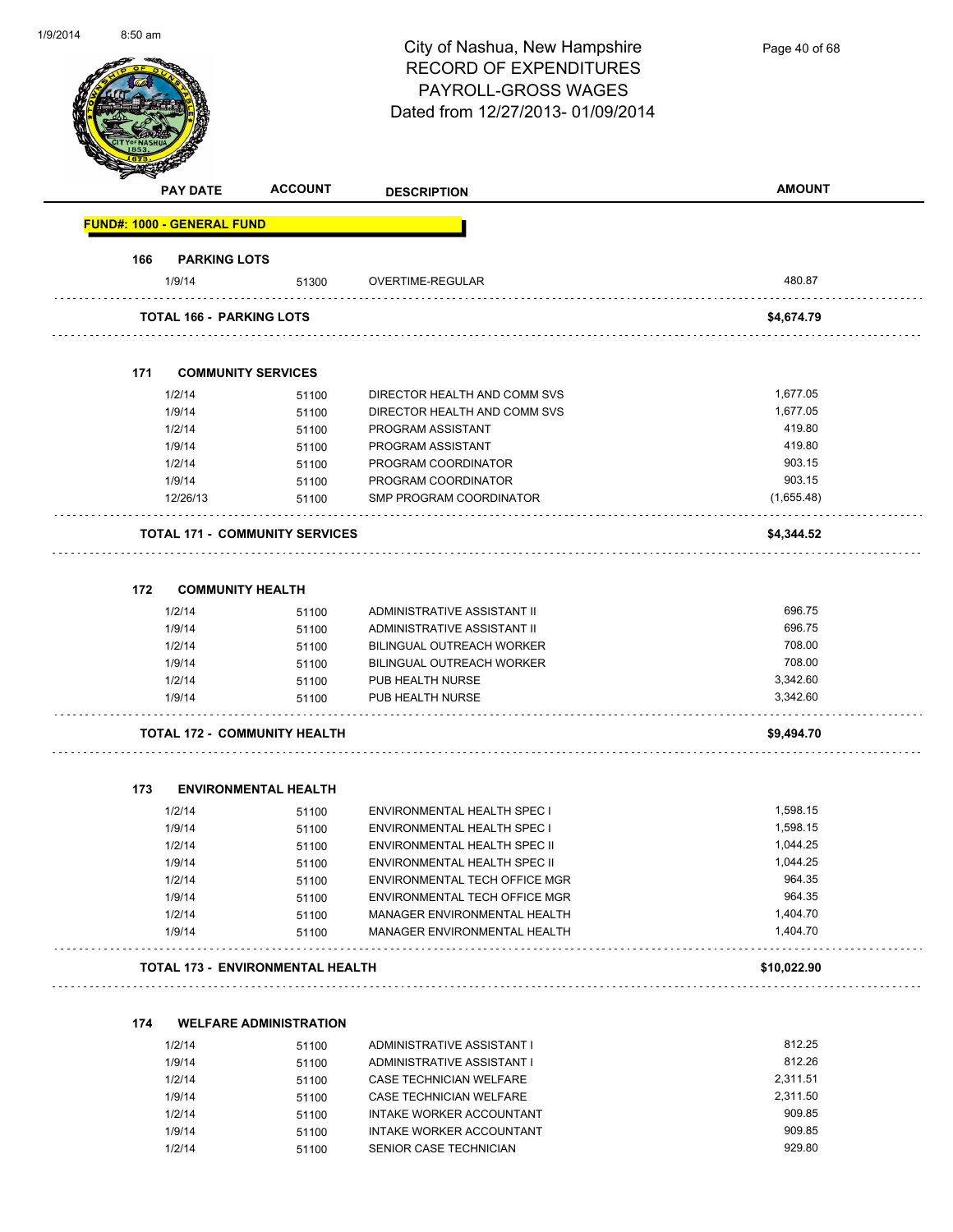| 1/9/2014 | $8:50$ am                  |                                         | City of Nashua, New Hampshire<br><b>RECORD OF EXPENDITURES</b><br>PAYROLL-GROSS WAGES<br>Dated from 12/27/2013-01/09/2014 | Page 40 of 68 |
|----------|----------------------------|-----------------------------------------|---------------------------------------------------------------------------------------------------------------------------|---------------|
|          | <b>PAY DATE</b>            | <b>ACCOUNT</b>                          | <b>DESCRIPTION</b>                                                                                                        | <b>AMOUNT</b> |
|          | FUND#: 1000 - GENERAL FUND |                                         |                                                                                                                           |               |
|          | 166                        | <b>PARKING LOTS</b>                     |                                                                                                                           |               |
|          | 1/9/14                     | 51300                                   | OVERTIME-REGULAR                                                                                                          | 480.87        |
|          |                            | <b>TOTAL 166 - PARKING LOTS</b>         |                                                                                                                           | \$4,674.79    |
|          | 171                        | <b>COMMUNITY SERVICES</b>               |                                                                                                                           |               |
|          | 1/2/14                     | 51100                                   | DIRECTOR HEALTH AND COMM SVS                                                                                              | 1,677.05      |
|          | 1/9/14                     | 51100                                   | DIRECTOR HEALTH AND COMM SVS                                                                                              | 1,677.05      |
|          | 1/2/14                     | 51100                                   | PROGRAM ASSISTANT                                                                                                         | 419.80        |
|          | 1/9/14                     | 51100                                   | PROGRAM ASSISTANT                                                                                                         | 419.80        |
|          | 1/2/14                     | 51100                                   | PROGRAM COORDINATOR                                                                                                       | 903.15        |
|          | 1/9/14                     | 51100                                   | PROGRAM COORDINATOR                                                                                                       | 903.15        |
|          | 12/26/13                   | 51100                                   | SMP PROGRAM COORDINATOR                                                                                                   | (1,655.48)    |
|          |                            |                                         |                                                                                                                           |               |
|          |                            | <b>TOTAL 171 - COMMUNITY SERVICES</b>   |                                                                                                                           | \$4,344.52    |
|          | 172                        | <b>COMMUNITY HEALTH</b>                 |                                                                                                                           |               |
|          | 1/2/14                     | 51100                                   | ADMINISTRATIVE ASSISTANT II                                                                                               | 696.75        |
|          | 1/9/14                     |                                         | ADMINISTRATIVE ASSISTANT II                                                                                               | 696.75        |
|          | 1/2/14                     | 51100<br>51100                          | BILINGUAL OUTREACH WORKER                                                                                                 | 708.00        |
|          | 1/9/14                     | 51100                                   | <b>BILINGUAL OUTREACH WORKER</b>                                                                                          | 708.00        |
|          | 1/2/14                     | 51100                                   | PUB HEALTH NURSE                                                                                                          | 3,342.60      |
|          | 1/9/14                     | 51100                                   | PUB HEALTH NURSE                                                                                                          | 3,342.60      |
|          |                            | TOTAL 172 -  COMMUNITY HEALTH           |                                                                                                                           | \$9,494.70    |
|          |                            |                                         |                                                                                                                           |               |
|          | 173                        | <b>ENVIRONMENTAL HEALTH</b>             |                                                                                                                           |               |
|          | 1/2/14                     | 51100                                   | <b>ENVIRONMENTAL HEALTH SPEC I</b>                                                                                        | 1,598.15      |
|          | 1/9/14                     | 51100                                   | ENVIRONMENTAL HEALTH SPEC I                                                                                               | 1,598.15      |
|          | 1/2/14                     | 51100                                   | ENVIRONMENTAL HEALTH SPEC II                                                                                              | 1,044.25      |
|          | 1/9/14                     | 51100                                   | ENVIRONMENTAL HEALTH SPEC II                                                                                              | 1.044.25      |
|          | 1/2/14                     | 51100                                   | ENVIRONMENTAL TECH OFFICE MGR                                                                                             | 964.35        |
|          | 1/9/14                     | 51100                                   | ENVIRONMENTAL TECH OFFICE MGR                                                                                             | 964.35        |
|          | 1/2/14                     | 51100                                   | MANAGER ENVIRONMENTAL HEALTH                                                                                              | 1,404.70      |
|          | 1/9/14                     | 51100                                   | MANAGER ENVIRONMENTAL HEALTH                                                                                              | 1,404.70      |
|          |                            | <b>TOTAL 173 - ENVIRONMENTAL HEALTH</b> |                                                                                                                           | \$10,022.90   |
|          |                            |                                         |                                                                                                                           |               |
|          | 174                        | <b>WELFARE ADMINISTRATION</b>           |                                                                                                                           |               |
|          | 1/2/14                     | 51100                                   | ADMINISTRATIVE ASSISTANT I                                                                                                | 812.25        |
|          | 1/9/14                     | 51100                                   | ADMINISTRATIVE ASSISTANT I                                                                                                | 812.26        |
|          | 1/2/14                     | 51100                                   | CASE TECHNICIAN WELFARE                                                                                                   | 2,311.51      |
|          | 1/9/14                     | 51100                                   | CASE TECHNICIAN WELFARE                                                                                                   | 2,311.50      |
|          | 1/2/14                     | 51100                                   | INTAKE WORKER ACCOUNTANT                                                                                                  | 909.85        |
|          | 1/9/14                     | 51100                                   | INTAKE WORKER ACCOUNTANT                                                                                                  | 909.85        |
|          | 1/2/14                     | 51100                                   | SENIOR CASE TECHNICIAN                                                                                                    | 929.80        |

1/2/14 51100 SENIOR CASE TECHNICIAN

1/9/2014

8:50 am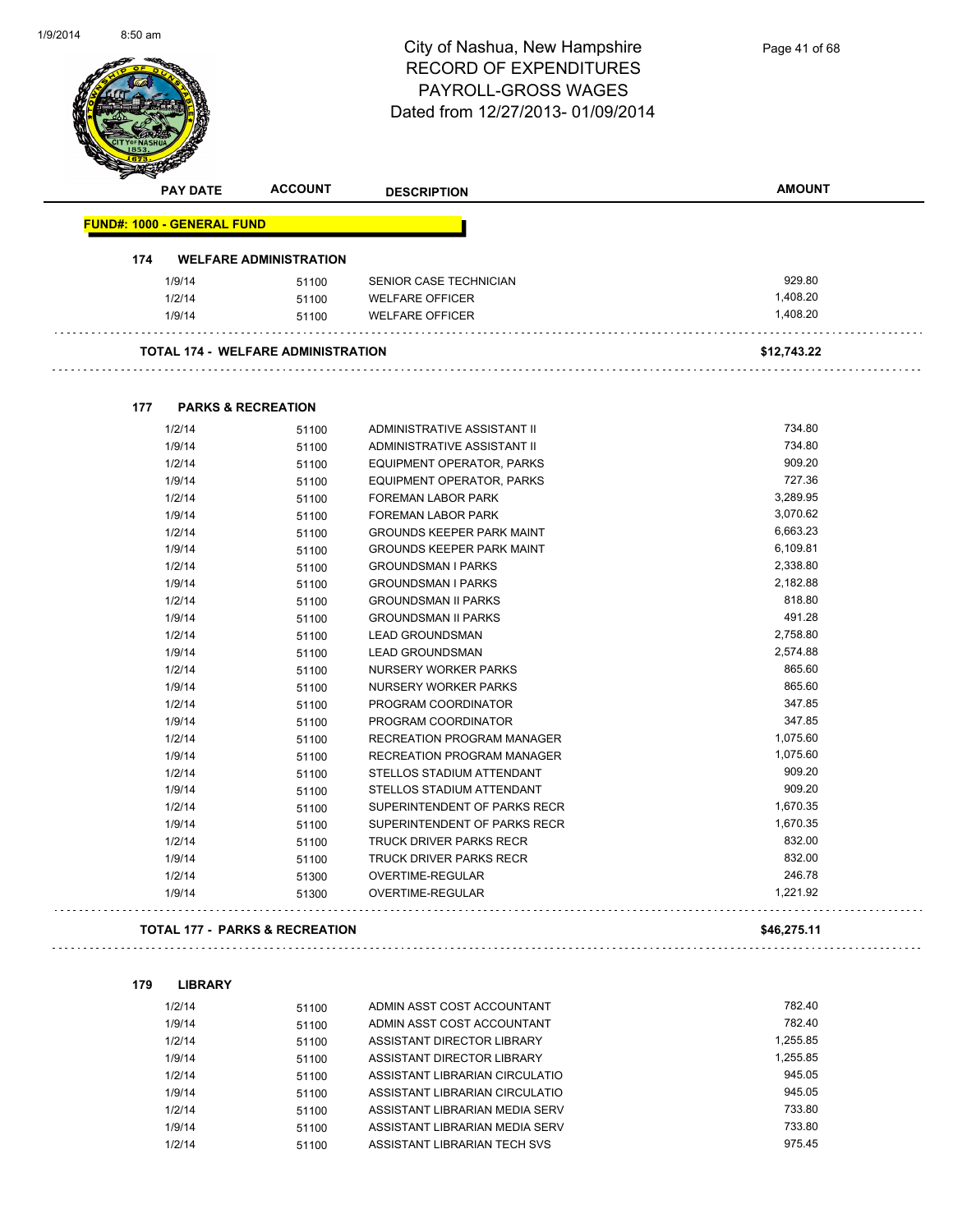

|     | <b>PAY DATE</b>                   | <b>ACCOUNT</b>                            | <b>DESCRIPTION</b>                | <b>AMOUNT</b> |
|-----|-----------------------------------|-------------------------------------------|-----------------------------------|---------------|
|     | <b>FUND#: 1000 - GENERAL FUND</b> |                                           |                                   |               |
| 174 |                                   | <b>WELFARE ADMINISTRATION</b>             |                                   |               |
|     | 1/9/14                            | 51100                                     | SENIOR CASE TECHNICIAN            | 929.80        |
|     | 1/2/14                            | 51100                                     | <b>WELFARE OFFICER</b>            | 1,408.20      |
|     | 1/9/14                            | 51100                                     | <b>WELFARE OFFICER</b>            | 1,408.20      |
|     |                                   | <b>TOTAL 174 - WELFARE ADMINISTRATION</b> |                                   | \$12,743.22   |
|     |                                   |                                           |                                   |               |
| 177 | <b>PARKS &amp; RECREATION</b>     |                                           |                                   |               |
|     | 1/2/14                            | 51100                                     | ADMINISTRATIVE ASSISTANT II       | 734.80        |
|     | 1/9/14                            | 51100                                     | ADMINISTRATIVE ASSISTANT II       | 734.80        |
|     | 1/2/14                            | 51100                                     | EQUIPMENT OPERATOR, PARKS         | 909.20        |
|     | 1/9/14                            | 51100                                     | EQUIPMENT OPERATOR, PARKS         | 727.36        |
|     | 1/2/14                            | 51100                                     | FOREMAN LABOR PARK                | 3,289.95      |
|     | 1/9/14                            | 51100                                     | FOREMAN LABOR PARK                | 3,070.62      |
|     | 1/2/14                            | 51100                                     | <b>GROUNDS KEEPER PARK MAINT</b>  | 6,663.23      |
|     | 1/9/14                            | 51100                                     | <b>GROUNDS KEEPER PARK MAINT</b>  | 6,109.81      |
|     | 1/2/14                            | 51100                                     | <b>GROUNDSMAN I PARKS</b>         | 2,338.80      |
|     | 1/9/14                            | 51100                                     | <b>GROUNDSMAN I PARKS</b>         | 2,182.88      |
|     | 1/2/14                            | 51100                                     | <b>GROUNDSMAN II PARKS</b>        | 818.80        |
|     | 1/9/14                            | 51100                                     | <b>GROUNDSMAN II PARKS</b>        | 491.28        |
|     | 1/2/14                            | 51100                                     | <b>LEAD GROUNDSMAN</b>            | 2,758.80      |
|     | 1/9/14                            | 51100                                     | <b>LEAD GROUNDSMAN</b>            | 2,574.88      |
|     | 1/2/14                            | 51100                                     | NURSERY WORKER PARKS              | 865.60        |
|     | 1/9/14                            | 51100                                     | NURSERY WORKER PARKS              | 865.60        |
|     | 1/2/14                            | 51100                                     | PROGRAM COORDINATOR               | 347.85        |
|     | 1/9/14                            | 51100                                     | PROGRAM COORDINATOR               | 347.85        |
|     | 1/2/14                            | 51100                                     | <b>RECREATION PROGRAM MANAGER</b> | 1,075.60      |
|     | 1/9/14                            | 51100                                     | <b>RECREATION PROGRAM MANAGER</b> | 1,075.60      |
|     | 1/2/14                            | 51100                                     | STELLOS STADIUM ATTENDANT         | 909.20        |
|     | 1/9/14                            | 51100                                     | STELLOS STADIUM ATTENDANT         | 909.20        |
|     | 1/2/14                            | 51100                                     | SUPERINTENDENT OF PARKS RECR      | 1,670.35      |
|     | 1/9/14                            | 51100                                     | SUPERINTENDENT OF PARKS RECR      | 1,670.35      |
|     | 1/2/14                            | 51100                                     | <b>TRUCK DRIVER PARKS RECR</b>    | 832.00        |
|     | 1/9/14                            | 51100                                     | TRUCK DRIVER PARKS RECR           | 832.00        |
|     | 1/2/14                            | 51300                                     | OVERTIME-REGULAR                  | 246.78        |
|     | 1/9/14                            | 51300                                     | OVERTIME-REGULAR                  | 1,221.92      |
|     |                                   | <b>TOTAL 177 - PARKS &amp; RECREATION</b> |                                   | \$46,275.11   |
|     |                                   |                                           |                                   |               |
| 179 | <b>LIBRARY</b>                    |                                           |                                   |               |
|     | 1/2/14                            | 51100                                     | ADMIN ASST COST ACCOUNTANT        | 782.40        |
|     | 1/9/14                            | 51100                                     | ADMIN ASST COST ACCOUNTANT        | 782.40        |

| 1/9/14 | 51100 | ADMIN ASST COST ACCOUNTANT     | 782.40   |
|--------|-------|--------------------------------|----------|
| 1/2/14 | 51100 | ASSISTANT DIRECTOR LIBRARY     | 1.255.85 |
| 1/9/14 | 51100 | ASSISTANT DIRECTOR LIBRARY     | 1.255.85 |
| 1/2/14 | 51100 | ASSISTANT LIBRARIAN CIRCULATIO | 945.05   |
| 1/9/14 | 51100 | ASSISTANT LIBRARIAN CIRCULATIO | 945.05   |
| 1/2/14 | 51100 | ASSISTANT LIBRARIAN MEDIA SERV | 733.80   |
| 1/9/14 | 51100 | ASSISTANT LIBRARIAN MEDIA SERV | 733.80   |
| 1/2/14 | 51100 | ASSISTANT LIBRARIAN TECH SVS   | 975.45   |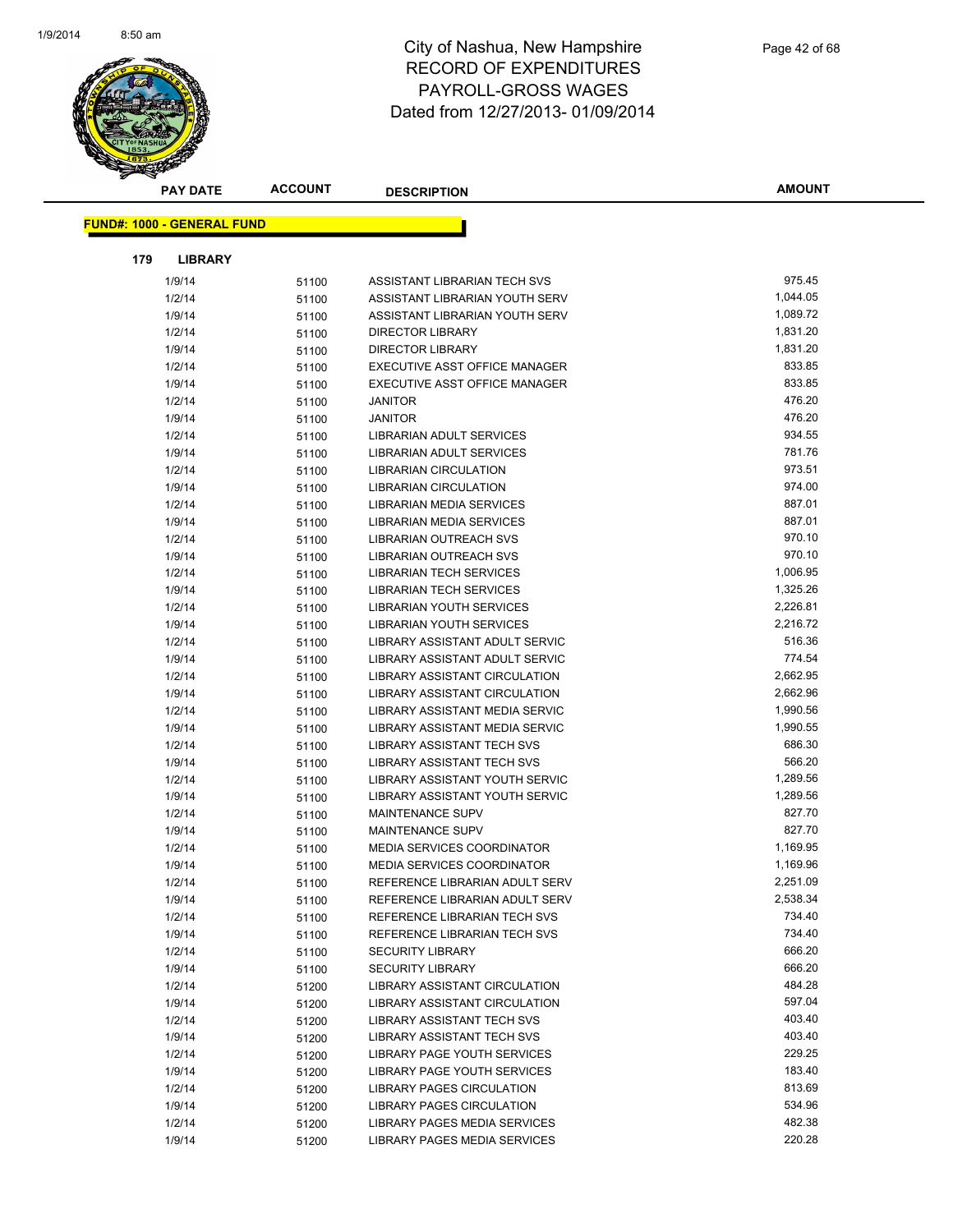

| <b>PAY DATE</b>                   | <b>ACCOUNT</b> | <b>DESCRIPTION</b>                                               | AMOUNT               |
|-----------------------------------|----------------|------------------------------------------------------------------|----------------------|
| <b>FUND#: 1000 - GENERAL FUND</b> |                |                                                                  |                      |
|                                   |                |                                                                  |                      |
| 179<br><b>LIBRARY</b>             |                |                                                                  |                      |
| 1/9/14                            | 51100          | ASSISTANT LIBRARIAN TECH SVS                                     | 975.45               |
| 1/2/14                            | 51100          | ASSISTANT LIBRARIAN YOUTH SERV                                   | 1,044.05             |
| 1/9/14                            | 51100          | ASSISTANT LIBRARIAN YOUTH SERV                                   | 1,089.72             |
| 1/2/14                            | 51100          | <b>DIRECTOR LIBRARY</b>                                          | 1,831.20             |
| 1/9/14                            | 51100          | <b>DIRECTOR LIBRARY</b>                                          | 1,831.20             |
| 1/2/14                            | 51100          | EXECUTIVE ASST OFFICE MANAGER                                    | 833.85               |
| 1/9/14                            | 51100          | EXECUTIVE ASST OFFICE MANAGER                                    | 833.85               |
| 1/2/14                            | 51100          | <b>JANITOR</b>                                                   | 476.20               |
| 1/9/14                            | 51100          | <b>JANITOR</b>                                                   | 476.20               |
| 1/2/14                            | 51100          | LIBRARIAN ADULT SERVICES                                         | 934.55               |
| 1/9/14                            | 51100          | LIBRARIAN ADULT SERVICES                                         | 781.76               |
| 1/2/14                            | 51100          | <b>LIBRARIAN CIRCULATION</b>                                     | 973.51               |
| 1/9/14                            | 51100          | <b>LIBRARIAN CIRCULATION</b>                                     | 974.00               |
| 1/2/14                            | 51100          | <b>LIBRARIAN MEDIA SERVICES</b>                                  | 887.01               |
| 1/9/14                            | 51100          | LIBRARIAN MEDIA SERVICES                                         | 887.01               |
| 1/2/14                            | 51100          | LIBRARIAN OUTREACH SVS                                           | 970.10               |
| 1/9/14                            | 51100          | LIBRARIAN OUTREACH SVS                                           | 970.10               |
| 1/2/14                            | 51100          | <b>LIBRARIAN TECH SERVICES</b>                                   | 1,006.95             |
| 1/9/14                            | 51100          | <b>LIBRARIAN TECH SERVICES</b>                                   | 1,325.26             |
| 1/2/14                            | 51100          | LIBRARIAN YOUTH SERVICES                                         | 2,226.81             |
| 1/9/14                            | 51100          | <b>LIBRARIAN YOUTH SERVICES</b>                                  | 2,216.72             |
| 1/2/14                            | 51100          | LIBRARY ASSISTANT ADULT SERVIC                                   | 516.36               |
| 1/9/14                            | 51100          | LIBRARY ASSISTANT ADULT SERVIC                                   | 774.54               |
| 1/2/14                            | 51100          | LIBRARY ASSISTANT CIRCULATION                                    | 2,662.95             |
| 1/9/14                            | 51100          | LIBRARY ASSISTANT CIRCULATION                                    | 2,662.96             |
| 1/2/14                            | 51100          | LIBRARY ASSISTANT MEDIA SERVIC                                   | 1,990.56             |
| 1/9/14                            | 51100          | LIBRARY ASSISTANT MEDIA SERVIC                                   | 1,990.55             |
| 1/2/14                            | 51100          | LIBRARY ASSISTANT TECH SVS                                       | 686.30               |
| 1/9/14                            | 51100          | <b>LIBRARY ASSISTANT TECH SVS</b>                                | 566.20               |
| 1/2/14                            | 51100          | LIBRARY ASSISTANT YOUTH SERVIC                                   | 1,289.56             |
| 1/9/14                            | 51100          | LIBRARY ASSISTANT YOUTH SERVIC                                   | 1,289.56             |
| 1/2/14                            | 51100          | <b>MAINTENANCE SUPV</b>                                          | 827.70<br>827.70     |
| 1/9/14                            | 51100          | MAINTENANCE SUPV<br><b>MEDIA SERVICES COORDINATOR</b>            |                      |
| 1/2/14                            | 51100          |                                                                  | 1,169.95<br>1,169.96 |
| 1/9/14                            | 51100          | <b>MEDIA SERVICES COORDINATOR</b>                                | 2,251.09             |
| 1/2/14                            | 51100          | REFERENCE LIBRARIAN ADULT SERV<br>REFERENCE LIBRARIAN ADULT SERV | 2,538.34             |
| 1/9/14<br>1/2/14                  | 51100          | REFERENCE LIBRARIAN TECH SVS                                     | 734.40               |
| 1/9/14                            | 51100<br>51100 | REFERENCE LIBRARIAN TECH SVS                                     | 734.40               |
| 1/2/14                            | 51100          | <b>SECURITY LIBRARY</b>                                          | 666.20               |
| 1/9/14                            | 51100          | <b>SECURITY LIBRARY</b>                                          | 666.20               |
| 1/2/14                            | 51200          | <b>LIBRARY ASSISTANT CIRCULATION</b>                             | 484.28               |
| 1/9/14                            | 51200          | LIBRARY ASSISTANT CIRCULATION                                    | 597.04               |
| 1/2/14                            | 51200          | LIBRARY ASSISTANT TECH SVS                                       | 403.40               |
| 1/9/14                            | 51200          | LIBRARY ASSISTANT TECH SVS                                       | 403.40               |
| 1/2/14                            | 51200          | LIBRARY PAGE YOUTH SERVICES                                      | 229.25               |
| 1/9/14                            | 51200          | LIBRARY PAGE YOUTH SERVICES                                      | 183.40               |
| 1/2/14                            | 51200          | LIBRARY PAGES CIRCULATION                                        | 813.69               |
| 1/9/14                            | 51200          | LIBRARY PAGES CIRCULATION                                        | 534.96               |
| 1/2/14                            | 51200          | LIBRARY PAGES MEDIA SERVICES                                     | 482.38               |
| 1/9/14                            | 51200          | LIBRARY PAGES MEDIA SERVICES                                     | 220.28               |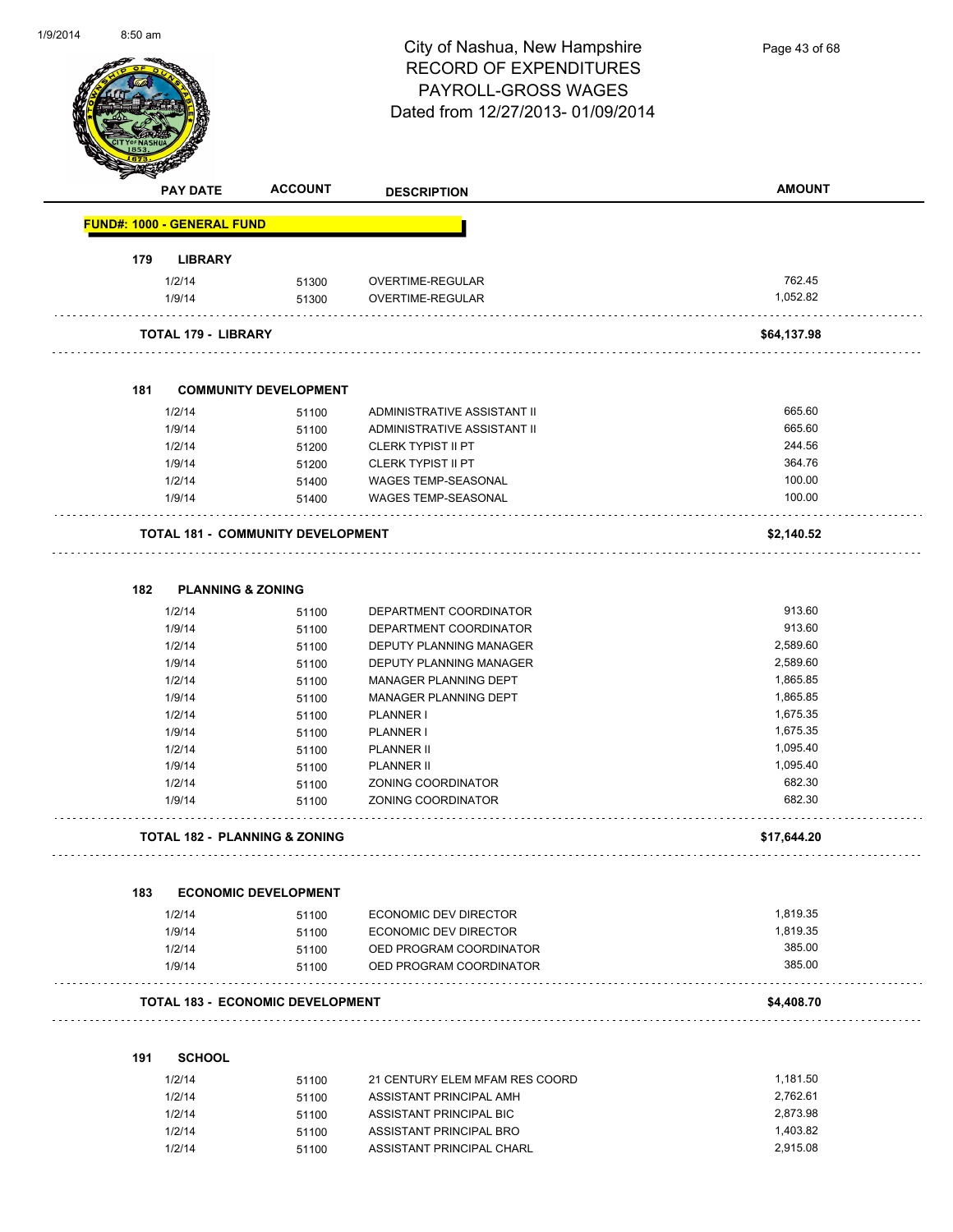

Page 43 of 68

|     | <b>PAY DATE</b>                   | <b>ACCOUNT</b>                           | <b>DESCRIPTION</b>                               | <b>AMOUNT</b>        |
|-----|-----------------------------------|------------------------------------------|--------------------------------------------------|----------------------|
|     | <b>FUND#: 1000 - GENERAL FUND</b> |                                          |                                                  |                      |
| 179 | <b>LIBRARY</b>                    |                                          |                                                  |                      |
|     | 1/2/14                            | 51300                                    | OVERTIME-REGULAR                                 | 762.45               |
|     | 1/9/14                            | 51300                                    | OVERTIME-REGULAR                                 | 1,052.82             |
|     | <b>TOTAL 179 - LIBRARY</b>        |                                          |                                                  | \$64,137.98          |
| 181 |                                   | <b>COMMUNITY DEVELOPMENT</b>             |                                                  |                      |
|     | 1/2/14                            | 51100                                    | ADMINISTRATIVE ASSISTANT II                      | 665.60               |
|     | 1/9/14                            | 51100                                    | ADMINISTRATIVE ASSISTANT II                      | 665.60               |
|     | 1/2/14                            | 51200                                    | <b>CLERK TYPIST II PT</b>                        | 244.56               |
|     | 1/9/14                            | 51200                                    | <b>CLERK TYPIST II PT</b>                        | 364.76               |
|     | 1/2/14                            | 51400                                    | WAGES TEMP-SEASONAL                              | 100.00               |
|     | 1/9/14                            | 51400                                    | <b>WAGES TEMP-SEASONAL</b>                       | 100.00               |
|     |                                   | <b>TOTAL 181 - COMMUNITY DEVELOPMENT</b> |                                                  | \$2,140.52           |
| 182 | <b>PLANNING &amp; ZONING</b>      |                                          |                                                  |                      |
|     | 1/2/14                            | 51100                                    | DEPARTMENT COORDINATOR                           | 913.60               |
|     | 1/9/14                            | 51100                                    | DEPARTMENT COORDINATOR                           | 913.60               |
|     | 1/2/14                            | 51100                                    | DEPUTY PLANNING MANAGER                          | 2,589.60             |
|     | 1/9/14                            | 51100                                    | DEPUTY PLANNING MANAGER                          | 2,589.60             |
|     | 1/2/14                            | 51100                                    | MANAGER PLANNING DEPT                            | 1,865.85             |
|     | 1/9/14                            | 51100                                    | MANAGER PLANNING DEPT                            | 1,865.85             |
|     | 1/2/14                            | 51100                                    | PLANNER I                                        | 1,675.35             |
|     | 1/9/14                            | 51100                                    | PLANNER I                                        | 1,675.35             |
|     | 1/2/14                            | 51100                                    | PLANNER II                                       | 1,095.40             |
|     | 1/9/14                            | 51100                                    | <b>PLANNER II</b>                                | 1,095.40             |
|     | 1/2/14                            | 51100                                    | ZONING COORDINATOR                               | 682.30               |
|     | 1/9/14                            | 51100                                    | ZONING COORDINATOR                               | 682.30               |
|     |                                   | <b>TOTAL 182 - PLANNING &amp; ZONING</b> |                                                  | \$17,644.20          |
| 183 |                                   | <b>ECONOMIC DEVELOPMENT</b>              |                                                  |                      |
|     |                                   |                                          |                                                  |                      |
|     | 1/2/14                            | 51100                                    | ECONOMIC DEV DIRECTOR                            | 1,819.35<br>1,819.35 |
|     | 1/9/14<br>1/2/14                  | 51100                                    | ECONOMIC DEV DIRECTOR<br>OED PROGRAM COORDINATOR | 385.00               |
|     | 1/9/14                            | 51100                                    |                                                  | 385.00               |
|     |                                   | 51100                                    | OED PROGRAM COORDINATOR                          |                      |
|     |                                   | <b>TOTAL 183 - ECONOMIC DEVELOPMENT</b>  |                                                  | \$4,408.70           |
| 191 | <b>SCHOOL</b>                     |                                          |                                                  |                      |
|     | 1/2/14                            | 51100                                    | 21 CENTURY ELEM MFAM RES COORD                   | 1,181.50             |
|     | 1/2/14                            | 51100                                    | ASSISTANT PRINCIPAL AMH                          | 2,762.61             |

1/2/14 51100 ASSISTANT PRINCIPAL BIC<br>1/2/14 51100 ASSISTANT PRINCIPAL BRO 1/2/14 1,403.82 1/2/14 51100 ASSISTANT PRINCIPAL BRO<br>1/2/14 51100 ASSISTANT PRINCIPAL CHARL<br>2,915.08

1/2/14 51100 ASSISTANT PRINCIPAL CHARL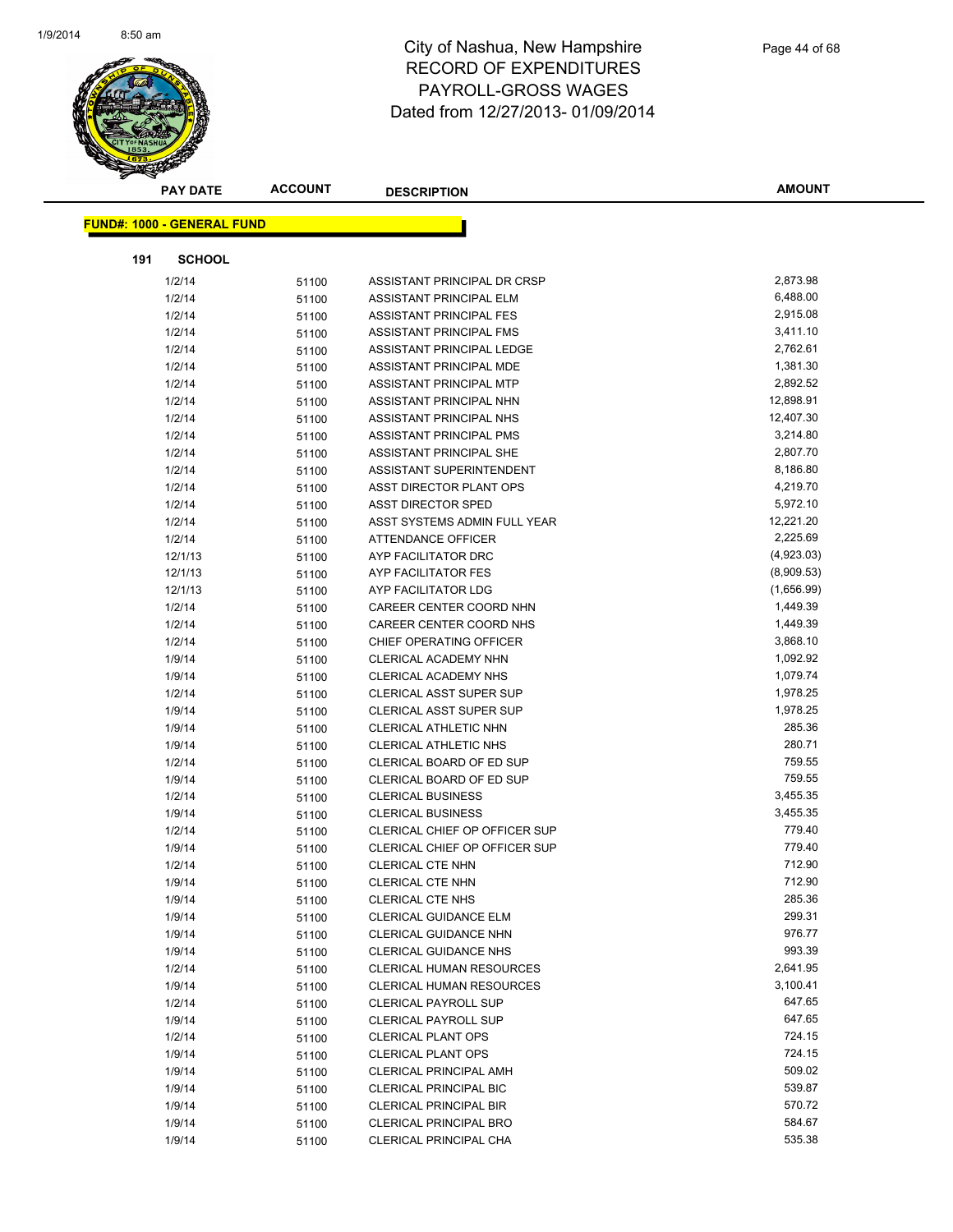

| <b>PAY DATE</b>                   | <b>ACCOUNT</b> | <b>DESCRIPTION</b>              | <b>AMOUNT</b> |
|-----------------------------------|----------------|---------------------------------|---------------|
| <b>FUND#: 1000 - GENERAL FUND</b> |                |                                 |               |
|                                   |                |                                 |               |
| 191<br><b>SCHOOL</b>              |                |                                 |               |
| 1/2/14                            | 51100          | ASSISTANT PRINCIPAL DR CRSP     | 2,873.98      |
| 1/2/14                            | 51100          | ASSISTANT PRINCIPAL ELM         | 6,488.00      |
| 1/2/14                            | 51100          | ASSISTANT PRINCIPAL FES         | 2,915.08      |
| 1/2/14                            | 51100          | ASSISTANT PRINCIPAL FMS         | 3,411.10      |
| 1/2/14                            | 51100          | ASSISTANT PRINCIPAL LEDGE       | 2,762.61      |
| 1/2/14                            | 51100          | ASSISTANT PRINCIPAL MDE         | 1,381.30      |
| 1/2/14                            | 51100          | ASSISTANT PRINCIPAL MTP         | 2,892.52      |
| 1/2/14                            | 51100          | ASSISTANT PRINCIPAL NHN         | 12,898.91     |
| 1/2/14                            | 51100          | ASSISTANT PRINCIPAL NHS         | 12,407.30     |
| 1/2/14                            | 51100          | ASSISTANT PRINCIPAL PMS         | 3,214.80      |
| 1/2/14                            | 51100          | ASSISTANT PRINCIPAL SHE         | 2,807.70      |
| 1/2/14                            | 51100          | ASSISTANT SUPERINTENDENT        | 8,186.80      |
| 1/2/14                            | 51100          | ASST DIRECTOR PLANT OPS         | 4,219.70      |
| 1/2/14                            | 51100          | <b>ASST DIRECTOR SPED</b>       | 5,972.10      |
| 1/2/14                            | 51100          | ASST SYSTEMS ADMIN FULL YEAR    | 12,221.20     |
| 1/2/14                            | 51100          | ATTENDANCE OFFICER              | 2,225.69      |
| 12/1/13                           | 51100          | AYP FACILITATOR DRC             | (4,923.03)    |
| 12/1/13                           | 51100          | AYP FACILITATOR FES             | (8,909.53)    |
| 12/1/13                           | 51100          | AYP FACILITATOR LDG             | (1,656.99)    |
| 1/2/14                            | 51100          | CAREER CENTER COORD NHN         | 1,449.39      |
| 1/2/14                            | 51100          | CAREER CENTER COORD NHS         | 1,449.39      |
| 1/2/14                            | 51100          | CHIEF OPERATING OFFICER         | 3,868.10      |
| 1/9/14                            | 51100          | CLERICAL ACADEMY NHN            | 1,092.92      |
| 1/9/14                            | 51100          | CLERICAL ACADEMY NHS            | 1,079.74      |
| 1/2/14                            | 51100          | CLERICAL ASST SUPER SUP         | 1,978.25      |
| 1/9/14                            | 51100          | CLERICAL ASST SUPER SUP         | 1,978.25      |
| 1/9/14                            | 51100          | CLERICAL ATHLETIC NHN           | 285.36        |
| 1/9/14                            | 51100          | CLERICAL ATHLETIC NHS           | 280.71        |
| 1/2/14                            | 51100          | CLERICAL BOARD OF ED SUP        | 759.55        |
| 1/9/14                            | 51100          | CLERICAL BOARD OF ED SUP        | 759.55        |
| 1/2/14                            | 51100          | <b>CLERICAL BUSINESS</b>        | 3,455.35      |
| 1/9/14                            | 51100          | <b>CLERICAL BUSINESS</b>        | 3,455.35      |
| 1/2/14                            | 51100          | CLERICAL CHIEF OP OFFICER SUP   | 779.40        |
| 1/9/14                            | 51100          | CLERICAL CHIEF OP OFFICER SUP   | 779.40        |
| 1/2/14                            | 51100          | <b>CLERICAL CTE NHN</b>         | 712.90        |
| 1/9/14                            | 51100          | CLERICAL CTE NHN                | 712.90        |
| 1/9/14                            | 51100          | <b>CLERICAL CTE NHS</b>         | 285.36        |
| 1/9/14                            | 51100          | CLERICAL GUIDANCE ELM           | 299.31        |
| 1/9/14                            | 51100          | <b>CLERICAL GUIDANCE NHN</b>    | 976.77        |
| 1/9/14                            | 51100          | <b>CLERICAL GUIDANCE NHS</b>    | 993.39        |
| 1/2/14                            | 51100          | <b>CLERICAL HUMAN RESOURCES</b> | 2,641.95      |
| 1/9/14                            | 51100          | CLERICAL HUMAN RESOURCES        | 3,100.41      |
| 1/2/14                            | 51100          | <b>CLERICAL PAYROLL SUP</b>     | 647.65        |
| 1/9/14                            | 51100          | <b>CLERICAL PAYROLL SUP</b>     | 647.65        |
| 1/2/14                            |                | <b>CLERICAL PLANT OPS</b>       | 724.15        |
| 1/9/14                            | 51100          | <b>CLERICAL PLANT OPS</b>       | 724.15        |
| 1/9/14                            | 51100          | <b>CLERICAL PRINCIPAL AMH</b>   | 509.02        |
|                                   | 51100          | CLERICAL PRINCIPAL BIC          | 539.87        |
| 1/9/14                            | 51100          |                                 | 570.72        |
| 1/9/14                            | 51100          | <b>CLERICAL PRINCIPAL BIR</b>   |               |
| 1/9/14                            | 51100          | <b>CLERICAL PRINCIPAL BRO</b>   | 584.67        |
| 1/9/14                            | 51100          | CLERICAL PRINCIPAL CHA          | 535.38        |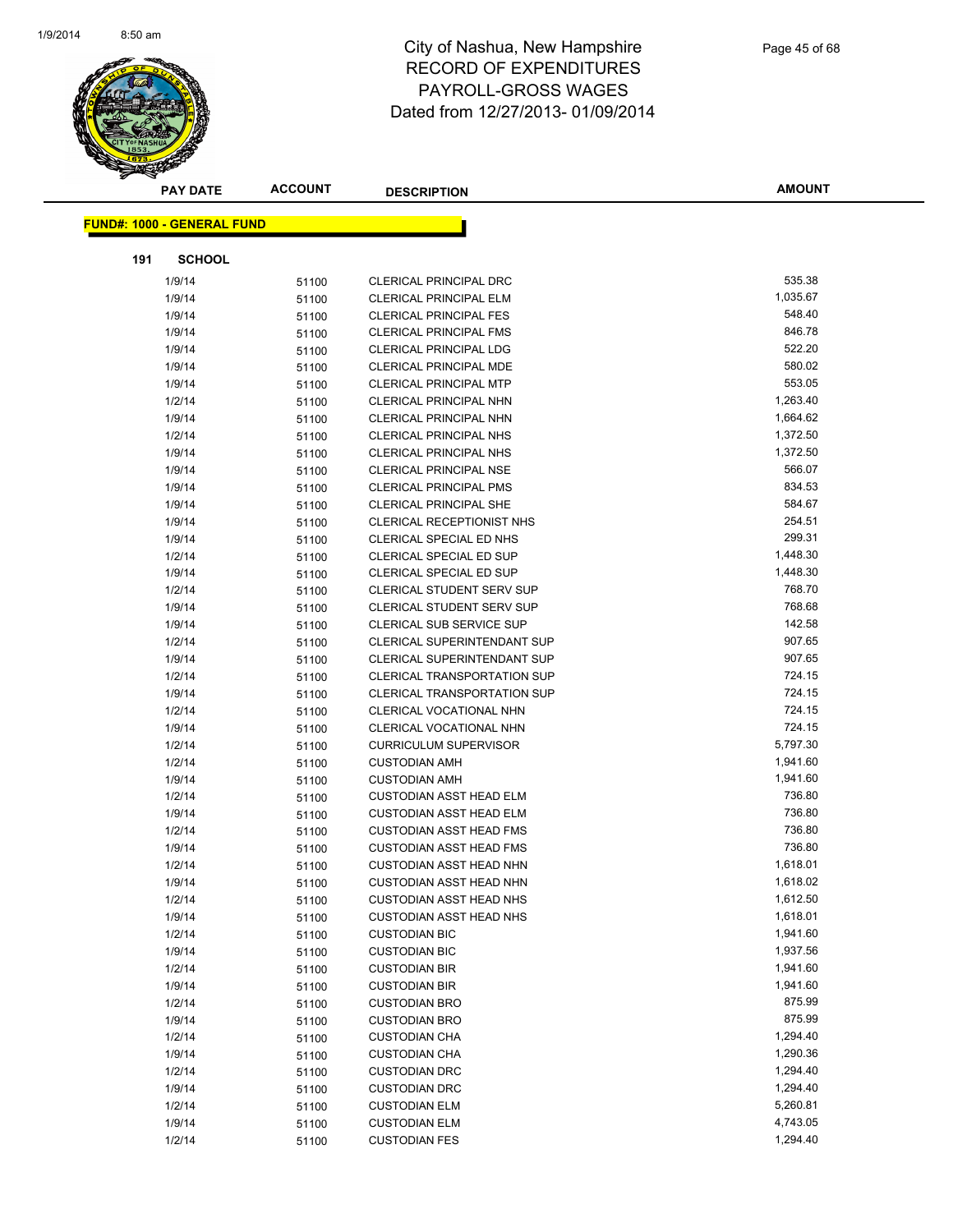

|     | <b>PAY DATE</b>                   | <b>ACCOUNT</b> | <b>DESCRIPTION</b>                 | <b>AMOUNT</b> |
|-----|-----------------------------------|----------------|------------------------------------|---------------|
|     |                                   |                |                                    |               |
|     | <b>FUND#: 1000 - GENERAL FUND</b> |                |                                    |               |
| 191 | <b>SCHOOL</b>                     |                |                                    |               |
|     | 1/9/14                            | 51100          | <b>CLERICAL PRINCIPAL DRC</b>      | 535.38        |
|     | 1/9/14                            | 51100          | <b>CLERICAL PRINCIPAL ELM</b>      | 1,035.67      |
|     | 1/9/14                            | 51100          | <b>CLERICAL PRINCIPAL FES</b>      | 548.40        |
|     | 1/9/14                            | 51100          | <b>CLERICAL PRINCIPAL FMS</b>      | 846.78        |
|     | 1/9/14                            | 51100          | <b>CLERICAL PRINCIPAL LDG</b>      | 522.20        |
|     | 1/9/14                            | 51100          | CLERICAL PRINCIPAL MDE             | 580.02        |
|     | 1/9/14                            | 51100          | <b>CLERICAL PRINCIPAL MTP</b>      | 553.05        |
|     | 1/2/14                            | 51100          | CLERICAL PRINCIPAL NHN             | 1,263.40      |
|     | 1/9/14                            | 51100          | <b>CLERICAL PRINCIPAL NHN</b>      | 1,664.62      |
|     | 1/2/14                            | 51100          | <b>CLERICAL PRINCIPAL NHS</b>      | 1,372.50      |
|     | 1/9/14                            | 51100          | <b>CLERICAL PRINCIPAL NHS</b>      | 1,372.50      |
|     | 1/9/14                            | 51100          | <b>CLERICAL PRINCIPAL NSE</b>      | 566.07        |
|     | 1/9/14                            | 51100          | <b>CLERICAL PRINCIPAL PMS</b>      | 834.53        |
|     | 1/9/14                            | 51100          | <b>CLERICAL PRINCIPAL SHE</b>      | 584.67        |
|     | 1/9/14                            | 51100          | CLERICAL RECEPTIONIST NHS          | 254.51        |
|     | 1/9/14                            | 51100          | <b>CLERICAL SPECIAL ED NHS</b>     | 299.31        |
|     | 1/2/14                            | 51100          | CLERICAL SPECIAL ED SUP            | 1,448.30      |
|     | 1/9/14                            | 51100          | CLERICAL SPECIAL ED SUP            | 1,448.30      |
|     | 1/2/14                            | 51100          | <b>CLERICAL STUDENT SERV SUP</b>   | 768.70        |
|     | 1/9/14                            | 51100          | <b>CLERICAL STUDENT SERV SUP</b>   | 768.68        |
|     | 1/9/14                            | 51100          | CLERICAL SUB SERVICE SUP           | 142.58        |
|     | 1/2/14                            | 51100          | <b>CLERICAL SUPERINTENDANT SUP</b> | 907.65        |
|     | 1/9/14                            | 51100          | <b>CLERICAL SUPERINTENDANT SUP</b> | 907.65        |
|     | 1/2/14                            | 51100          | <b>CLERICAL TRANSPORTATION SUP</b> | 724.15        |
|     | 1/9/14                            | 51100          | <b>CLERICAL TRANSPORTATION SUP</b> | 724.15        |
|     | 1/2/14                            | 51100          | CLERICAL VOCATIONAL NHN            | 724.15        |
|     | 1/9/14                            | 51100          | CLERICAL VOCATIONAL NHN            | 724.15        |
|     | 1/2/14                            | 51100          | <b>CURRICULUM SUPERVISOR</b>       | 5,797.30      |
|     | 1/2/14                            | 51100          | <b>CUSTODIAN AMH</b>               | 1,941.60      |
|     | 1/9/14                            | 51100          | <b>CUSTODIAN AMH</b>               | 1,941.60      |
|     | 1/2/14                            | 51100          | <b>CUSTODIAN ASST HEAD ELM</b>     | 736.80        |
|     | 1/9/14                            | 51100          | <b>CUSTODIAN ASST HEAD ELM</b>     | 736.80        |
|     | 1/2/14                            | 51100          | <b>CUSTODIAN ASST HEAD FMS</b>     | 736.80        |
|     | 1/9/14                            | 51100          | <b>CUSTODIAN ASST HEAD FMS</b>     | 736.80        |
|     | 1/2/14                            | 51100          | <b>CUSTODIAN ASST HEAD NHN</b>     | 1,618.01      |
|     | 1/9/14                            | 51100          | <b>CUSTODIAN ASST HEAD NHN</b>     | 1,618.02      |
|     | 1/2/14                            | 51100          | <b>CUSTODIAN ASST HEAD NHS</b>     | 1,612.50      |
|     | 1/9/14                            | 51100          | <b>CUSTODIAN ASST HEAD NHS</b>     | 1,618.01      |
|     | 1/2/14                            | 51100          | <b>CUSTODIAN BIC</b>               | 1,941.60      |
|     | 1/9/14                            | 51100          | <b>CUSTODIAN BIC</b>               | 1,937.56      |
|     | 1/2/14                            | 51100          | <b>CUSTODIAN BIR</b>               | 1,941.60      |
|     | 1/9/14                            | 51100          | <b>CUSTODIAN BIR</b>               | 1,941.60      |
|     | 1/2/14                            | 51100          | <b>CUSTODIAN BRO</b>               | 875.99        |
|     | 1/9/14                            | 51100          | <b>CUSTODIAN BRO</b>               | 875.99        |
|     | 1/2/14                            | 51100          | <b>CUSTODIAN CHA</b>               | 1,294.40      |
|     | 1/9/14                            | 51100          | <b>CUSTODIAN CHA</b>               | 1,290.36      |
|     | 1/2/14                            | 51100          | <b>CUSTODIAN DRC</b>               | 1,294.40      |
|     | 1/9/14                            | 51100          | <b>CUSTODIAN DRC</b>               | 1,294.40      |
|     | 1/2/14                            | 51100          | <b>CUSTODIAN ELM</b>               | 5,260.81      |
|     | 1/9/14                            | 51100          | <b>CUSTODIAN ELM</b>               | 4,743.05      |
|     | 1/2/14                            | 51100          | <b>CUSTODIAN FES</b>               | 1,294.40      |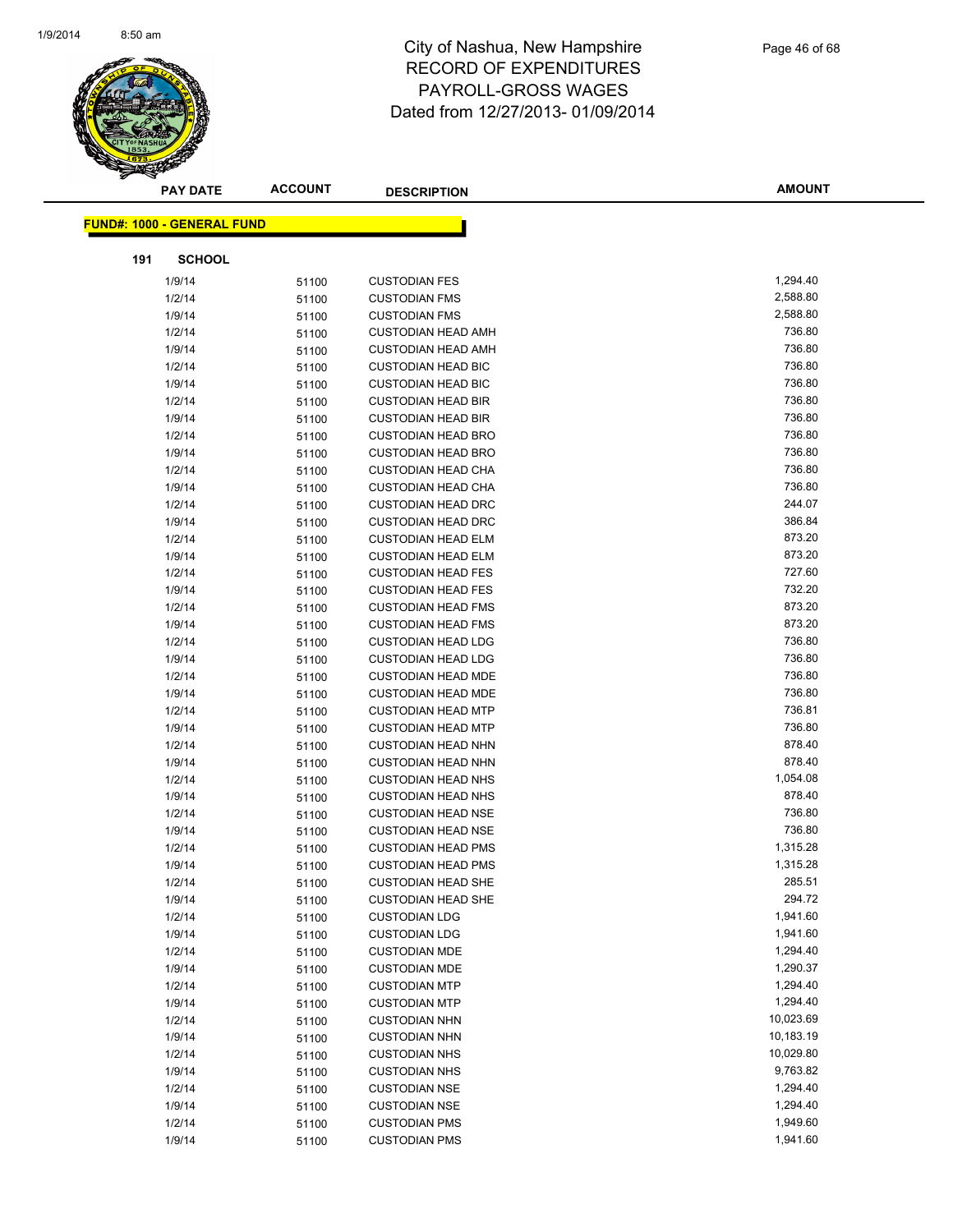

| <b>PAY DATE</b>            | <b>ACCOUNT</b> | <b>DESCRIPTION</b>                           | <b>AMOUNT</b>        |
|----------------------------|----------------|----------------------------------------------|----------------------|
|                            |                |                                              |                      |
| FUND#: 1000 - GENERAL FUND |                |                                              |                      |
| <b>SCHOOL</b><br>191       |                |                                              |                      |
| 1/9/14                     | 51100          | <b>CUSTODIAN FES</b>                         | 1,294.40             |
| 1/2/14                     | 51100          | <b>CUSTODIAN FMS</b>                         | 2,588.80             |
| 1/9/14                     | 51100          | <b>CUSTODIAN FMS</b>                         | 2,588.80             |
| 1/2/14                     | 51100          | <b>CUSTODIAN HEAD AMH</b>                    | 736.80               |
| 1/9/14                     | 51100          | <b>CUSTODIAN HEAD AMH</b>                    | 736.80               |
| 1/2/14                     | 51100          | <b>CUSTODIAN HEAD BIC</b>                    | 736.80               |
| 1/9/14                     | 51100          | <b>CUSTODIAN HEAD BIC</b>                    | 736.80               |
| 1/2/14                     | 51100          | <b>CUSTODIAN HEAD BIR</b>                    | 736.80               |
| 1/9/14                     | 51100          | <b>CUSTODIAN HEAD BIR</b>                    | 736.80               |
| 1/2/14                     | 51100          | <b>CUSTODIAN HEAD BRO</b>                    | 736.80               |
| 1/9/14                     | 51100          | <b>CUSTODIAN HEAD BRO</b>                    | 736.80               |
| 1/2/14                     | 51100          | <b>CUSTODIAN HEAD CHA</b>                    | 736.80               |
| 1/9/14                     | 51100          | <b>CUSTODIAN HEAD CHA</b>                    | 736.80               |
| 1/2/14                     | 51100          | <b>CUSTODIAN HEAD DRC</b>                    | 244.07               |
| 1/9/14                     | 51100          | <b>CUSTODIAN HEAD DRC</b>                    | 386.84               |
| 1/2/14                     | 51100          | <b>CUSTODIAN HEAD ELM</b>                    | 873.20               |
| 1/9/14                     | 51100          | <b>CUSTODIAN HEAD ELM</b>                    | 873.20               |
| 1/2/14                     | 51100          | <b>CUSTODIAN HEAD FES</b>                    | 727.60               |
| 1/9/14                     | 51100          | <b>CUSTODIAN HEAD FES</b>                    | 732.20               |
| 1/2/14                     | 51100          | <b>CUSTODIAN HEAD FMS</b>                    | 873.20               |
| 1/9/14                     | 51100          | <b>CUSTODIAN HEAD FMS</b>                    | 873.20               |
| 1/2/14                     | 51100          | <b>CUSTODIAN HEAD LDG</b>                    | 736.80               |
| 1/9/14                     | 51100          | <b>CUSTODIAN HEAD LDG</b>                    | 736.80               |
| 1/2/14                     | 51100          | <b>CUSTODIAN HEAD MDE</b>                    | 736.80               |
| 1/9/14                     | 51100          | <b>CUSTODIAN HEAD MDE</b>                    | 736.80               |
| 1/2/14                     | 51100          | <b>CUSTODIAN HEAD MTP</b>                    | 736.81               |
| 1/9/14                     | 51100          | <b>CUSTODIAN HEAD MTP</b>                    | 736.80               |
| 1/2/14                     | 51100          | <b>CUSTODIAN HEAD NHN</b>                    | 878.40               |
| 1/9/14                     | 51100          | <b>CUSTODIAN HEAD NHN</b>                    | 878.40               |
| 1/2/14                     | 51100          | <b>CUSTODIAN HEAD NHS</b>                    | 1,054.08             |
| 1/9/14                     | 51100          | <b>CUSTODIAN HEAD NHS</b>                    | 878.40               |
| 1/2/14                     | 51100          | <b>CUSTODIAN HEAD NSE</b>                    | 736.80               |
| 1/9/14                     | 51100          | <b>CUSTODIAN HEAD NSE</b>                    | 736.80               |
| 1/2/14                     | 51100          | <b>CUSTODIAN HEAD PMS</b>                    | 1,315.28             |
| 1/9/14                     | 51100          | <b>CUSTODIAN HEAD PMS</b>                    | 1,315.28             |
| 1/2/14                     | 51100          | <b>CUSTODIAN HEAD SHE</b>                    | 285.51               |
| 1/9/14                     | 51100          | <b>CUSTODIAN HEAD SHE</b>                    | 294.72<br>1,941.60   |
| 1/2/14                     | 51100          | <b>CUSTODIAN LDG</b>                         |                      |
| 1/9/14                     | 51100          | <b>CUSTODIAN LDG</b>                         | 1,941.60<br>1,294.40 |
| 1/2/14<br>1/9/14           | 51100          | <b>CUSTODIAN MDE</b><br><b>CUSTODIAN MDE</b> | 1,290.37             |
| 1/2/14                     | 51100          | <b>CUSTODIAN MTP</b>                         | 1,294.40             |
| 1/9/14                     | 51100<br>51100 | <b>CUSTODIAN MTP</b>                         | 1,294.40             |
| 1/2/14                     | 51100          | <b>CUSTODIAN NHN</b>                         | 10,023.69            |
| 1/9/14                     | 51100          | <b>CUSTODIAN NHN</b>                         | 10,183.19            |
| 1/2/14                     | 51100          | <b>CUSTODIAN NHS</b>                         | 10,029.80            |
| 1/9/14                     | 51100          | <b>CUSTODIAN NHS</b>                         | 9,763.82             |
| 1/2/14                     | 51100          | <b>CUSTODIAN NSE</b>                         | 1,294.40             |
| 1/9/14                     | 51100          | <b>CUSTODIAN NSE</b>                         | 1,294.40             |
| 1/2/14                     | 51100          | <b>CUSTODIAN PMS</b>                         | 1,949.60             |
| 1/9/14                     | 51100          | <b>CUSTODIAN PMS</b>                         | 1,941.60             |
|                            |                |                                              |                      |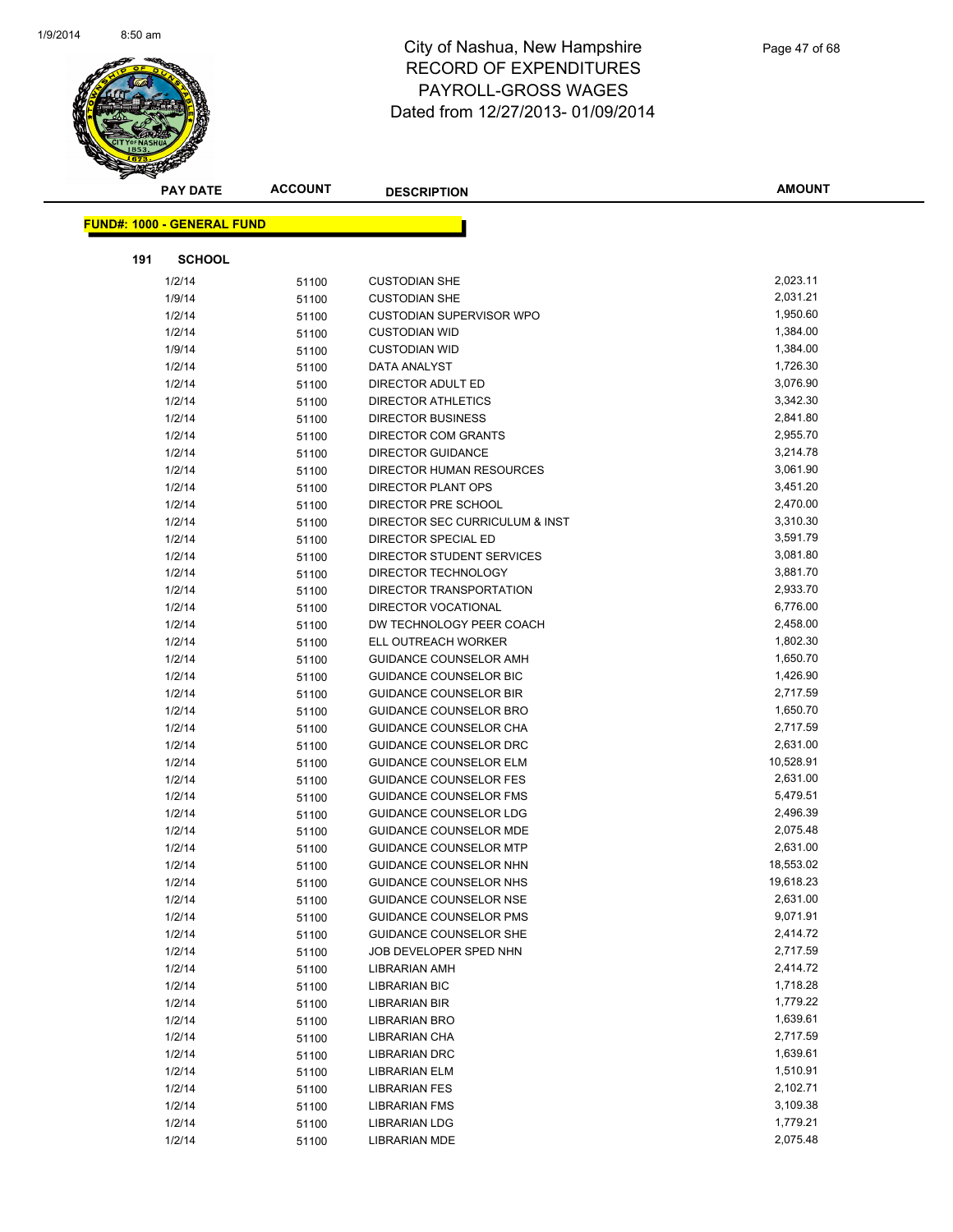

| <b>PAY DATE</b>                   | <b>ACCOUNT</b> | <b>DESCRIPTION</b>                                             | <b>AMOUNT</b>         |
|-----------------------------------|----------------|----------------------------------------------------------------|-----------------------|
| <b>FUND#: 1000 - GENERAL FUND</b> |                |                                                                |                       |
|                                   |                |                                                                |                       |
| 191<br><b>SCHOOL</b>              |                |                                                                |                       |
| 1/2/14                            | 51100          | <b>CUSTODIAN SHE</b>                                           | 2,023.11              |
| 1/9/14                            | 51100          | <b>CUSTODIAN SHE</b>                                           | 2,031.21              |
| 1/2/14                            | 51100          | <b>CUSTODIAN SUPERVISOR WPO</b>                                | 1,950.60              |
| 1/2/14                            | 51100          | <b>CUSTODIAN WID</b>                                           | 1,384.00              |
| 1/9/14                            | 51100          | <b>CUSTODIAN WID</b>                                           | 1,384.00              |
| 1/2/14                            | 51100          | DATA ANALYST                                                   | 1,726.30              |
| 1/2/14                            | 51100          | DIRECTOR ADULT ED                                              | 3,076.90              |
| 1/2/14                            | 51100          | DIRECTOR ATHLETICS                                             | 3,342.30              |
| 1/2/14                            | 51100          | <b>DIRECTOR BUSINESS</b>                                       | 2,841.80              |
| 1/2/14                            | 51100          | <b>DIRECTOR COM GRANTS</b>                                     | 2,955.70              |
| 1/2/14                            | 51100          | DIRECTOR GUIDANCE                                              | 3,214.78              |
| 1/2/14                            | 51100          | DIRECTOR HUMAN RESOURCES                                       | 3,061.90              |
| 1/2/14                            | 51100          | <b>DIRECTOR PLANT OPS</b>                                      | 3,451.20              |
| 1/2/14                            | 51100          | DIRECTOR PRE SCHOOL                                            | 2,470.00              |
| 1/2/14                            | 51100          | DIRECTOR SEC CURRICULUM & INST                                 | 3,310.30              |
| 1/2/14                            | 51100          | DIRECTOR SPECIAL ED                                            | 3,591.79              |
| 1/2/14                            | 51100          | DIRECTOR STUDENT SERVICES                                      | 3,081.80              |
| 1/2/14                            | 51100          | DIRECTOR TECHNOLOGY                                            | 3,881.70              |
| 1/2/14                            | 51100          | DIRECTOR TRANSPORTATION                                        | 2,933.70              |
| 1/2/14                            | 51100          | <b>DIRECTOR VOCATIONAL</b>                                     | 6,776.00              |
| 1/2/14                            | 51100          | DW TECHNOLOGY PEER COACH                                       | 2,458.00              |
| 1/2/14                            | 51100          | ELL OUTREACH WORKER                                            | 1,802.30              |
| 1/2/14                            | 51100          | GUIDANCE COUNSELOR AMH                                         | 1,650.70              |
| 1/2/14                            | 51100          | GUIDANCE COUNSELOR BIC                                         | 1,426.90              |
| 1/2/14                            | 51100          | <b>GUIDANCE COUNSELOR BIR</b>                                  | 2,717.59              |
| 1/2/14                            | 51100          | <b>GUIDANCE COUNSELOR BRO</b>                                  | 1,650.70              |
| 1/2/14                            | 51100          | GUIDANCE COUNSELOR CHA                                         | 2,717.59              |
| 1/2/14                            | 51100          | GUIDANCE COUNSELOR DRC                                         | 2,631.00              |
| 1/2/14                            | 51100          | <b>GUIDANCE COUNSELOR ELM</b>                                  | 10,528.91             |
| 1/2/14                            | 51100          | <b>GUIDANCE COUNSELOR FES</b>                                  | 2,631.00              |
| 1/2/14                            | 51100          | <b>GUIDANCE COUNSELOR FMS</b>                                  | 5,479.51              |
| 1/2/14                            | 51100          | GUIDANCE COUNSELOR LDG                                         | 2,496.39              |
| 1/2/14                            | 51100          | <b>GUIDANCE COUNSELOR MDE</b>                                  | 2,075.48              |
| 1/2/14                            | 51100          | <b>GUIDANCE COUNSELOR MTP</b>                                  | 2,631.00              |
| 1/2/14                            | 51100          | GUIDANCE COUNSELOR NHN                                         | 18,553.02             |
| 1/2/14<br>1/2/14                  | 51100          | GUIDANCE COUNSELOR NHS                                         | 19,618.23<br>2,631.00 |
| 1/2/14                            | 51100          | <b>GUIDANCE COUNSELOR NSE</b><br><b>GUIDANCE COUNSELOR PMS</b> | 9,071.91              |
| 1/2/14                            | 51100<br>51100 | <b>GUIDANCE COUNSELOR SHE</b>                                  | 2,414.72              |
| 1/2/14                            | 51100          | JOB DEVELOPER SPED NHN                                         | 2,717.59              |
| 1/2/14                            | 51100          | <b>LIBRARIAN AMH</b>                                           | 2,414.72              |
| 1/2/14                            | 51100          | <b>LIBRARIAN BIC</b>                                           | 1,718.28              |
| 1/2/14                            | 51100          | <b>LIBRARIAN BIR</b>                                           | 1,779.22              |
| 1/2/14                            | 51100          | LIBRARIAN BRO                                                  | 1,639.61              |
| 1/2/14                            | 51100          | LIBRARIAN CHA                                                  | 2,717.59              |
| 1/2/14                            | 51100          | <b>LIBRARIAN DRC</b>                                           | 1,639.61              |
| 1/2/14                            | 51100          | <b>LIBRARIAN ELM</b>                                           | 1,510.91              |
| 1/2/14                            | 51100          | <b>LIBRARIAN FES</b>                                           | 2,102.71              |
| 1/2/14                            | 51100          | LIBRARIAN FMS                                                  | 3,109.38              |
| 1/2/14                            | 51100          | <b>LIBRARIAN LDG</b>                                           | 1,779.21              |
| 1/2/14                            | 51100          | LIBRARIAN MDE                                                  | 2,075.48              |
|                                   |                |                                                                |                       |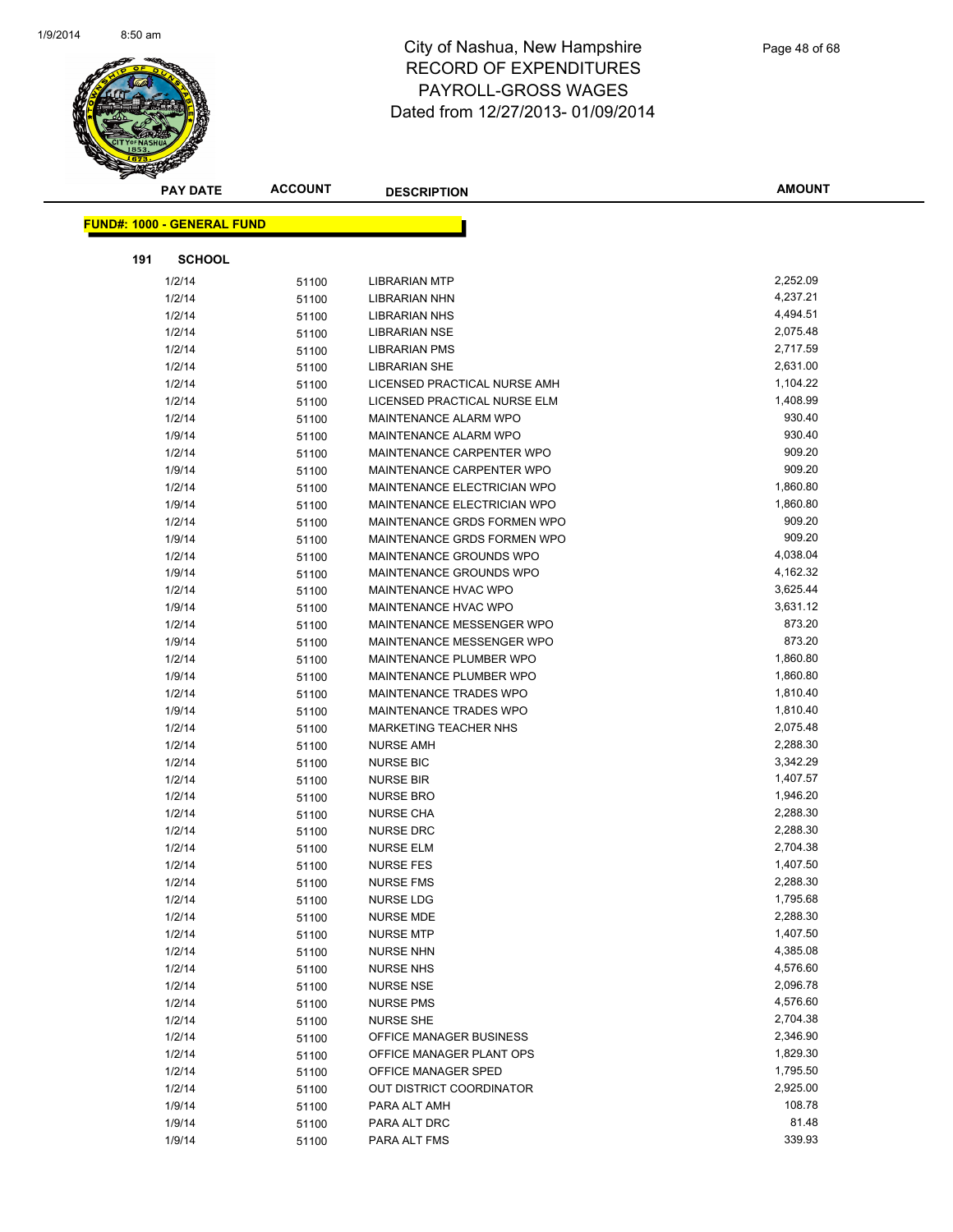

| <b>PAY DATE</b>                   | <b>ACCOUNT</b> | <b>DESCRIPTION</b>           | <b>AMOUNT</b>        |
|-----------------------------------|----------------|------------------------------|----------------------|
| <b>FUND#: 1000 - GENERAL FUND</b> |                |                              |                      |
|                                   |                |                              |                      |
| 191<br><b>SCHOOL</b>              |                |                              |                      |
| 1/2/14                            | 51100          | <b>LIBRARIAN MTP</b>         | 2,252.09             |
| 1/2/14                            | 51100          | LIBRARIAN NHN                | 4,237.21             |
| 1/2/14                            | 51100          | <b>LIBRARIAN NHS</b>         | 4,494.51             |
| 1/2/14                            | 51100          | <b>LIBRARIAN NSE</b>         | 2,075.48             |
| 1/2/14                            | 51100          | <b>LIBRARIAN PMS</b>         | 2,717.59             |
| 1/2/14                            | 51100          | <b>LIBRARIAN SHE</b>         | 2,631.00             |
| 1/2/14                            | 51100          | LICENSED PRACTICAL NURSE AMH | 1,104.22             |
| 1/2/14                            | 51100          | LICENSED PRACTICAL NURSE ELM | 1,408.99             |
| 1/2/14                            | 51100          | MAINTENANCE ALARM WPO        | 930.40               |
| 1/9/14                            | 51100          | MAINTENANCE ALARM WPO        | 930.40               |
| 1/2/14                            | 51100          | MAINTENANCE CARPENTER WPO    | 909.20               |
| 1/9/14                            | 51100          | MAINTENANCE CARPENTER WPO    | 909.20               |
| 1/2/14                            | 51100          | MAINTENANCE ELECTRICIAN WPO  | 1,860.80             |
| 1/9/14                            | 51100          | MAINTENANCE ELECTRICIAN WPO  | 1,860.80             |
| 1/2/14                            | 51100          | MAINTENANCE GRDS FORMEN WPO  | 909.20               |
| 1/9/14                            | 51100          | MAINTENANCE GRDS FORMEN WPO  | 909.20               |
| 1/2/14                            | 51100          | MAINTENANCE GROUNDS WPO      | 4,038.04             |
| 1/9/14                            | 51100          | MAINTENANCE GROUNDS WPO      | 4,162.32             |
| 1/2/14                            | 51100          | MAINTENANCE HVAC WPO         | 3,625.44             |
| 1/9/14                            | 51100          | MAINTENANCE HVAC WPO         | 3,631.12             |
| 1/2/14                            | 51100          | MAINTENANCE MESSENGER WPO    | 873.20               |
| 1/9/14                            | 51100          | MAINTENANCE MESSENGER WPO    | 873.20               |
| 1/2/14                            | 51100          | MAINTENANCE PLUMBER WPO      | 1,860.80             |
| 1/9/14                            | 51100          | MAINTENANCE PLUMBER WPO      | 1,860.80             |
| 1/2/14                            | 51100          | MAINTENANCE TRADES WPO       | 1,810.40             |
| 1/9/14                            | 51100          | MAINTENANCE TRADES WPO       | 1,810.40             |
| 1/2/14                            | 51100          | <b>MARKETING TEACHER NHS</b> | 2,075.48             |
| 1/2/14                            | 51100          | <b>NURSE AMH</b>             | 2,288.30             |
| 1/2/14                            | 51100          | <b>NURSE BIC</b>             | 3,342.29             |
| 1/2/14                            | 51100          | <b>NURSE BIR</b>             | 1,407.57             |
| 1/2/14                            | 51100          | <b>NURSE BRO</b>             | 1,946.20             |
| 1/2/14                            | 51100          | <b>NURSE CHA</b>             | 2,288.30             |
| 1/2/14                            | 51100          | <b>NURSE DRC</b>             | 2,288.30             |
| 1/2/14                            | 51100          | <b>NURSE ELM</b>             | 2,704.38             |
| 1/2/14                            | 51100          | <b>NURSE FES</b>             | 1,407.50             |
| 1/2/14                            | 51100          | <b>NURSE FMS</b>             | 2,288.30             |
| 1/2/14                            | 51100          | NURSE LDG                    | 1,795.68             |
| 1/2/14                            | 51100          | <b>NURSE MDE</b>             | 2,288.30             |
| 1/2/14                            | 51100          | <b>NURSE MTP</b>             | 1,407.50             |
| 1/2/14                            | 51100          | <b>NURSE NHN</b>             | 4,385.08             |
| 1/2/14                            | 51100          | <b>NURSE NHS</b>             | 4,576.60             |
| 1/2/14                            | 51100          | <b>NURSE NSE</b>             | 2,096.78             |
| 1/2/14                            | 51100          | <b>NURSE PMS</b>             | 4,576.60             |
| 1/2/14                            | 51100          | <b>NURSE SHE</b>             | 2,704.38             |
| 1/2/14                            | 51100          | OFFICE MANAGER BUSINESS      | 2,346.90             |
| 1/2/14                            | 51100          | OFFICE MANAGER PLANT OPS     | 1,829.30             |
| 1/2/14                            | 51100          | OFFICE MANAGER SPED          | 1,795.50<br>2,925.00 |
| 1/2/14                            | 51100          | OUT DISTRICT COORDINATOR     | 108.78               |
| 1/9/14                            | 51100          | PARA ALT AMH                 | 81.48                |
| 1/9/14                            | 51100          | PARA ALT DRC                 | 339.93               |
| 1/9/14                            | 51100          | PARA ALT FMS                 |                      |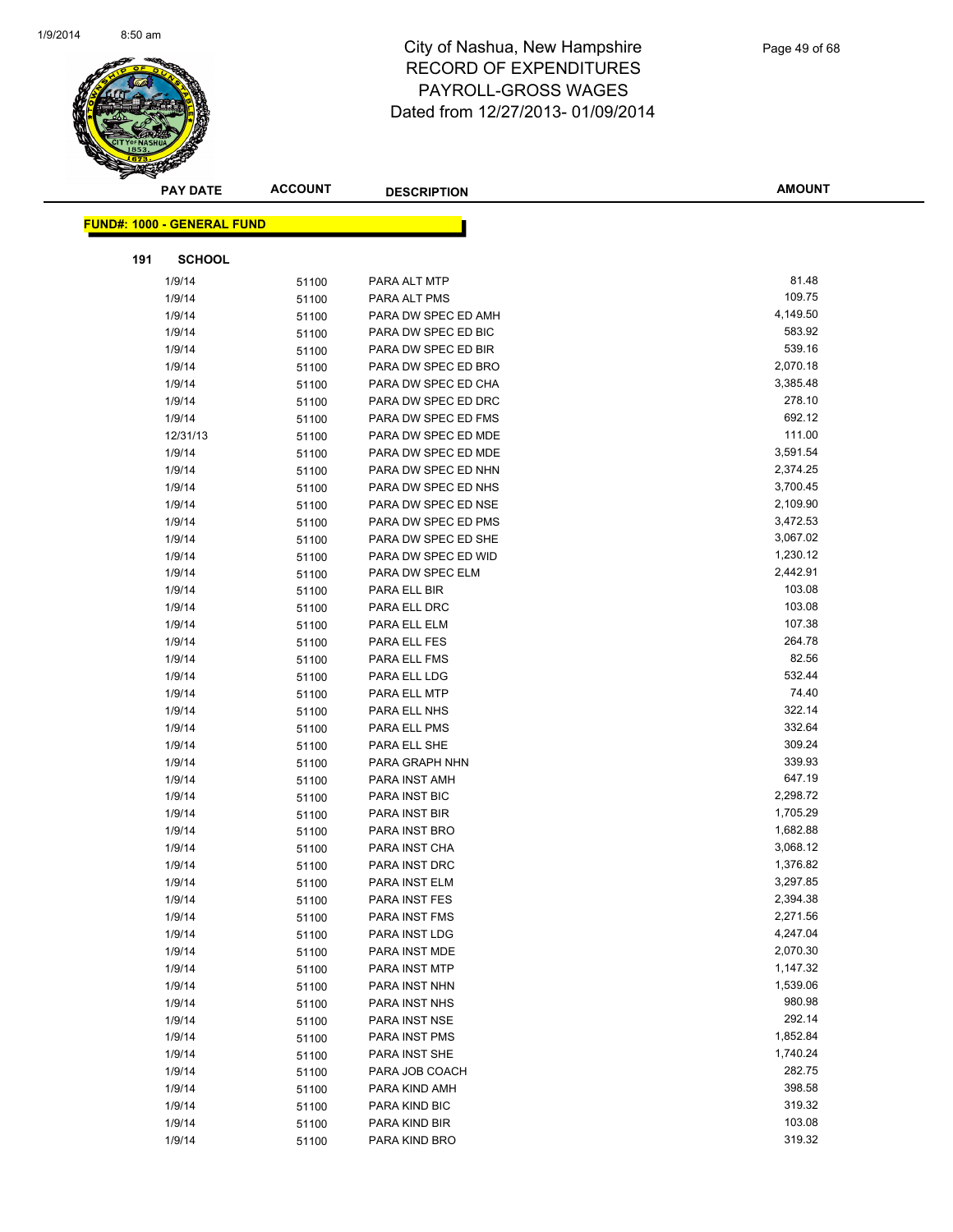

| <b>PAY DATE</b>                   | <b>ACCOUNT</b> | <b>DESCRIPTION</b>  | <b>AMOUNT</b> |
|-----------------------------------|----------------|---------------------|---------------|
|                                   |                |                     |               |
| <b>FUND#: 1000 - GENERAL FUND</b> |                |                     |               |
| 191<br><b>SCHOOL</b>              |                |                     |               |
| 1/9/14                            | 51100          | PARA ALT MTP        | 81.48         |
| 1/9/14                            | 51100          | PARA ALT PMS        | 109.75        |
| 1/9/14                            | 51100          | PARA DW SPEC ED AMH | 4,149.50      |
| 1/9/14                            | 51100          | PARA DW SPEC ED BIC | 583.92        |
| 1/9/14                            | 51100          | PARA DW SPEC ED BIR | 539.16        |
| 1/9/14                            | 51100          | PARA DW SPEC ED BRO | 2,070.18      |
| 1/9/14                            | 51100          | PARA DW SPEC ED CHA | 3,385.48      |
| 1/9/14                            | 51100          | PARA DW SPEC ED DRC | 278.10        |
| 1/9/14                            | 51100          | PARA DW SPEC ED FMS | 692.12        |
| 12/31/13                          | 51100          | PARA DW SPEC ED MDE | 111.00        |
| 1/9/14                            | 51100          | PARA DW SPEC ED MDE | 3,591.54      |
| 1/9/14                            | 51100          | PARA DW SPEC ED NHN | 2,374.25      |
| 1/9/14                            | 51100          | PARA DW SPEC ED NHS | 3,700.45      |
| 1/9/14                            | 51100          | PARA DW SPEC ED NSE | 2,109.90      |
| 1/9/14                            | 51100          | PARA DW SPEC ED PMS | 3,472.53      |
| 1/9/14                            | 51100          | PARA DW SPEC ED SHE | 3,067.02      |
| 1/9/14                            | 51100          | PARA DW SPEC ED WID | 1,230.12      |
| 1/9/14                            | 51100          | PARA DW SPEC ELM    | 2,442.91      |
| 1/9/14                            | 51100          | PARA ELL BIR        | 103.08        |
| 1/9/14                            | 51100          | PARA ELL DRC        | 103.08        |
| 1/9/14                            | 51100          | PARA ELL ELM        | 107.38        |
| 1/9/14                            | 51100          | PARA ELL FES        | 264.78        |
| 1/9/14                            | 51100          | PARA ELL FMS        | 82.56         |
| 1/9/14                            | 51100          | PARA ELL LDG        | 532.44        |
| 1/9/14                            | 51100          | PARA ELL MTP        | 74.40         |
| 1/9/14                            | 51100          | PARA ELL NHS        | 322.14        |
| 1/9/14                            | 51100          | PARA ELL PMS        | 332.64        |
| 1/9/14                            | 51100          | PARA ELL SHE        | 309.24        |
| 1/9/14                            | 51100          | PARA GRAPH NHN      | 339.93        |
| 1/9/14                            | 51100          | PARA INST AMH       | 647.19        |
| 1/9/14                            | 51100          | PARA INST BIC       | 2,298.72      |
| 1/9/14                            | 51100          | PARA INST BIR       | 1,705.29      |
| 1/9/14                            | 51100          | PARA INST BRO       | 1,682.88      |
| 1/9/14                            | 51100          | PARA INST CHA       | 3,068.12      |
| 1/9/14                            | 51100          | PARA INST DRC       | 1,376.82      |
| 1/9/14                            | 51100          | PARA INST ELM       | 3,297.85      |
| 1/9/14                            | 51100          | PARA INST FES       | 2,394.38      |
| 1/9/14                            | 51100          | PARA INST FMS       | 2,271.56      |
| 1/9/14                            | 51100          | PARA INST LDG       | 4,247.04      |
| 1/9/14                            | 51100          | PARA INST MDE       | 2,070.30      |
| 1/9/14                            | 51100          | PARA INST MTP       | 1,147.32      |
| 1/9/14                            | 51100          | PARA INST NHN       | 1,539.06      |
| 1/9/14                            | 51100          | PARA INST NHS       | 980.98        |
| 1/9/14                            | 51100          | PARA INST NSE       | 292.14        |
| 1/9/14                            | 51100          | PARA INST PMS       | 1,852.84      |
| 1/9/14                            | 51100          | PARA INST SHE       | 1,740.24      |
| 1/9/14                            | 51100          | PARA JOB COACH      | 282.75        |
| 1/9/14                            | 51100          | PARA KIND AMH       | 398.58        |
| 1/9/14                            | 51100          | PARA KIND BIC       | 319.32        |
| 1/9/14                            | 51100          | PARA KIND BIR       | 103.08        |
| 1/9/14                            | 51100          | PARA KIND BRO       | 319.32        |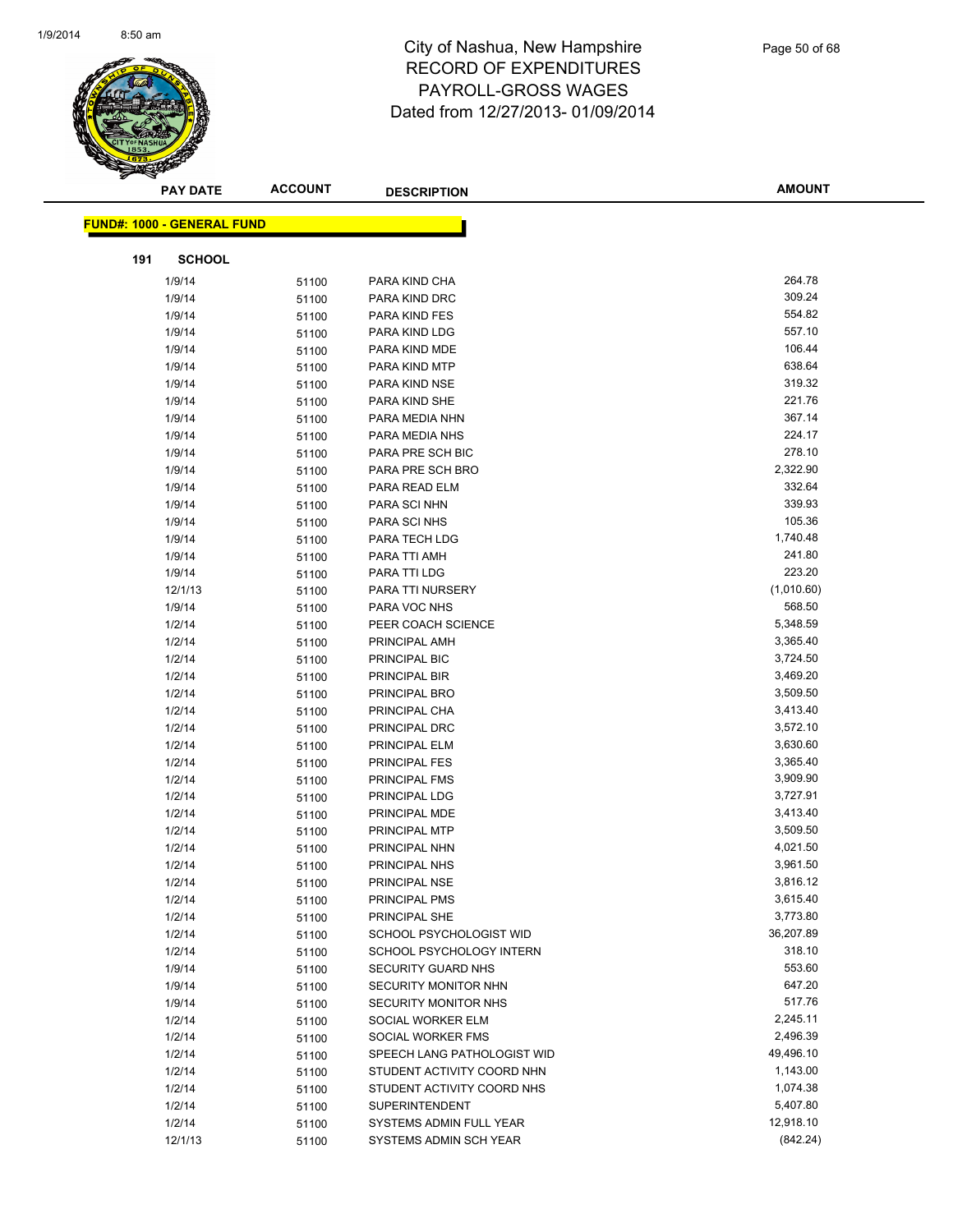

|                                   | <b>PAY DATE</b> | <b>ACCOUNT</b> | <b>DESCRIPTION</b>                                  | <b>AMOUNT</b>        |
|-----------------------------------|-----------------|----------------|-----------------------------------------------------|----------------------|
| <b>FUND#: 1000 - GENERAL FUND</b> |                 |                |                                                     |                      |
|                                   |                 |                |                                                     |                      |
| 191                               | <b>SCHOOL</b>   |                |                                                     |                      |
| 1/9/14                            |                 | 51100          | PARA KIND CHA                                       | 264.78               |
| 1/9/14                            |                 | 51100          | PARA KIND DRC                                       | 309.24               |
| 1/9/14                            |                 | 51100          | PARA KIND FES                                       | 554.82               |
| 1/9/14                            |                 | 51100          | PARA KIND LDG                                       | 557.10               |
| 1/9/14                            |                 | 51100          | PARA KIND MDE                                       | 106.44               |
| 1/9/14                            |                 | 51100          | PARA KIND MTP                                       | 638.64               |
| 1/9/14                            |                 | 51100          | PARA KIND NSE                                       | 319.32               |
| 1/9/14                            |                 | 51100          | PARA KIND SHE                                       | 221.76               |
| 1/9/14                            |                 | 51100          | PARA MEDIA NHN                                      | 367.14               |
| 1/9/14                            |                 | 51100          | PARA MEDIA NHS                                      | 224.17               |
| 1/9/14                            |                 | 51100          | PARA PRE SCH BIC                                    | 278.10               |
| 1/9/14                            |                 | 51100          | PARA PRE SCH BRO                                    | 2,322.90             |
| 1/9/14                            |                 | 51100          | PARA READ ELM                                       | 332.64               |
| 1/9/14                            |                 | 51100          | PARA SCI NHN                                        | 339.93               |
| 1/9/14                            |                 | 51100          | PARA SCI NHS                                        | 105.36               |
| 1/9/14                            |                 | 51100          | PARA TECH LDG                                       | 1,740.48             |
| 1/9/14                            |                 | 51100          | PARA TTI AMH                                        | 241.80               |
| 1/9/14                            |                 | 51100          | PARA TTI LDG                                        | 223.20               |
| 12/1/13                           |                 | 51100          | PARA TTI NURSERY                                    | (1,010.60)           |
| 1/9/14                            |                 | 51100          | PARA VOC NHS                                        | 568.50               |
| 1/2/14                            |                 | 51100          | PEER COACH SCIENCE                                  | 5,348.59             |
| 1/2/14                            |                 | 51100          | PRINCIPAL AMH                                       | 3,365.40             |
| 1/2/14                            |                 | 51100          | PRINCIPAL BIC                                       | 3,724.50             |
| 1/2/14                            |                 | 51100          | PRINCIPAL BIR                                       | 3,469.20             |
| 1/2/14                            |                 | 51100          | PRINCIPAL BRO                                       | 3,509.50             |
| 1/2/14                            |                 | 51100          | PRINCIPAL CHA                                       | 3,413.40             |
| 1/2/14                            |                 | 51100          | PRINCIPAL DRC                                       | 3,572.10             |
| 1/2/14                            |                 | 51100          | PRINCIPAL ELM                                       | 3,630.60             |
| 1/2/14                            |                 | 51100          | PRINCIPAL FES                                       | 3,365.40             |
| 1/2/14                            |                 | 51100          | PRINCIPAL FMS                                       | 3,909.90             |
| 1/2/14                            |                 | 51100          | PRINCIPAL LDG                                       | 3,727.91             |
| 1/2/14                            |                 | 51100          | PRINCIPAL MDE                                       | 3,413.40             |
| 1/2/14                            |                 | 51100          | PRINCIPAL MTP                                       | 3,509.50             |
| 1/2/14                            |                 | 51100          | PRINCIPAL NHN                                       | 4,021.50             |
| 1/2/14                            |                 | 51100          | PRINCIPAL NHS                                       | 3,961.50             |
| 1/2/14                            |                 | 51100          | PRINCIPAL NSE                                       | 3,816.12             |
| 1/2/14                            |                 | 51100          | PRINCIPAL PMS                                       | 3,615.40<br>3,773.80 |
| 1/2/14                            |                 | 51100          | PRINCIPAL SHE                                       | 36,207.89            |
| 1/2/14<br>1/2/14                  |                 | 51100          | SCHOOL PSYCHOLOGIST WID<br>SCHOOL PSYCHOLOGY INTERN | 318.10               |
| 1/9/14                            |                 | 51100          | <b>SECURITY GUARD NHS</b>                           | 553.60               |
| 1/9/14                            |                 | 51100          | SECURITY MONITOR NHN                                | 647.20               |
| 1/9/14                            |                 | 51100          | SECURITY MONITOR NHS                                | 517.76               |
| 1/2/14                            |                 | 51100          | SOCIAL WORKER ELM                                   | 2,245.11             |
| 1/2/14                            |                 | 51100<br>51100 | SOCIAL WORKER FMS                                   | 2,496.39             |
| 1/2/14                            |                 | 51100          | SPEECH LANG PATHOLOGIST WID                         | 49,496.10            |
| 1/2/14                            |                 | 51100          | STUDENT ACTIVITY COORD NHN                          | 1,143.00             |
| 1/2/14                            |                 | 51100          | STUDENT ACTIVITY COORD NHS                          | 1,074.38             |
| 1/2/14                            |                 | 51100          | <b>SUPERINTENDENT</b>                               | 5,407.80             |
| 1/2/14                            |                 | 51100          | SYSTEMS ADMIN FULL YEAR                             | 12,918.10            |
| 12/1/13                           |                 | 51100          | SYSTEMS ADMIN SCH YEAR                              | (842.24)             |
|                                   |                 |                |                                                     |                      |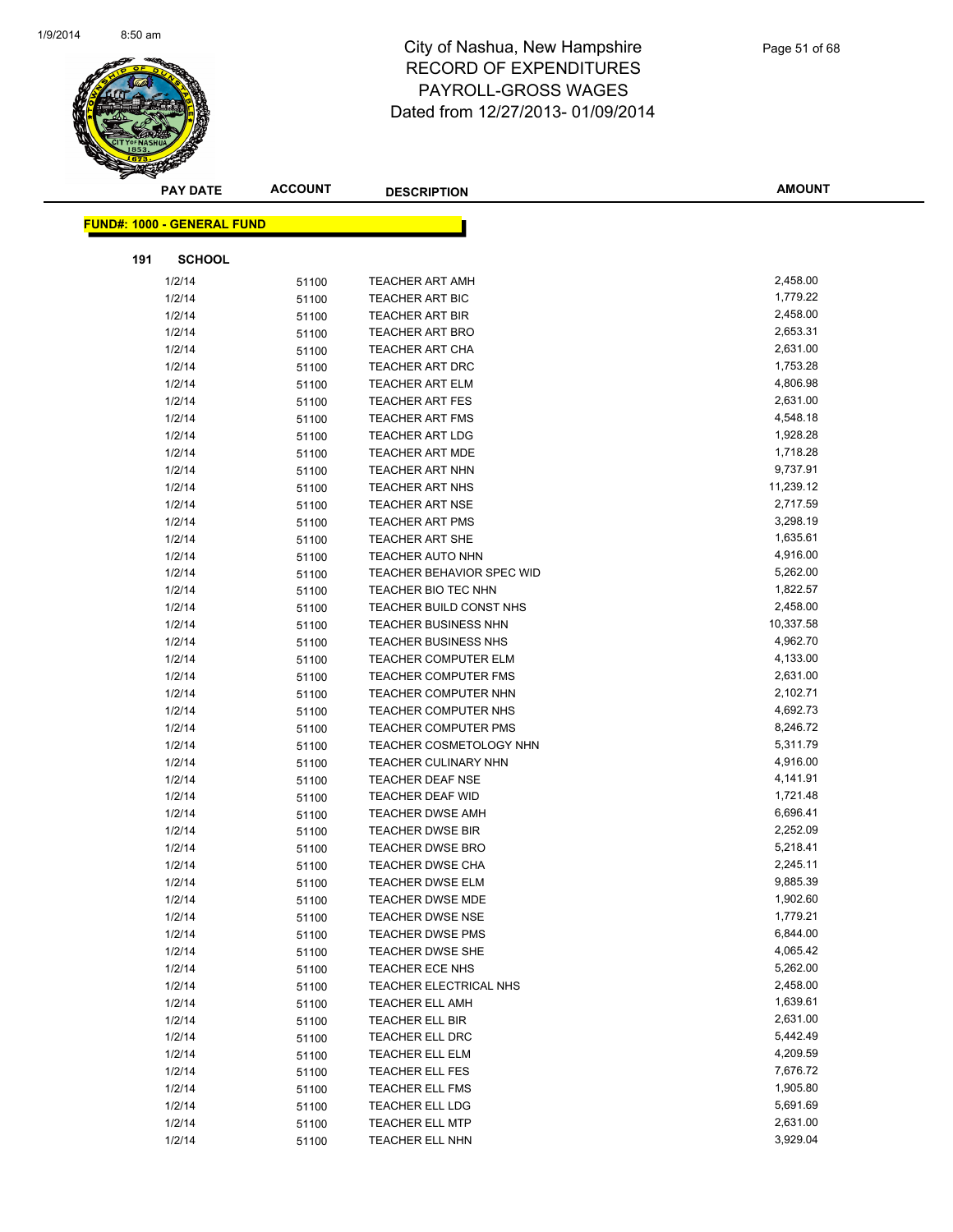

|     | <b>PAY DATE</b>                   | <b>ACCOUNT</b> | <b>DESCRIPTION</b>          | <b>AMOUNT</b> |
|-----|-----------------------------------|----------------|-----------------------------|---------------|
|     | <b>FUND#: 1000 - GENERAL FUND</b> |                |                             |               |
|     |                                   |                |                             |               |
| 191 | <b>SCHOOL</b>                     |                |                             |               |
|     | 1/2/14                            | 51100          | <b>TEACHER ART AMH</b>      | 2,458.00      |
|     | 1/2/14                            | 51100          | <b>TEACHER ART BIC</b>      | 1,779.22      |
|     | 1/2/14                            | 51100          | <b>TEACHER ART BIR</b>      | 2,458.00      |
|     | 1/2/14                            | 51100          | <b>TEACHER ART BRO</b>      | 2,653.31      |
|     | 1/2/14                            | 51100          | <b>TEACHER ART CHA</b>      | 2,631.00      |
|     | 1/2/14                            | 51100          | <b>TEACHER ART DRC</b>      | 1,753.28      |
|     | 1/2/14                            | 51100          | <b>TEACHER ART ELM</b>      | 4,806.98      |
|     | 1/2/14                            | 51100          | <b>TEACHER ART FES</b>      | 2,631.00      |
|     | 1/2/14                            | 51100          | <b>TEACHER ART FMS</b>      | 4,548.18      |
|     | 1/2/14                            | 51100          | <b>TEACHER ART LDG</b>      | 1,928.28      |
|     | 1/2/14                            | 51100          | <b>TEACHER ART MDE</b>      | 1,718.28      |
|     | 1/2/14                            | 51100          | <b>TEACHER ART NHN</b>      | 9,737.91      |
|     | 1/2/14                            | 51100          | <b>TEACHER ART NHS</b>      | 11,239.12     |
|     | 1/2/14                            | 51100          | <b>TEACHER ART NSE</b>      | 2,717.59      |
|     | 1/2/14                            | 51100          | <b>TEACHER ART PMS</b>      | 3,298.19      |
|     | 1/2/14                            | 51100          | <b>TEACHER ART SHE</b>      | 1,635.61      |
|     | 1/2/14                            | 51100          | <b>TEACHER AUTO NHN</b>     | 4,916.00      |
|     | 1/2/14                            | 51100          | TEACHER BEHAVIOR SPEC WID   | 5,262.00      |
|     | 1/2/14                            | 51100          | TEACHER BIO TEC NHN         | 1,822.57      |
|     | 1/2/14                            | 51100          | TEACHER BUILD CONST NHS     | 2,458.00      |
|     | 1/2/14                            | 51100          | <b>TEACHER BUSINESS NHN</b> | 10,337.58     |
|     | 1/2/14                            | 51100          | TEACHER BUSINESS NHS        | 4,962.70      |
|     | 1/2/14                            | 51100          | TEACHER COMPUTER ELM        | 4,133.00      |
|     | 1/2/14                            | 51100          | <b>TEACHER COMPUTER FMS</b> | 2,631.00      |
|     | 1/2/14                            | 51100          | TEACHER COMPUTER NHN        | 2,102.71      |
|     | 1/2/14                            | 51100          | TEACHER COMPUTER NHS        | 4,692.73      |
|     | 1/2/14                            | 51100          | <b>TEACHER COMPUTER PMS</b> | 8,246.72      |
|     | 1/2/14                            | 51100          | TEACHER COSMETOLOGY NHN     | 5,311.79      |
|     | 1/2/14                            | 51100          | <b>TEACHER CULINARY NHN</b> | 4,916.00      |
|     | 1/2/14                            | 51100          | TEACHER DEAF NSE            | 4,141.91      |
|     | 1/2/14                            | 51100          | TEACHER DEAF WID            | 1,721.48      |
|     | 1/2/14                            | 51100          | <b>TEACHER DWSE AMH</b>     | 6,696.41      |
|     | 1/2/14                            | 51100          | <b>TEACHER DWSE BIR</b>     | 2,252.09      |
|     | 1/2/14                            | 51100          | <b>TEACHER DWSE BRO</b>     | 5,218.41      |
|     | 1/2/14                            | 51100          | <b>TEACHER DWSE CHA</b>     | 2,245.11      |
|     | 1/2/14                            | 51100          | TEACHER DWSE ELM            | 9,885.39      |
|     | 1/2/14                            | 51100          | <b>TEACHER DWSE MDE</b>     | 1,902.60      |
|     | 1/2/14                            | 51100          | <b>TEACHER DWSE NSE</b>     | 1,779.21      |
|     | 1/2/14                            | 51100          | <b>TEACHER DWSE PMS</b>     | 6,844.00      |
|     | 1/2/14                            | 51100          | <b>TEACHER DWSE SHE</b>     | 4,065.42      |
|     | 1/2/14                            | 51100          | TEACHER ECE NHS             | 5,262.00      |
|     | 1/2/14                            | 51100          | TEACHER ELECTRICAL NHS      | 2,458.00      |
|     | 1/2/14                            | 51100          | <b>TEACHER ELL AMH</b>      | 1,639.61      |
|     | 1/2/14                            | 51100          | TEACHER ELL BIR             | 2,631.00      |
|     | 1/2/14                            | 51100          | TEACHER ELL DRC             | 5,442.49      |
|     | 1/2/14                            | 51100          | TEACHER ELL ELM             | 4,209.59      |
|     | 1/2/14                            | 51100          | <b>TEACHER ELL FES</b>      | 7,676.72      |
|     | 1/2/14                            | 51100          | TEACHER ELL FMS             | 1,905.80      |
|     | 1/2/14                            | 51100          | TEACHER ELL LDG             | 5,691.69      |
|     | 1/2/14                            | 51100          | <b>TEACHER ELL MTP</b>      | 2,631.00      |
|     | 1/2/14                            | 51100          | TEACHER ELL NHN             | 3,929.04      |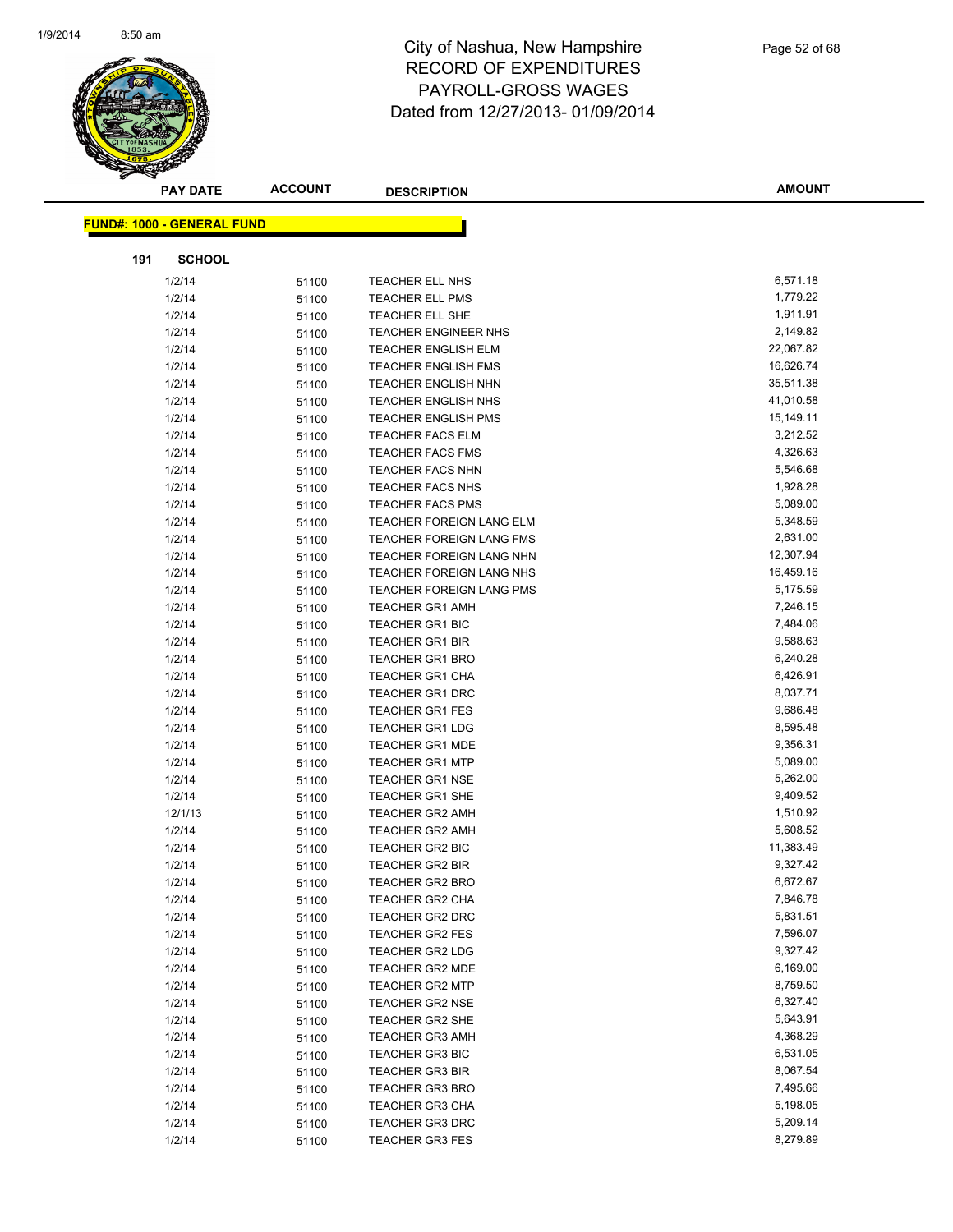

|     | <b>PAY DATE</b>                   | <b>ACCOUNT</b> | <b>DESCRIPTION</b>                        | <b>AMOUNT</b>        |
|-----|-----------------------------------|----------------|-------------------------------------------|----------------------|
|     |                                   |                |                                           |                      |
|     | <b>FUND#: 1000 - GENERAL FUND</b> |                |                                           |                      |
| 191 | <b>SCHOOL</b>                     |                |                                           |                      |
|     | 1/2/14                            | 51100          | TEACHER ELL NHS                           | 6,571.18             |
|     | 1/2/14                            | 51100          | <b>TEACHER ELL PMS</b>                    | 1,779.22             |
|     | 1/2/14                            | 51100          | TEACHER ELL SHE                           | 1,911.91             |
|     | 1/2/14                            | 51100          | <b>TEACHER ENGINEER NHS</b>               | 2,149.82             |
|     | 1/2/14                            | 51100          | <b>TEACHER ENGLISH ELM</b>                | 22,067.82            |
|     | 1/2/14                            | 51100          | <b>TEACHER ENGLISH FMS</b>                | 16,626.74            |
|     | 1/2/14                            | 51100          | <b>TEACHER ENGLISH NHN</b>                | 35,511.38            |
|     | 1/2/14                            | 51100          | <b>TEACHER ENGLISH NHS</b>                | 41,010.58            |
|     | 1/2/14                            | 51100          | <b>TEACHER ENGLISH PMS</b>                | 15,149.11            |
|     | 1/2/14                            | 51100          | <b>TEACHER FACS ELM</b>                   | 3,212.52             |
|     | 1/2/14                            | 51100          | <b>TEACHER FACS FMS</b>                   | 4,326.63             |
|     | 1/2/14                            | 51100          | <b>TEACHER FACS NHN</b>                   | 5,546.68             |
|     | 1/2/14                            | 51100          | <b>TEACHER FACS NHS</b>                   | 1,928.28             |
|     | 1/2/14                            | 51100          | <b>TEACHER FACS PMS</b>                   | 5,089.00             |
|     | 1/2/14                            | 51100          | TEACHER FOREIGN LANG ELM                  | 5,348.59             |
|     | 1/2/14                            | 51100          | TEACHER FOREIGN LANG FMS                  | 2,631.00             |
|     | 1/2/14                            | 51100          | TEACHER FOREIGN LANG NHN                  | 12,307.94            |
|     | 1/2/14                            | 51100          | <b>TEACHER FOREIGN LANG NHS</b>           | 16,459.16            |
|     | 1/2/14                            | 51100          | TEACHER FOREIGN LANG PMS                  | 5,175.59             |
|     | 1/2/14                            | 51100          | <b>TEACHER GR1 AMH</b>                    | 7,246.15             |
|     | 1/2/14                            | 51100          | TEACHER GR1 BIC                           | 7,484.06             |
|     | 1/2/14                            | 51100          | <b>TEACHER GR1 BIR</b>                    | 9,588.63             |
|     | 1/2/14                            | 51100          | <b>TEACHER GR1 BRO</b>                    | 6,240.28             |
|     | 1/2/14                            | 51100          | TEACHER GR1 CHA                           | 6,426.91             |
|     | 1/2/14                            | 51100          | <b>TEACHER GR1 DRC</b>                    | 8,037.71             |
|     | 1/2/14                            | 51100          | <b>TEACHER GR1 FES</b>                    | 9,686.48             |
|     | 1/2/14                            | 51100          | <b>TEACHER GR1 LDG</b>                    | 8,595.48             |
|     | 1/2/14                            | 51100          | <b>TEACHER GR1 MDE</b>                    | 9,356.31             |
|     | 1/2/14                            | 51100          | <b>TEACHER GR1 MTP</b>                    | 5,089.00             |
|     | 1/2/14                            | 51100          | <b>TEACHER GR1 NSE</b>                    | 5,262.00<br>9,409.52 |
|     | 1/2/14                            | 51100          | TEACHER GR1 SHE                           | 1,510.92             |
|     | 12/1/13                           | 51100          | <b>TEACHER GR2 AMH</b>                    | 5,608.52             |
|     | 1/2/14<br>1/2/14                  | 51100          | <b>TEACHER GR2 AMH</b><br>TEACHER GR2 BIC | 11,383.49            |
|     | 1/2/14                            | 51100          | <b>TEACHER GR2 BIR</b>                    | 9,327.42             |
|     | 1/2/14                            | 51100<br>51100 | TEACHER GR2 BRO                           | 6,672.67             |
|     | 1/2/14                            | 51100          | <b>TEACHER GR2 CHA</b>                    | 7,846.78             |
|     | 1/2/14                            | 51100          | TEACHER GR2 DRC                           | 5,831.51             |
|     | 1/2/14                            | 51100          | <b>TEACHER GR2 FES</b>                    | 7,596.07             |
|     | 1/2/14                            | 51100          | <b>TEACHER GR2 LDG</b>                    | 9,327.42             |
|     | 1/2/14                            | 51100          | <b>TEACHER GR2 MDE</b>                    | 6,169.00             |
|     | 1/2/14                            | 51100          | <b>TEACHER GR2 MTP</b>                    | 8,759.50             |
|     | 1/2/14                            | 51100          | <b>TEACHER GR2 NSE</b>                    | 6,327.40             |
|     | 1/2/14                            | 51100          | TEACHER GR2 SHE                           | 5,643.91             |
|     | 1/2/14                            | 51100          | <b>TEACHER GR3 AMH</b>                    | 4,368.29             |
|     | 1/2/14                            | 51100          | TEACHER GR3 BIC                           | 6,531.05             |
|     | 1/2/14                            | 51100          | <b>TEACHER GR3 BIR</b>                    | 8,067.54             |
|     | 1/2/14                            | 51100          | <b>TEACHER GR3 BRO</b>                    | 7,495.66             |
|     | 1/2/14                            | 51100          | <b>TEACHER GR3 CHA</b>                    | 5,198.05             |
|     | 1/2/14                            | 51100          | TEACHER GR3 DRC                           | 5,209.14             |
|     | 1/2/14                            | 51100          | TEACHER GR3 FES                           | 8,279.89             |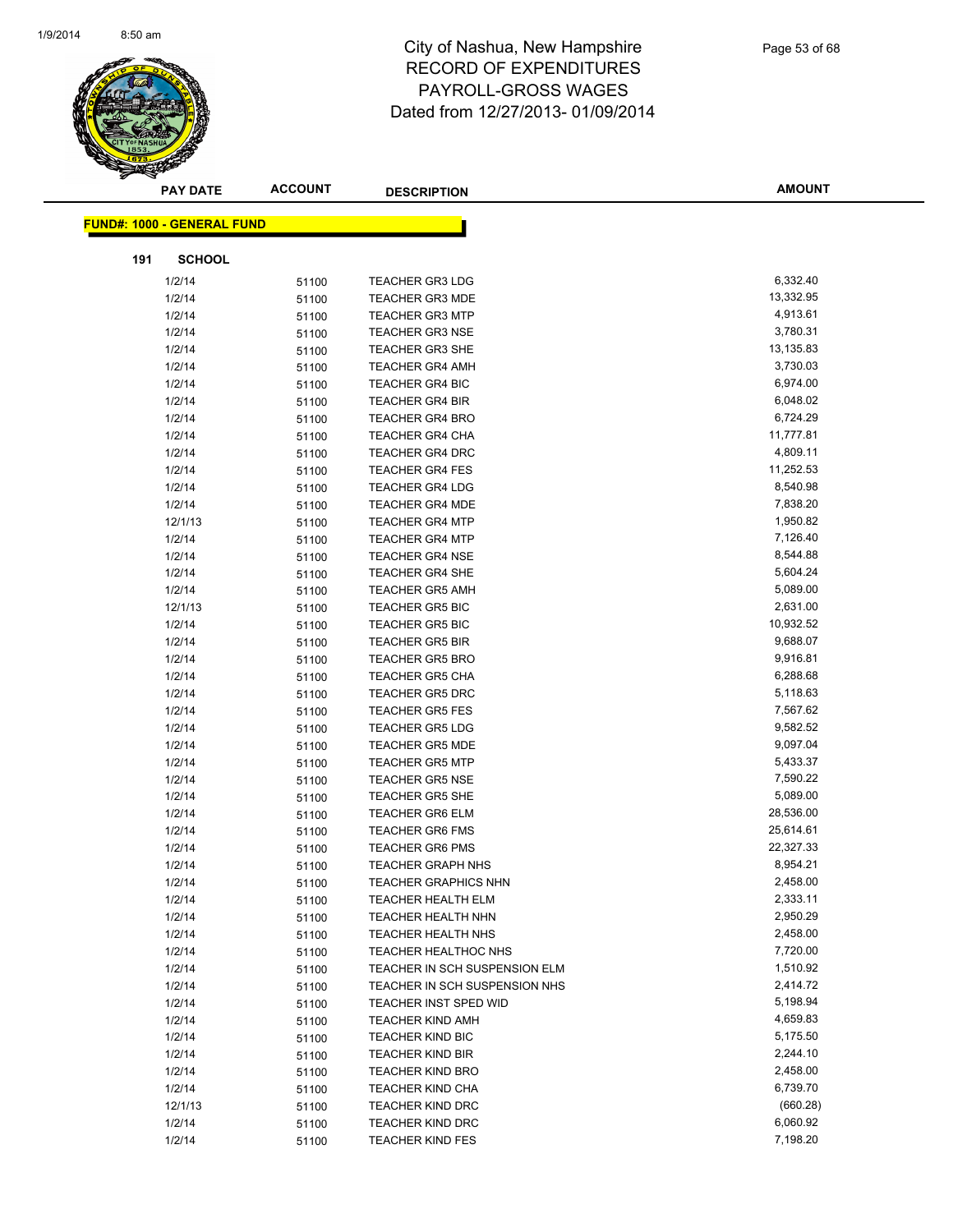

|                                   | <b>PAY DATE</b> | <b>ACCOUNT</b> | <b>DESCRIPTION</b>                                 | <b>AMOUNT</b>        |
|-----------------------------------|-----------------|----------------|----------------------------------------------------|----------------------|
|                                   |                 |                |                                                    |                      |
| <b>FUND#: 1000 - GENERAL FUND</b> |                 |                |                                                    |                      |
| 191                               | <b>SCHOOL</b>   |                |                                                    |                      |
| 1/2/14                            |                 | 51100          | <b>TEACHER GR3 LDG</b>                             | 6,332.40             |
| 1/2/14                            |                 | 51100          | <b>TEACHER GR3 MDE</b>                             | 13,332.95            |
| 1/2/14                            |                 | 51100          | <b>TEACHER GR3 MTP</b>                             | 4,913.61             |
| 1/2/14                            |                 | 51100          | <b>TEACHER GR3 NSE</b>                             | 3,780.31             |
| 1/2/14                            |                 | 51100          | TEACHER GR3 SHE                                    | 13,135.83            |
| 1/2/14                            |                 | 51100          | <b>TEACHER GR4 AMH</b>                             | 3,730.03             |
| 1/2/14                            |                 | 51100          | <b>TEACHER GR4 BIC</b>                             | 6,974.00             |
| 1/2/14                            |                 | 51100          | <b>TEACHER GR4 BIR</b>                             | 6,048.02             |
| 1/2/14                            |                 | 51100          | <b>TEACHER GR4 BRO</b>                             | 6,724.29             |
| 1/2/14                            |                 | 51100          | <b>TEACHER GR4 CHA</b>                             | 11,777.81            |
| 1/2/14                            |                 | 51100          | <b>TEACHER GR4 DRC</b>                             | 4,809.11             |
| 1/2/14                            |                 | 51100          | <b>TEACHER GR4 FES</b>                             | 11,252.53            |
| 1/2/14                            |                 | 51100          | <b>TEACHER GR4 LDG</b>                             | 8,540.98             |
| 1/2/14                            |                 | 51100          | <b>TEACHER GR4 MDE</b>                             | 7,838.20             |
|                                   | 12/1/13         | 51100          | <b>TEACHER GR4 MTP</b>                             | 1,950.82             |
| 1/2/14                            |                 | 51100          | <b>TEACHER GR4 MTP</b>                             | 7,126.40             |
| 1/2/14                            |                 | 51100          | <b>TEACHER GR4 NSE</b>                             | 8,544.88             |
| 1/2/14                            |                 | 51100          | <b>TEACHER GR4 SHE</b>                             | 5,604.24             |
| 1/2/14                            |                 | 51100          | <b>TEACHER GR5 AMH</b>                             | 5,089.00             |
|                                   | 12/1/13         | 51100          | <b>TEACHER GR5 BIC</b>                             | 2,631.00             |
| 1/2/14                            |                 | 51100          | <b>TEACHER GR5 BIC</b>                             | 10,932.52            |
| 1/2/14                            |                 | 51100          | <b>TEACHER GR5 BIR</b>                             | 9,688.07             |
| 1/2/14                            |                 | 51100          | <b>TEACHER GR5 BRO</b>                             | 9,916.81             |
| 1/2/14                            |                 | 51100          | TEACHER GR5 CHA                                    | 6,288.68             |
| 1/2/14                            |                 | 51100          | <b>TEACHER GR5 DRC</b>                             | 5,118.63             |
| 1/2/14                            |                 | 51100          | <b>TEACHER GR5 FES</b>                             | 7,567.62             |
| 1/2/14                            |                 | 51100          | <b>TEACHER GR5 LDG</b>                             | 9,582.52             |
| 1/2/14                            |                 | 51100          | <b>TEACHER GR5 MDE</b>                             | 9,097.04             |
| 1/2/14                            |                 | 51100          | <b>TEACHER GR5 MTP</b>                             | 5,433.37             |
| 1/2/14                            |                 | 51100          | <b>TEACHER GR5 NSE</b>                             | 7,590.22             |
| 1/2/14                            |                 | 51100          | <b>TEACHER GR5 SHE</b>                             | 5,089.00             |
| 1/2/14                            |                 | 51100          | <b>TEACHER GR6 ELM</b>                             | 28,536.00            |
| 1/2/14                            |                 | 51100          | <b>TEACHER GR6 FMS</b>                             | 25,614.61            |
| 1/2/14                            |                 | 51100          | <b>TEACHER GR6 PMS</b>                             | 22,327.33            |
| 1/2/14                            |                 | 51100          | <b>TEACHER GRAPH NHS</b>                           | 8,954.21             |
| 1/2/14                            |                 | 51100          | <b>TEACHER GRAPHICS NHN</b>                        | 2,458.00             |
| 1/2/14                            |                 | 51100          | <b>TEACHER HEALTH ELM</b>                          | 2,333.11             |
| 1/2/14                            |                 | 51100          | <b>TEACHER HEALTH NHN</b>                          | 2,950.29             |
| 1/2/14                            |                 | 51100          | <b>TEACHER HEALTH NHS</b>                          | 2,458.00             |
| 1/2/14                            |                 | 51100          | <b>TEACHER HEALTHOC NHS</b>                        | 7,720.00             |
| 1/2/14                            |                 | 51100          | TEACHER IN SCH SUSPENSION ELM                      | 1,510.92             |
| 1/2/14                            |                 | 51100          | TEACHER IN SCH SUSPENSION NHS                      | 2,414.72             |
| 1/2/14                            |                 | 51100          | TEACHER INST SPED WID                              | 5,198.94             |
| 1/2/14                            |                 | 51100          | <b>TEACHER KIND AMH</b>                            | 4,659.83             |
| 1/2/14                            |                 | 51100          | <b>TEACHER KIND BIC</b>                            | 5,175.50<br>2,244.10 |
| 1/2/14                            |                 | 51100          | <b>TEACHER KIND BIR</b>                            | 2,458.00             |
| 1/2/14                            |                 | 51100          | <b>TEACHER KIND BRO</b>                            | 6,739.70             |
| 1/2/14                            | 12/1/13         | 51100          | <b>TEACHER KIND CHA</b><br><b>TEACHER KIND DRC</b> | (660.28)             |
| 1/2/14                            |                 | 51100          | <b>TEACHER KIND DRC</b>                            | 6,060.92             |
| 1/2/14                            |                 | 51100<br>51100 | <b>TEACHER KIND FES</b>                            | 7,198.20             |
|                                   |                 |                |                                                    |                      |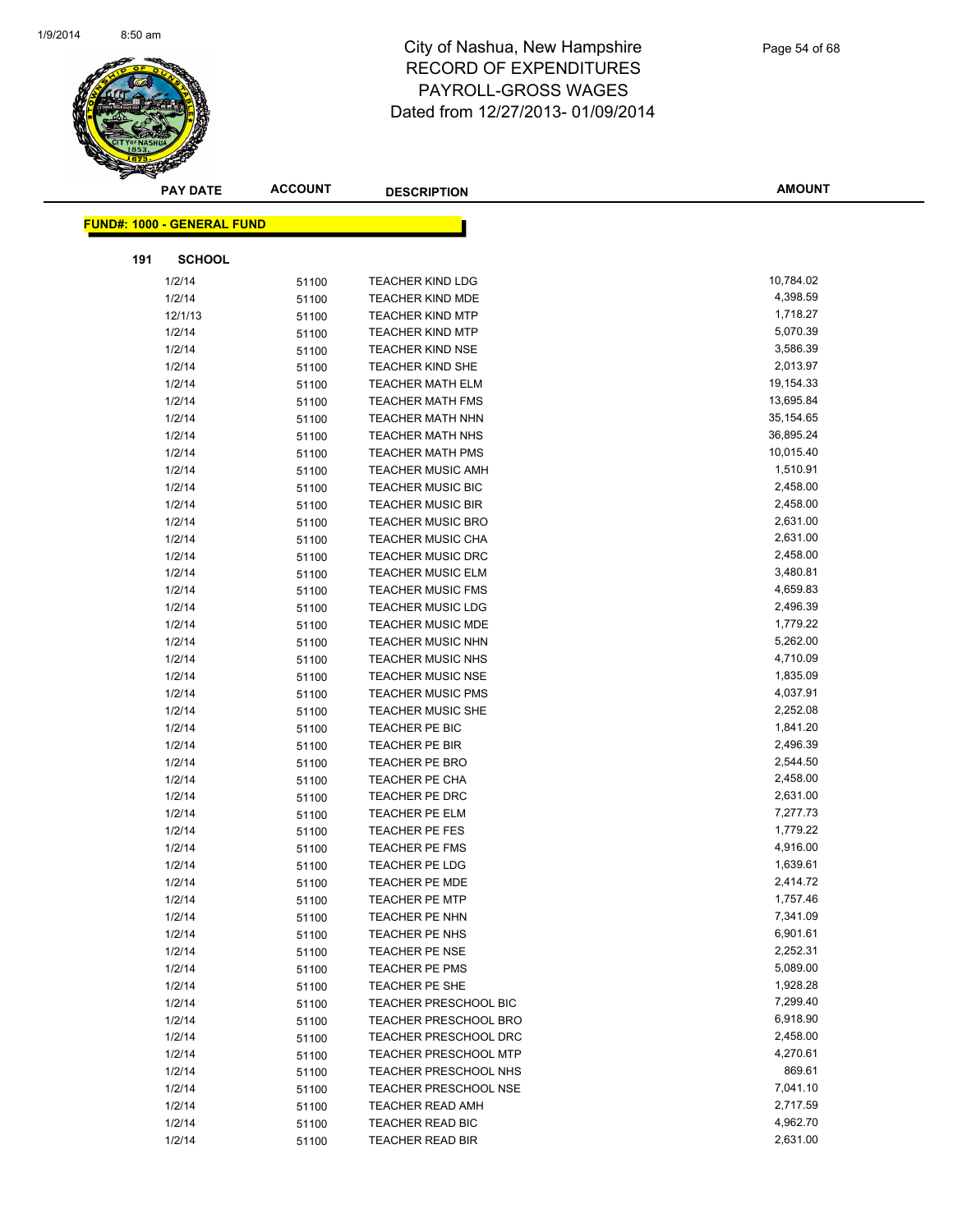

| <b>PAY DATE</b>                   | <b>ACCOUNT</b> | <b>DESCRIPTION</b>                      | <b>AMOUNT</b>        |
|-----------------------------------|----------------|-----------------------------------------|----------------------|
| <b>FUND#: 1000 - GENERAL FUND</b> |                |                                         |                      |
|                                   |                |                                         |                      |
| <b>SCHOOL</b><br>191              |                |                                         |                      |
| 1/2/14                            | 51100          | <b>TEACHER KIND LDG</b>                 | 10,784.02            |
| 1/2/14                            | 51100          | <b>TEACHER KIND MDE</b>                 | 4,398.59             |
| 12/1/13                           | 51100          | <b>TEACHER KIND MTP</b>                 | 1,718.27             |
| 1/2/14                            | 51100          | <b>TEACHER KIND MTP</b>                 | 5,070.39             |
| 1/2/14                            | 51100          | <b>TEACHER KIND NSE</b>                 | 3,586.39             |
| 1/2/14                            | 51100          | <b>TEACHER KIND SHE</b>                 | 2,013.97             |
| 1/2/14                            | 51100          | <b>TEACHER MATH ELM</b>                 | 19,154.33            |
| 1/2/14                            | 51100          | <b>TEACHER MATH FMS</b>                 | 13,695.84            |
| 1/2/14                            | 51100          | <b>TEACHER MATH NHN</b>                 | 35,154.65            |
| 1/2/14                            | 51100          | <b>TEACHER MATH NHS</b>                 | 36,895.24            |
| 1/2/14                            | 51100          | <b>TEACHER MATH PMS</b>                 | 10,015.40            |
| 1/2/14                            | 51100          | <b>TEACHER MUSIC AMH</b>                | 1,510.91             |
| 1/2/14                            | 51100          | <b>TEACHER MUSIC BIC</b>                | 2,458.00             |
| 1/2/14                            | 51100          | <b>TEACHER MUSIC BIR</b>                | 2,458.00             |
| 1/2/14                            | 51100          | <b>TEACHER MUSIC BRO</b>                | 2,631.00             |
| 1/2/14                            | 51100          | <b>TEACHER MUSIC CHA</b>                | 2,631.00             |
| 1/2/14                            | 51100          | <b>TEACHER MUSIC DRC</b>                | 2,458.00             |
| 1/2/14                            | 51100          | <b>TEACHER MUSIC ELM</b>                | 3,480.81             |
| 1/2/14                            | 51100          | <b>TEACHER MUSIC FMS</b>                | 4,659.83             |
| 1/2/14                            | 51100          | <b>TEACHER MUSIC LDG</b>                | 2,496.39             |
| 1/2/14                            | 51100          | <b>TEACHER MUSIC MDE</b>                | 1,779.22             |
| 1/2/14                            | 51100          | <b>TEACHER MUSIC NHN</b>                | 5,262.00             |
| 1/2/14                            | 51100          | <b>TEACHER MUSIC NHS</b>                | 4,710.09             |
| 1/2/14                            | 51100          | <b>TEACHER MUSIC NSE</b>                | 1,835.09             |
| 1/2/14                            | 51100          | <b>TEACHER MUSIC PMS</b>                | 4,037.91             |
| 1/2/14                            | 51100          | <b>TEACHER MUSIC SHE</b>                | 2,252.08             |
| 1/2/14                            | 51100          | TEACHER PE BIC                          | 1,841.20             |
| 1/2/14                            | 51100          | TEACHER PE BIR                          | 2,496.39             |
| 1/2/14                            | 51100          | <b>TEACHER PE BRO</b>                   | 2,544.50             |
| 1/2/14                            | 51100          | TEACHER PE CHA                          | 2,458.00             |
| 1/2/14                            | 51100          | TEACHER PE DRC                          | 2,631.00             |
| 1/2/14                            | 51100          | TEACHER PE ELM                          | 7,277.73<br>1,779.22 |
| 1/2/14                            | 51100          | <b>TEACHER PE FES</b>                   | 4,916.00             |
| 1/2/14<br>1/2/14                  | 51100          | <b>TEACHER PE FMS</b><br>TEACHER PE LDG | 1,639.61             |
| 1/2/14                            | 51100          | <b>TEACHER PE MDE</b>                   | 2,414.72             |
| 1/2/14                            | 51100          | <b>TEACHER PE MTP</b>                   | 1,757.46             |
| 1/2/14                            | 51100<br>51100 | TEACHER PE NHN                          | 7,341.09             |
| 1/2/14                            | 51100          | TEACHER PE NHS                          | 6,901.61             |
| 1/2/14                            |                | <b>TEACHER PE NSE</b>                   | 2,252.31             |
| 1/2/14                            | 51100<br>51100 | <b>TEACHER PE PMS</b>                   | 5,089.00             |
| 1/2/14                            | 51100          | TEACHER PE SHE                          | 1,928.28             |
| 1/2/14                            | 51100          | TEACHER PRESCHOOL BIC                   | 7,299.40             |
| 1/2/14                            | 51100          | TEACHER PRESCHOOL BRO                   | 6,918.90             |
| 1/2/14                            | 51100          | <b>TEACHER PRESCHOOL DRC</b>            | 2,458.00             |
| 1/2/14                            | 51100          | <b>TEACHER PRESCHOOL MTP</b>            | 4,270.61             |
| 1/2/14                            | 51100          | TEACHER PRESCHOOL NHS                   | 869.61               |
| 1/2/14                            | 51100          | <b>TEACHER PRESCHOOL NSE</b>            | 7,041.10             |
| 1/2/14                            | 51100          | <b>TEACHER READ AMH</b>                 | 2,717.59             |
| 1/2/14                            | 51100          | TEACHER READ BIC                        | 4,962.70             |
| 1/2/14                            | 51100          | <b>TEACHER READ BIR</b>                 | 2,631.00             |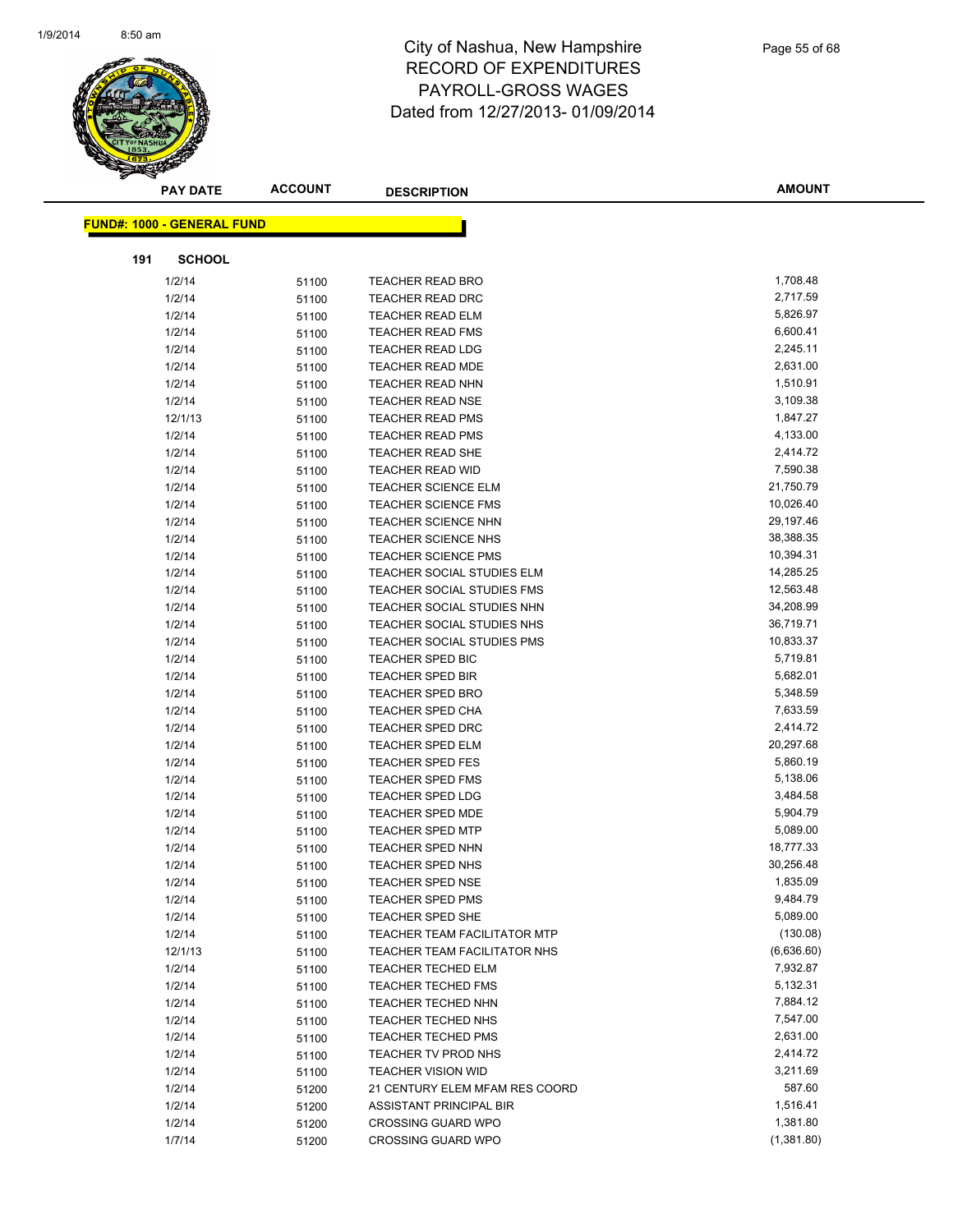

| <b>PAY DATE</b>                   | <b>ACCOUNT</b> | <b>DESCRIPTION</b>                  | <b>AMOUNT</b> |
|-----------------------------------|----------------|-------------------------------------|---------------|
| <b>FUND#: 1000 - GENERAL FUND</b> |                |                                     |               |
|                                   |                |                                     |               |
| 191<br><b>SCHOOL</b>              |                |                                     |               |
| 1/2/14                            | 51100          | <b>TEACHER READ BRO</b>             | 1,708.48      |
| 1/2/14                            | 51100          | <b>TEACHER READ DRC</b>             | 2,717.59      |
| 1/2/14                            | 51100          | <b>TEACHER READ ELM</b>             | 5,826.97      |
| 1/2/14                            | 51100          | TEACHER READ FMS                    | 6,600.41      |
| 1/2/14                            | 51100          | TEACHER READ LDG                    | 2,245.11      |
| 1/2/14                            | 51100          | <b>TEACHER READ MDE</b>             | 2,631.00      |
| 1/2/14                            | 51100          | <b>TEACHER READ NHN</b>             | 1,510.91      |
| 1/2/14                            | 51100          | <b>TEACHER READ NSE</b>             | 3,109.38      |
| 12/1/13                           | 51100          | <b>TEACHER READ PMS</b>             | 1,847.27      |
| 1/2/14                            | 51100          | <b>TEACHER READ PMS</b>             | 4,133.00      |
| 1/2/14                            | 51100          | TEACHER READ SHE                    | 2,414.72      |
| 1/2/14                            | 51100          | <b>TEACHER READ WID</b>             | 7,590.38      |
| 1/2/14                            | 51100          | <b>TEACHER SCIENCE ELM</b>          | 21,750.79     |
| 1/2/14                            | 51100          | <b>TEACHER SCIENCE FMS</b>          | 10,026.40     |
| 1/2/14                            | 51100          | <b>TEACHER SCIENCE NHN</b>          | 29,197.46     |
| 1/2/14                            | 51100          | <b>TEACHER SCIENCE NHS</b>          | 38,388.35     |
| 1/2/14                            | 51100          | <b>TEACHER SCIENCE PMS</b>          | 10,394.31     |
| 1/2/14                            | 51100          | TEACHER SOCIAL STUDIES ELM          | 14,285.25     |
| 1/2/14                            | 51100          | TEACHER SOCIAL STUDIES FMS          | 12,563.48     |
| 1/2/14                            | 51100          | TEACHER SOCIAL STUDIES NHN          | 34,208.99     |
| 1/2/14                            | 51100          | TEACHER SOCIAL STUDIES NHS          | 36,719.71     |
| 1/2/14                            | 51100          | TEACHER SOCIAL STUDIES PMS          | 10,833.37     |
| 1/2/14                            | 51100          | TEACHER SPED BIC                    | 5,719.81      |
| 1/2/14                            | 51100          | <b>TEACHER SPED BIR</b>             | 5,682.01      |
| 1/2/14                            | 51100          | <b>TEACHER SPED BRO</b>             | 5,348.59      |
| 1/2/14                            | 51100          | <b>TEACHER SPED CHA</b>             | 7,633.59      |
| 1/2/14                            | 51100          | TEACHER SPED DRC                    | 2,414.72      |
| 1/2/14                            | 51100          | <b>TEACHER SPED ELM</b>             | 20,297.68     |
| 1/2/14                            | 51100          | <b>TEACHER SPED FES</b>             | 5,860.19      |
| 1/2/14                            | 51100          | TEACHER SPED FMS                    | 5,138.06      |
| 1/2/14                            | 51100          | <b>TEACHER SPED LDG</b>             | 3,484.58      |
| 1/2/14                            | 51100          | <b>TEACHER SPED MDE</b>             | 5,904.79      |
| 1/2/14                            | 51100          | <b>TEACHER SPED MTP</b>             | 5,089.00      |
| 1/2/14                            | 51100          | <b>TEACHER SPED NHN</b>             | 18,777.33     |
| 1/2/14                            | 51100          | TEACHER SPED NHS                    | 30,256.48     |
| 1/2/14                            | 51100          | TEACHER SPED NSE                    | 1,835.09      |
| 1/2/14                            | 51100          | <b>TEACHER SPED PMS</b>             | 9,484.79      |
| 1/2/14                            | 51100          | TEACHER SPED SHE                    | 5,089.00      |
| 1/2/14                            | 51100          | <b>TEACHER TEAM FACILITATOR MTP</b> | (130.08)      |
| 12/1/13                           | 51100          | TEACHER TEAM FACILITATOR NHS        | (6,636.60)    |
| 1/2/14                            | 51100          | <b>TEACHER TECHED ELM</b>           | 7,932.87      |
| 1/2/14                            | 51100          | <b>TEACHER TECHED FMS</b>           | 5,132.31      |
| 1/2/14                            | 51100          | <b>TEACHER TECHED NHN</b>           | 7,884.12      |
| 1/2/14                            | 51100          | TEACHER TECHED NHS                  | 7,547.00      |
| 1/2/14                            | 51100          | <b>TEACHER TECHED PMS</b>           | 2,631.00      |
| 1/2/14                            | 51100          | <b>TEACHER TV PROD NHS</b>          | 2,414.72      |
| 1/2/14                            | 51100          | <b>TEACHER VISION WID</b>           | 3,211.69      |
| 1/2/14                            | 51200          | 21 CENTURY ELEM MFAM RES COORD      | 587.60        |
| 1/2/14                            | 51200          | ASSISTANT PRINCIPAL BIR             | 1,516.41      |
| 1/2/14                            | 51200          | <b>CROSSING GUARD WPO</b>           | 1,381.80      |
| 1/7/14                            | 51200          | <b>CROSSING GUARD WPO</b>           | (1,381.80)    |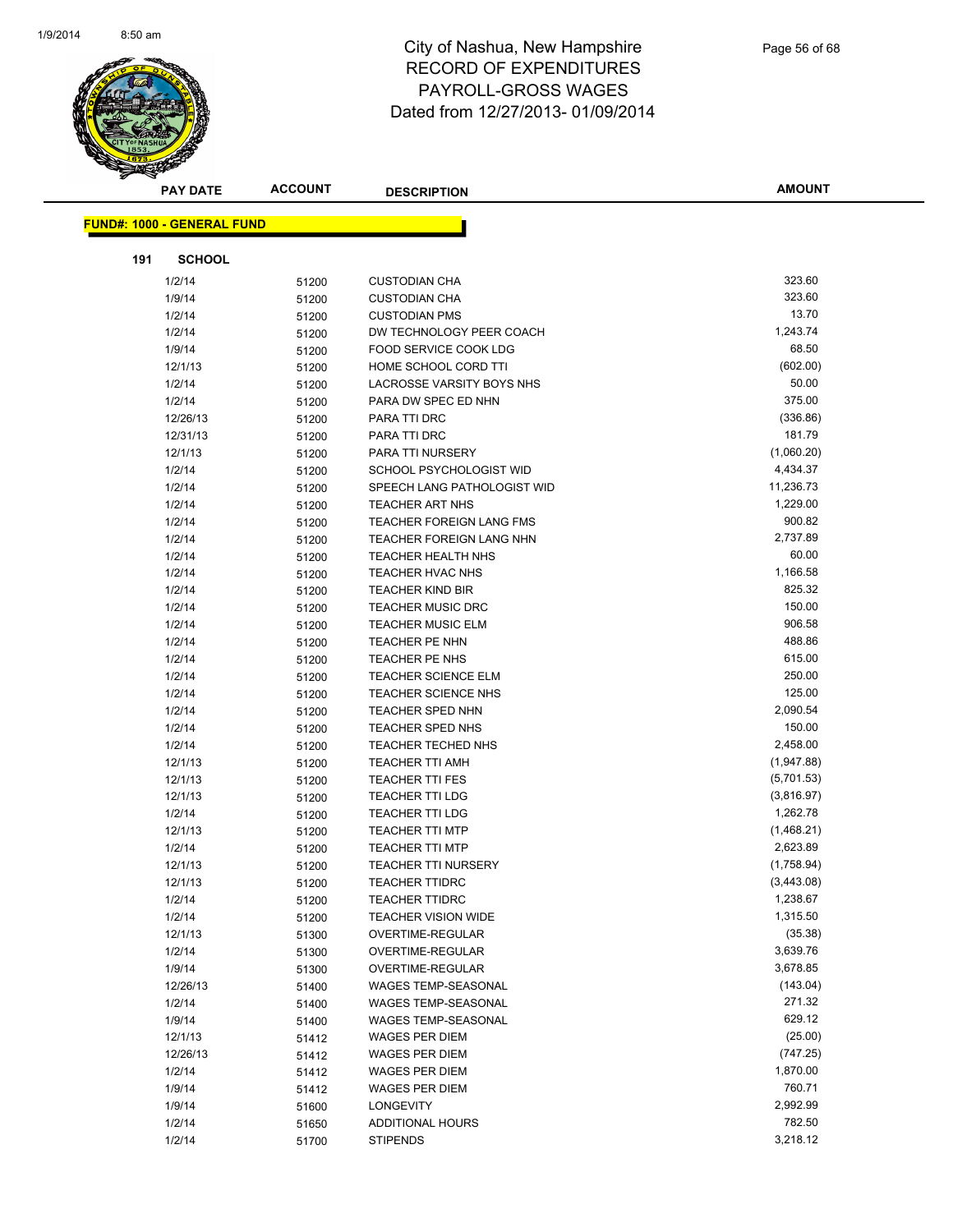

| <b>PAY DATE</b>                   | <b>ACCOUNT</b> | <b>DESCRIPTION</b>                   | <b>AMOUNT</b>        |
|-----------------------------------|----------------|--------------------------------------|----------------------|
| <b>FUND#: 1000 - GENERAL FUND</b> |                |                                      |                      |
|                                   |                |                                      |                      |
| 191<br><b>SCHOOL</b>              |                |                                      |                      |
| 1/2/14                            | 51200          | <b>CUSTODIAN CHA</b>                 | 323.60               |
| 1/9/14                            | 51200          | <b>CUSTODIAN CHA</b>                 | 323.60               |
| 1/2/14                            | 51200          | <b>CUSTODIAN PMS</b>                 | 13.70                |
| 1/2/14                            | 51200          | DW TECHNOLOGY PEER COACH             | 1,243.74             |
| 1/9/14                            | 51200          | FOOD SERVICE COOK LDG                | 68.50                |
| 12/1/13                           | 51200          | HOME SCHOOL CORD TTI                 | (602.00)             |
| 1/2/14                            | 51200          | LACROSSE VARSITY BOYS NHS            | 50.00                |
| 1/2/14                            | 51200          | PARA DW SPEC ED NHN                  | 375.00               |
| 12/26/13                          | 51200          | PARA TTI DRC                         | (336.86)             |
| 12/31/13                          | 51200          | PARA TTI DRC                         | 181.79               |
| 12/1/13                           | 51200          | PARA TTI NURSERY                     | (1,060.20)           |
| 1/2/14                            | 51200          | SCHOOL PSYCHOLOGIST WID              | 4,434.37             |
| 1/2/14                            | 51200          | SPEECH LANG PATHOLOGIST WID          | 11,236.73            |
| 1/2/14                            | 51200          | <b>TEACHER ART NHS</b>               | 1,229.00             |
| 1/2/14                            | 51200          | <b>TEACHER FOREIGN LANG FMS</b>      | 900.82               |
| 1/2/14                            | 51200          | TEACHER FOREIGN LANG NHN             | 2,737.89             |
| 1/2/14                            | 51200          | <b>TEACHER HEALTH NHS</b>            | 60.00                |
| 1/2/14                            | 51200          | <b>TEACHER HVAC NHS</b>              | 1,166.58             |
| 1/2/14                            | 51200          | <b>TEACHER KIND BIR</b>              | 825.32               |
| 1/2/14                            | 51200          | <b>TEACHER MUSIC DRC</b>             | 150.00               |
| 1/2/14                            | 51200          | <b>TEACHER MUSIC ELM</b>             | 906.58               |
| 1/2/14                            | 51200          | <b>TEACHER PE NHN</b>                | 488.86               |
| 1/2/14                            | 51200          | TEACHER PE NHS                       | 615.00               |
| 1/2/14                            | 51200          | <b>TEACHER SCIENCE ELM</b>           | 250.00               |
| 1/2/14                            | 51200          | TEACHER SCIENCE NHS                  | 125.00               |
| 1/2/14                            | 51200          | <b>TEACHER SPED NHN</b>              | 2,090.54             |
| 1/2/14                            | 51200          | TEACHER SPED NHS                     | 150.00               |
| 1/2/14                            | 51200          | <b>TEACHER TECHED NHS</b>            | 2,458.00             |
| 12/1/13                           | 51200          | TEACHER TTI AMH                      | (1,947.88)           |
| 12/1/13                           | 51200          | <b>TEACHER TTI FES</b>               | (5,701.53)           |
| 12/1/13                           | 51200          | <b>TEACHER TTI LDG</b>               | (3,816.97)           |
| 1/2/14                            | 51200          | <b>TEACHER TTI LDG</b>               | 1,262.78             |
| 12/1/13                           | 51200          | <b>TEACHER TTI MTP</b>               | (1,468.21)           |
| 1/2/14                            | 51200          | <b>TEACHER TTI MTP</b>               | 2,623.89             |
| 12/1/13                           | 51200          | <b>TEACHER TTI NURSERY</b>           | (1,758.94)           |
| 12/1/13                           | 51200          | <b>TEACHER TTIDRC</b>                | (3,443.08)           |
| 1/2/14                            | 51200          | <b>TEACHER TTIDRC</b>                | 1,238.67<br>1,315.50 |
| 1/2/14                            | 51200          | <b>TEACHER VISION WIDE</b>           | (35.38)              |
| 12/1/13<br>1/2/14                 | 51300          | OVERTIME-REGULAR<br>OVERTIME-REGULAR | 3,639.76             |
| 1/9/14                            | 51300          | OVERTIME-REGULAR                     | 3,678.85             |
| 12/26/13                          | 51300          | WAGES TEMP-SEASONAL                  | (143.04)             |
| 1/2/14                            | 51400          | WAGES TEMP-SEASONAL                  | 271.32               |
| 1/9/14                            | 51400          | WAGES TEMP-SEASONAL                  | 629.12               |
| 12/1/13                           | 51400          | <b>WAGES PER DIEM</b>                | (25.00)              |
| 12/26/13                          | 51412<br>51412 | <b>WAGES PER DIEM</b>                | (747.25)             |
| 1/2/14                            | 51412          | <b>WAGES PER DIEM</b>                | 1,870.00             |
| 1/9/14                            | 51412          | WAGES PER DIEM                       | 760.71               |
| 1/9/14                            | 51600          | <b>LONGEVITY</b>                     | 2,992.99             |
| 1/2/14                            | 51650          | ADDITIONAL HOURS                     | 782.50               |
| 1/2/14                            | 51700          | <b>STIPENDS</b>                      | 3,218.12             |
|                                   |                |                                      |                      |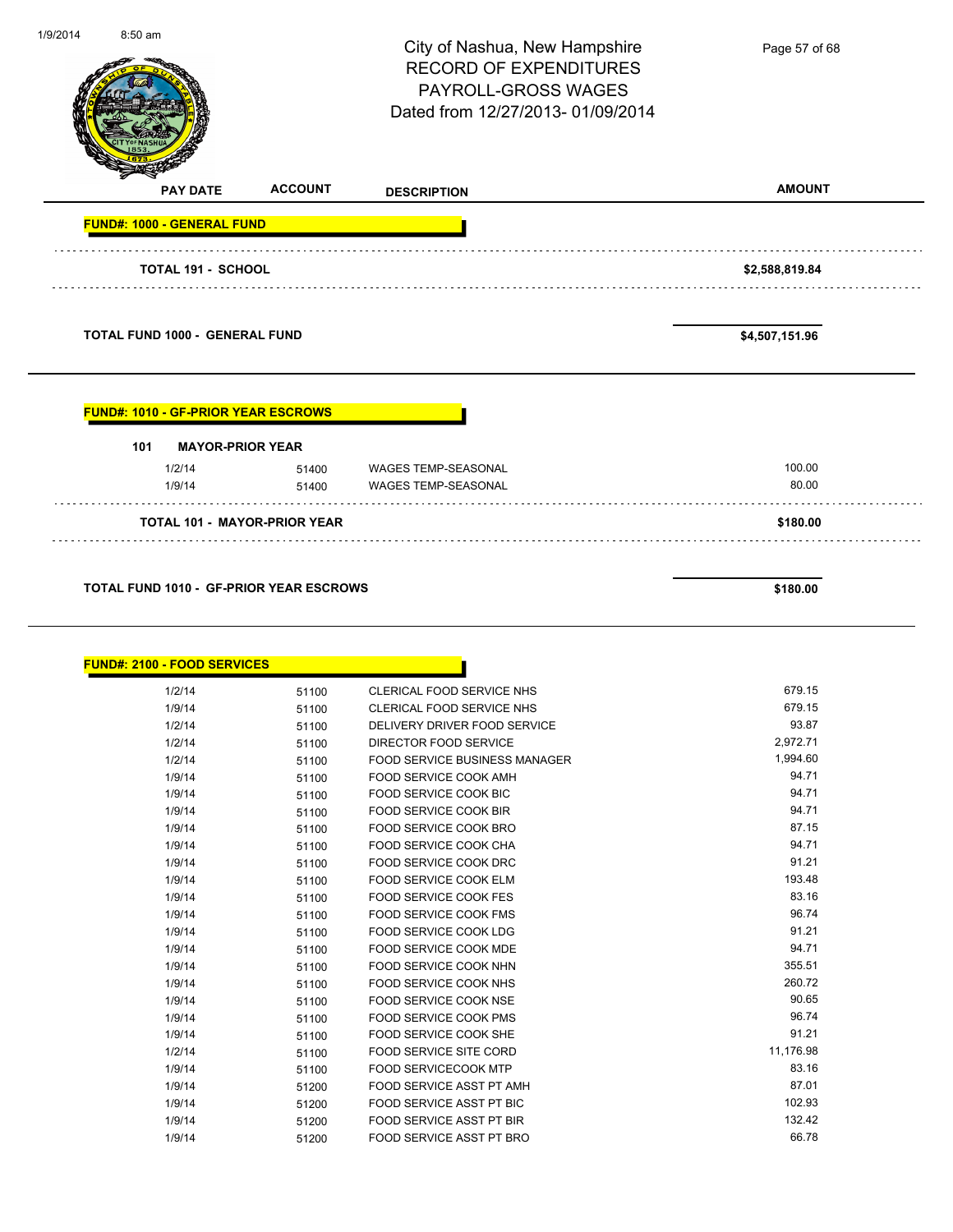| 1/9/2014 | 8:50 am                                    |                | City of Nashua, New Hampshire<br><b>RECORD OF EXPENDITURES</b><br>PAYROLL-GROSS WAGES<br>Dated from 12/27/2013-01/09/2014 | Page 57 of 68   |
|----------|--------------------------------------------|----------------|---------------------------------------------------------------------------------------------------------------------------|-----------------|
|          | <b>PAY DATE</b>                            | <b>ACCOUNT</b> | <b>DESCRIPTION</b>                                                                                                        | <b>AMOUNT</b>   |
|          | <b>FUND#: 1000 - GENERAL FUND</b>          |                |                                                                                                                           |                 |
|          | TOTAL 191 - SCHOOL                         |                |                                                                                                                           | \$2,588,819.84  |
|          | <b>TOTAL FUND 1000 - GENERAL FUND</b>      |                |                                                                                                                           | \$4,507,151.96  |
|          | <b>FUND#: 1010 - GF-PRIOR YEAR ESCROWS</b> |                |                                                                                                                           |                 |
|          | <b>MAYOR-PRIOR YEAR</b><br>101             |                |                                                                                                                           |                 |
|          | 1/2/14<br>1/9/14                           | 51400<br>.     | 51400 WAGES TEMP-SEASONAL<br><b>WAGES TEMP-SEASONAL</b>                                                                   | 100.00<br>80.00 |
|          | <b>TOTAL 101 - MAYOR-PRIOR YEAR</b>        |                |                                                                                                                           | \$180.00        |
|          |                                            |                |                                                                                                                           |                 |

| <b>FUND#: 2100 - FOOD SERVICES</b> |       |                                      |           |
|------------------------------------|-------|--------------------------------------|-----------|
| 1/2/14                             | 51100 | <b>CLERICAL FOOD SERVICE NHS</b>     | 679.15    |
| 1/9/14                             | 51100 | <b>CLERICAL FOOD SERVICE NHS</b>     | 679.15    |
| 1/2/14                             | 51100 | DELIVERY DRIVER FOOD SERVICE         | 93.87     |
| 1/2/14                             | 51100 | DIRECTOR FOOD SERVICE                | 2,972.71  |
| 1/2/14                             | 51100 | <b>FOOD SERVICE BUSINESS MANAGER</b> | 1,994.60  |
| 1/9/14                             | 51100 | <b>FOOD SERVICE COOK AMH</b>         | 94.71     |
| 1/9/14                             | 51100 | <b>FOOD SERVICE COOK BIC</b>         | 94.71     |
| 1/9/14                             | 51100 | <b>FOOD SERVICE COOK BIR</b>         | 94.71     |
| 1/9/14                             | 51100 | <b>FOOD SERVICE COOK BRO</b>         | 87.15     |
| 1/9/14                             | 51100 | <b>FOOD SERVICE COOK CHA</b>         | 94.71     |
| 1/9/14                             | 51100 | <b>FOOD SERVICE COOK DRC</b>         | 91.21     |
| 1/9/14                             | 51100 | <b>FOOD SERVICE COOK ELM</b>         | 193.48    |
| 1/9/14                             | 51100 | <b>FOOD SERVICE COOK FES</b>         | 83.16     |
| 1/9/14                             | 51100 | <b>FOOD SERVICE COOK FMS</b>         | 96.74     |
| 1/9/14                             | 51100 | <b>FOOD SERVICE COOK LDG</b>         | 91.21     |
| 1/9/14                             | 51100 | FOOD SERVICE COOK MDE                | 94.71     |
| 1/9/14                             | 51100 | <b>FOOD SERVICE COOK NHN</b>         | 355.51    |
| 1/9/14                             | 51100 | <b>FOOD SERVICE COOK NHS</b>         | 260.72    |
| 1/9/14                             | 51100 | <b>FOOD SERVICE COOK NSE</b>         | 90.65     |
| 1/9/14                             | 51100 | <b>FOOD SERVICE COOK PMS</b>         | 96.74     |
| 1/9/14                             | 51100 | <b>FOOD SERVICE COOK SHE</b>         | 91.21     |
| 1/2/14                             | 51100 | <b>FOOD SERVICE SITE CORD</b>        | 11,176.98 |
| 1/9/14                             | 51100 | <b>FOOD SERVICECOOK MTP</b>          | 83.16     |
| 1/9/14                             | 51200 | FOOD SERVICE ASST PT AMH             | 87.01     |
| 1/9/14                             | 51200 | <b>FOOD SERVICE ASST PT BIC</b>      | 102.93    |
| 1/9/14                             | 51200 | <b>FOOD SERVICE ASST PT BIR</b>      | 132.42    |
| 1/9/14                             | 51200 | <b>FOOD SERVICE ASST PT BRO</b>      | 66.78     |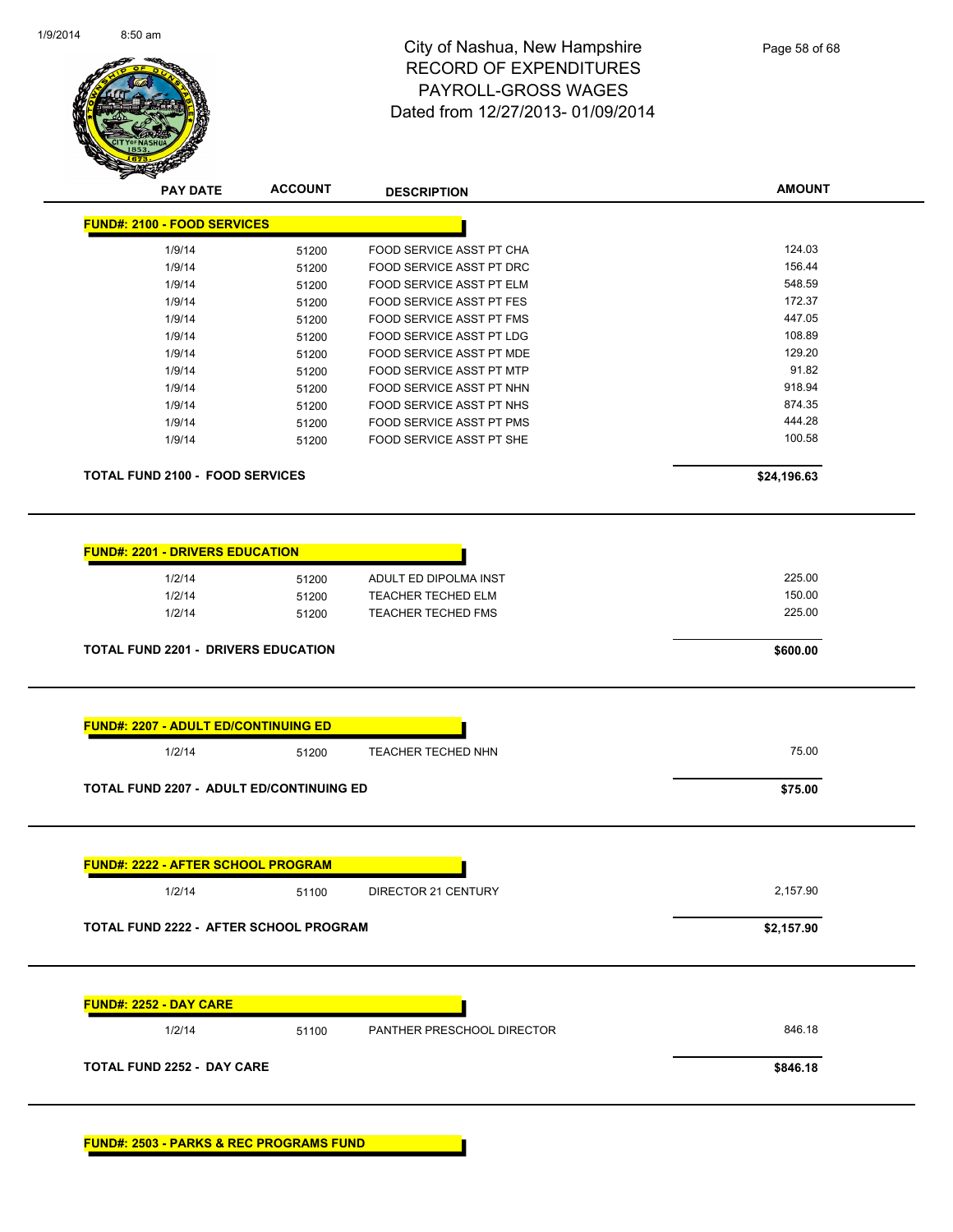

| <b>PAY DATE</b>                        | <b>ACCOUNT</b> | <b>DESCRIPTION</b>              | <b>AMOUNT</b> |
|----------------------------------------|----------------|---------------------------------|---------------|
| <b>FUND#: 2100 - FOOD SERVICES</b>     |                |                                 |               |
| 1/9/14                                 | 51200          | <b>FOOD SERVICE ASST PT CHA</b> | 124.03        |
| 1/9/14                                 | 51200          | FOOD SERVICE ASST PT DRC        | 156.44        |
| 1/9/14                                 | 51200          | <b>FOOD SERVICE ASST PT ELM</b> | 548.59        |
| 1/9/14                                 | 51200          | FOOD SERVICE ASST PT FES        | 172.37        |
| 1/9/14                                 | 51200          | <b>FOOD SERVICE ASST PT FMS</b> | 447.05        |
| 1/9/14                                 | 51200          | <b>FOOD SERVICE ASST PT LDG</b> | 108.89        |
| 1/9/14                                 | 51200          | FOOD SERVICE ASST PT MDE        | 129.20        |
| 1/9/14                                 | 51200          | <b>FOOD SERVICE ASST PT MTP</b> | 91.82         |
| 1/9/14                                 | 51200          | FOOD SERVICE ASST PT NHN        | 918.94        |
| 1/9/14                                 | 51200          | FOOD SERVICE ASST PT NHS        | 874.35        |
| 1/9/14                                 | 51200          | <b>FOOD SERVICE ASST PT PMS</b> | 444.28        |
| 1/9/14                                 | 51200          | FOOD SERVICE ASST PT SHE        | 100.58        |
| <b>TOTAL FUND 2100 - FOOD SERVICES</b> |                |                                 | \$24,196.63   |
|                                        |                |                                 |               |
| <b>FUND#: 2201 - DRIVERS EDUCATION</b> |                |                                 |               |
| 1/2/14                                 | 51200          | ADULT ED DIPOLMA INST           | 225.00        |
| 1/2/14                                 | 51200          | <b>TEACHER TECHED ELM</b>       | 150.00        |

1/2/14 51200 TEACHER TECHED FMS 225.00

**TOTAL FUND 2201 - DRIVERS EDUCATION \$600.00** 

| 1/2/14                                    | 51200 | <b>TEACHER TECHED NHN</b>  | 75.00      |
|-------------------------------------------|-------|----------------------------|------------|
| TOTAL FUND 2207 - ADULT ED/CONTINUING ED  |       |                            | \$75.00    |
| <b>FUND#: 2222 - AFTER SCHOOL PROGRAM</b> |       |                            |            |
| 1/2/14                                    | 51100 | DIRECTOR 21 CENTURY        | 2,157.90   |
|                                           |       |                            |            |
| TOTAL FUND 2222 - AFTER SCHOOL PROGRAM    |       |                            | \$2,157.90 |
|                                           |       |                            |            |
| <b>FUND#: 2252 - DAY CARE</b><br>1/2/14   | 51100 | PANTHER PRESCHOOL DIRECTOR | 846.18     |

**FUND#: 2503 - PARKS & REC PROGRAMS FUND**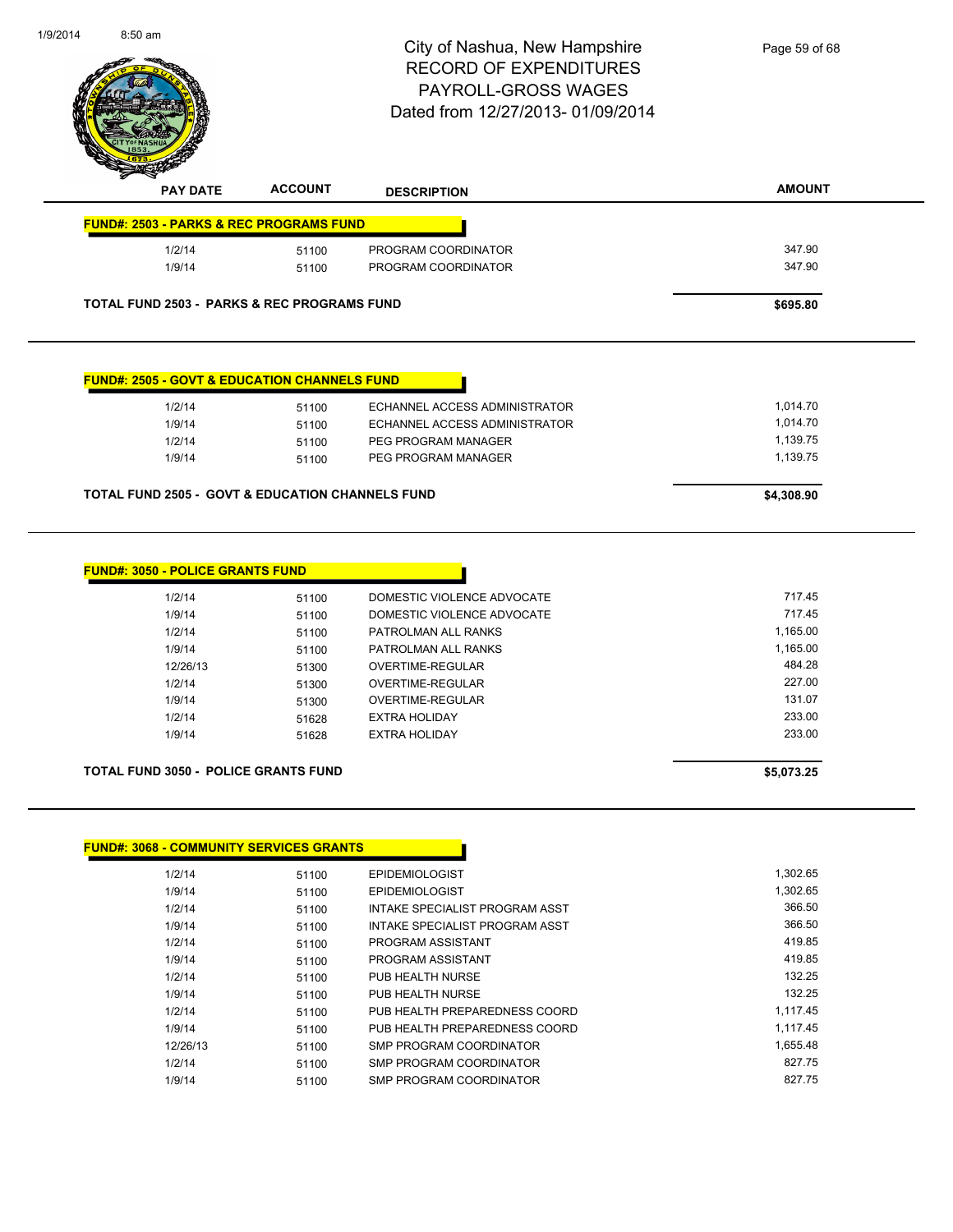|                 |                                                         | City of Nashua, New Hampshire<br><b>RECORD OF EXPENDITURES</b><br><b>PAYROLL-GROSS WAGES</b><br>Dated from 12/27/2013-01/09/2014 | Page 59 of 68 |
|-----------------|---------------------------------------------------------|----------------------------------------------------------------------------------------------------------------------------------|---------------|
| <b>PAY DATE</b> | <b>ACCOUNT</b>                                          | <b>DESCRIPTION</b>                                                                                                               | <b>AMOUNT</b> |
|                 | <b>FUND#: 2503 - PARKS &amp; REC PROGRAMS FUND</b>      |                                                                                                                                  |               |
| 1/2/14          | 51100                                                   | PROGRAM COORDINATOR                                                                                                              | 347.90        |
| 1/9/14          | 51100                                                   | PROGRAM COORDINATOR                                                                                                              | 347.90        |
|                 |                                                         |                                                                                                                                  |               |
|                 | <b>TOTAL FUND 2503 - PARKS &amp; REC PROGRAMS FUND</b>  |                                                                                                                                  | \$695.80      |
|                 | <b>FUND#: 2505 - GOVT &amp; EDUCATION CHANNELS FUND</b> |                                                                                                                                  |               |
| 1/2/14          | 51100                                                   | ECHANNEL ACCESS ADMINISTRATOR                                                                                                    | 1,014.70      |
| 1/9/14          | 51100                                                   | ECHANNEL ACCESS ADMINISTRATOR                                                                                                    | 1,014.70      |
| 1/2/14          | 51100                                                   | PEG PROGRAM MANAGER                                                                                                              | 1,139.75      |
| 1/9/14          | 51100                                                   | PEG PROGRAM MANAGER                                                                                                              | 1,139.75      |

| 1/2/14   | 51100 | DOMESTIC VIOLENCE ADVOCATE | 717.45   |
|----------|-------|----------------------------|----------|
| 1/9/14   | 51100 | DOMESTIC VIOLENCE ADVOCATE | 717.45   |
| 1/2/14   | 51100 | PATROLMAN ALL RANKS        | 1,165.00 |
| 1/9/14   | 51100 | PATROLMAN ALL RANKS        | 1,165.00 |
| 12/26/13 | 51300 | OVERTIME-REGULAR           | 484.28   |
| 1/2/14   | 51300 | OVERTIME-REGULAR           | 227.00   |
| 1/9/14   | 51300 | OVERTIME-REGULAR           | 131.07   |
| 1/2/14   | 51628 | <b>EXTRA HOLIDAY</b>       | 233.00   |
| 1/9/14   | 51628 | EXTRA HOLIDAY              | 233.00   |

### **TOTAL FUND 3050 - POLICE GRANTS FUND \$5,073.25**

| <b>FUND#: 3068 - COMMUNITY SERVICES GRANTS</b> |       |                                |          |
|------------------------------------------------|-------|--------------------------------|----------|
| 1/2/14                                         | 51100 | <b>EPIDEMIOLOGIST</b>          | 1,302.65 |
| 1/9/14                                         | 51100 | <b>EPIDEMIOLOGIST</b>          | 1,302.65 |
| 1/2/14                                         | 51100 | INTAKE SPECIALIST PROGRAM ASST | 366.50   |
| 1/9/14                                         | 51100 | INTAKE SPECIALIST PROGRAM ASST | 366.50   |
| 1/2/14                                         | 51100 | PROGRAM ASSISTANT              | 419.85   |
| 1/9/14                                         | 51100 | PROGRAM ASSISTANT              | 419.85   |
| 1/2/14                                         | 51100 | PUB HEALTH NURSE               | 132.25   |
| 1/9/14                                         | 51100 | PUB HEALTH NURSE               | 132.25   |
| 1/2/14                                         | 51100 | PUB HEALTH PREPAREDNESS COORD  | 1,117.45 |
| 1/9/14                                         | 51100 | PUB HEALTH PREPAREDNESS COORD  | 1.117.45 |
| 12/26/13                                       | 51100 | SMP PROGRAM COORDINATOR        | 1,655.48 |
| 1/2/14                                         | 51100 | SMP PROGRAM COORDINATOR        | 827.75   |
| 1/9/14                                         | 51100 | SMP PROGRAM COORDINATOR        | 827.75   |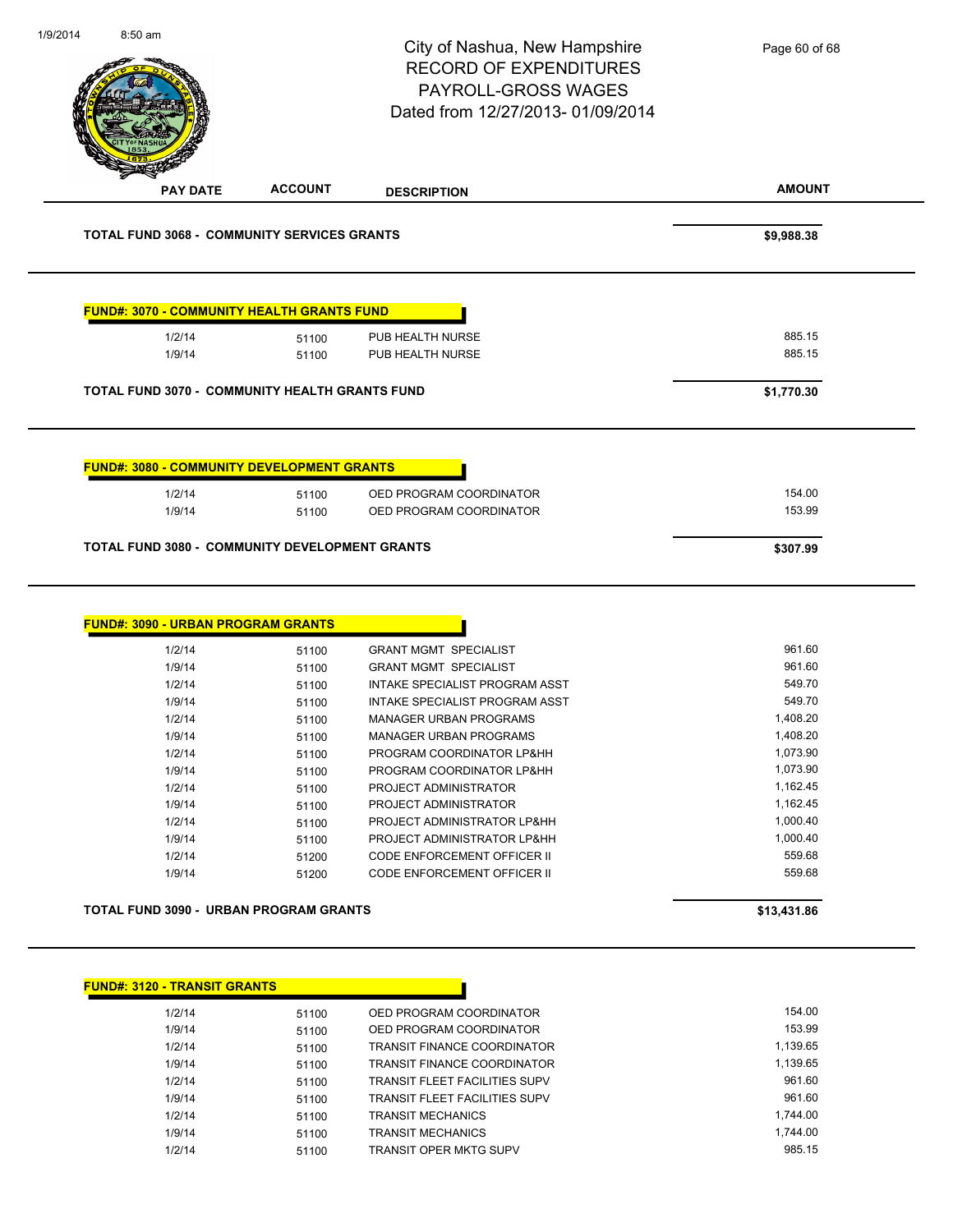|                                                                                                                                                                             |                                                                                                                   | City of Nashua, New Hampshire<br><b>RECORD OF EXPENDITURES</b><br>PAYROLL-GROSS WAGES<br>Dated from 12/27/2013-01/09/2014                                                                                                                                                                                                                                                                                                                  | Page 60 of 68                                                                                                                                            |
|-----------------------------------------------------------------------------------------------------------------------------------------------------------------------------|-------------------------------------------------------------------------------------------------------------------|--------------------------------------------------------------------------------------------------------------------------------------------------------------------------------------------------------------------------------------------------------------------------------------------------------------------------------------------------------------------------------------------------------------------------------------------|----------------------------------------------------------------------------------------------------------------------------------------------------------|
| <b>PAY DATE</b>                                                                                                                                                             | <b>ACCOUNT</b>                                                                                                    | <b>DESCRIPTION</b>                                                                                                                                                                                                                                                                                                                                                                                                                         | <b>AMOUNT</b>                                                                                                                                            |
| <b>TOTAL FUND 3068 - COMMUNITY SERVICES GRANTS</b>                                                                                                                          |                                                                                                                   |                                                                                                                                                                                                                                                                                                                                                                                                                                            | \$9,988.38                                                                                                                                               |
| <b>FUND#: 3070 - COMMUNITY HEALTH GRANTS FUND</b>                                                                                                                           |                                                                                                                   |                                                                                                                                                                                                                                                                                                                                                                                                                                            |                                                                                                                                                          |
| 1/2/14<br>1/9/14                                                                                                                                                            | 51100<br>51100                                                                                                    | PUB HEALTH NURSE<br>PUB HEALTH NURSE                                                                                                                                                                                                                                                                                                                                                                                                       | 885.15<br>885.15                                                                                                                                         |
| TOTAL FUND 3070 - COMMUNITY HEALTH GRANTS FUND                                                                                                                              |                                                                                                                   |                                                                                                                                                                                                                                                                                                                                                                                                                                            | \$1,770.30                                                                                                                                               |
|                                                                                                                                                                             |                                                                                                                   |                                                                                                                                                                                                                                                                                                                                                                                                                                            |                                                                                                                                                          |
| <b>FUND#: 3080 - COMMUNITY DEVELOPMENT GRANTS</b><br>1/2/14                                                                                                                 |                                                                                                                   | OED PROGRAM COORDINATOR                                                                                                                                                                                                                                                                                                                                                                                                                    | 154.00                                                                                                                                                   |
| 1/9/14                                                                                                                                                                      | 51100                                                                                                             |                                                                                                                                                                                                                                                                                                                                                                                                                                            |                                                                                                                                                          |
|                                                                                                                                                                             | 51100                                                                                                             | OED PROGRAM COORDINATOR                                                                                                                                                                                                                                                                                                                                                                                                                    | 153.99                                                                                                                                                   |
| <b>TOTAL FUND 3080 - COMMUNITY DEVELOPMENT GRANTS</b>                                                                                                                       |                                                                                                                   |                                                                                                                                                                                                                                                                                                                                                                                                                                            | \$307.99                                                                                                                                                 |
| <b>FUND#: 3090 - URBAN PROGRAM GRANTS</b><br>1/2/14<br>1/9/14<br>1/2/14<br>1/9/14<br>1/2/14<br>1/9/14<br>1/2/14<br>1/9/14<br>1/2/14<br>1/9/14<br>1/2/14<br>1/9/14<br>1/2/14 | 51100<br>51100<br>51100<br>51100<br>51100<br>51100<br>51100<br>51100<br>51100<br>51100<br>51100<br>51100<br>51200 | <b>GRANT MGMT SPECIALIST</b><br><b>GRANT MGMT SPECIALIST</b><br>INTAKE SPECIALIST PROGRAM ASST<br>INTAKE SPECIALIST PROGRAM ASST<br>MANAGER URBAN PROGRAMS<br>MANAGER URBAN PROGRAMS<br>PROGRAM COORDINATOR LP&HH<br>PROGRAM COORDINATOR LP&HH<br>PROJECT ADMINISTRATOR<br>PROJECT ADMINISTRATOR<br>PROJECT ADMINISTRATOR LP&HH<br>PROJECT ADMINISTRATOR LP&HH<br><b>CODE ENFORCEMENT OFFICER II</b><br><b>CODE ENFORCEMENT OFFICER II</b> | 961.60<br>961.60<br>549.70<br>549.70<br>1,408.20<br>1,408.20<br>1,073.90<br>1,073.90<br>1,162.45<br>1,162.45<br>1,000.40<br>1,000.40<br>559.68<br>559.68 |
| 1/9/14<br>TOTAL FUND 3090 - URBAN PROGRAM GRANTS                                                                                                                            | 51200                                                                                                             |                                                                                                                                                                                                                                                                                                                                                                                                                                            | \$13,431.86                                                                                                                                              |
| <b>FUND#: 3120 - TRANSIT GRANTS</b>                                                                                                                                         |                                                                                                                   |                                                                                                                                                                                                                                                                                                                                                                                                                                            |                                                                                                                                                          |
| 1/2/14<br>1/9/14<br>1/2/14                                                                                                                                                  | 51100<br>51100                                                                                                    | OED PROGRAM COORDINATOR<br>OED PROGRAM COORDINATOR<br>TRANSIT FINANCE COORDINATOR                                                                                                                                                                                                                                                                                                                                                          | 154.00<br>153.99<br>1,139.65                                                                                                                             |

1/9/14 51100 TRANSIT FINANCE COORDINATOR 1,139.65 1/2/14 51100 TRANSIT FLEET FACILITIES SUPV 961.60

1/2/14 51100 TRANSIT MECHANICS 1,744.00 1/9/14 51100 TRANSIT MECHANICS 1,744.00 1/2/14 51100 TRANSIT OPER MKTG SUPV 985.15

1/9/14 51100 TRANSIT FLEET FACILITIES SUPV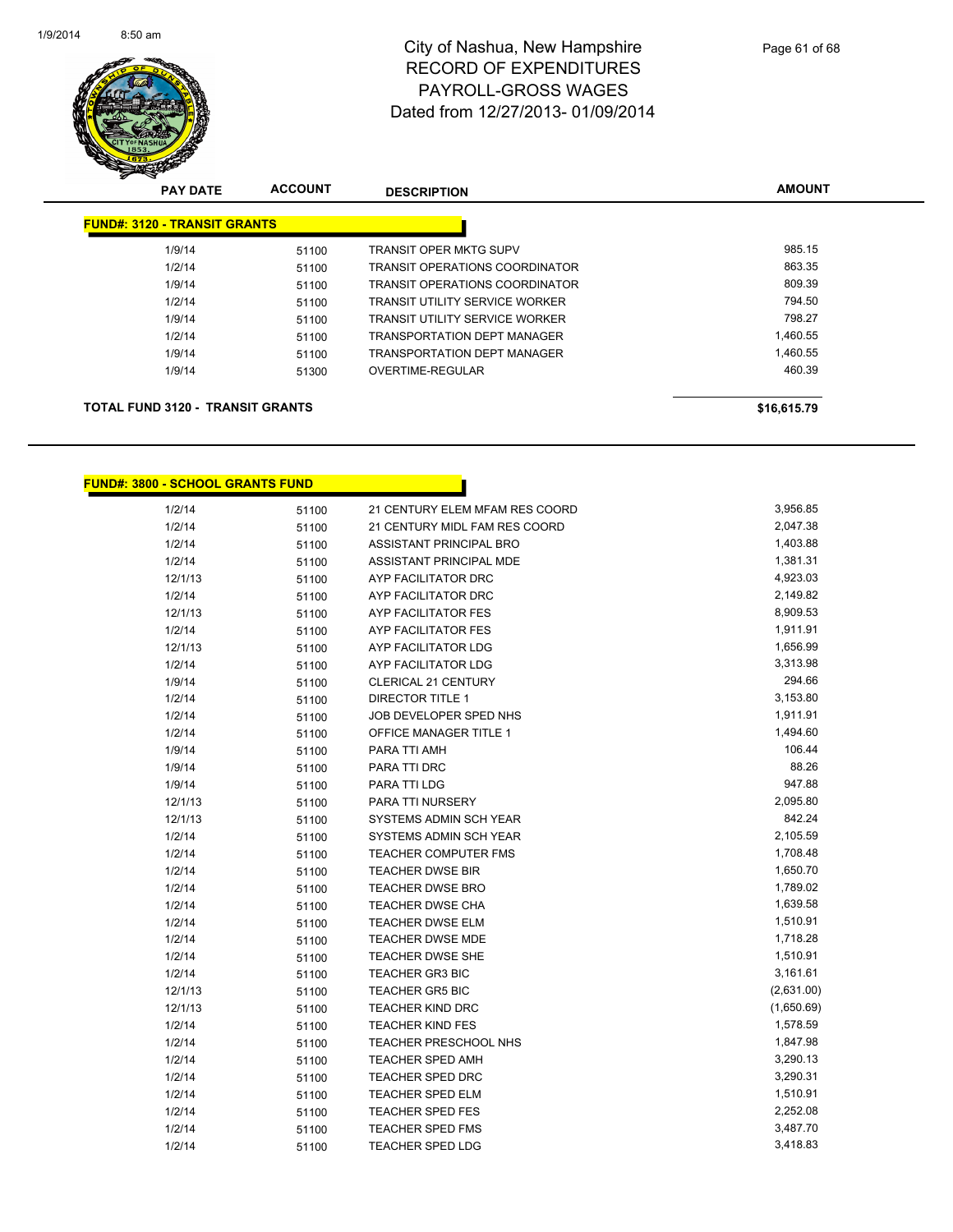

| <b>PAY DATE</b>                         | <b>ACCOUNT</b> | <b>DESCRIPTION</b>                    | <b>AMOUNT</b> |
|-----------------------------------------|----------------|---------------------------------------|---------------|
| <b>FUND#: 3120 - TRANSIT GRANTS</b>     |                |                                       |               |
| 1/9/14                                  | 51100          | <b>TRANSIT OPER MKTG SUPV</b>         | 985.15        |
| 1/2/14                                  | 51100          | <b>TRANSIT OPERATIONS COORDINATOR</b> | 863.35        |
| 1/9/14                                  | 51100          | <b>TRANSIT OPERATIONS COORDINATOR</b> | 809.39        |
| 1/2/14                                  | 51100          | <b>TRANSIT UTILITY SERVICE WORKER</b> | 794.50        |
| 1/9/14                                  | 51100          | TRANSIT UTILITY SERVICE WORKER        | 798.27        |
| 1/2/14                                  | 51100          | <b>TRANSPORTATION DEPT MANAGER</b>    | 1,460.55      |
| 1/9/14                                  | 51100          | TRANSPORTATION DEPT MANAGER           | 1.460.55      |
| 1/9/14                                  | 51300          | <b>OVERTIME-REGULAR</b>               | 460.39        |
| <b>TOTAL FUND 3120 - TRANSIT GRANTS</b> |                |                                       | \$16,615.79   |

### **FUND#: 3800 - SCHOOL GRANTS FUND**

| 1/2/14  | 51100 | 21 CENTURY ELEM MFAM RES COORD | 3,956.85   |
|---------|-------|--------------------------------|------------|
| 1/2/14  | 51100 | 21 CENTURY MIDL FAM RES COORD  | 2,047.38   |
| 1/2/14  | 51100 | ASSISTANT PRINCIPAL BRO        | 1,403.88   |
| 1/2/14  | 51100 | ASSISTANT PRINCIPAL MDE        | 1,381.31   |
| 12/1/13 | 51100 | AYP FACILITATOR DRC            | 4,923.03   |
| 1/2/14  | 51100 | AYP FACILITATOR DRC            | 2,149.82   |
| 12/1/13 | 51100 | AYP FACILITATOR FES            | 8,909.53   |
| 1/2/14  | 51100 | <b>AYP FACILITATOR FES</b>     | 1,911.91   |
| 12/1/13 | 51100 | AYP FACILITATOR LDG            | 1,656.99   |
| 1/2/14  | 51100 | AYP FACILITATOR LDG            | 3,313.98   |
| 1/9/14  | 51100 | <b>CLERICAL 21 CENTURY</b>     | 294.66     |
| 1/2/14  | 51100 | <b>DIRECTOR TITLE 1</b>        | 3,153.80   |
| 1/2/14  | 51100 | JOB DEVELOPER SPED NHS         | 1,911.91   |
| 1/2/14  | 51100 | <b>OFFICE MANAGER TITLE 1</b>  | 1,494.60   |
| 1/9/14  | 51100 | PARA TTI AMH                   | 106.44     |
| 1/9/14  | 51100 | PARA TTI DRC                   | 88.26      |
| 1/9/14  | 51100 | PARA TTI LDG                   | 947.88     |
| 12/1/13 | 51100 | PARA TTI NURSERY               | 2,095.80   |
| 12/1/13 | 51100 | SYSTEMS ADMIN SCH YEAR         | 842.24     |
| 1/2/14  | 51100 | SYSTEMS ADMIN SCH YEAR         | 2,105.59   |
| 1/2/14  | 51100 | <b>TEACHER COMPUTER FMS</b>    | 1,708.48   |
| 1/2/14  | 51100 | <b>TEACHER DWSE BIR</b>        | 1,650.70   |
| 1/2/14  | 51100 | <b>TEACHER DWSE BRO</b>        | 1,789.02   |
| 1/2/14  | 51100 | <b>TEACHER DWSE CHA</b>        | 1,639.58   |
| 1/2/14  | 51100 | <b>TEACHER DWSE ELM</b>        | 1,510.91   |
| 1/2/14  | 51100 | <b>TEACHER DWSE MDE</b>        | 1,718.28   |
| 1/2/14  | 51100 | TEACHER DWSE SHE               | 1,510.91   |
| 1/2/14  | 51100 | <b>TEACHER GR3 BIC</b>         | 3,161.61   |
| 12/1/13 | 51100 | <b>TEACHER GR5 BIC</b>         | (2,631.00) |
| 12/1/13 | 51100 | TEACHER KIND DRC               | (1,650.69) |
| 1/2/14  | 51100 | <b>TEACHER KIND FES</b>        | 1,578.59   |
| 1/2/14  | 51100 | <b>TEACHER PRESCHOOL NHS</b>   | 1,847.98   |
| 1/2/14  | 51100 | <b>TEACHER SPED AMH</b>        | 3,290.13   |
| 1/2/14  | 51100 | <b>TEACHER SPED DRC</b>        | 3,290.31   |
| 1/2/14  | 51100 | <b>TEACHER SPED ELM</b>        | 1,510.91   |
| 1/2/14  | 51100 | <b>TEACHER SPED FES</b>        | 2,252.08   |
| 1/2/14  | 51100 | <b>TEACHER SPED FMS</b>        | 3,487.70   |
| 1/2/14  | 51100 | <b>TEACHER SPED LDG</b>        | 3,418.83   |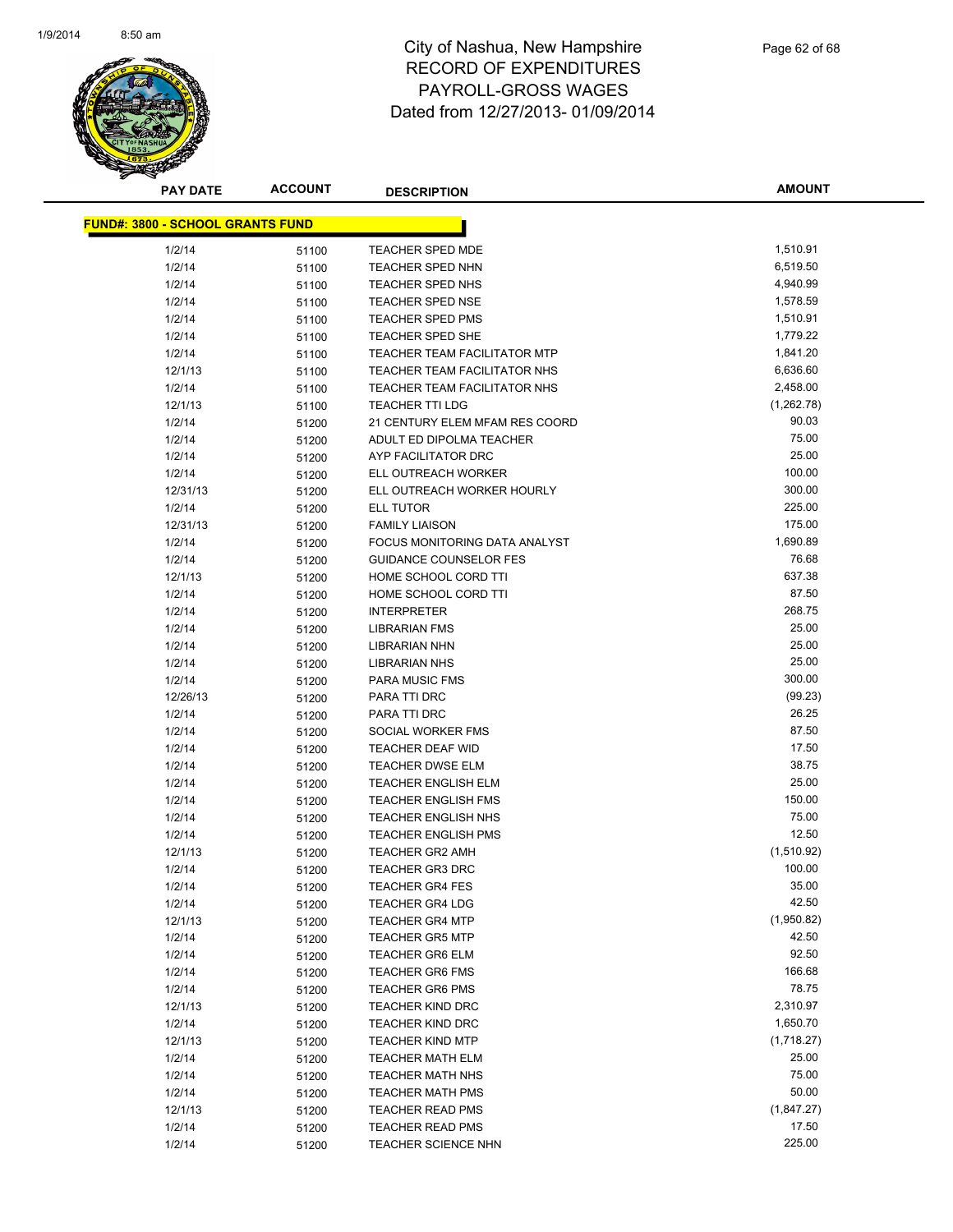

**AMOUNT**

| <u> FUND#: 3800 - SCHOOL GRANTS FUND</u> |       |                                |            |
|------------------------------------------|-------|--------------------------------|------------|
| 1/2/14                                   | 51100 | <b>TEACHER SPED MDE</b>        | 1,510.91   |
| 1/2/14                                   | 51100 | <b>TEACHER SPED NHN</b>        | 6,519.50   |
| 1/2/14                                   | 51100 | TEACHER SPED NHS               | 4,940.99   |
| 1/2/14                                   | 51100 | <b>TEACHER SPED NSE</b>        | 1,578.59   |
| 1/2/14                                   | 51100 | <b>TEACHER SPED PMS</b>        | 1,510.91   |
| 1/2/14                                   | 51100 | <b>TEACHER SPED SHE</b>        | 1,779.22   |
| 1/2/14                                   | 51100 | TEACHER TEAM FACILITATOR MTP   | 1,841.20   |
| 12/1/13                                  | 51100 | TEACHER TEAM FACILITATOR NHS   | 6,636.60   |
| 1/2/14                                   | 51100 | TEACHER TEAM FACILITATOR NHS   | 2,458.00   |
| 12/1/13                                  | 51100 | <b>TEACHER TTI LDG</b>         | (1,262.78) |
| 1/2/14                                   | 51200 | 21 CENTURY ELEM MFAM RES COORD | 90.03      |
| 1/2/14                                   | 51200 | ADULT ED DIPOLMA TEACHER       | 75.00      |
| 1/2/14                                   | 51200 | AYP FACILITATOR DRC            | 25.00      |
| 1/2/14                                   | 51200 | ELL OUTREACH WORKER            | 100.00     |
| 12/31/13                                 | 51200 | ELL OUTREACH WORKER HOURLY     | 300.00     |
| 1/2/14                                   | 51200 | ELL TUTOR                      | 225.00     |
| 12/31/13                                 | 51200 | <b>FAMILY LIAISON</b>          | 175.00     |
| 1/2/14                                   | 51200 | FOCUS MONITORING DATA ANALYST  | 1,690.89   |
| 1/2/14                                   | 51200 | <b>GUIDANCE COUNSELOR FES</b>  | 76.68      |
| 12/1/13                                  | 51200 | HOME SCHOOL CORD TTI           | 637.38     |
| 1/2/14                                   | 51200 | HOME SCHOOL CORD TTI           | 87.50      |
| 1/2/14                                   | 51200 | <b>INTERPRETER</b>             | 268.75     |
| 1/2/14                                   | 51200 | <b>LIBRARIAN FMS</b>           | 25.00      |
| 1/2/14                                   | 51200 | <b>LIBRARIAN NHN</b>           | 25.00      |
| 1/2/14                                   | 51200 | <b>LIBRARIAN NHS</b>           | 25.00      |
| 1/2/14                                   | 51200 | PARA MUSIC FMS                 | 300.00     |
| 12/26/13                                 | 51200 | PARA TTI DRC                   | (99.23)    |
| 1/2/14                                   | 51200 | PARA TTI DRC                   | 26.25      |
| 1/2/14                                   | 51200 | SOCIAL WORKER FMS              | 87.50      |
| 1/2/14                                   | 51200 | <b>TEACHER DEAF WID</b>        | 17.50      |
| 1/2/14                                   | 51200 | <b>TEACHER DWSE ELM</b>        | 38.75      |
| 1/2/14                                   | 51200 | <b>TEACHER ENGLISH ELM</b>     | 25.00      |
| 1/2/14                                   | 51200 | <b>TEACHER ENGLISH FMS</b>     | 150.00     |
| 1/2/14                                   | 51200 | <b>TEACHER ENGLISH NHS</b>     | 75.00      |
| 1/2/14                                   | 51200 | <b>TEACHER ENGLISH PMS</b>     | 12.50      |
| 12/1/13                                  | 51200 | <b>TEACHER GR2 AMH</b>         | (1,510.92) |
| 1/2/14                                   | 51200 | <b>TEACHER GR3 DRC</b>         | 100.00     |
| 1/2/14                                   | 51200 | <b>TEACHER GR4 FES</b>         | 35.00      |
| 1/2/14                                   | 51200 | <b>TEACHER GR4 LDG</b>         | 42.50      |
| 12/1/13                                  | 51200 | <b>TEACHER GR4 MTP</b>         | (1,950.82) |
| 1/2/14                                   | 51200 | <b>TEACHER GR5 MTP</b>         | 42.50      |
| 1/2/14                                   | 51200 | <b>TEACHER GR6 ELM</b>         | 92.50      |
| 1/2/14                                   | 51200 | <b>TEACHER GR6 FMS</b>         | 166.68     |
| 1/2/14                                   | 51200 | <b>TEACHER GR6 PMS</b>         | 78.75      |
| 12/1/13                                  | 51200 | <b>TEACHER KIND DRC</b>        | 2,310.97   |
| 1/2/14                                   | 51200 | <b>TEACHER KIND DRC</b>        | 1,650.70   |
| 12/1/13                                  | 51200 | <b>TEACHER KIND MTP</b>        | (1,718.27) |
| 1/2/14                                   | 51200 | <b>TEACHER MATH ELM</b>        | 25.00      |
| 1/2/14                                   | 51200 | <b>TEACHER MATH NHS</b>        | 75.00      |
| 1/2/14                                   | 51200 | <b>TEACHER MATH PMS</b>        | 50.00      |
| 12/1/13                                  | 51200 | <b>TEACHER READ PMS</b>        | (1,847.27) |
| 1/2/14                                   | 51200 | <b>TEACHER READ PMS</b>        | 17.50      |
| 1/2/14                                   | 51200 | <b>TEACHER SCIENCE NHN</b>     | 225.00     |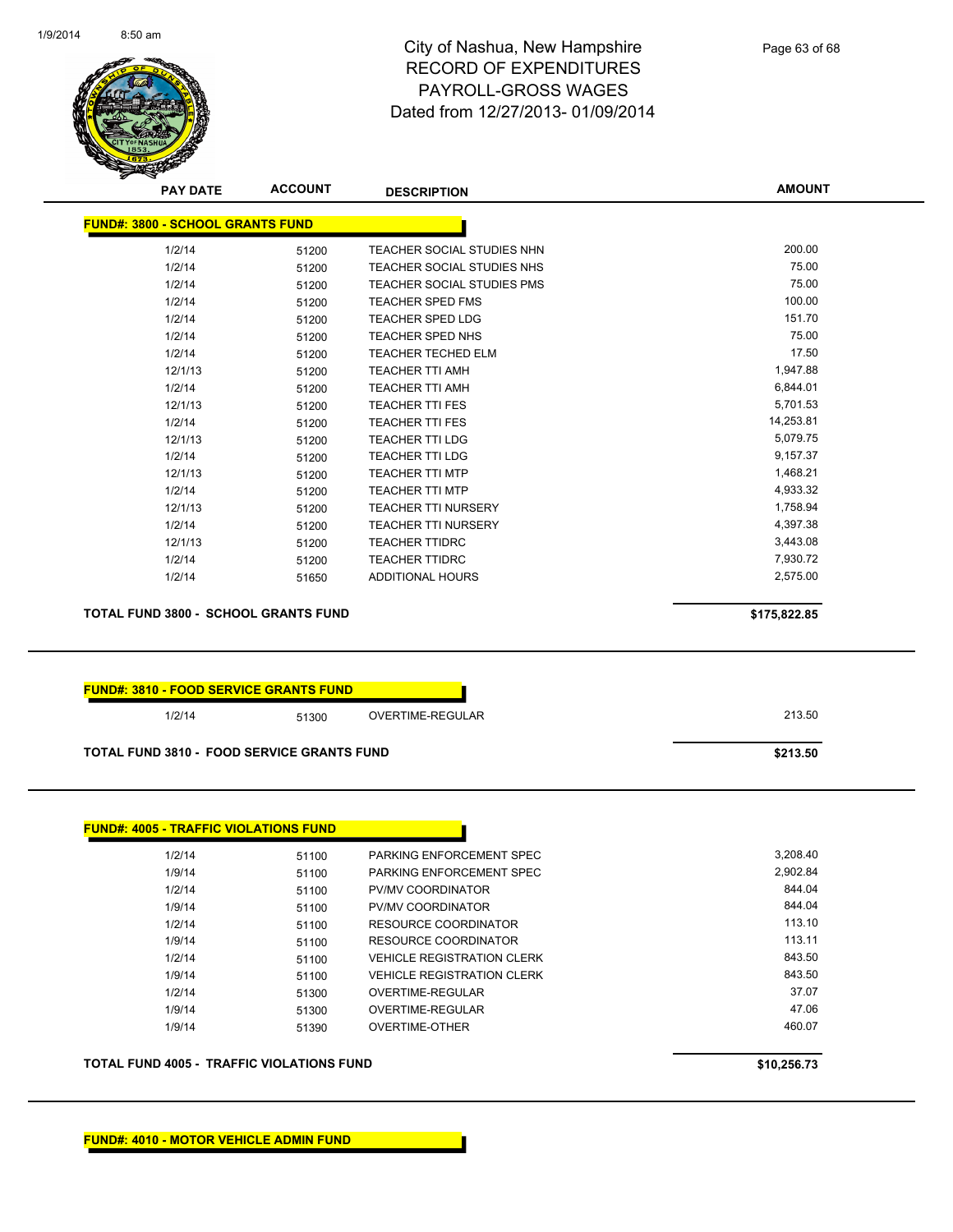

| <b>PAY DATE</b>                               | <b>ACCOUNT</b>                                    | <b>DESCRIPTION</b>                | <b>AMOUNT</b> |
|-----------------------------------------------|---------------------------------------------------|-----------------------------------|---------------|
| <b>FUND#: 3800 - SCHOOL GRANTS FUND</b>       |                                                   |                                   |               |
| 1/2/14                                        | 51200                                             | TEACHER SOCIAL STUDIES NHN        | 200.00        |
| 1/2/14                                        | 51200                                             | TEACHER SOCIAL STUDIES NHS        | 75.00         |
| 1/2/14                                        | 51200                                             | <b>TEACHER SOCIAL STUDIES PMS</b> | 75.00         |
| 1/2/14                                        | 51200                                             | <b>TEACHER SPED FMS</b>           | 100.00        |
| 1/2/14                                        | 51200                                             | <b>TEACHER SPED LDG</b>           | 151.70        |
| 1/2/14                                        | 51200                                             | <b>TEACHER SPED NHS</b>           | 75.00         |
| 1/2/14                                        | 51200                                             | <b>TEACHER TECHED ELM</b>         | 17.50         |
| 12/1/13                                       | 51200                                             | <b>TEACHER TTI AMH</b>            | 1,947.88      |
| 1/2/14                                        | 51200                                             | <b>TEACHER TTI AMH</b>            | 6,844.01      |
| 12/1/13                                       | 51200                                             | <b>TEACHER TTI FES</b>            | 5,701.53      |
| 1/2/14                                        | 51200                                             | <b>TEACHER TTI FES</b>            | 14,253.81     |
| 12/1/13                                       | 51200                                             | <b>TEACHER TTI LDG</b>            | 5,079.75      |
| 1/2/14                                        | 51200                                             | <b>TEACHER TTI LDG</b>            | 9,157.37      |
| 12/1/13                                       | 51200                                             | <b>TEACHER TTI MTP</b>            | 1,468.21      |
| 1/2/14                                        | 51200                                             | <b>TEACHER TTI MTP</b>            | 4,933.32      |
| 12/1/13                                       | 51200                                             | <b>TEACHER TTI NURSERY</b>        | 1,758.94      |
| 1/2/14                                        | 51200                                             | <b>TEACHER TTI NURSERY</b>        | 4,397.38      |
| 12/1/13                                       | 51200                                             | <b>TEACHER TTIDRC</b>             | 3,443.08      |
| 1/2/14                                        | 51200                                             | <b>TEACHER TTIDRC</b>             | 7,930.72      |
| 1/2/14                                        | 51650                                             | <b>ADDITIONAL HOURS</b>           | 2,575.00      |
| <b>TOTAL FUND 3800 - SCHOOL GRANTS FUND</b>   |                                                   |                                   | \$175,822.85  |
| <b>FUND#: 3810 - FOOD SERVICE GRANTS FUND</b> |                                                   |                                   |               |
| 1/2/14                                        | 51300                                             | OVERTIME-REGULAR                  | 213.50        |
|                                               | <b>TOTAL FUND 3810 - FOOD SERVICE GRANTS FUND</b> |                                   | \$213.50      |

| <b>TOTAL FUND 4005 - TRAFFIC VIOLATIONS FUND</b> |       |                                   | \$10,256.73 |
|--------------------------------------------------|-------|-----------------------------------|-------------|
| 1/9/14                                           | 51390 | OVERTIME-OTHER                    | 460.07      |
| 1/9/14                                           | 51300 | OVERTIME-REGULAR                  | 47.06       |
| 1/2/14                                           | 51300 | OVERTIME-REGULAR                  | 37.07       |
| 1/9/14                                           | 51100 | <b>VEHICLE REGISTRATION CLERK</b> | 843.50      |
| 1/2/14                                           | 51100 | <b>VEHICLE REGISTRATION CLERK</b> | 843.50      |
| 1/9/14                                           | 51100 | RESOURCE COORDINATOR              | 113.11      |
| 1/2/14                                           | 51100 | RESOURCE COORDINATOR              | 113.10      |
| 1/9/14                                           | 51100 | PV/MV COORDINATOR                 | 844.04      |
| 1/2/14                                           | 51100 | PV/MV COORDINATOR                 | 844.04      |
| 1/9/14                                           | 51100 | PARKING ENFORCEMENT SPEC          | 2,902.84    |
| 1/2/14                                           | 51100 | PARKING ENFORCEMENT SPEC          | 3.208.40    |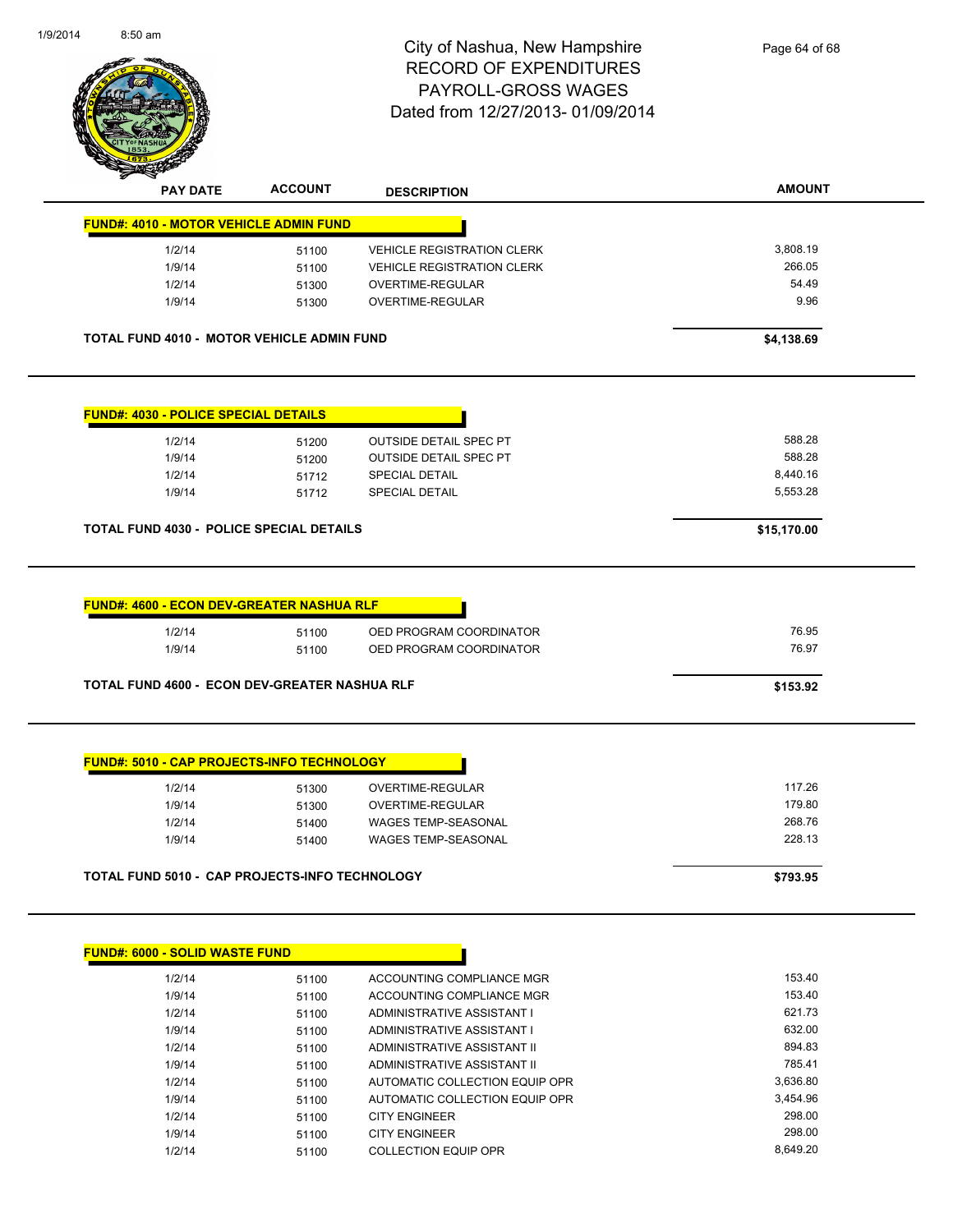

|                                                                                                                                                                                                                     | <b>ACCOUNT</b> | <b>DESCRIPTION</b>                                 | <b>AMOUNT</b>    |
|---------------------------------------------------------------------------------------------------------------------------------------------------------------------------------------------------------------------|----------------|----------------------------------------------------|------------------|
| <b>FUND#: 4010 - MOTOR VEHICLE ADMIN FUND</b>                                                                                                                                                                       |                |                                                    |                  |
| 1/2/14                                                                                                                                                                                                              | 51100          | <b>VEHICLE REGISTRATION CLERK</b>                  | 3,808.19         |
| 1/9/14                                                                                                                                                                                                              | 51100          | <b>VEHICLE REGISTRATION CLERK</b>                  | 266.05           |
| 1/2/14                                                                                                                                                                                                              | 51300          | OVERTIME-REGULAR                                   | 54.49            |
| 1/9/14                                                                                                                                                                                                              | 51300          | <b>OVERTIME-REGULAR</b>                            | 9.96             |
| <b>TOTAL FUND 4010 - MOTOR VEHICLE ADMIN FUND</b>                                                                                                                                                                   |                |                                                    | \$4,138.69       |
| <b>FUND#: 4030 - POLICE SPECIAL DETAILS</b>                                                                                                                                                                         |                |                                                    |                  |
| 1/2/14                                                                                                                                                                                                              | 51200          | <b>OUTSIDE DETAIL SPEC PT</b>                      | 588.28           |
| 1/9/14                                                                                                                                                                                                              | 51200          | <b>OUTSIDE DETAIL SPEC PT</b>                      | 588.28           |
| 1/2/14                                                                                                                                                                                                              | 51712          | <b>SPECIAL DETAIL</b>                              | 8,440.16         |
|                                                                                                                                                                                                                     |                | SPECIAL DETAIL                                     | 5,553.28         |
| 1/9/14                                                                                                                                                                                                              | 51712          |                                                    |                  |
|                                                                                                                                                                                                                     |                |                                                    | \$15,170.00      |
| 1/2/14<br>1/9/14                                                                                                                                                                                                    | 51100<br>51100 | OED PROGRAM COORDINATOR<br>OED PROGRAM COORDINATOR | 76.95<br>76.97   |
|                                                                                                                                                                                                                     |                |                                                    | \$153.92         |
| 1/2/14<br>1/9/14                                                                                                                                                                                                    | 51300<br>51300 | OVERTIME-REGULAR<br>OVERTIME-REGULAR               | 117.26<br>179.80 |
| 1/2/14                                                                                                                                                                                                              | 51400          | WAGES TEMP-SEASONAL                                | 268.76           |
| <b>TOTAL FUND 4030 - POLICE SPECIAL DETAILS</b><br><b>FUND#: 4600 - ECON DEV-GREATER NASHUA RLF</b><br>TOTAL FUND 4600 - ECON DEV-GREATER NASHUA RLF<br><b>FUND#: 5010 - CAP PROJECTS-INFO TECHNOLOGY</b><br>1/9/14 | 51400          | <b>WAGES TEMP-SEASONAL</b>                         | 228.13           |

| 1/2/14 | 51100 | ACCOUNTING COMPLIANCE MGR      | 153.40   |
|--------|-------|--------------------------------|----------|
| 1/9/14 | 51100 | ACCOUNTING COMPLIANCE MGR      | 153.40   |
| 1/2/14 | 51100 | ADMINISTRATIVE ASSISTANT I     | 621.73   |
| 1/9/14 | 51100 | ADMINISTRATIVE ASSISTANT I     | 632.00   |
| 1/2/14 | 51100 | ADMINISTRATIVE ASSISTANT II    | 894.83   |
| 1/9/14 | 51100 | ADMINISTRATIVE ASSISTANT II    | 785.41   |
| 1/2/14 | 51100 | AUTOMATIC COLLECTION EQUIP OPR | 3.636.80 |
| 1/9/14 | 51100 | AUTOMATIC COLLECTION EQUIP OPR | 3.454.96 |
| 1/2/14 | 51100 | <b>CITY ENGINEER</b>           | 298.00   |
| 1/9/14 | 51100 | <b>CITY ENGINEER</b>           | 298.00   |
| 1/2/14 | 51100 | COLLECTION EQUIP OPR           | 8.649.20 |
|        |       |                                |          |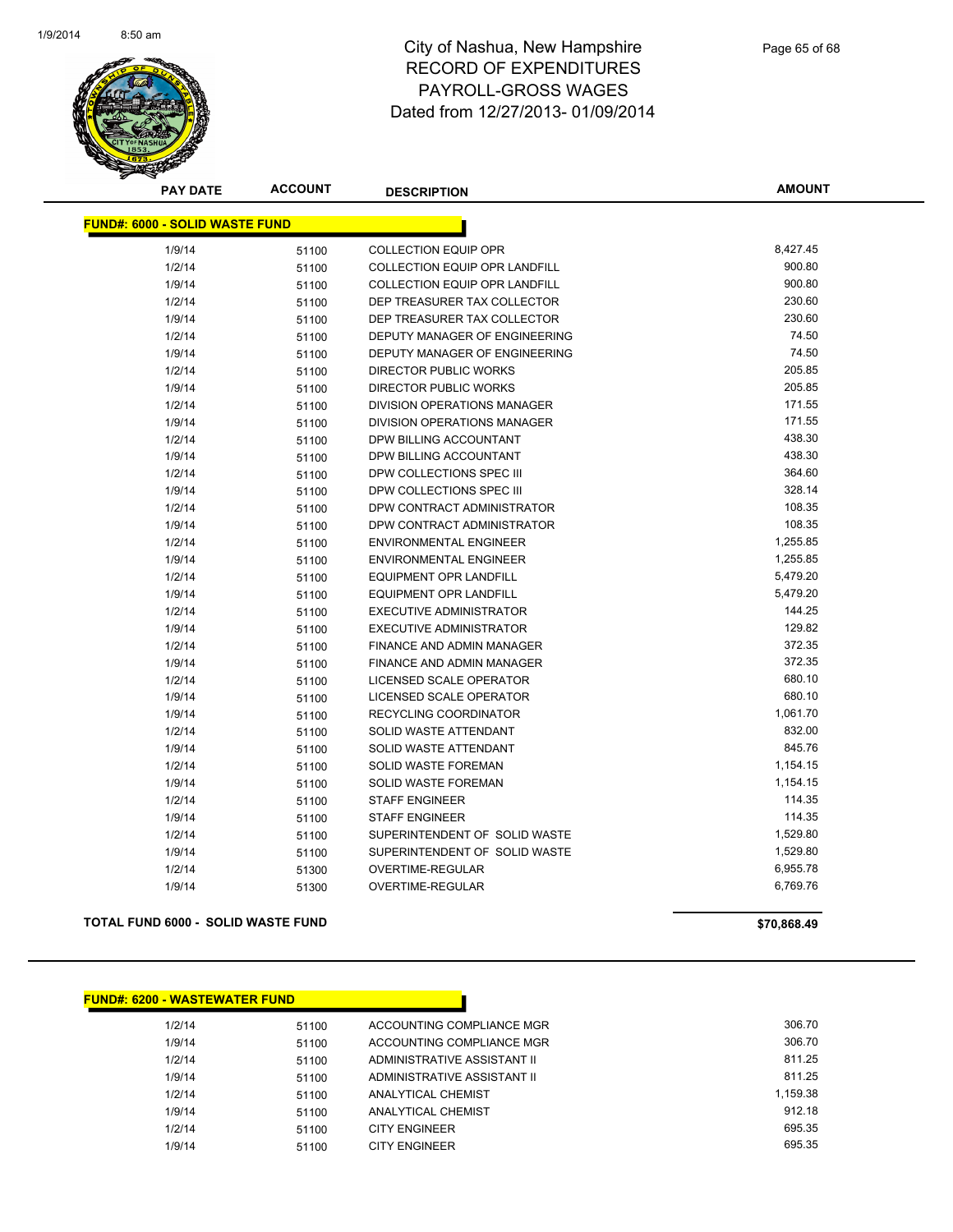

| <b>PAY DATE</b>                       | <b>ACCOUNT</b> | <b>DESCRIPTION</b>                   | <b>AMOUNT</b> |
|---------------------------------------|----------------|--------------------------------------|---------------|
| <b>FUND#: 6000 - SOLID WASTE FUND</b> |                |                                      |               |
| 1/9/14                                | 51100          | <b>COLLECTION EQUIP OPR</b>          | 8,427.45      |
| 1/2/14                                | 51100          | <b>COLLECTION EQUIP OPR LANDFILL</b> | 900.80        |
| 1/9/14                                | 51100          | <b>COLLECTION EQUIP OPR LANDFILL</b> | 900.80        |
| 1/2/14                                | 51100          | DEP TREASURER TAX COLLECTOR          | 230.60        |
| 1/9/14                                | 51100          | DEP TREASURER TAX COLLECTOR          | 230.60        |
| 1/2/14                                | 51100          | DEPUTY MANAGER OF ENGINEERING        | 74.50         |
| 1/9/14                                | 51100          | DEPUTY MANAGER OF ENGINEERING        | 74.50         |
| 1/2/14                                | 51100          | <b>DIRECTOR PUBLIC WORKS</b>         | 205.85        |
| 1/9/14                                | 51100          | <b>DIRECTOR PUBLIC WORKS</b>         | 205.85        |
| 1/2/14                                | 51100          | DIVISION OPERATIONS MANAGER          | 171.55        |
| 1/9/14                                | 51100          | DIVISION OPERATIONS MANAGER          | 171.55        |
| 1/2/14                                | 51100          | DPW BILLING ACCOUNTANT               | 438.30        |
| 1/9/14                                | 51100          | DPW BILLING ACCOUNTANT               | 438.30        |
| 1/2/14                                | 51100          | DPW COLLECTIONS SPEC III             | 364.60        |
| 1/9/14                                | 51100          | DPW COLLECTIONS SPEC III             | 328.14        |
| 1/2/14                                | 51100          | DPW CONTRACT ADMINISTRATOR           | 108.35        |
| 1/9/14                                | 51100          | DPW CONTRACT ADMINISTRATOR           | 108.35        |
| 1/2/14                                | 51100          | <b>ENVIRONMENTAL ENGINEER</b>        | 1,255.85      |
| 1/9/14                                | 51100          | <b>ENVIRONMENTAL ENGINEER</b>        | 1,255.85      |
| 1/2/14                                | 51100          | <b>EQUIPMENT OPR LANDFILL</b>        | 5,479.20      |
| 1/9/14                                | 51100          | <b>EQUIPMENT OPR LANDFILL</b>        | 5,479.20      |
| 1/2/14                                | 51100          | <b>EXECUTIVE ADMINISTRATOR</b>       | 144.25        |
| 1/9/14                                | 51100          | <b>EXECUTIVE ADMINISTRATOR</b>       | 129.82        |
| 1/2/14                                | 51100          | FINANCE AND ADMIN MANAGER            | 372.35        |
| 1/9/14                                | 51100          | FINANCE AND ADMIN MANAGER            | 372.35        |
| 1/2/14                                | 51100          | LICENSED SCALE OPERATOR              | 680.10        |
| 1/9/14                                | 51100          | LICENSED SCALE OPERATOR              | 680.10        |
| 1/9/14                                | 51100          | RECYCLING COORDINATOR                | 1,061.70      |
| 1/2/14                                | 51100          | SOLID WASTE ATTENDANT                | 832.00        |
| 1/9/14                                | 51100          | SOLID WASTE ATTENDANT                | 845.76        |
| 1/2/14                                | 51100          | <b>SOLID WASTE FOREMAN</b>           | 1,154.15      |
| 1/9/14                                | 51100          | <b>SOLID WASTE FOREMAN</b>           | 1,154.15      |
| 1/2/14                                | 51100          | <b>STAFF ENGINEER</b>                | 114.35        |
| 1/9/14                                | 51100          | <b>STAFF ENGINEER</b>                | 114.35        |
| 1/2/14                                | 51100          | SUPERINTENDENT OF SOLID WASTE        | 1,529.80      |
| 1/9/14                                | 51100          | SUPERINTENDENT OF SOLID WASTE        | 1,529.80      |
| 1/2/14                                | 51300          | <b>OVERTIME-REGULAR</b>              | 6,955.78      |
| 1/9/14                                | 51300          | <b>OVERTIME-REGULAR</b>              | 6,769.76      |

### **TOTAL FUND 6000 - SOLID WASTE FUND \$70,868.49**

### **FUND#: 6200 - WASTEWATER FUND**

1/2/14 51100 ACCOUNTING COMPLIANCE MGR 506.70 1/9/14 51100 ACCOUNTING COMPLIANCE MGR<br>
306.70 1/2/14 51100 ADMINISTRATIVE ASSISTANT II 6811.25 1/9/14 51100 ADMINISTRATIVE ASSISTANT II 61 11.25 1/2/14 51100 ANALYTICAL CHEMIST 1/2/14 1/2/14 51100 1/9/14 51100 ANALYTICAL CHEMIST 912.18 1/2/14 51100 CITY ENGINEER 695.35 1/9/14 51100 CITY ENGINEER 695.35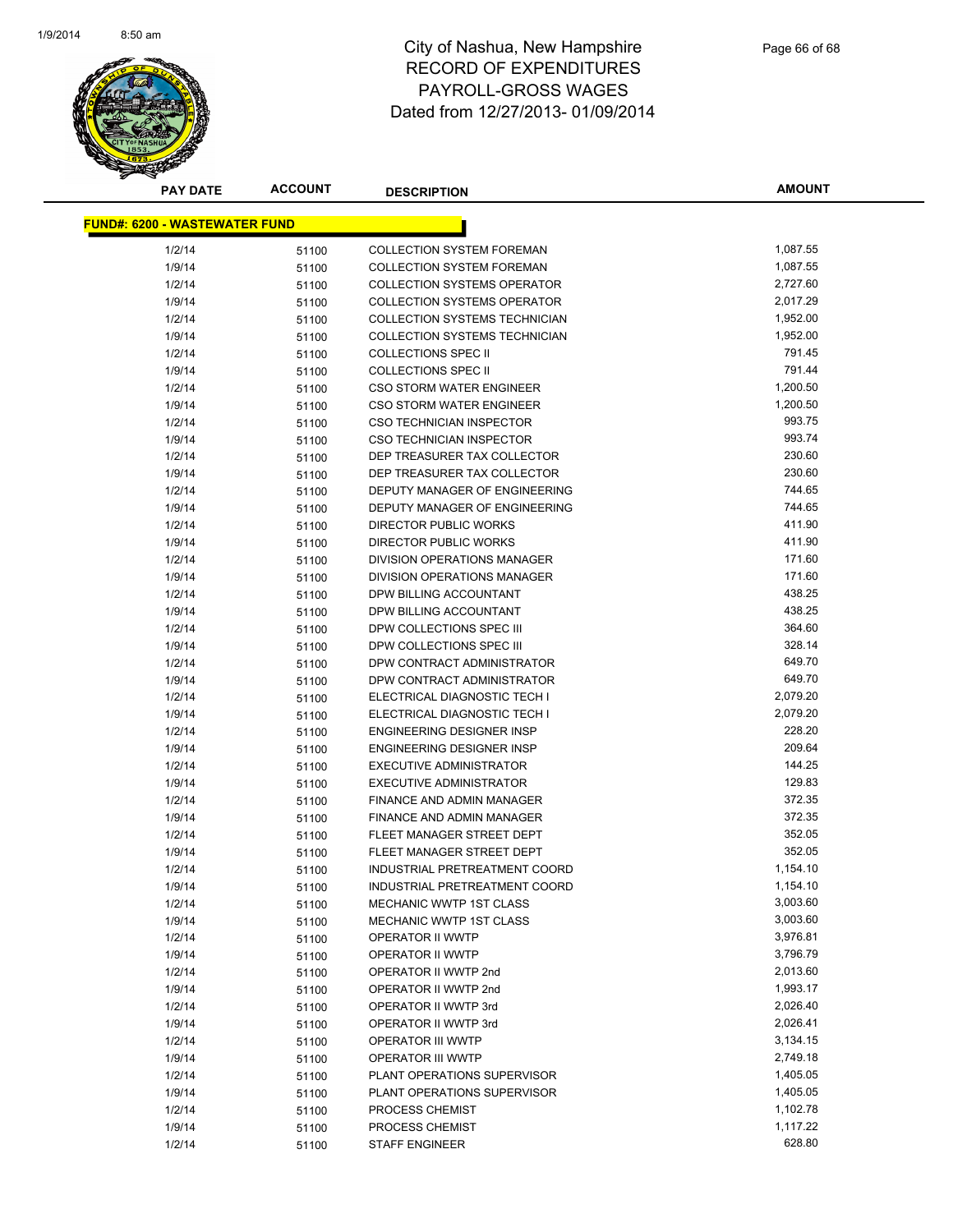

| <b>PAY DATE</b>                      | <b>ACCOUNT</b> | <b>DESCRIPTION</b>                 | <b>AMOUNT</b> |
|--------------------------------------|----------------|------------------------------------|---------------|
| <b>FUND#: 6200 - WASTEWATER FUND</b> |                |                                    |               |
|                                      |                |                                    |               |
| 1/2/14                               | 51100          | <b>COLLECTION SYSTEM FOREMAN</b>   | 1,087.55      |
| 1/9/14                               | 51100          | <b>COLLECTION SYSTEM FOREMAN</b>   | 1,087.55      |
| 1/2/14                               | 51100          | <b>COLLECTION SYSTEMS OPERATOR</b> | 2,727.60      |
| 1/9/14                               | 51100          | <b>COLLECTION SYSTEMS OPERATOR</b> | 2,017.29      |
| 1/2/14                               | 51100          | COLLECTION SYSTEMS TECHNICIAN      | 1,952.00      |
| 1/9/14                               | 51100          | COLLECTION SYSTEMS TECHNICIAN      | 1,952.00      |
| 1/2/14                               | 51100          | <b>COLLECTIONS SPEC II</b>         | 791.45        |
| 1/9/14                               | 51100          | <b>COLLECTIONS SPEC II</b>         | 791.44        |
| 1/2/14                               | 51100          | <b>CSO STORM WATER ENGINEER</b>    | 1,200.50      |
| 1/9/14                               | 51100          | <b>CSO STORM WATER ENGINEER</b>    | 1,200.50      |
| 1/2/14                               | 51100          | <b>CSO TECHNICIAN INSPECTOR</b>    | 993.75        |
| 1/9/14                               | 51100          | CSO TECHNICIAN INSPECTOR           | 993.74        |
| 1/2/14                               | 51100          | DEP TREASURER TAX COLLECTOR        | 230.60        |
| 1/9/14                               | 51100          | DEP TREASURER TAX COLLECTOR        | 230.60        |
| 1/2/14                               | 51100          | DEPUTY MANAGER OF ENGINEERING      | 744.65        |
| 1/9/14                               | 51100          | DEPUTY MANAGER OF ENGINEERING      | 744.65        |
| 1/2/14                               | 51100          | DIRECTOR PUBLIC WORKS              | 411.90        |
| 1/9/14                               | 51100          | <b>DIRECTOR PUBLIC WORKS</b>       | 411.90        |
| 1/2/14                               | 51100          | <b>DIVISION OPERATIONS MANAGER</b> | 171.60        |
| 1/9/14                               | 51100          | DIVISION OPERATIONS MANAGER        | 171.60        |
| 1/2/14                               | 51100          | DPW BILLING ACCOUNTANT             | 438.25        |
| 1/9/14                               | 51100          | DPW BILLING ACCOUNTANT             | 438.25        |
| 1/2/14                               | 51100          | DPW COLLECTIONS SPEC III           | 364.60        |
| 1/9/14                               | 51100          | DPW COLLECTIONS SPEC III           | 328.14        |
| 1/2/14                               | 51100          | DPW CONTRACT ADMINISTRATOR         | 649.70        |
| 1/9/14                               | 51100          | DPW CONTRACT ADMINISTRATOR         | 649.70        |
| 1/2/14                               | 51100          | ELECTRICAL DIAGNOSTIC TECH I       | 2,079.20      |
| 1/9/14                               | 51100          | ELECTRICAL DIAGNOSTIC TECH I       | 2,079.20      |
| 1/2/14                               | 51100          | ENGINEERING DESIGNER INSP          | 228.20        |
| 1/9/14                               | 51100          | ENGINEERING DESIGNER INSP          | 209.64        |
| 1/2/14                               | 51100          | EXECUTIVE ADMINISTRATOR            | 144.25        |
| 1/9/14                               | 51100          | <b>EXECUTIVE ADMINISTRATOR</b>     | 129.83        |
| 1/2/14                               | 51100          | FINANCE AND ADMIN MANAGER          | 372.35        |
| 1/9/14                               | 51100          | FINANCE AND ADMIN MANAGER          | 372.35        |
| 1/2/14                               | 51100          | FLEET MANAGER STREET DEPT          | 352.05        |
| 1/9/14                               | 51100          | FLEET MANAGER STREET DEPT          | 352.05        |
| 1/2/14                               | 51100          | INDUSTRIAL PRETREATMENT COORD      | 1,154.10      |
| 1/9/14                               | 51100          | INDUSTRIAL PRETREATMENT COORD      | 1,154.10      |
| 1/2/14                               | 51100          | <b>MECHANIC WWTP 1ST CLASS</b>     | 3,003.60      |
| 1/9/14                               | 51100          | MECHANIC WWTP 1ST CLASS            | 3,003.60      |
| 1/2/14                               | 51100          | OPERATOR II WWTP                   | 3,976.81      |
| 1/9/14                               | 51100          | OPERATOR II WWTP                   | 3,796.79      |
| 1/2/14                               | 51100          | OPERATOR II WWTP 2nd               | 2,013.60      |
| 1/9/14                               | 51100          | OPERATOR II WWTP 2nd               | 1,993.17      |
| 1/2/14                               | 51100          | OPERATOR II WWTP 3rd               | 2,026.40      |
| 1/9/14                               | 51100          | OPERATOR II WWTP 3rd               | 2,026.41      |
| 1/2/14                               | 51100          | OPERATOR III WWTP                  | 3,134.15      |
| 1/9/14                               | 51100          | <b>OPERATOR III WWTP</b>           | 2,749.18      |
| 1/2/14                               | 51100          | PLANT OPERATIONS SUPERVISOR        | 1,405.05      |
| 1/9/14                               | 51100          | PLANT OPERATIONS SUPERVISOR        | 1,405.05      |
| 1/2/14                               | 51100          | PROCESS CHEMIST                    | 1,102.78      |
| 1/9/14                               | 51100          | PROCESS CHEMIST                    | 1,117.22      |
| 1/2/14                               | 51100          | <b>STAFF ENGINEER</b>              | 628.80        |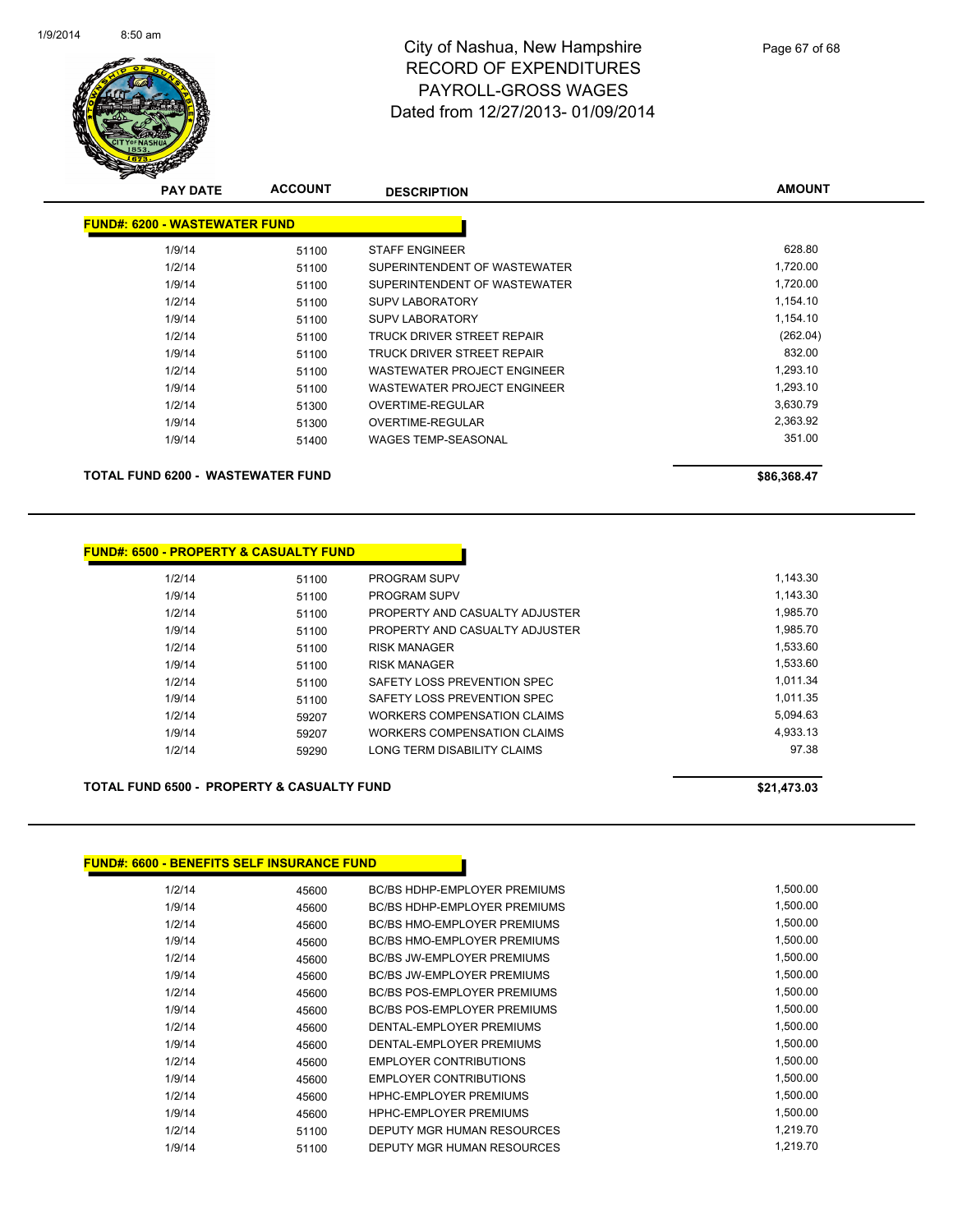

**AMOUNT**

| <b>PAY DATE</b>                      | <b>ACCOUNT</b> | <b>DESCRIPTION</b>           | <b>AMOUNT</b> |
|--------------------------------------|----------------|------------------------------|---------------|
| <b>FUND#: 6200 - WASTEWATER FUND</b> |                |                              |               |
| 1/9/14                               | 51100          | <b>STAFF ENGINEER</b>        | 628.80        |
| 1/2/14                               | 51100          | SUPERINTENDENT OF WASTEWATER | 1,720.00      |
| 1/9/14                               | 51100          | SUPERINTENDENT OF WASTEWATER | 1,720.00      |
| 1/2/14                               | 51100          | <b>SUPV LABORATORY</b>       | 1,154.10      |
| 1/9/14                               | 51100          | <b>SUPV LABORATORY</b>       | 1,154.10      |
| 1/2/14                               | 51100          | TRUCK DRIVER STREET REPAIR   | (262.04)      |
| 1/9/14                               | 51100          | TRUCK DRIVER STREET REPAIR   | 832.00        |
| 1/2/14                               | 51100          | WASTEWATER PROJECT ENGINEER  | 1,293.10      |
| 1/9/14                               | 51100          | WASTEWATER PROJECT ENGINEER  | 1,293.10      |
| 1/2/14                               | 51300          | OVERTIME-REGULAR             | 3,630.79      |
| 1/9/14                               | 51300          | <b>OVERTIME-REGULAR</b>      | 2,363.92      |
| 1/9/14                               | 51400          | <b>WAGES TEMP-SEASONAL</b>   | 351.00        |
| TOTAL FUND 6200 - WASTEWATER FUND    |                |                              | \$86,368.47   |

### **FUND#: 6500 - PROPERTY & CASUALTY FUND** 1/2/14 51100 PROGRAM SUPV 1,143.30 1/9/14 51100 PROGRAM SUPV 1,143.30 1/2/14 51100 PROPERTY AND CASUALTY ADJUSTER 1,985.70 1/9/14 51100 PROPERTY AND CASUALTY ADJUSTER 1,985.70 1/2/14 51100 RISK MANAGER 1,533.60 1/9/14 51100 RISK MANAGER 1,533.60 1/2/14 51100 SAFETY LOSS PREVENTION SPEC 1,011.34 1/9/14 51100 SAFETY LOSS PREVENTION SPEC 1,011.35 1/2/14 59207 WORKERS COMPENSATION CLAIMS 5,094.63 1/9/14 59207 WORKERS COMPENSATION CLAIMS 4,933.13 1/2/14 59290 LONG TERM DISABILITY CLAIMS 97.38

**TOTAL FUND 6500 - PROPERTY & CASUALTY FUND \$21,473.03** 

### **FUND#: 6600 - BENEFITS SELF INSURANCE FUND**

| 1/2/14 | 45600 | <b>BC/BS HDHP-EMPLOYER PREMIUMS</b> | 1,500.00 |
|--------|-------|-------------------------------------|----------|
| 1/9/14 | 45600 | <b>BC/BS HDHP-EMPLOYER PREMIUMS</b> | 1,500.00 |
| 1/2/14 | 45600 | <b>BC/BS HMO-EMPLOYER PREMIUMS</b>  | 1,500.00 |
| 1/9/14 | 45600 | <b>BC/BS HMO-EMPLOYER PREMIUMS</b>  | 1,500.00 |
| 1/2/14 | 45600 | <b>BC/BS JW-EMPLOYER PREMIUMS</b>   | 1,500.00 |
| 1/9/14 | 45600 | <b>BC/BS JW-EMPLOYER PREMIUMS</b>   | 1,500.00 |
| 1/2/14 | 45600 | <b>BC/BS POS-EMPLOYER PREMIUMS</b>  | 1,500.00 |
| 1/9/14 | 45600 | <b>BC/BS POS-EMPLOYER PREMIUMS</b>  | 1,500.00 |
| 1/2/14 | 45600 | DENTAL-EMPLOYER PREMIUMS            | 1,500.00 |
| 1/9/14 | 45600 | DENTAL-EMPLOYER PREMIUMS            | 1,500.00 |
| 1/2/14 | 45600 | <b>EMPLOYER CONTRIBUTIONS</b>       | 1,500.00 |
| 1/9/14 | 45600 | <b>EMPLOYER CONTRIBUTIONS</b>       | 1,500.00 |
| 1/2/14 | 45600 | <b>HPHC-EMPLOYER PREMIUMS</b>       | 1,500.00 |
| 1/9/14 | 45600 | <b>HPHC-EMPLOYER PREMIUMS</b>       | 1,500.00 |
| 1/2/14 | 51100 | DEPUTY MGR HUMAN RESOURCES          | 1,219.70 |
| 1/9/14 | 51100 | DEPUTY MGR HUMAN RESOURCES          | 1.219.70 |